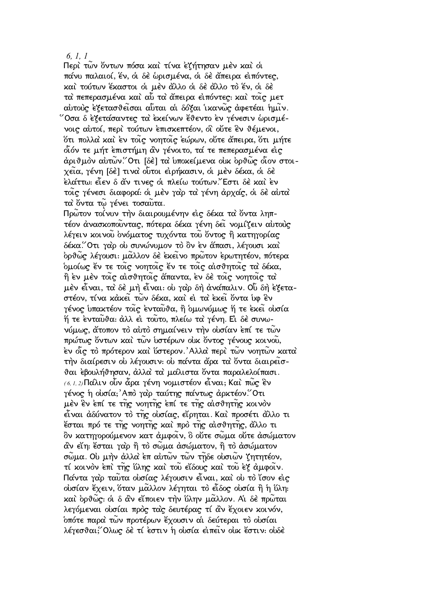## 6,  $1, 1$

Περι των όντων πόσα και τίνα εζήτησαν μεν και οι πάνυ παλαιοί, έν, οι δε ωρισμένα, οι δε άπειρα ειπόντες, και τούτων έκαστοι οι μεν άλλο οι δε άλλο το έν, οι δε τα πεπερασμένα και αύ τα άπειρα ειπόντες: και τοις μετ αύτους εξετασθείσαι αύται αι δόξαι ικανώς αφετέαι ημίν. Όσα δ εξετάσαντες τα εκείνων έθεντο εν γένεσιν ώρισμένοις αύτοί, περί τούτων επισκεπτέον, οι ούτε εν θέμενοι. δτι πολλα και έν τοις νοητοις εώρων, ούτε άπειρα, ότι μήτε οίόν τε μήτ έπιστήμη άν γένοιτο, τα τε πεπερασμένα είς άριθμον αυτών. Ότι [δέ] τα υποκείμενα ουκ ορθώς οίον στοιγεία, γένη [δέ] τινα οὗτοι ειρήκασιν, οι μεν δέκα, οι δε ἐλάττω: ἐἶεν δ ἄν τινες οἱ πλείω τούτων. Έστι δὲ καὶ ἐν τοις γένεσι διαφορά: οι μέν γαρ τα γένη άρχας, οι δέ αυτα τα όντα τω γένει τοσαυτα.

Πρώτον τοίνυν την διαιρουμένην εις δέκα τα όντα ληπτέον άνασκοπούντας, πότερα δέκα γένη δεί νομίζειν αυτούς λέγειν κοινού ονόματος τυχόντα του όντος ή κατηγορίας δέκα. Ότι γαρ ου συνώνυμον το όν εν άπασι, λέγουσι και όρθως λέγουσι: μαλλον δε εκείνο πρώτον ερωτητέον, πότερα δμοίως έν τε τοις νοητοις έν τε τοις αισθητοις τα δέκα, ή έν μέν τοις αισθητοις άπαντα, εν δε τοις νοητοις τα μεν είναι, τα δε μη είναι: ου γαρ δη αναπαλιν. Ού δη εξεταστέον, τίνα κάκει των δέκα, και ει τα εκει όντα υφ εν γένος υπακτέον τοις ενταυθα, ή δμωνύμως ή τε εκει ουσία η τε ενταύθα: άλλ εί τούτο, πλείω τα γένη. Ει δε συνωνύμως, άτοπον το αύτο σημαίνειν την ουσίαν επί τε των πρώτως όντων και των υστέρων ουκ όντος γένους κοινου. έν δίς τὸ πρότερον και ὕστερον. Αλλα περι τῶν νοητῶν κατα την διαίρεσιν ου λέγουσιν: ου πάντα άρα τα όντα διαιρείσθαι 'εβουλήθησαν, άλλα' τα μάλιστα όντα παραλελοίπασι.  $(6, 1, 2)$ Παλιν οὖν ἆρα γένη νομιστέον εἶναι; Και πως εν γένος η ουσία; Από γαρ ταύτης παντως άρκτέον. Ότι μέν έν έπί τε της νοητης έπί τε της αισθητης κοινόν είναι άδύνατον το της ουσίας, είρηται. Και προσέτι άλλο τι έσται πρό τε της νοητης και προ της αισθητης, άλλο τι δν κατηγορούμενον κατ άμφοιν, δ ούτε σωμα ούτε ασώματον άν είη: έσται γαρ ή το σώμα ασώματον, ή το ασώματον σώμα. Ου μήν άλλα επ αυτών τών τηδε ουσιών ζητητέον, τί κοινον έπι της ύλης και του είδους και του έξ άμφοιν. Πάντα γαρ ταύτα ουσίας λέγουσιν είναι, και ου το ίσον εις ουσίαν έχειν, όταν μαλλον λέγηται το είδος ουσία ή η ύλη: και ορθώς: οι δ άν είποιεν την ύλην μαλλον. Αι δε πρωται λεγόμεναι ουσίαι πρός τας δευτέρας τί αν έχοιεν κοινόν, **δπότε παρα των προτέρων έχουσιν αι δεύτεραι το ουσίαι** λέγεσθαι; Όλως δε τί εστιν η ουσία ειπείν ουκ έστιν: ουδε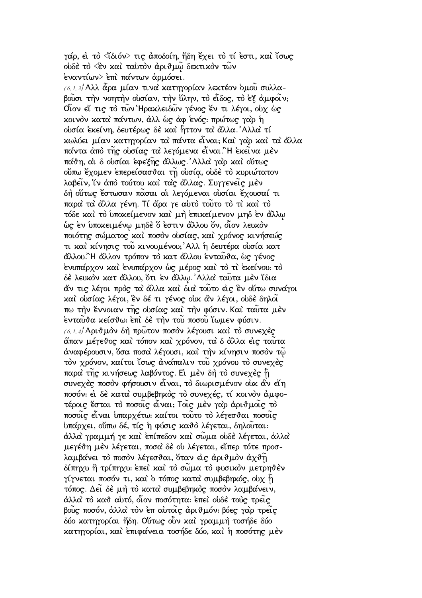γάρ, ει τὸ «ἴδιόν> τις ἀποδοίη, ἤδη ἔχει τὸ τί ἐστι, καὶ ἴσως ούδε το ζέν και ταυτον άριθμω δεκτικον των έναντίων> επι πάντων άρμόσει.

(6, 1, 3) Αλλ άρα μίαν τινα κατηγορίαν λεκτέον δμού συλλαβούσι την νοητην ουσίαν, την ύλην, το είδος, το εξ αμφοίν; Οίον εί τις το των Ηρακλειδών γένος εν τι λέγοι, ουχ ώς κοινόν κατα πάντων, άλλ ώς άφ ενός: πρώτως γαρ η ουσία εκείνη, δευτέρως δε και ήττον τα άλλα. Αλλα τί κωλύει μίαν κατηγορίαν τα πάντα είναι; Και γαρ και τα άλλα πάντα άπό της ουσίας τα λεγόμενα είναι."Η εκείνα μέν πάθη, αι δ ουσίαι εφεξης άλλως. Αλλα γαρ και ούτως ούπω έχομεν επερείσασθαι τη ουσία, ουδέ το κυριώτατον λαβείν, ίν άπό τούτου και τας άλλας. Συγγενείς μέν δη ούτως έστωσαν πάσαι αι λεγόμεναι ουσίαι έχουσαί τι παρα τα άλλα γένη. Τί άρα γε αύτο τουτο το τι και το τόδε και το υποκείμενον και μη επικείμενον μηδ εν άλλω ώς έν υποκειμένω μηδε δ εστιν άλλου όν, δίον λευκον ποιότης σώματος και ποσον ουσίας, και χρόνος κινήσεώς τι και κίνησις του κινουμένου; Αλλ η δευτέρα ουσία κατ άλλου. Η άλλον τρόπον το κατ άλλου ενταύθα, ώς γένος ένυπάρχον και ενυπάρχον ως μέρος και το τι εκείνου: το δέ λευκόν κατ άλλου, ότι 'εν άλλω.' Αλλα ταυτα μεν Ίδια άν τις λέγοι πρὸς τα` άλλα και` δια` τουτο εις εν ούτω συνάγοι και ουσίας λέγοι, εν δέ τι γένος ουκ άν λέγοι, ουδε δηλοϊ πω την έννοιαν της ουσίας και την φύσιν. Και ταυτα μέν ένταῦνθα κείσθω: ἐπὶ δὲ την τοῦ ποσοῦ ἴωμεν φύσιν.  $(6, 1, 4)$  Αριθμον δη πρώτον ποσον λέγουσι και το συνεχές άπαν μέγεθος και τόπον και χρόνον, τα δ άλλα εις ταυτα άναφέρουσιν, όσα ποσα λέγουσι, και την κίνησιν ποσον τω τον χρόνον, καίτοι ίσως αναπαλιν του χρόνου το συνεχές παρα της κινήσεως λαβόντος. Ει μεν δη το συνεχες η συνεχές ποσον φήσουσιν είναι, το διωρισμένον ούκ άν είη ποσόν: εί δε κατα συμβεβηκός το συνεχές, τί κοινόν άμφοτέροις έσται τὸ ποσοις εἶναι; Τοις μεν γαρ ἀριθμοις τὸ ποσοίς είναι υπαρχέτω: καίτοι τούτο το λέγεσθαι ποσοίς υπάρχει, ούπω δέ, τίς η φύσις καθό λέγεται, δηλούται: άλλα γραμμή γε και επίπεδον και σώμα ουδε λέγεται, άλλα μεγέθη μέν λέγεται, ποσα δέ ου λέγεται, είπερ τότε προσλαμβάνει το ποσον λέγεσθαι, όταν είς αριθμον άχθη δίπηχυ ή τρίπηχυ: επεί και το σώμα το φυσικον μετρηθεν γίγνεται ποσόν τι, και ο τόπος κατα συμβεβηκός, ουχ η τόπος. Δεί δέ μή το κατα συμβεβηκός ποσον λαμβάνειν, άλλα το καθ αυτό, οίον ποσότητα: επει ουδε τους τρείς βούς ποσόν, άλλα τον επ αυτοίς άριθμόν: βόες γαρ τρείς δύο κατηγορίαι ήδη. Ούτως ούν και γραμμή τοσήδε δύο κατηγορίαι, και επιφανεια τοσήδε δύο, και η ποσότης μέν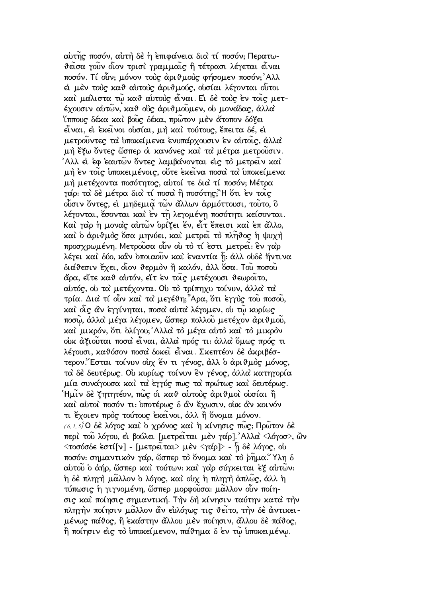αύτης ποσόν, αύτη δε η επιφανεια δια τί ποσόν; Περατωθείσα γούν οίον τρισι γραμμαϊς ή τέτρασι λέγεται είναι ποσόν. Τί οὖν; μόνον τους άριθμους φήσομεν ποσόν; Αλλ ει μεν τούς καθ αύτους άριθμούς, ουσίαι λέγονται ούτοι και μαλιστα τω καθ αύτους είναι. Ει δε τους εν τοις μετέχουσιν αυτών, καθ ούς άριθμούμεν, ου μοναδας, άλλα ίππους δέκα και βους δέκα, πρώτον μεν άτοπον δόξει εἶναι, ει εκεἶνοι οὐσίαι, μὴ καὶ τούτους, ἔπειτα δέ, εἰ μετρούντες τα υποκείμενα ενυπάρχουσιν εν αυτοίς, άλλα μή έξω όντες ώσπερ οι κανόνες και τα μέτρα μετρουσιν. 'Αλλ ει εφ εαυτῶν ὄντες λαμβανονται εις τὸ μετρεῖν καὶ μή έν τοις υποκειμένοις, ούτε εκεινα ποσα τα υποκείμενα μή μετέχοντα ποσότητος, αύτοί τε δια τί ποσόν; Μέτρα γάρ: τα δέ μέτρα δια τί ποσα ή ποσότης; Η ότι έν τοις ούσιν όντες, ει μηδεμια των άλλων αρμόττουσι, τουτο, δ λέγονται, έσονται και έν τη λεγομένη ποσότητι κείσονται. Και γαρ η μονας αυτών δρίζει έν, είτ έπεισι και επ άλλο, και ο άριθμός όσα μηνύει, και μετρεί το πλήθος η ψυχη προσχρωμένη. Μετρούσα οὖν ου το τί έστι μετρει: εν γαρ λέγει και δύο, κάν οποιαούν και εναντία ή: άλλ ουδε ήντινα διάθεσιν έχει, δίον θερμον ή καλόν, άλλ όσα. Του ποσου άρα, είτε καθ αυτόν, είτ εν τοις μετέχουσι θεωροιτο, αύτός, ου τα μετέχοντα. Ου το τρίπηχυ τοίνυν, άλλα τα τρία. Δια τί ούν και τα μεγέθη; Άρα, ότι έγγυς του ποσού, και δίς άν εγγίνηται, ποσα αυτα λέγομεν, ου τω κυρίως ποσὦ, άλλα μέγα λέγομεν, ὥσπερ πολλοὖ μετέχον ἀριθμοὖ, και μικρόν, ότι ολίγου; Αλλα το μέγα αυτο και το μικρον ούκ άζιουται ποσα είναι, άλλα πρός τι: άλλα όμως πρός τι λέγουσι, καθόσον ποσα δοκει είναι. Σκεπτέον δε άκριβέστερον. Έσται τοίνυν ουχ έν τι γένος, άλλ ο άριθμος μόνος, τα δε δευτέρως. Ου κυρίως τοίνυν εν γένος, άλλα κατηγορία μία συνάγουσα και τα εγγύς πως τα πρώτως και δευτέρως. Ήμιν δὲ ζητητέον, πῶς οι καθ αυτους ἀριθμοι ουσίαι ἢ και αύτοι ποσόν τι: οποτέρως δ άν έχωσιν, ούκ άν κοινόν τι έχοιεν πρός τούτους εκείνοι, άλλ ή όνομα μόνον.  $(6, 1, 5)$  Ο δε λόγος και ο χρόνος και η κίνησις πως; Πρώτον δε περί του λόγου, ει βούλει [μετρειται μεν γάρ]. Αλλα <λόγοσ>, ών <τοσόσδε 'εστί[ν] - [μετρείται> μεν <γάρ]> - η δε λόγος, ου ποσόν: σημαντικόν γάρ, ὥσπερ τὸ ὄνομα και τὸ ῥημα. Υλη δ αύτου ο άήρ, ώσπερ και τούτων: και γαρ σύγκειται εξ αυτών: η δε πληγή μαλλον ο λόγος, και ουχ η πληγή άπλως, άλλ η τύπωσις η γιγνομένη, ώσπερ μορφούσα: μάλλον ούν ποίησις και ποίησις σημαντική. Την δη κίνησιν ταύτην κατα την πληγήν ποίησιν μαλλον άν ευλόγως τις θείτο, την δε άντικειμένως πάθος, ή εκάστην άλλου μέν ποίησιν, άλλου δε πάθος, ή ποίησιν εις το υποκείμενον, παθημα δ΄ εν τω υποκειμένω.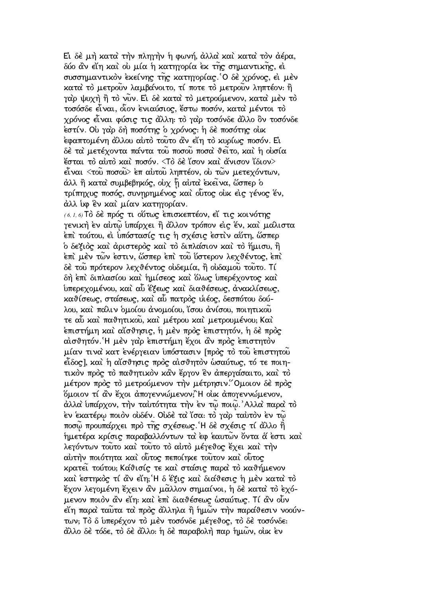Ει δέ μή κατα την πληγήν ή φωνή, άλλα και κατα τον άέρα, δύο άν είη και ου μία η κατηγορία εκ της σημαντικης, ει συσσημαντικόν εκείνης της κατηγορίας. Ο δε χρόνος, ει μεν κατα το μετρούν λαμβανοιτο, τί ποτε το μετρούν ληπτέον: ή γαρ ψυχή ή το νύν. Ει δε κατα το μετρούμενον, κατα μέν το τοσόσδε είναι, οίον ενιαύσιος, έστω ποσόν, κατα μέντοι το χρόνος είναι φύσις τις άλλη: τὸ γαρ τοσόνδε άλλο ὂν τοσόνδε έστίν. Ου γαρ δη ποσότης ο χρόνος: η δε ποσότης ουκ έφαπτομένη άλλου αύτὸ τοῦτο ἀν εἴη τὸ κυρίως ποσόν. Ει δέ τα μετέχοντα πάντα του ποσου ποσα θείτο, και η ουσία έσται τὸ αυτὸ και ποσόν. <Τὸ δε ίσον και άνισον ίδιον> εἶναι <τοῦ ποσοῦ> 'επ αὐτοῦ ληπτέον, οὐ τῶν μετεχόντων, άλλ ή κατα συμβεβηκός, ουχ η αυτα εκείνα, ώσπερ δ τρίπηχυς ποσός, συνηρημένος και ούτος ουκ εις γένος έν, άλλ υφ εν και μίαν κατηγορίαν.

 $(6, 1, 6)$  Το δέ πρός τι ούτως επισκεπτέον, εί τις κοινότης γενική εν αυτώ υπάρχει ή άλλον τρόπον εις έν, και μαλιστα έπι τούτου, εί υπόστασίς τις η σχέσις εστιν αύτη, ώσπερ δ δεξιός και άριστερός και το διπλάσιον και το ήμισυ, ή 'επι μεν τῶν 'εστιν, ὥσπερ 'επι τοῦ ὕστερον λεχθέντος, 'επι δε του πρότερον λεχθέντος ουδεμία, ή ουδαμού τουτο. Τί δη επι διπλασίου και ημίσεος και όλως υπερέχοντος και υπερεχομένου, και αύ έξεως και διαθέσεως, ανακλίσεως, καθίσεως, στάσεως, και αύ πατρός υιέος, δεσπότου δούλου, και πάλιν δμοίου άνομοίου, ίσου άνίσου, ποιητικού τε αὖ και παθητικοῦ, και μέτρου και μετρουμένου; Και έπιστήμη και αΐσθησις, η μέν προς επιστητόν, η δε προς αισθητόν. Η μέν γαρ επιστήμη έχοι άν πρός επιστητον μίαν τινα κατ ενέργειαν υπόστασιν [προς το του επιστητου εἶδος], και η αίσθησις προς αισθητον ώσαύτως, τό τε ποιητικόν πρός το παθητικόν κάν έργον εν άπεργάσαιτο, και το μέτρον πρός το μετρούμενον την μέτρησιν. Όμοιον δε πρός δμοιον τί άν έχοι άπογεννώμενον; Η ούκ άπογεννώμενον, άλλα υπάρχον, την ταυτότητα την έν τω ποιω. Αλλα παρα το έν εκατέρω ποιον ουδέν. Ουδε τα ίσα: το γαρ ταυτον εν τω ποσώ προυπάρχει πρὸ της σχέσεως. Η δε σχέσις τί άλλο ή ημετέρα κρίσις παραβαλλόντων τα έφ εαυτών όντα ά έστι και λεγόντων τούτο και τούτο το αυτό μέγεθος έχει και την αύτην ποιότητα και ούτος πεποίηκε τουτον και ούτος κρατεί τούτου; Κάθισίς τε και στάσις παρα το καθήμενον και εστηκός τί άν είη; Η δ έξις και διάθεσις η μέν κατα τό έχον λεγομένη έχειν άν μάλλον σημαίνοι, η δε κατα το εχόμενον ποιον άν είη: και επι διαθέσεως ώσαύτως. Τι άν ούν είη παρα ταύτα τα προς άλληλα ή ημών την παράθεσιν νοούντων; Τὸ δ ὑπερέχον τὸ μèν τοσόνδε μέγεθος, τὸ δè τοσόνδε: άλλο δὲ τόδε, τὸ δὲ άλλο: ἡ δὲ παραβολὴ παρ ἡμῶν, οὐκ 'εν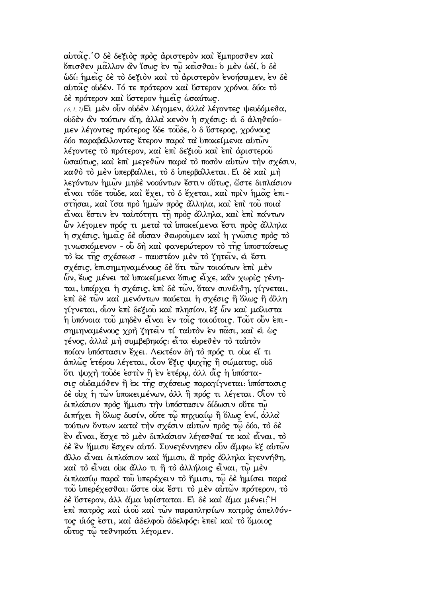αύτοις. Ο δε δεξιός πρός άριστερόν και έμπροσθεν και όπισθεν μαλλον άν ίσως εν τω κεισθαι: o μεν ωδί, o δε ώδι: ημείς δέ το δεξιον και το αριστερον ενοήσαμεν, εν δέ αύτοις ουδέν. Τό τε πρότερον και ύστερον χρόνοι δύο: το δέ πρότερον και ύστερον ημείς ωσαύτως.  $(6, 1, 7)$ Ει μέν οὖν οὐδεν λέγομεν, άλλα λέγοντες ψευδόμεθα, ούδεν άν τούτων είη, άλλα κενόν η σχέσις: ει δ άληθεύομεν λέγοντες πρότερος δδε τουδε, ο δ ύστερος, χρόνους δύο παραβαλλοντες έτερον παρα τα υποκείμενα αυτών λέγοντες το πρότερον, και επι δεξιου και επι άριστερου ώσαύτως, και επι μεγεθών παρα το ποσον αυτών την σχέσιν, καθό το μέν υπερβάλλει, το δ υπερβάλλεται. Ει δέ και μή λεγόντων ημών μηδέ νοούντων έστιν ούτως, ώστε διπλασιον εἶναι τόδε τοῦδε, καὶ ἔχει, τὸ δ ἔχεται, καὶ πρὶν ἡμας ἐπιστήσαι, και ίσα προ ημών προς άλληλα, και επι του ποια είναι έστιν έν ταύτότητι τη προς άλληλα, και έπι πάντων ὧν λέγομεν πρός τι μετα τα υποκείμενα έστι προς άλληλα η σχέσις, ημείς δε ούσαν θεωρούμεν και η γνώσις προς το γινωσκόμενον - ού δη και φανερώτερον το της υποστάσεως τὸ ἐκ της σχέσεωσ - παυστέον μεν τὸ ζητεϊν, ει ἔστι σχέσις, επισημηναμένους δε ότι των τοιούτων επι μεν ὧν, έως μένει τα υποκείμενα όπως εἶχε, κάν χωρις γένηται, υπάρχει η σχέσις, επι δε των, όταν συνέλθη, γίγνεται, έπι δε τῶν και μενόντων παύεται η σχέσις ή δλως ή άλλη γίγνεται, δίον 'επι δεξιού και πλησίον, εξ ὧν και μαλιστα η υπόνοια του μηδέν είναι εν τοις τοιούτοις. Τουτ ούν επισημηναμένους χρή ζητείν τί ταύτον έν πάσι, και εί ώς γένος, άλλα μή συμβεβηκός: εἶτα ευρεθεν το ταυτον ποίαν υπόστασιν έχει. Λεκτέον δη το πρός τι ούκ εί τι άπλως ετέρου λέγεται, οίον έξις ψυχης ή σώματος, ουδ ότι ψυχή τουδε έστιν ἢ εν ετέρω, άλλ οίς ἡ υπόστασις ουδαμόθεν ή εκ της σχέσεως παραγίγνεται: υπόστασις δέ ουχ η των υποκειμένων, άλλ η πρός τι λέγεται. Οίον το διπλασιον πρός ήμισυ την υπόστασιν δίδωσιν ούτε τω διπήχει ή δλως δυσίν, ούτε τω πηχυαίω ή δλως ενί, άλλα τούτων όντων κατα την σχέσιν αυτών προς τω δύο, το δε `ὲν ἐἶναι, ἔσχε τὸ μὲν διπλάσιον λέγεσθαί τε καὶ ἐἶναι, τὸ δε εν ήμισυ έσχεν αυτό. Συνεγέννησεν ούν άμφω εξ αυτών άλλο εἶναι διπλασιον και ήμισυ, α προς άλληλα εγεννήθη, και το είναι ουκ άλλο τι ή το αλλήλοις είναι, τω μεν διπλασίω παρα του υπερέχειν το ήμισυ, τω δε ημίσει παρα του υπερέχεσθαι: ώστε ουκ έστι το μεν αυτών πρότερον, το δε ύστερον, άλλ άμα υφίσταται. Ει δε και άμα μένει; Η έπι πατρός και υίου και των παραπλησίων πατρός άπελθόντος υιός έστι, και άδελφου άδελφός: έπει και το δμοιος ούτος τω τεθνηκότι λέγομεν.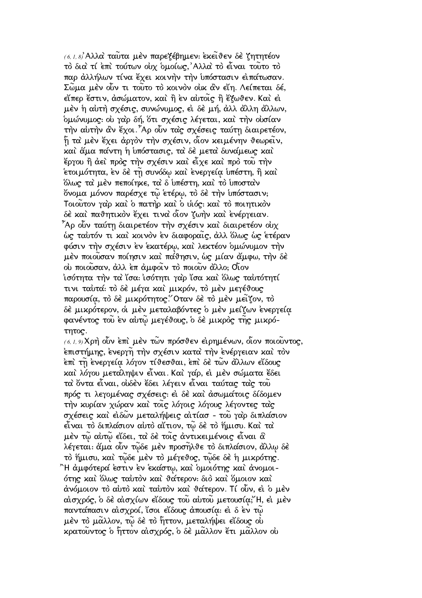$(6, 1, 8)$  Αλλα ταυτα μέν παρεξέβημεν: εκειθεν δε ζητητέον τὸ δια τί ἐπι τούτων ουχ δμοίως, Αλλα το εἶναι τουτο το παρ άλλήλων τίνα έχει κοινήν την υπόστασιν ειπάτωσαν. Σώμα μέν ούν τι τούτο τὸ κοινὸν ουκ ἀν είη. Λείπεται δέ, είπερ έστιν, άσώματον, και ή εν αυτοις ή έξωθεν. Και ει μέν η αύτη σχέσις, συνώνυμος, εί δε μή, άλλ άλλη άλλων, δμώνυμος: ου γαρ δή, ότι σχέσις λέγεται, και την ουσίαν την αύτην άν έχοι. Άρ ούν τας σχέσεις ταύτη διαιρετέον,  $\tilde{\eta}$  τα μέν έχει άργον την σχέσιν, οίον κειμένην θεωρείν, και άμα πάντη η υπόστασις, τα δε μετα δυνάμεως και ἔργου ἢ ἀεὶ πρὸς τὴν σχέσιν καὶ ἐἶχε καὶ πρὸ τοῦ τὴν ετοιμότητα, εν δε τη συνόδω και ενεργεία υπέστη, ή και δλως τα μέν πεποίηκε, τα δ υπέστη, και το υποσταν όνομα μόνον παρέσχε τῷ ετέρω, τὸ δὲ την ὑπόστασιν; Τοιούτον γαρ και ο πατήρ και ο υίός: και το ποιητικον δέ και παθητικόν έχει τινα δίον ζωήν και ενέργειαν.  $\tilde{}$ Άρ οὖν ταύτη διαιρετέον την σχέσιν καὶ διαιρετέον οὐχ ώς ταυτόν τι και κοινον εν διαφοραίς, άλλ όλως ως ετέραν φύσιν την σχέσιν εν εκατέρω, και λεκτέον δμώνυμον την μέν ποιούσαν ποίησιν και πάθησιν, ως μίαν άμφω, την δέ ου ποιούσαν, άλλ επ άμφοιν το ποιούν άλλο; Οίον ισότητα τὴν τα ἴσα: ισότητι γαρ ἴσα και ὅλως ταὐτότητί τινι ταύτα: τὸ δὲ μέγα καὶ μικρόν, τὸ μὲν μεγέθους παρουσία, το δέ μικρότητος. Όταν δέ το μέν μεϊζον, το δέ μικρότερον, οι μέν μεταλαβόντες ο μέν μείζων ενεργεία φανέντος του εν αύτω μεγέθους, ο δε μικρός της μικρότητος.

 $(6, 1, 9)$  Χρη οὖν επι μεν τῶν πρόσθεν ειρημένων, οἷον ποιοὖντος, έπιστήμης, ένεργη την σχέσιν κατα την ενέργειαν και τον επι τη ενεργεία λόγον τίθεσθαι, επι δε των άλλων είδους και λόγου μετάληψιν είναι. Και γάρ, ει μεν σώματα έδει τα ὄντα εἶναι, οὐδεν ἔδει λέγειν εἶναι ταύτας τας του πρός τι λεγομένας σχέσεις: ει δε και άσωματοις δίδομεν την κυρίαν χώραν και τοις λόγοις λόγους λέγοντες τας σχέσεις και ειδών μεταλήψεις αιτίασ - του γαρ διπλάσιον είναι το διπλάσιον αύτο αίτιον, τώ δε το ήμισυ. Και τα μέν τω αυτώ είδει, τα δε τοις αντικειμένοις είναι α λέγεται: άμα ούν τώδε μεν προσήλθε το διπλασιον, άλλω δε τὸ ἥμισυ, και τὦδε μεν τὸ μέγεθος, τὦδε δε ἡ μικρότης. ``Η ἀμφότερα ἐστιν ἐν ἑκαστω, καὶ ὁμοιότης καὶ ἀνομοιότης και δλως ταύτον και θάτερον: διο και δμοιον και άνόμοιον τὸ αυτὸ και ταυτον και θάτερον. Τί ούν, εί ο μεν αισχρός, ο δε αισχίων είδους του αυτού μετουσία; Ή, ει μεν παντάπασιν αισχροί, ίσοι είδους άπουσία: ει δέν τω μέν τὸ μᾶλλον, τῷ δὲ τὸ ἡττον, μεταλήψει ἐίδους οὐ κρατούντος ο ήττον αισχρός, ο δε μαλλον έτι μαλλον ου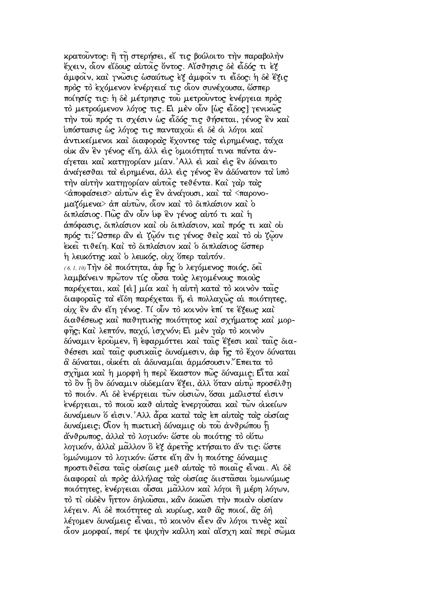κρατούντος: ή τη στερήσει, εί τις βούλοιτο την παραβολην έχειν, οίον είδους αυτοις όντος. Αίσθησις δε είδός τι εξ άμφοιν, και γνώσις ώσαύτως εξ άμφοιν τι είδος: η δε έξις πρός το εχόμενον ενέργεια τις οίον συνέχουσα, ώσπερ ποίησίς τις: η δέ μέτρησις του μετρούντος ενέργεια πρός τὸ μετρούμενον λόγος τις. Ει μέν οὖν [ώς εἶδος] γενικὦς την του πρός τι σχέσιν ως είδός τις θήσεται, γένος έν και υπόστασις ώς λόγος τις πανταχού: εί δε οι λόγοι και άντικείμενοι και διαφορας έχοντες τας ειρημένας, τάχα ούκ άν εν γένος είη, άλλ εις δμοιότητα τινα παντα άναγεται και κατηγορίαν μίαν. Αλλ ει και εις εν δύναιτο άναγεσθαι τα είρημένα, άλλ είς γένος εν αδύνατον τα υπό την αυτήν κατηγορίαν αυτοίς τεθέντα. Και γαρ τας <άποφασεισ> αυτών εις εν αναγουσι, και τα <παρονομαζόμενα> άπ αύτων, δίον και το διπλασιον και δ διπλασιος. Πώς άν οὖν υφ εν γένος αυτό τι και η άπόφασις, διπλάσιον και ου διπλάσιον, και πρός τι και ου πρός τι; Ωσπερ άν ει ζώόν τις γένος θείς και το ου ζώον έκει τιθείη. Και το διπλάσιον και ο διπλάσιος ώσπερ η λευκότης και ο λευκός, ουχ όπερ ταυτόν.  $(6, 1, 10)$  Την δε ποιότητα, άφ ής ο λεγόμενος ποιός, δεϊ λαμβάνειν πρώτον τίς ούσα τούς λεγομένους ποιούς παρέχεται, και [εί] μία και ή αύτη κατα το κοινον ταις διαφοραίς τα είδη παρέχεται ή, ει πολλαχώς αι ποιότητες, ούχ εν άν είη γένος. Τί ούν το κοινον επί τε έξεως και διαθέσεως και παθητικής ποιότητος και σχήματος και μορφής; Και λεπτόν, παχύ, ισχνόν; Ει μεν γαρ το κοινον δύναμιν 'ερούμεν, ή 'εφαρμόττει και' ταις έξεσι και ταις διαθέσεσι και ταις φυσικαις δυναμεσιν, άφ ης το έχον δύναται α δύναται, ουκέτι αι αδυναμίαι αρμόσουσιν. Επειτα το σχημα και η μορφη η περι έκαστον πως δύναμις; Είτα και τὸ ὂν ῇ ὂν δύναμιν οὐδεμίαν ἕξει, ἀλλ ὅταν αὐτῷ προσέλθη το ποιόν. Αι δε ενέργειαι των ουσιών, όσαι μαλιστα είσιν ένέργειαι, το ποιού καθ αυτας ενεργούσαι και των οικείων δυναμεων δ είσιν. Αλλ άρα κατα τας επ αυτας τας ουσίας δυναμεις; Οίον η πυκτική δύναμις ου του ανθρώπου η άνθρωπος, άλλα το λογικόν: ώστε ου ποιότης το ούτω λογικόν, άλλα μάλλον δ'ε άρετης κτήσαιτο άν τις: ώστε δμώνυμον το λογικόν: ώστε είη άν η ποιότης δύναμις προστιθείσα ταις ουσίαις μεθ αυτας το ποιαις είναι. Αι δε διαφοραί αι πρός άλλήλας τας ουσίας διιστάσαι δμωνύμως ποιότητες, ενέργειαι ούσαι μάλλον και λόγοι ή μέρη λόγων, τὸ τι ουδεν ήττον δηλουσαι, κάν δοκωσι την ποιαν ουσίαν λέγειν. Αι δέ ποιότητες αι κυρίως, καθ δε ποιοί, δε δή λέγομεν δυναμεις είναι, το κοινον είεν αν λόγοι τινες και δίον μορφαί, περί τε ψυχήν καλλη και αΐσχη και περι σώμα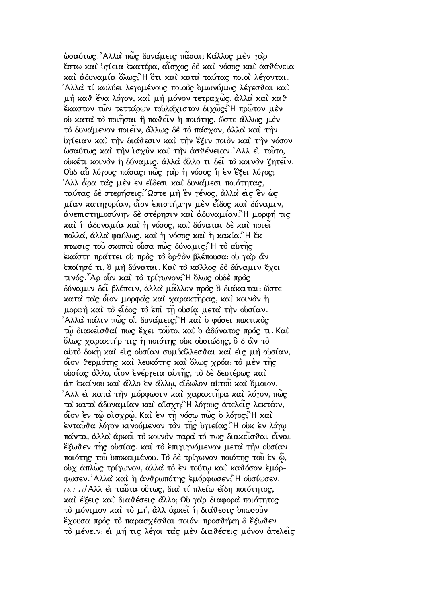ώσαύτως. Αλλα πώς δυνάμεις πασαι; Καλλος μέν γαρ έστω και υγίεια εκατέρα, αίσχος δε και νόσος και ασθένεια και άδυναμία δλως; Η ότι και κατα ταύτας ποιοι λέγονται. 'Αλλα` τί κωλύει λεγομένους ποιούς δμωνύμως λέγεσθαι καὶ μή καθ ένα λόγον, και μή μόνον τετραχὦς, άλλα και καθ έκαστον των τεττάρων τουλάχιστον διχως; Η πρωτον μέν ού κατα το ποιήσαι ή παθείν ή ποιότης, ώστε άλλως μέν τὸ δυναμενον ποιείν, άλλως δε τὸ πασχον, άλλα και την υγίειαν και την διάθεσιν και την έξιν ποιον και την νόσον ώσαύτως και την ισχυν και την ασθένειαν. Αλλ ει τουτο, ούκέτι κοινον η δύναμις, άλλα άλλο τι δει το κοινον ζητείν. Ούδ αὖ λόγους πάσας: πως γαρ η νόσος η εν έξει λόγος; `Αλλ ἆρα τας μεν εν είδεσι και δυναμεσι ποιότητας, ταύτας δέ στερήσεις; Ώστε μη έν γένος, άλλα εις έν ώς μίαν κατηγορίαν, οίον επιστήμην μεν είδος και δύναμιν, άνεπιστημοσύνην δέ στέρησιν και άδυναμίαν. Η μορφή τις και η αδυναμία και η νόσος, και δύναται δε και ποιεί πολλα, άλλα φαύλως, και η νόσος και η κακία. Η έκπτωσις του σκοπού ούσα πως δύναμις; Η το αυτής εκάστη πράττει ου πρός το ορθον βλέπουσα: ου γαρ άν εποίησέ τι, δ μη δύναται. Και το καλλος δε δύναμιν έχει τινός. Αρ οὖν και το τρίγωνον; Η δλως οὐδε προς δύναμιν δει βλέπειν, άλλα μαλλον πρός δ διακειται: ώστε κατα τας οίον μορφας και χαρακτήρας, και κοινον η μορφή και το είδος το επι τη ουσία μετα την ουσίαν. 'Αλλα παλιν πῶς αι δυναμεις; ή και ο φύσει πυκτικός τώ διακείσθαί πως έχει τούτο, και ο άδύνατος πρός τι. Και δλως χαρακτήρ τις η ποιότης ούκ ουσιώδης, δ δ άν το αύτο δοκη και είς ουσίαν συμβαλλεσθαι και είς μη ουσίαν, δίον θερμότης και λευκότης και όλως χρόα: το μεν της ουσίας άλλο, οίον ενέργεια αυτής, το δε δευτέρως και άπ εκείνου και άλλο εν άλλω, είδωλον αυτου και όμοιον. 'Αλλ ει κατα την μόρφωσιν και χαρακτηρα και λόγον, πως τα κατα αδυναμίαν και αίσχη, Η λόγους άτελεις λεκτέον, οίον έν τῷ αισχρῷ. Και εν τη νόσω πῶς ὁ λόγος; Η και ένταυθα λόγον κινούμενον τον της υγιείας. Η ουκ εν λόγω πάντα, άλλα άρκει το κοινον παρα τό πως διακεισθαι είναι έξωθεν της ούσίας, και το επιγιγνόμενον μετα την ουσίαν ποιότης του υποκειμένου. Το δε τρίγωνον ποιότης του έν ψ. ουχ άπλως τρίγωνον, άλλα το εν τούτω και καθόσον εμόρφωσεν. Αλλα και η ανθρωπότης εμόρφωσεν; Η ουσίωσεν.  $(6, 1, 11)$  Αλλ εί ταῦτα ούτως, δια τί πλείω είδη ποιότητος, και έξεις και διαθέσεις άλλο; Ου γαρ διαφορα ποιότητος το μόνιμον και το μή, άλλ άρκει η διαθεσις οπωσουν έχουσα πρὸς τὸ παρασχέσθαι ποιόν: προσθήκη δ ἔξωθεν τὸ μένειν: ἐι μή τις λέγοι τας μεν διαθέσεις μόνον ἀτελεις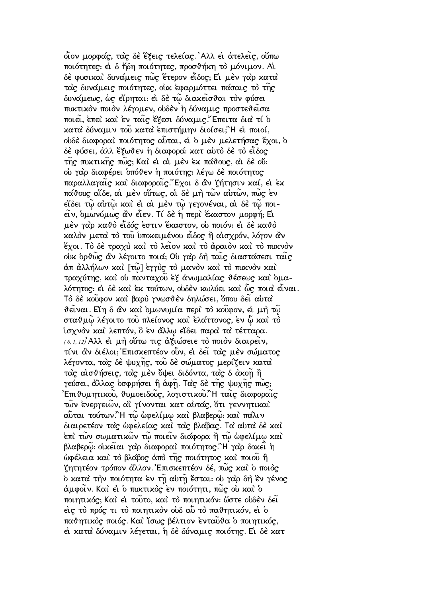οίον μορφας, τας δε έξεις τελείας. Αλλ ει ατελείς, ούπω ποιότητες: εί δ ήδη ποιότητες, προσθήκη το μόνιμον. Αι δέ φυσικαί δυνάμεις πώς έτερον είδος; Ει μέν γαρ κατα τας δυνάμεις ποιότητες, ούκ εφαρμόττει πάσαις το της δυναμεως, ως είρηται: εί δε τω διακείσθαι τον φύσει πυκτικόν ποιόν λέγομεν, ουδέν η δύναμις προστεθείσα ποιεί, επεί και εν ταις έξεσι δύναμις. Επειτα δια τί δ κατα δύναμιν του κατα επιστήμην διοίσει, Η εί ποιοί, ούδε διαφοραί ποιότητος αύται, εί ο μεν μελετήσας έχοι, ο δε φύσει, άλλ έξωθεν η διαφορα: κατ αυτό δε το είδος της πυκτικής πώς; Και εί αι μεν εκ πάθους, αι δε ού: ού γαρ διαφέρει οπόθεν η ποιότης: λέγω δε ποιότητος παραλλαγαίς και διαφοραίς. Έχοι δ άν ζήτησιν καί, εί εκ πάθους αίδε, αι μεν ούτως, αι δε μη των αυτων, πως εν είδει τω αυτώ: και ει αι μεν τω γεγονέναι, αι δε τω ποιείν, ομωνύμως άν είεν. Τί δε η περι έκαστον μορφή; Ει μέν γαρ καθό είδός εστιν έκαστον, ού ποιόν: εί δέ καθό καλόν μετα το του υποκειμένου είδος ή αισχρόν, λόγον άν έχοι. Τὸ δὲ τραχὺ καὶ τὸ λεἶον καὶ τὸ ἀραιὸν καὶ τὸ πυκνὸν ούκ ορθώς άν λέγοιτο ποια; Ου γαρ δη ταις διαστάσεσι ταις άπ άλλήλων και [τῷ] εγγύς το μανον και το πυκνον και τραχύτης, και ου πανταχου εξ άνωμαλίας θέσεως και δμαλότητος: ει δε και εκ τούτων, ουδεν κωλύει και ὧς ποια είναι. Τὸ δε κουφον και βαρύ γνωσθεν δηλώσει, όπου δει αυτα θείναι. Είη δ άν και δμωνυμία περι το κούφον, ει μη τω σταθμώ λέγοιτο του πλείονος και ελάττονος, εν ώ και το ισχνον και λεπτόν, δ εν άλλω είδει παρα τα τέτταρα.  $(6, 1, 12)$  Αλλ εί μη ούτω τις άξιώσειε το ποιον διαιρείν, τίνι άν διέλοι; Επισκεπτέον ούν, ει δει τας μεν σώματος λέγοντα, τας δε ψυχής, του δε σώματος μερίζειν κατα τας αισθήσεις, τας μέν όψει διδόντα, τας δ άκοη ή γεύσει, άλλας οσφρήσει ή άφη. Τας δε της ψυχης πως; Επιθυμητικού, θυμοειδούς, λογιστικού."Η ταις διαφοραις των ενεργειών, αι γίνονται κατ αυτάς, ότι γεννητικαι αύται τούτων. Η τω ώφελίμω και βλαβερω: και παλιν διαιρετέον τας ώφελείας και τας βλαβας. Τα αυτα δε και επι τῶν σωματικῶν τῷ ποιεῖν διαφορα ἢ τῷ ὡφελίμῳ και βλαβερώ: σικείαι γαρ διαφοραι ποιότητος. Η γαρ δοκεί η ώφέλεια και το βλάβος άπο της ποιότητος και ποιού ή ζητητέον τρόπον άλλον. Επισκεπτέον δέ, πως και ο ποιος δ κατα την ποιότητα εν τη αυτη έσται: ου γαρ δη εν γένος άμφοιν. Και εί ο πυκτικός εν ποιότητι, πως ου και ο ποιητικός; Και εί τουτο, και το ποιητικόν: ώστε ουδεν δει είς τὸ πρός τι τὸ ποιητικὸν οὐδ αὖ τὸ παθητικόν, εἰ ὁ παθητικός ποιός. Και ίσως βέλτιον ενταύθα ο ποιητικός, ει κατα δύναμιν λέγεται, η δε δύναμις ποιότης. Ει δε κατ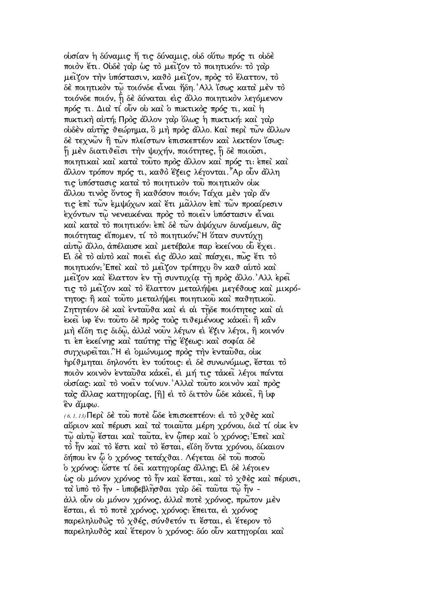ουσίαν η δύναμις ή τις δύναμις, ουδ ούτω πρός τι ουδέ ποιόν έτι. Ούδε γαρ ώς το μείζον το ποιητικόν: το γαρ μείζον την υπόστασιν, καθό μείζον, πρός το έλαττον, το δέ ποιητικόν τῷ τοιόνδε εἶναι ἤδη. Αλλ ἴσως κατα μέν τὸ τοιόνδε ποιόν, η δε δύναται εις άλλο ποιητικον λεγόμενον πρός τι. Δια τί οὖν οὐ και σ πυκτικός πρός τι, και ή πυκτική αύτή; Πρός άλλον γαρ όλως ή πυκτική: και γαρ ούδεν αύτης θεώρημα, δ μη πρός άλλο. Και περι των άλλων δε τεχνών ή τών πλείστων επισκεπτέον και λεκτέον ίσως: ή μεν διατιθείσι την ψυχήν, ποιότητες, η δε ποιούσι, ποιητικαι και κατα τούτο πρός άλλον και πρός τι: έπει και άλλον τρόπον πρός τι, καθὸ έξεις λέγονται. Αρ οὖν άλλη τις υπόστασις κατα το ποιητικον του ποιητικον ούκ άλλου τινός όντος ή καθόσον ποιόν; Τάχα μέν γαρ άν τις επι των εμψύχων και έτι μαλλον επι των προαίρεσιν έχόντων τὦ νενευκέναι πρὸς τὸ ποιεἶν ὑπόστασιν εἶναι και κατα το ποιητικόν: επι δε των αψύχων δυναμεων, άς ποιότητας είπομεν, τί το ποιητικόν, Η όταν συντύχη αυτώ άλλο, απέλαυσε και μετέβαλε παρ εκείνου ού έχει. Ει δέ το αυτό και ποιεί είς άλλο και πάσχει, πως έτι το ποιητικόν; Επεί και το μείζον τρίπηχυ όν καθ αυτό και μείζον και έλαττον έν τη συντυχία τη προς άλλο. Αλλ έρει τις το μείζον και το έλαττον μεταλήψει μεγέθους και μικρότητος: ή και τουτο μεταλήψει ποιητικού και παθητικού. Ζητητέον δε και ενταύθα και εί αι τηδε ποιότητες και αι έκει υφ έν: τουτο δε προς τους τιθεμένους κάκει: ή κάν μη είδη τις διδῷ, ἀλλα νοῦν λέγων εἰ ἕζιν λέγοι, ἢ κοινόν τι έπ έκείνης και ταύτης της έξεως: και σοφία δέ συγχωρείται. Ή εί δμώνυμος πρός την ενταύθα, ούκ ήρίθμηται δηλονότι έν τούτοις: ει δε συνωνύμως, έσται το ποιον κοινον ενταύθα κάκει, ει μή τις τάκει λέγοι πάντα ουσίας: και το νοείν τοίνυν. Αλλα τούτο κοινον και προς τας άλλας κατηγορίας, [ή] ει το διττον ὧδε κάκει, ή υφ εν άμφω.

 $(6, 1, 13)$ Περι δε του ποτε ώδε επισκεπτέον: ει το χθες και αύριον και πέρυσι και τα τοιαυτα μέρη χρόνου, δια τί ουκ εν τῷ αὐτῷ ἔσται και ταυτα, έν ῷπερ και ὁ χρόνος; Επει και τὸ ἦν καὶ τὸ ἔστι καὶ τὸ ἔσται, εἴδη ὄντα χρόνου, δίκαιον δήπου έν ώ ο χρόνος τετάχθαι. Λέγεται δε του ποσου δ χρόνος: ώστε τί δει κατηγορίας άλλης; Ει δε λέγοιεν ώς ου μόνον χρόνος τὸ ἦν καὶ ἔσται, καὶ τὸ χθὲς καὶ πέρυσι, τα υπό το ήν - υποβεβλήσθαι γαρ δει ταυτα τω ήν άλλ οὖν οὐ μόνον χρόνος, άλλα ποτε χρόνος, πρωτον μεν έσται, εί το ποτέ χρόνος, χρόνος: έπειτα, εί χρόνος παρεληλυθως το χθές, σύνθετόν τι έσται, ει έτερον το παρεληλυθός και έτερον ο χρόνος: δύο ούν κατηγορίαι και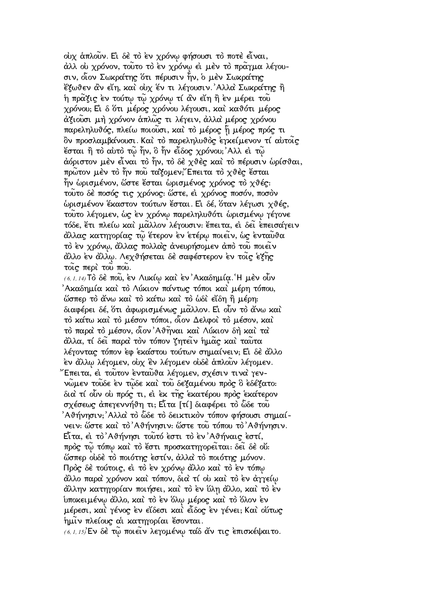ούχ άπλουν. Ει δε το έν χρόνω φήσουσι το ποτε είναι, άλλ ου χρόνον, τουτο το εν χρόνω ει μεν το πραγμα λέγουσιν, δίον Σωκράτης ότι πέρυσιν ἦν, ο μεν Σωκράτης 'έξωθεν ἀν είη, καὶ οὐχ ἕν τι λέγουσιν.'Αλλα Σωκράτης ἢ η πραζις έν τούτω τω χρόνω τί άν είη ή εν μέρει του χρόνου; Ει δ ότι μέρος χρόνου λέγουσι, και καθότι μέρος άξιούσι μή χρόνον άπλώς τι λέγειν, άλλα μέρος χρόνου παρεληλυθός, πλείω ποιουσι, και το μέρος η μέρος πρός τι ον προσλαμβανουσι. Και το παρεληλυθος εγκείμενον τί αυτοις έσται ή τὸ αυτὸ τῷ ἦν, ὃ ἦν εἶδος χρόνου; Αλλ ει τῷ άόριστον μέν είναι το ήν, το δέ χθές και το πέρυσιν ωρίσθαι, πρώτον μέν το ήν που ταξομεν; Επειτα το χθές έσται ἦν ὣρισμένον, ὥστε ἔσται ὣρισμένος χρόνος τὸ χθές: τουτο δέ ποσός τις χρόνος: ὥστε, ει χρόνος ποσόν, ποσὸν ώρισμένον έκαστον τούτων έσται. Ει δέ, όταν λέγωσι χθές, τούτο λέγομεν, ώς έν χρόνω παρεληλυθότι ώρισμένω γέγονε τόδε, έτι πλείω και μαλλον λέγουσιν: έπειτα, ει δει επεισάγειν άλλας κατηγορίας τω έτερον εν ετέρω ποιείν, ως ενταυθα τὸ 'εν χρόνω, ἄλλας πολλας άνευρήσομεν άπο του ποιείν άλλο έν άλλω. Λεχθήσεται δε σαφέστερον εν τοις εξης τοις περί του που.

 $(6, 1, 14)$  Το δε που, εν Λυκίω και εν Ακαδημία. Η μεν ούν 'Ακαδημία καὶ τὸ Λύκιον πάντως τόποι καὶ μέρη τόπου, ώσπερ τὸ ἄνω καὶ τὸ κάτω καὶ τὸ ὡδὶ ἐίδη ἢ μέρη: διαφέρει δέ, ότι άφωρισμένως μάλλον. Ει ούν το άνω και τὸ κάτω καὶ τὸ μέσον τόποι, δίον Δελφοὶ τὸ μέσον, καὶ τὸ παρα τὸ μέσον, οἶον Αθηναι και Λύκιον δη και τα άλλα, τί δει παρα τον τόπον ζητειν ημάς και ταυτα λέγοντας τόπον έφ εκάστου τούτων σημαίνειν; Ει δε άλλο εν άλλω λέγομεν, ουχ εν λέγομεν ουδε άπλουν λέγομεν. "Επειτα, ει τούτον ενταύθα λέγομεν, σχέσιν τινα γεννώμεν τουδε εν τώδε και του δεξαμένου προς δ εδέξατο: δια τί ούν ου πρός τι, ει εκ της εκατέρου προς εκατερον σχέσεως άπεγεννήθη τι; Είτα [τί] διαφέρει το ὧδε του 'Αθήνησιν; Αλλα τὸ ὧδε τὸ δεικτικὸν τόπον φήσουσι σημαίνειν: ώστε και το Αθήνησιν: ώστε του τόπου το Αθήνησιν. Είτα, ει το Αθήνησι τουτό εστι το εν Αθήναις εστί, πρός τω τόπω και το έστι προσκατηγορείται: δεί δε ού: ώσπερ ουδέ το ποιότης εστίν, άλλα το ποιότης μόνον. Πρὸς δὲ τούτοις, ει τὸ ἐν χρόνῳ ἄλλο καὶ τὸ ἐν τόπῳ άλλο παρα χρόνον και τόπον, δια τί ου και το εν άγγείω άλλην κατηγορίαν ποιήσει, και το εν ύλη άλλο, και το εν υποκειμένω άλλο, και το έν όλω μέρος και το όλον εν μέρεσι, και γένος εν είδεσι και είδος εν γένει; Και ούτως ημίν πλείους αι κατηγορίαι έσονται.  $(6, 1, 15)$  Εν δε τώ ποιείν λεγομένω ταδ άν τις επισκέψαιτο.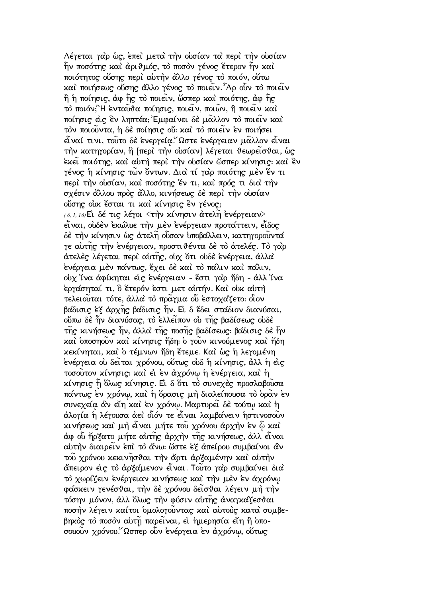Λέγεται γαρ ώς, επεί μετα την ουσίαν τα περί την ουσίαν ἦν ποσότης και ἀριθμός, τὸ ποσὸν γένος ἕτερον ἦν και ποιότητος ούσης περι αυτήν άλλο γένος το ποιόν, ούτω και ποιήσεως ούσης άλλο γένος το ποιείν. Άρ ούν το ποιείν ή η ποίησις, άφ ής τὸ ποιεἶν, ὥσπερ καὶ ποιότης, ἀφ ἡς τό ποιόν; Η ενταύθα ποίησις, ποιείν, ποιών, ή ποιείν και ποίησις εις εν ληπτέα; Εμφαίνει δε μαλλον το ποιείν και τον ποιούντα, η δε ποίησις ού: και το ποιείν εν ποιήσει εἶναί τινι, τοῦτο δὲ ἐνεργεία. Ώστε ἐνέργειαν μαλλον εἶναι την κατηγορίαν, η [περι την ουσίαν] λέγεται θεωρεισθαι, ως έκει ποιότης, και αυτή περι την ουσίαν ώσπερ κίνησις: και εν γένος η κίνησις των όντων. Δια τί γαρ ποιότης μεν έν τι περί την ουσίαν, και ποσότης έν τι, και πρός τι δια την σχέσιν άλλου πρός άλλο, κινήσεως δε περί την ουσίαν ούσης ούκ έσται τι και κίνησις εν γένος; (6, 1, 16) Ει δέ τις λέγοι <την κίνησιν άτελη ενέργειαν> είναι, ουδεν εκώλυε την μεν ενέργειαν προτάττειν, είδος δε την κίνησιν ώς άτελη ούσαν υποβαλλειν, κατηγορούντα γε αυτής την ενέργειαν, προστιθέντα δε το άτελές. Το γαρ άτελές λέγεται περί αύτης, ούχ ότι ούδε ενέργεια, άλλα ένέργεια μέν πάντως, έχει δέ και το πάλιν και πάλιν, ούχ Ύνα αφίκηται είς ενέργειαν - έστι γαρ ήδη - άλλ Ύνα ềργασηταί τι, ὃ ἕτερόν ἐστι μετ αὐτήν. Καὶ οὐκ αὐτὴ τελειούται τότε, άλλα το πραγμα ού εστοχαζετο: οίον βαδισις εξ αρχης βαδισις ήν. Ει δ έδει σταδιον διανύσαι, ούπω δε ήν διανύσας, το ελλείπον ου της βαδίσεως ουδε της κινήσεως ήν, άλλα της ποσης βαδίσεως: βαδισις δε ήν και όποσηούν και κίνησις ήδη: ο γουν κινούμενος και ήδη κεκίνηται, και ο τέμνων ήδη έτεμε. Και ως η λεγομένη ένέργεια ου δείται χρόνου, ούτως ουδ η κίνησις, άλλ η είς τοσούτον κίνησις: και εί εν άχρόνω ή ενέργεια, και ή κίνησις η όλως κίνησις. Ει δ ότι το συνεχές προσλαβούσα πάντως έν χρόνω, και η δρασις μη διαλείπουσα το δράν έν συνεχεία άν είη και εν χρόνω. Μαρτυρεί δε τούτω και ή άλογία η λέγουσα άει οίον τε είναι λαμβανειν ηστινοσούν κινήσεως και μη είναι μήτε του χρόνου άρχην εν ώ και άφ ού ἤρξατο μήτε αυτης άρχην της κινήσεως, άλλ εἶναι αύτην διαιρείν επι το άνω: ώστε εξ απείρου συμβαίνοι αν του χρόνου κεκινήσθαι την άρτι αρξαμένην και αυτήν άπειρον εις τὸ ἀρξαμενον είναι. Τουτο γαρ συμβαίνει δια τὸ χωρίζειν ενέργειαν κινήσεως και την μεν εν άχρόνω φάσκειν γενέσθαι, την δε χρόνου δείσθαι λέγειν μη την τόσην μόνον, άλλ δλως την φύσιν αυτής αναγκάζεσθαι ποσην λέγειν καίτοι δμολογούντας και αύτους κατα συμβεβηκός το ποσον αυτη παρείναι, εί ημερησία είη ή οποσουούν χρόνου. Ωσπερ οὖν ενέργεια εν άχρόνω, οὕτως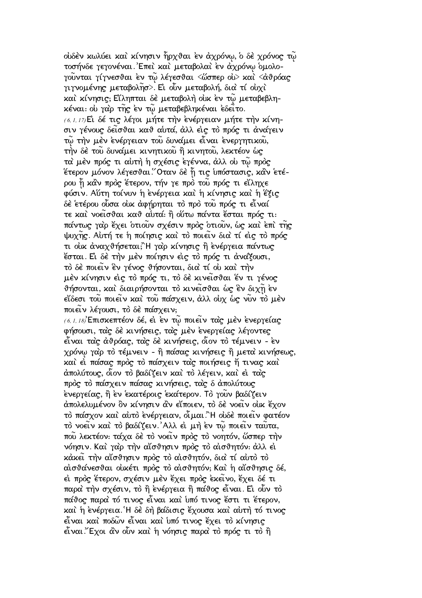ούδεν κωλύει και κίνησιν ήρχθαι εν άχρόνω, ο δε χρόνος τω τοσήνδε γεγονέναι. Επεί και μεταβολαι έν άχρόνω δμολογούνται γίγνεσθαι έν τω λέγεσθαι <ώσπερ ού> και <άθρόας γιγνομένης μεταβολήσ>. Ει ούν μεταβολή, δια τί ούχι και κίνησις; Είληπται δε μεταβολή ούκ εν τώ μεταβεβληκέναι: ου γαρ της εν τω μεταβεβληκέναι έδειτο. (6, 1, 17) Ει δέ τις λέγοι μήτε την ενέργειαν μήτε την κίνησιν γένους δεισθαι καθ αύτα, άλλ εις το πρός τι αναγειν τῷ την μεν ενέργειαν του δυναμει εἶναι ενεργητικου, την δε του δυναμει κινητικού ή κινητου, λεκτέον ώς τα μεν πρός τι αυτή ή σχέσις εγέννα, άλλ ου τώ προς έτερον μόνον λέγεσθαι. Όταν δε ή τις υπόστασις, κάν ετέρου ή κάν προς έτερον, τήν γε προ του πρός τι είληχε φύσιν. Αύτη τοίνυν η ενέργεια και η κίνησις και η έξις δε ετέρου ούσα ουκ αφήρηται το προ του πρός τι είναί τε και νοείσθαι καθ αυτά: ή ούτω πάντα έσται πρός τι: πάντως γαρ έχει ότιουν σχέσιν προς ότιουν, ως και επι της ψυχης. Αύτή τε η ποίησις και το ποιείν δια τί εις το πρός τι ούκ άναχθήσεται; Η γαρ κίνησις ή ενέργεια πάντως έσται. Ει δέ την μέν ποίησιν εις το πρός τι αναζουσι, τὸ δέ ποιείν εν γένος θήσονται, δια τί ου και την μέν κίνησιν είς το πρός τι, το δε κινείσθαι έν τι γένος θήσονται, και διαιρήσονται το κινείσθαι ως εν διχη εν είδεσι του ποιείν και του πάσχειν, άλλ ουχ ως νυν το μεν ποιείν λέγουσι, τὸ δε πασχειν;

(6, 1, 18) Επισκεπτέον δέ, ει εν τω ποιείν τας μεν ενεργείας φήσουσι, τας δέ κινήσεις, τας μέν ενεργείας λέγοντες εἶναι τας άθρόας, τας δε κινήσεις, δίον το τέμνειν - έν χρόνω γαρ το τέμνειν - ή πάσας κινήσεις ή μετα κινήσεως, και ει πάσας προς το πάσχειν τας ποιήσεις ή τινας και άπολύτους, οίον το βαδίζειν και το λέγειν, και εί τας πρός το πάσχειν πάσας κινήσεις, τας δ άπολύτους ένεργείας, ή έν εκατέροις εκάτερον. Το γουν βαδίζειν άπολελυμένον όν κίνησιν άν είποιεν, το δε νοείν ούκ έχον τὸ πασχον και αυτο ενέργειαν, οίμαι. Ή ουδε ποιείν φατέον το νοείν και το βαδίζειν. Αλλ εί μη εν τω ποιείν ταυτα, που λεκτέον: τάχα δε το νοείν προς το νοητόν, ώσπερ την νόησιν. Και γαρ την αίσθησιν προς το αισθητόν: άλλ ει κάκει την αίσθησιν πρός το αισθητόν, δια τί αυτό το αισθανεσθαι ουκέτι προς το αισθητόν; Και η αίσθησις δέ, ει προς έτερον, σχέσιν μεν έχει προς εκεινο, έχει δέ τι παρα την σχέσιν, το ή ενέργεια ή πάθος είναι. Ει ούν το πάθος παρα τό τινος είναι και υπό τινος έστι τι έτερον, και η ενέργεια. Η δε δη βαδισις έχουσα και αυτή τό τινος εἶναι και ποδών εἶναι και υπό τινος έχει το κίνησις εἶναι." Έχοι ἀν οἶν καὶ ἡ νόησις παρα τὸ πρός τι τὸ ἢ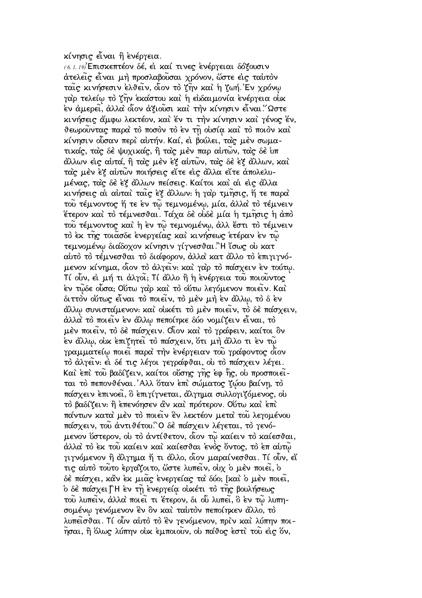## κίνησις είναι ή ενέργεια.

 $(6, 1, 19)$ Επισκεπτέον δέ, ει καί τινες ενέργειαι δόξουσιν άτελείς είναι μή προσλαβούσαι χρόνον, ώστε είς ταυτον ταις κινήσεσιν ελθείν, δίον το ζην και η ζωή. Εν χρόνω γαρ τελείω το ζην εκαστου και η ευδαιμονία ενέργεια ουκ εν αμερει, αλλα δίον αξιουσι και την κίνησιν είναι. Ώστε κινήσεις άμφω λεκτέον, και έν τι την κίνησιν και γένος έν, θεωρούντας παρα το ποσον το εν τη ουσία και το ποιον και κίνησιν ούσαν περί αύτήν. Καί, εί βούλει, τας μέν σωματικάς, τας δε ψυχικάς, ή τας μεν παρ αυτών, τας δε υπ άλλων εις αυτά, ή τας μεν εξ αυτών, τας δε εξ άλλων, και τας μέν έξ αυτών ποιήσεις είτε εις άλλα είτε απολελυμένας, τας δε εξ άλλων πείσεις. Καίτοι και αι είς άλλα κινήσεις αι αυται ταις εξ άλλων: η γαρ τμησις, ή τε παρα του τέμνοντος ή τε έν τω τεμνομένω, μία, άλλα το τέμνειν έτερον και το τέμνεσθαι. Τάχα δε ουδε μία η τμήσις η άπο του τέμνοντος και η εν τω τεμνομένω, άλλ έστι το τέμνειν το έκ της τοιασδε ένεργείας και κινήσεως ετέραν έν τω τεμνομένω διάδοχον κίνησιν γίγνεσθαι. Η Ίσως ού κατ αύτο το τέμνεσθαι το διάφορον, άλλα κατ άλλο το επιγιγνόμενον κίνημα, οίον το άλγειν: και γαρ το πάσχειν εν τούτω. Τί οὖν, εί μή τι άλγοι; Τί άλλο ή η ενέργεια του ποιούντος εν τωδε ούσα; Ούτω γαρ και το ούτω λεγόμενον ποιειν. Και διττον ούτως είναι το ποιείν, το μεν μη εν άλλω, το δέν άλλω συνιστάμενον: και ουκέτι το μεν ποιείν, το δε πάσχειν, άλλα το ποιείν εν άλλω πεποίηκε δύο νομίζειν είναι, το μέν ποιείν, τὸ δὲ πασχειν. Οίον και τὸ γραφειν, καίτοι ὂν έν άλλω, ούκ επιζητει το πασχειν, ότι μη άλλο τι εν τω γραμματείω ποιεί παρα την ενέργειαν του γράφοντος οίον τὸ ἀλγεἶν: ἐι δέ τις λέγοι γεγράφθαι, οὐ τὸ πάσχειν λέγει. Και επι του βαδίζειν, καίτοι ούσης γης εφ ής, ου προσποιειται τὸ πεπονθέναι. Αλλ ὅταν ἐπὶ σώματος ζώου βαίνη, τὸ πάσχειν επινοεί, δ επιγίγνεται, άλγημα συλλογιζόμενος, ου τὸ βαδίζειν: ἢ επενόησεν ἀν και πρότερον. Ούτω και επι πάντων κατα μέν το ποιείν έν λεκτέον μετα του λεγομένου πάσχειν, του άντιθέτου. Ο δε πάσχειν λέγεται, το γενόμενον ύστερον, ου το άντίθετον, οίον τω καίειν το καίεσθαι, άλλα το έκ του καίειν και καίεσθαι ένος όντος, το έπ αυτώ γιγνόμενον ή άλγημα ή τι άλλο, δίον μαραίνεσθαι. Τί ούν, εί τις αύτο τουτο εργαζοιτο, ώστε λυπείν, ούχ ο μεν ποιεί, ο δέ πάσχει, κάν έκ μιας ένεργείας τα δύο; [και ο μέν ποιει, δ δε πασχει η Η εν τη ενεργεία ουκέτι το της βουλήσεως του λυπείν, άλλα ποιεί τι έτερον, δι ού λυπεί, δ'εν τω λυπησομένω γενόμενον εν όν και ταυτόν πεποίηκεν άλλο, το λυπείσθαι. Τί ούν αύτο το εν γενόμενον, πριν και λύπην ποιῆσαι, ἢ ὅλως λύπην οὐκ ἐμποιοῦν, οὐ πανος ἐστὶ τοῦ ἐις ὅν,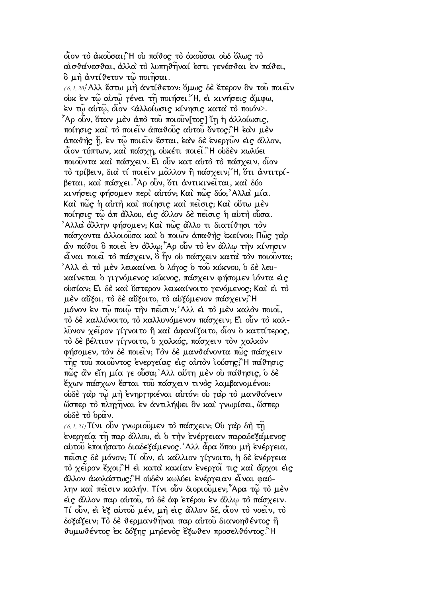οΐον τὸ ἀκουσαι; Η ου πάθος τὸ ἀκουσαι ουδ ὅλως τὸ αισθανεσθαι, άλλα το λυπηθηναί έστι γενέσθαι έν πάθει, δ μή αντίθετον τω ποιήσαι.

(6, 1, 20) Αλλ έστω μή αντίθετον: όμως δε έτερον δν του ποιείν ούκ έν τω αύτω γένει τη ποιήσει. Ή, ει κινήσεις άμφω, έν τῷ αὐτῷ, δίον <ἀλλοίωσις κίνησις κατα τὸ ποιόν>. <sup>γ</sup>Άρ οὖν, ὅταν μὲν ἀπὸ τοῦ ποιοῦν[τος] ἴη ἡ ἀλλοίωσις, ποίησις και το ποιείν άπαθούς αυτού όντος; Η εαν μεν άπαθής ή, έν τῷ ποιεἶν ἔσται, ἐαν δε ενεργῶν εἰς άλλον, οίον τύπτων, και πάσχη, ουκέτι ποιεί. Η ουδεν κωλύει ποιούντα και πάσχειν. Ει ούν κατ αυτό το πάσχειν, οίον τὸ τρίβειν, δια τί ποιείν μάλλον ή πασχειν; Η, ότι αντιτρίβεται, και πάσχει. Άρ ούν, ότι αντικινείται, και δύο κινήσεις φήσομεν περι αυτόν; Και πως δύο; Αλλα μία. Και πως η αυτη και ποίησις και πείσις; Και ούτω μεν ποίησις τώ άπ άλλου, είς άλλον δε πείσις η αύτη ούσα. 'Αλλα` άλλην φήσομεν; Και` πὦς άλλο τι διατίθησι τον πάσχοντα άλλοιουσα και ο ποιών άπαθης εκείνου; Πώς γαρ άν πάθοι δ ποιεί εν άλλω; Άρ ούν το εν άλλω την κίνησιν εἶναι ποιεἶ τὸ πάσχειν, ὃ ἦν οὐ πάσχειν κατα τὸν ποιοῦντα; 'Αλλ ει το μεν λευκαίνει ο λόγος ο του κύκνου, ο δε λευκαίνεται ο γιγνόμενος κύκνος, πάσχειν φήσομεν ιόντα είς ουσίαν; Ει δέ και ύστερον λευκαίνοιτο γενόμενος; Και εί το μεν αύξοι, το δε αύξοιτο, το αυξόμενον πάσχειν; Η μόνον έν τῷ ποιῷ την πείσιν; Αλλ εί τὸ μεν καλὸν ποιοι, τὸ δὲ καλλύνοιτο, τὸ καλλυνόμενον πάσχειν; Ει οὖν τὸ καλλύνον χείρον γίγνοιτο ή και άφανίζοιτο, δίον ο καττίτερος, τὸ δὲ βέλτιον γίγνοιτο, ὁ χαλκός, πάσχειν τὸν χαλκὸν φήσομεν, τον δέ ποιείν; Τον δέ μανθάνοντα πως πάσχειν της του ποιουντος ενεργείας εις αυτον ιούσης; Η πάθησις πῶς ἀν ἐίη μία γε οὖσα; Ἀλλ αὕτη μὲν οὐ πάθησις, ὁ δὲ έχων πασχων έσται του πασχειν τινός λαμβανομένου: ούδε γαρ τω μή ενηργηκέναι αυτόν: ου γαρ το μανθανειν ώσπερ το πληγήναι εν άντιλήψει όν και γνωρίσει, ώσπερ ουδέ το δράν.

 $(6, 1, 21)$  Τίνι ούν γνωριούμεν τὸ πασχειν; Ου γαρ δή τη ένεργεία τη παρ άλλου, ει ο την ενέργειαν παραδεξαμενος αύτου εποιήσατο διαδεζαμενος. Αλλ άρα όπου μη ενέργεια, πείσις δε μόνον; Τί οὖν, ει καλλιον γίγνοιτο, η δε ενέργεια τὸ χειρον ἔχοι;`Η ει κατα κακίαν ενεργοι τις και άρχοι εις άλλον ακολαστως; Η ουδεν κωλύει ενέργειαν είναι φαύλην και πείσιν καλήν. Τίνι ούν διοριούμεν; Άρα τώ το μεν εις άλλον παρ αύτου, τὸ δὲ ἀφ ἑτέρου ἐν άλλῳ τὸ πάσχειν. Τί ούν, ει εξ αύτου μέν, μη εις άλλον δέ, οίον το νοείν, το δοξαζειν; Τὸ δε θερμανθηναι παρ αυτου διανοηθέντος ή θυμωθέντος εκ δόξης μηδενός έξωθεν προσελθόντος."Η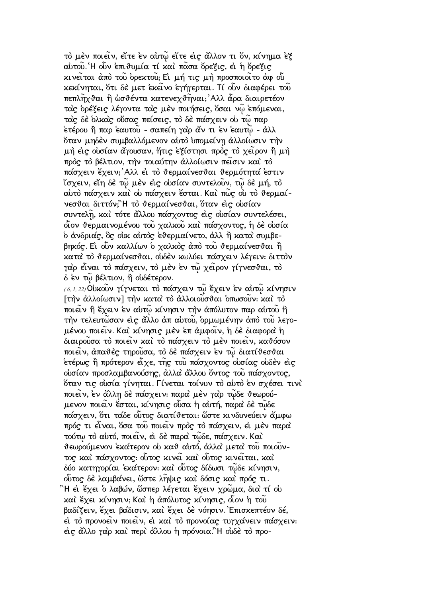τὸ μèν ποιείν, είτε εν αυτώ είτε εις άλλον τι ὄν, κίνημα εξ αύτου. Η ούν επιθυμία τί και πάσα ὄρεξις, ει η ὄρεξις κινείται άπό του όρεκτου; Ει μή τις μή προσποιοίτο άφ ού κεκίνηται, ότι δε μετ εκείνο εγήγερται. Τί ούν διαφέρει του πεπληχθαι ή ώσθέντα κατενεχθηναι; Αλλ άρα διαιρετέον τας ορέξεις λέγοντα τας μεν ποιήσεις, όσαι νώ επόμεναι, τας δε ολκας ούσας πείσεις, το δε πασχειν ου τω παρ 'ετέρου ἢ παρ 'εαυτοῦ - σαπείη γαρ ἄν τι ἐν 'εαυτῷ - ἀλλ δταν μηδέν συμβαλλόμενον αυτο υπομείνη αλλοίωσιν την μή εις ουσίαν άγουσαν, ήτις εξίστησι προς το χείρον ή μή πρός το βέλτιον, την τοιαύτην άλλοίωσιν πείσιν και το πάσχειν έχειν; Αλλ ει το θερμαίνεσθαι θερμότητα εστιν ἴσχειν, εἴη δὲ τῶ μὲν εἰς οὐσίαν συντελοῦν, τῶ δὲ μή, τὸ αύτο πάσχειν και ου πάσχειν έσται. Και πως ου το θερμαίνεσθαι διττόν; Η το θερμαίνεσθαι, όταν εις ουσίαν συντελη, και τότε άλλου πάσχοντος εις ουσίαν συντελέσει, δίον θερμαινομένου του χαλκού και πάσχοντος, η δε ουσία δ άνδριας, δς ούκ αυτός εθερμαίνετο, άλλ ή κατα συμβεβηκός. Ει οὖν καλλίων ο χαλκός άπό του θερμαίνεσθαι ή κατα το θερμαίνεσθαι, ούδεν κωλύει πάσχειν λέγειν: διττον γαρ είναι το πάσχειν, το μεν εν τω χείρον γίγνεσθαι, το δ έν τω βέλτιον, ή ουδέτερον.

(6, 1, 22) Ούκουν γίγνεται το πάσχειν τώ έχειν εν αυτώ κίνησιν [την άλλοίωσιν] την κατα το άλλοιούσθαι δπωσούν: και το ποιείν ή έχειν έν αυτώ κίνησιν την απόλυτον παρ αυτού ή την τελευτώσαν εις άλλο άπ αυτου, δρμωμένην άπο του λεγομένου ποιείν. Και κίνησις μεν επ άμφοιν, η δε διαφορα η διαιρούσα το ποιείν και το πάσχειν το μεν ποιείν, καθόσον ποιείν, άπαθές τηρούσα, το δέ πασχειν έν τω διατίθεσθαι ετέρως ή πρότερον είχε, της του πασχοντος ουσίας ουδεν εις ουσίαν προσλαμβανούσης, άλλα άλλου όντος του πασχοντος, δταν τις ουσία γίνηται. Γίνεται τοίνυν τὸ αυτὸ ἐν σχέσει τινι ποιείν, εν άλλη δε πασχειν: παρα μεν γαρ τώδε θεωρούμενον ποιείν έσται, κίνησις ούσα η αυτή, παρα δε τωδε πάσχειν, ότι τάδε ούτος διατίθεται: ώστε κινδυνεύειν άμφω πρός τι είναι, όσα του ποιείν προς το πάσχειν, ει μεν παρα τούτω το αυτό, ποιείν, ει δε παρα τωδε, πασχειν. Και θεωρούμενον εκάτερον ου καθ αυτό, άλλα μετα του ποιούντος και πάσχοντος: ούτος κινει και ούτος κινειται, και δύο κατηγορίαι εκατερον: και ούτος δίδωσι τωδε κίνησιν, ούτος δε λαμβάνει, ώστε ληψις και δόσις και πρός τι. ``Η ἐι ἔχει ὁ λαβών, ὥσπερ λέγεται ἔχειν χρῶμα, δια` τί οὐ και έχει κίνησιν; Και η απόλυτος κίνησις, οιον η του βαδίζειν, έχει βαδισιν, και έχει δε νόησιν. Επισκεπτέον δέ, ει το προνοείν ποιείν, ει και το προνοίας τυγχανειν πασχειν: εις άλλο γαρ και περι άλλου η πρόνοια. Ή ουδε το προ-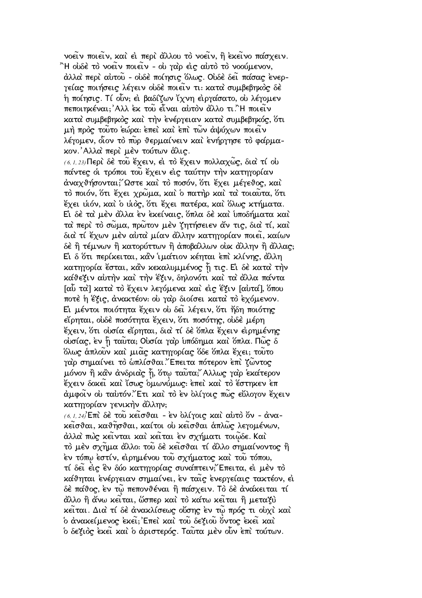νοείν ποιείν, και εί περι άλλου το νοείν, ή εκείνο πάσχειν. "Η οὐδὲ τὸ νοεῖν ποιεῖν - οὐ γαρ εἰς αὐτὸ τὸ νοούμενον, άλλα περί αυτου - ουδέ ποίησις όλως. Ουδέ δει πάσας ένεργείας ποιήσεις λέγειν ουδέ ποιείν τι: κατα συμβεβηκός δέ η ποίησις. Τί ούν; ει βαδίζων ίγνη ειργάσατο, ου λέγομεν πεποιηκέναι; Αλλ εκ του είναι αυτον άλλο τι. Η ποιείν κατα συμβεβηκός και την ενέργειαν κατα συμβεβηκός, ότι μή πρός τουτο εώρα: επει και επι των αψύχων ποιείν λέγομεν, δίον το πυρ θερμαίνειν και ενήργησε το φαρμακον. Αλλα περί μέν τούτων άλις.

 $(6, 1, 23)$ Περι δε του έχειν, ει το έχειν πολλαχώς, δια τί ου πάντες οι τρόποι του έχειν εις ταύτην την κατηγορίαν άναχθήσονται; Ωστε και το ποσόν, ότι έχει μέγεθος, και τὸ ποιόν, ὅτι ἔχει χρῶμα, καὶ ὁ πατὴρ καὶ τα τοιαῦτα, ὅτι έχει υιόν, και ο υιός, ότι έχει πατέρα, και όλως κτήματα. Ει δέ τα μέν άλλα εν εκείναις, όπλα δέ και υποδήματα και τα περί το σώμα, πρώτον μέν ζητήσειεν άν τις, δια τί, και δια τί έχων μεν αυτα μίαν άλλην κατηγορίαν ποιει, καίων δε ή τέμνων ή κατορύττων ή αποβαλλων ουκ άλλην ή άλλας; Ει δ ότι περίκειται, κάν ιμάτιον κέηται επι κλίνης, άλλη κατηγορία έσται, κάν κεκαλυμμένος ή τις. Ει δε κατα την κάθεξιν αυτήν και την έξιν, δηλονότι και τα άλλα πάντα [αὖ τα] κατα το έχειν λεγόμενα και εις έξιν [αὐτα ], δπου ποτέ η έξις, άνακτέον: ου γαρ διοίσει κατα το εχόμενον. Ει μέντοι ποιότητα έχειν ου δει λέγειν, ότι ήδη ποιότης είρηται, ουδέ ποσότητα έχειν, ότι ποσότης, ουδέ μέρη έχειν, ότι ουσία είρηται, δια τί δε όπλα έχειν ειρημένης ούσίας, έν η ταύτα; Ούσία γαρ υπόδημα και δπλα. Πώς δ δλως άπλουν και μιας κατηγορίας δδε δπλα έχει; τουτο γαρ σημαίνει το ώπλίσθαι. Έπειτα πότερον επι ζώντος μόνον ή κάν άνδριας ή, ότω ταυτα, Αλλως γαρ εκατερον έχειν δοκει και Ίσως δμωνύμως: επει και το έστηκεν επ άμφοιν ου ταυτόν. Έτι και το εν ολίγοις πως εύλογον έχειν κατηγορίαν γενικήν άλλην;

 $(6, 1, 24)$  Επί δέ του κείσθαι - εν ολίγοις και αυτό όν - άνακεισθαι, καθήσθαι, καίτοι ου κεισθαι άπλως λεγομένων, άλλα πως κείνται και κείται εν σχήματι τοι ώδε. Και τὸ μèν σχημα άλλο: του δε κεισθαι τί άλλο σημαίνοντος ή έν τόπω έστίν, ειρημένου του σχήματος και του τόπου, τί δει εις εν δύο κατηγορίας συνάπτειν, Επειτα, ει μεν το κάθηται ενέργειαν σημαίνει, εν ταις ενεργείαις τακτέον, ει δέ πάθος, έν τω πεπονθέναι ή πάσχειν. Το δε άνακειται τί άλλο ή άνω κείται, ώσπερ και το κατω κείται ή μεταξυ κείται. Δια τί δε άνακλίσεως ούσης εν τω πρός τι ούχι και δ άνακείμενος 'εκει: Επει και του δεξιου όντος 'εκει και δ δεξιός εκεί και δ άριστερός. Ταύτα μεν ούν επι τούτων.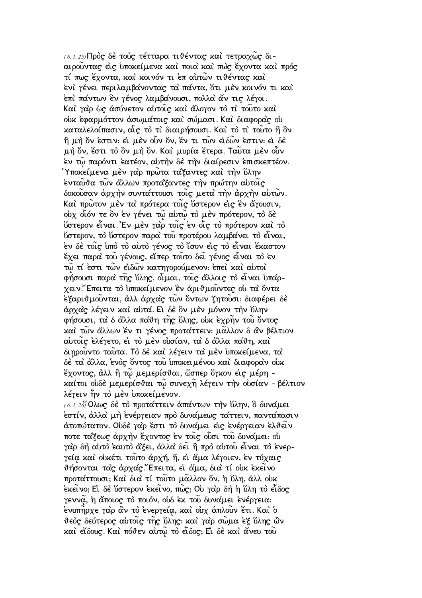$(6, 1, 25)$ Πρός δέ τους τέτταρα τιθέντας και τετραχώς διαιρούντας εις υποκείμενα και ποια και πως έχοντα και πρός τί πως έγοντα, και κοινόν τι επ αυτών τιθέντας και ένι γένει περιλαμβάνοντας τα πάντα, ότι μέν κοινόν τι και έπι πάντων εν γένος λαμβάνουσι, πολλα άν τις λέγοι. Και γαρ ως ασύνετον αυτοίς και άλογον το τι τουτο και ούκ εφαρμόττον άσωματοις και σώμασι. Και διαφορας ου καταλελοίπασιν, αίς το τι διαιρήσουσι. Και το τι τουτο ή όν ή μη όν έστιν: εί μεν ούν όν, έν τι των είδων έστιν: εί δε μη ὄν, ἔστι τὸ ὂν μη ὄν. Καὶ μυρία ἕτερα. Ταῦτα μὲν οὖν έν τώ παρόντι 'εατέον, αύτην δε την διαίρεσιν 'επισκεπτέον. <u>Υποκείμενα μεν γαρ πρώτα ταΐαντες και την ύλην</u> ένταυθα των άλλων προταΐαντες την πρώτην αυτοίς δοκούσαν άρχην συντάττουσι τοις μετα την άρχην αυτών. Και πρώτον μεν τα πρότερα τοις ύστερον εις εν άγουσιν, ούχ οίδν τε όν έν γένει τω αύτω το μεν πρότερον, το δε ύστερον είναι. Έν μεν γαρ τοις εν οις το πρότερον και το ύστερον, το ύστερον παρα του προτέρου λαμβανει το είναι, έν δέ τοις ύπό το αύτο γένος το ίσον είς το είναι έκαστον έχει παρα του γένους, είπερ τουτο δει γένος είναι το έν τώ τί έστι τών ειδών κατηγορούμενον: επει και αυτοι φήσουσι παρα της ύλης, οίμαι, τοις άλλοις το είναι υπάρχειν. Επειτα το υποκείμενον εν αριθμούντες ου τα όντα εξαριθμούνται, άλλ άρχας των όντων ζητούσι: διαφέρει δε άρχας λέγειν και αυτά. Ει δε όν μεν μόνον την ύλην φήσουσι, τα δ άλλα πάθη της ύλης, ουκ εχρην του όντος και των άλλων έν τι γένος προτάττειν: μάλλον δ άν βέλτιον αύτοις ελέγετο, ει το μεν ουσίαν, τα δ άλλα πάθη, και διηρούντο ταυτα. Το δε και λέγειν τα μεν υποκείμενα, τα δε τα άλλα, ενός όντος του υποκειμένου και διαφοραν ουκ έχοντος, άλλ ή τῷ μεμερίσθαι, ὥσπερ ὄγκον είς μέρη καίτοι ουδέ μεμερίσθαι τώ συνεχη λέγειν την ουσίαν - βέλτιον λέγειν ήν το μεν υποκείμενον.

(6, 1, 26) Ολως δέ το προτάττειν άπάντων την ύλην, δ δυνάμει έστίν, άλλα μη ενέργειαν προ δυναμεως τάττειν, παντάπασιν άτοπώτατον. Ουδέ γαρ έστι το δυναμει εις ενέργειαν ελθείν ποτε ταξεως άρχην έχοντος εν τοις ούσι του δυναμει: ου γαρ δη αυτό εαυτό άζει, άλλα δει ή προ αυτου είναι το ενεργεία και ούκέτι τουτο άρχή, ή, ει άμα λέγοιεν, εν τύχαις θήσονται τας άρχας. Έπειτα, ει άμα, δια τί ουκ εκείνο προτάττουσι; Και δια τί τουτο μάλλον όν, η ύλη, άλλ ουκ έκεινο; Ει δε ύστερον εκεινο, πως; Ου γαρ δη η ύλη το είδος γεννα, η άποιος το ποιόν, ουδ εκ του δυναμει ενέργεια: ένυπηρχε γαρ άν το ενεργεία, και ουχ άπλουν έτι. Και δ θεός δεύτερος αυτοίς της ύλης: και γαρ σώμα έξ ύλης ών και είδους. Και πόθεν αυτώ το είδος; Ει δε και άνευ του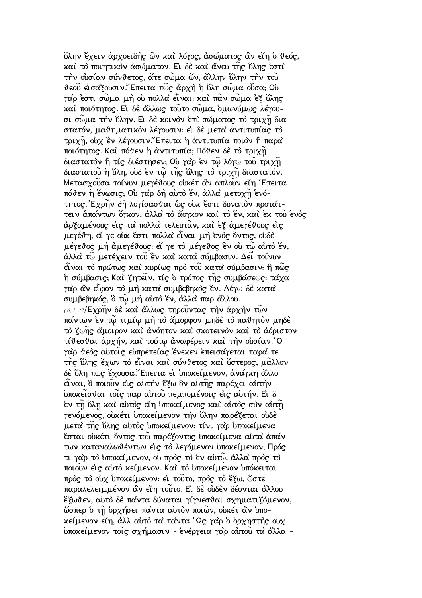ύλην έχειν άρχοειδής ὢν καὶ λόγος, ἀσώματος ἀν είη ὁ θεός, και το ποιητικόν άσώματον. Ει δε και άνευ της ύλης έστι την ουσίαν σύνθετος, άτε σώμα ὤν, άλλην ύλην την του θεου εισαζουσιν. Επειτα πως άρχη η ύλη σωμα ούσα; Ου γάρ έστι σῶμα μὴ οὐ πολλα εἶναι: και πᾶν σῶμα ἐξ ὕλης και ποιότητος. Ει δε άλλως τουτο σώμα, δμωνύμως λέγουσι σώμα την ύλην. Ει δέ κοινόν επι σώματος το τριχη διαστατόν, μαθηματικόν λέγουσιν: ει δε μετα άντιτυπίας το τριχη, ούχ εν λέγουσιν. Έπειτα η άντιτυπία ποιον ή παρα ποιότητος. Και πόθεν η άντιτυπία; Πόθεν δε το τριχη διαστατον ή τίς διέστησεν; Ου γαρ εν τω λόγω του τριχη διαστατού η ύλη, ουδ έν τω της ύλης το τριχη διαστατόν. Μετασχούσα τοίνυν μεγέθους ούκέτ άν άπλουν είη. Επειτα πόθεν η ένωσις; Ου γαρ δη αυτό έν, άλλα μετοχη ενότητος. Εχρήν δή λογίσασθαι ώς ούκ έστι δυνατον προτάττειν άπαντων ὄγκον, άλλα τὸ ἄογκον και τὸ ἕν, και Ἐκ τοῦ Ἑνὸς άρξαμένους εις τα πολλα τελευταν, και εξ άμεγέθους εις μεγέθη, εἴ γε οὐκ ἔστι πολλα εἶναι μὴ ἑνὸς ὄντος, οὐδὲ μέγεθος μη άμεγέθους: εί γε το μέγεθος εν ου τω αυτο έν, άλλα τω μετέχειν του εν και κατα σύμβασιν. Δει τοίνυν εἶναι τὸ πρώτως καὶ κυρίως πρὸ τοῦ κατα σύμβασιν: ἢ πῶς η σύμβασις; Και ζητείν, τίς ο τρόπος της συμβασεως: τάχα γαρ άν εύρον τὸ μὴ κατα συμβεβηκὸς ἕν. Λέγω δὲ κατὰ συμβεβηκός, δ τω μη αυτό έν, άλλα παρ άλλου. (6, 1, 27) Εχρήν δε και άλλως τηρούντας την άρχην των πάντων έν τῷ τιμίω μή τὸ ἄμορφον μηδέ τὸ παθητὸν μηδέ τὸ ζωής άμοιρον και άνόητον και σκοτεινον και το άόριστον τίθεσθαι άρχήν, και τούτω άναφέρειν και την ουσίαν. Ο γαρ θεός αυτοίς ευπρεπείας ένεκεν επεισαγεται παρα τε της ύλης έχων το είναι και σύνθετος και ύστερος, μαλλον δε ύλη πως έχουσα. Επειτα ει υποκείμενον, αναγκη άλλο είναι, δ ποιούν εις αύτην έξω δν αύτης παρέχει αύτην υποκεισθαι τοις παρ αύτου πεμπομένοις είς αύτήν. Ει δ έν τη ύλη και αυτός είη υποκείμενος και αυτός συν αυτή γενόμενος, ουκέτι υποκείμενον την ύλην παρέξεται ουδέ μετα της ύλης αυτος υποκείμενον: τίνι γαρ υποκείμενα έσται ουκέτι όντος του παρέζοντος υποκείμενα αυτα άπάντων καταναλωθέντων είς το λεγόμενον υποκείμενον; Πρός τι γαρ το υποκείμενον, ου προς το εν αυτώ, άλλα προς το ποιουν εις αυτό κείμενον. Και το υποκείμενον υπόκειται πρός το σύχ υποκείμενον: εί τουτο, πρός το έξω, ώστε παραλελειμμένον άν είη τουτο. Ει δε ουδεν δέονται άλλου έζωθεν, αυτὸ δὲ πάντα δύναται γίγνεσθαι σχηματιζόμενον, ώσπερ ο τη ορχήσει παντα αυτον ποιών, ουκέτ άν υποκείμενον είη, άλλ αύτο τα πάντα. Ώς γαρ ο ορχηστής ούχ υποκείμενον τοις σχήμασιν - ενέργεια γαρ αυτου τα άλλα -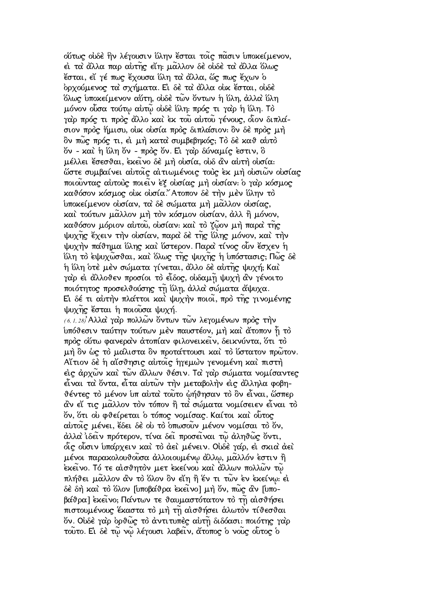ούτως ούδε ην λέγουσιν ύλην έσται τοις πασιν υποκείμενον, ει τα άλλα παρ αυτής είη: μαλλον δε ουδε τα άλλα δλως έσται, εί γέ πως έχουσα ύλη τα άλλα, ώς πως έχων δ 'ορχούμενος τα` σχήματα. Ει δὲ τα` ἄλλα οὐκ 'έσται, οὐδὲ δλως υποκείμενον αύτη, ουδε των όντων η ύλη, άλλα ύλη μόνον ούσα τούτω αυτώ ουδε ύλη: πρός τι γαρ η ύλη. Το γαρ πρός τι προς άλλο και έκ του αυτου γένους, οίον διπλάσιον πρός ήμισυ, ούκ ούσία πρός διπλασιον: όν δε πρός μή ὂν πως πρός τι, εί μη κατα συμβεβηκός; Τὸ δὲ καθ αυτὸ όν - και η ύλη όν - προς όν. Ει γαρ δύναμίς 'εστιν, δ μέλλει έσεσθαι, εκείνο δε μή ουσία, ουδ άν αυτή ουσία: ώστε συμβαίνει αυτοίς αιτιωμένοις τους εκ μη ουσιών ουσίας ποιούντας αύτους ποιείν εξ ουσίας μη ουσίαν: ο γαρ κόσμος καθόσον κόσμος ούκ ουσία. Ατοπον δε την μεν ύλην το υποκείμενον ουσίαν, τα δε σώματα μή μαλλον ουσίας, και τούτων μαλλον μη τον κόσμον ουσίαν, άλλ ή μόνον, καθόσον μόριον αύτου, ουσίαν: και το ζώον μη παρα της ψυχης έχειν την ουσίαν, παρα δε της ύλης μόνον, και την ψυχην πάθημα ύλης και ύστερον. Παρα τίνος ούν έσχεν η ύλη το εψυχωσθαι, και όλως της ψυχης η υπόστασις; Πως δε η ύλη ότε μεν σώματα γίνεται, άλλο δε αυτής ψυχή; Και γαρ ει άλλοθεν προσίοι το είδος, ουδαμη ψυχη άν γένοιτο ποιότητος προσελθούσης τη ύλη, άλλα σώματα άψυχα. Ει δέ τι αύτην πλάττοι και ψυχην ποιοί, πρό της γινομένης ψυχης έσται η ποιούσα ψυχή.

 $(6, 1, 28)$  Αλλα γαρ πολλών όντων τών λεγομένων πρός την υπόθεσιν ταύτην τούτων μεν παυστέον, μη και άτοπον ή το πρός ούτω φανεραν άτοπίαν φιλονεικείν, δεικνύντα, ότι τό μή όν ως το μάλιστα όν προτάττουσι και το ύστατον πρώτον. Αΐτιον δε η αΐσθησις αυτοις ηγεμων γενομένη και πιστη εις άρχων και των άλλων θέσιν. Τα γαρ σώματα νομίσαντες είναι τα όντα, είτα αύτων την μεταβολην εις άλληλα φοβηθέντες τὸ μένον υπ αυτα τουτο ψήθησαν τὸ ὂν εἶναι, ὥσπερ άν εί τις μαλλον τον τόπον ή τα σώματα νομίσειεν είναι το όν, ότι ου φθείρεται ο τόπος νομίσας. Καίτοι και ούτος αύτοις μένει, έδει δε ου το οπωσουν μένον νομίσαι το όν, άλλα ιδείν πρότερον, τίνα δεί προσείναι τω άληθως όντι, δίς ούσιν υπάρχειν και το άει μένειν. Ουδε γάρ, ει σκια άει μένοι παρακολουθούσα άλλοιουμένω άλλω, μαλλόν εστιν ή εκείνο. Τό τε αισθητον μετ εκείνου και άλλων πολλων τω πλήθει μαλλον άν το όλον όν είη ή έν τι των εν εκείνω: ει δε δη και το δλον [υποβάθρα εκεινο] μη όν, πως άν [υποβάθρα] εκείνο; Πάντων τε θαυμαστότατον το τη αισθήσει πιστουμένους έκαστα το μη τη αισθήσει άλωτον τίθεσθαι όν. Ουδέ γαρ ορθώς το αντιτυπές αυτη διδόασι: ποιότης γαρ τούτο. Ει δέ τώ νώ λέγουσι λαβείν, άτοπος ο νους ούτος ο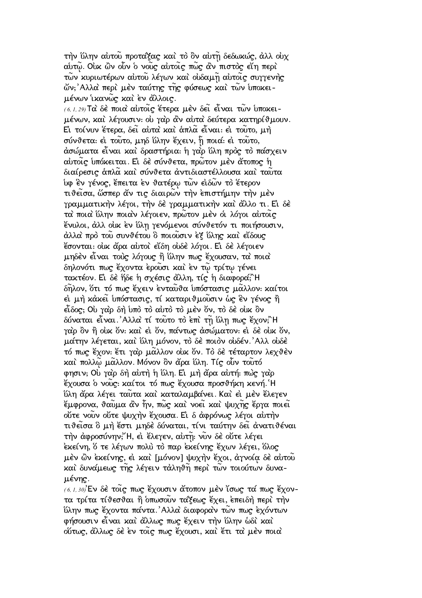την ύλην αύτου προταξας και το όν αυτη δεδωκώς, άλλ ουχ αυτώ. Ουκ ών ούν ο νους αυτοίς πώς άν πιστος είη περι των κυριωτέρων αυτού λέγων και ουδαμη αυτοίς συγγενής ών; Αλλα περι μεν ταύτης της φύσεως και των υποκειμένων ικανώς και εν άλλοις.

 $(6, 1, 29)$  Τα δέ ποια αυτοις έτερα μέν δει είναι των υποκειμένων, και λέγουσιν: ου γαρ άν αυτα δεύτερα κατηρίθμουν. Ει τοίνυν έτερα, δει αύτα και άπλα είναι: εί τουτο, μή σύνθετα: εί τούτο, μηδ ύλην έχειν, η ποια: εί τούτο, άσώματα είναι και δραστήρια: η γαρ ύλη προς το πάσχειν αύτοις υπόκειται. Ει δε σύνθετα, πρώτον μεν άτοπος η διαίρεσις άπλα και σύνθετα αντιδιαστέλλουσα και ταυτα υφ εν γένος, έπειτα εν θατέρω των ειδών το έτερον τιθείσα, ώσπερ άν τις διαιρών την επιστήμην την μέν γραμματικήν λέγοι, την δε γραμματικήν και άλλο τι. Ει δε τα ποια ύλην ποιαν λέγοιεν, πρώτον μέν οι λόγοι αυτοίς ένυλοι, άλλ ούκ έν ύλη γενόμενοι σύνθετόν τι ποιήσουσιν, άλλα πρό του συνθέτου δ ποιουσιν εξ ύλης και είδους έσονται: ούκ άρα αύτοι είδη ουδε λόγοι. Ει δε λέγοιεν μηδεν είναι τους λόγους ή ύλην πως έχουσαν, τα ποια δηλονότι πως έχοντα ερούσι και εν τω τρίτω γένει τακτέον. Ει δε ήδε η σχέσις άλλη, τίς η διαφορα; Η δηλον, ότι τό πως έχειν ενταύθα υπόστασις μαλλον: καίτοι ει μή κάκει υπόστασις, τί καταριθμούσιν ως εν γένος ή εἶδος; Ου γαρ δη υπό το αυτό το μεν όν, το δε ουκ όν δύναται εἶναι. Αλλα τί τοῦτο τὸ ἐπὶ τη ὕλη πως ἔχον; Η γαρ όν ή ούκ όν: και εί όν, παντως ασώματον: εί δε ούκ όν, μάτην λέγεται, και ύλη μόνον, το δε ποιον ουδέν. Αλλ ουδε τό πως έχον: έτι γαρ μάλλον ούκ όν. Το δε τέταρτον λεχθεν και πολλώ μάλλον. Μόνον όν άρα ύλη. Τίς ούν τουτό φησιν; Ου γαρ δη αυτή η ύλη. Ει μη άρα αυτή: πως γαρ έχουσα ο νους: καίτοι τό πως έχουσα προσθήκη κενή. Η ύλη άρα λέγει ταυτα και καταλαμβάνει. Και ει μεν έλεγεν έμφρονα, θαῦμα ἀν ἦν, πῶς και νοεῖ και ψυχῆς ἔργα ποιεῖ ούτε νουν ούτε ψυχην έχουσα. Ει δ άφρόνως λέγοι αυτην τιθείσα δ μη έστι μηδε δύναται, τίνι ταύτην δει άνατιθέναι την άφροσύνην; Η, ει έλεγεν, αυτη: νυν δε ούτε λέγει έκείνη, δ τε λέγων πολύ το παρ εκείνης έχων λέγει, δλος μέν ὢν έκείνης, ει και [μόνον] ψυχήν έχοι, άγνοία δε αυτου και δυνάμεως της λέγειν τάληθη περι των τοιούτων δυναμένης.

 $(6, 1, 30)$  Εν δέ τοις πως έχουσιν άτοπον μέν ίσως τα πως έχοντα τρίτα τίθεσθαι ή οπωσουν ταξεως έχει, επειδή περι την ύλην πως έχοντα πάντα. Αλλα διαφοραν των πως εχόντων φήσουσιν είναι και άλλως πως έχειν την ύλην ώδι και ούτως, άλλως δέ έν τοις πως έχουσι, και έτι τα μέν ποια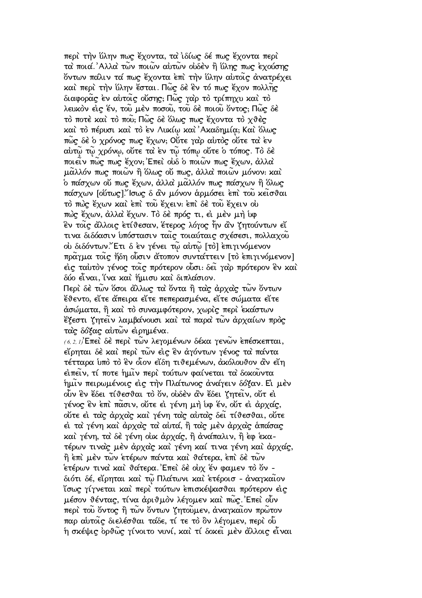περὶ τὴν ὕλην πως ἔχοντα, τα Ἰδίως δέ πως ἔχοντα περὶ τα ποια. Αλλα των ποιών αυτών ουδεν ή ύλης πως εχούσης όντων παλιν τα πως έχοντα επι την ύλην αυτοις ανατρέχει και περι την ύλην έσται. Πως δε εν τό πως έχον πολλης διαφοράς έν αύτοις ούσης; Πώς γαρ το τρίπηχυ και το λευκόν είς έν, του μεν ποσου, του δε ποιου όντος; Πως δε τὸ ποτέ και τὸ που; Πώς δὲ ὅλως πως ἔχοντα τὸ χθές και το πέρυσι και το εν Λυκίω και Ακαδημία; Και δλως πώς δέ ο χρόνος πως έχων; Ούτε γαρ αυτός ούτε τα έν αυτώ τώ χρόνω, ούτε τα εν τω τόπω ούτε ο τόπος. Το δε ποιείν πως πως έχον; Επει ούδ ο ποιών πως έχων, άλλα μαλλόν πως ποιών ή όλως ού πως, άλλα ποιών μόνον: και δ πάσχων ού πως έχων, άλλα μαλλόν πως πάσχων ή δλως πάσχων [ούτως]. Ισως δ άν μόνον άρμόσει επι του κεισθαι τὸ πως ἔχων και ἐπι τοῦ ἔχειν: ἐπι δὲ τοῦ ἔχειν οὐ πως έχων, άλλα έχων. Το δε πρός τι, ει μεν μη ύφ εν τοις άλλοις ετίθεσαν, έτερος λόγος ήν άν ζητούντων εί τινα διδόασιν υπόστασιν ταις τοιαύταις σχέσεσι, πολλαχου ού διδόντων. Έτι δ εν γένει τω αύτω [το ] επιγινόμενον πραγμα τοις ήδη ούσιν άτοπον συντάττειν [το επιγινόμενον] εις ταυτον γένος τοις πρότερον ούσι: δει γαρ πρότερον εν και δύο είναι, ίνα και ήμισυ και διπλάσιον.

Περι δε των όσοι άλλως τα όντα ή τας άρχας των όντων έθεντο, είτε άπειρα είτε πεπερασμένα, είτε σώματα είτε άσώματα, ή και το συναμφότερον, χωρις περι εκαστων έξεστι ζητείν λαμβάνουσι και τα παρα των αρχαίων προς τας δόξας αυτών ειρημένα.

 $(6, 2, 1)$  Επει δε περι τών λεγομένων δέκα γενών επέσκεπται, είρηται δε και περι των εις εν αγόντων γένος τα πάντα τέτταρα υπό το έν οίον είδη τιθεμένων, ακόλουθον αν είη ειπείν, τί ποτε ημίν περί τούτων φαίνεται τα δοκούντα ημίν πειρωμένοις είς την Πλατωνος αναγειν δόξαν. Ει μεν οὖν εν έδει τίθεσθαι τὸ ὄν, οὐδεν ἀν έδει ζητεῖν, ούτ ει γένος εν επι πάσιν, ούτε ει γένη μη υφ έν, ούτ ει άρχας, ούτε ει τας άρχας και γένη τας αυτας δει τίθεσθαι, ούτε ει τα γένη και άρχας τα αυτά, ή τας μεν άρχας άπάσας και γένη, τα δε γένη ούκ άρχας, ή αναπαλιν, ή έφ έκατέρων τινας μεν άρχας και γένη καί τινα γένη και άρχας, ή επι μέν των ετέρων παντα και θατερα, επι δε των 'ετέρων τινα` και` θάτερα.'Επει` δὲ οὐχ ἕν φαμεν τὸ ὄν διότι δέ, είρηται και τω Πλατωνι και ετέροισ - αναγκαίον ζσως γίγνεται καὶ περὶ τούτων ἐπισκέψασθαι πρότερον εἰς μέσον θέντας, τίνα άριθμον λέγομεν και πως. Επει ούν περί του όντος ή των όντων ζητούμεν, άναγκαιον πρώτον παρ αυτοις διελέσθαι ταδε, τί τε τὸ ὂν λέγομεν, περι οὗ η σκέψις ορθώς γίνοιτο νυνί, και τί δοκει μεν άλλοις είναι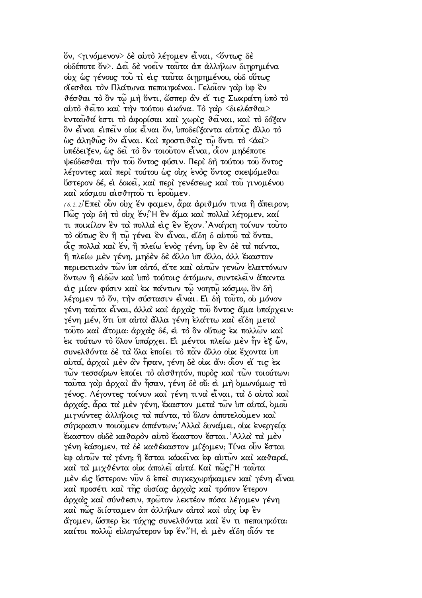όν, <γινόμενον> δέ αυτό λέγομεν εἶναι, <όντως δέ ουδέποτε όν>. Δεί δε νοείν ταύτα άπ άλλήλων διηρημένα ούχ ως γένους του τι είς ταυτα διηρημένου, ουδούτως σίεσθαι τον Πλατωνα πεποιηκέναι. Γελοίον γαρ ύφ έν θέσθαι τὸ ὂν τὦ μὴ ὄντι, ὥσπερ ἀν εἴ τις Σωκράτη ὑπὸ τὸ αύτο θείτο και την τούτου εικόνα. Το γαρ <διελέσθαι> ένταυθά έστι το άφορίσαι και χωρις θειναι, και το δόξαν ον είναι ειπείν ουκ είναι όν, υποδεί ταντα αυτοίς άλλο το ώς άληθώς όν είναι. Και προστιθείς τω όντι το <άει> υπέδειζεν, ως δει το όν τοιουτον είναι, οίον μηδέποτε ψεύδεσθαι την του όντος φύσιν. Περι δη τούτου του όντος λέγοντες και περι τούτου ώς ουχ ενός όντος σκεψόμεθα: ύστερον δέ, ει δοκει, και περι γενέσεως και του γινομένου και κόσμου αισθητού τι ερούμεν.

 $(6, 2, 2)$  Επεί ούν ούχ έν φαμεν, άρα αριθμόν τινα ή άπειρον; Πώς γαρ δη το σύγ έν; Η εν άμα και πολλα λέγομεν, καί τι ποικίλον έν τα πολλα είς έν έχον. Ανάγκη τοίνυν τούτο το ούτως εν ή τω γένει εν είναι, είδη δ αυτου τα όντα, δίς πολλα και έν, ή πλείω ενός γένη, υφ εν δε τα πάντα, ή πλείω μέν γένη, μηδέν δε άλλο υπ άλλο, άλλ έκαστον περιεκτικόν των υπ αυτό, είτε και αυτών γενών ελαττόνων όντων ή ειδών και υπό τούτοις ατόμων, συντελείν άπαντα εις μίαν φύσιν και έκ πάντων τω νοητώ κόσμω, δν δη λέγομεν το όν, την σύστασιν είναι. Ει δη τούτο, ου μόνον γένη ταύτα είναι, άλλα και άρχας του όντος άμα υπάρχειν: γένη μέν, ότι υπ αυτα άλλα γένη ελαττω και είδη μετα τούτο και άτομα: άρχας δέ, ει το όν ούτως εκ πολλών και έκ τούτων τὸ ὅλον ὑπαρχει. Ει μέντοι πλείω μεν ἦν 'εξ ὧν, συνελθόντα δέ τα δλα εποίει το παν άλλο ούκ έχοντα υπ αυτά, άρχαι μέν άν ήσαν, γένη δέ ουκ άν: οίον εί τις εκ τών τεσσάρων εποίει το αισθητόν, πυρος και τών τοιούτων: ταῦτα γαρ ἀρχαι ἀν ἦσαν, γένη δε ού: εί μη δμωνύμως το γένος. Λέγοντες τοίνυν και γένη τινα είναι, τα δ αυτα και άρχας, ἆρα τα μεν γένη, έκαστον μετα των υπ αυτα, δμού μιγνύντες άλλήλοις τα πάντα, το όλον άποτελούμεν και σύγκρασιν ποιούμεν άπαντων; Αλλα δυναμει, ούκ ενεργεία έκαστον ουδέ καθαρόν αυτό έκαστον έσται. Αλλα τα μέν γένη 'εάσομεν, τα δέ καθέκαστον μίζομεν; Τίνα ούν 'έσται έφ αυτών τα γένη; ή έσται κάκεινα έφ αυτών και καθαρά, και τα μιχθέντα ούκ άπολει αυτά. Και πως; Η ταυτα μέν εις ύστερον: νύν δ επει συγκεχωρήκαμεν και γένη είναι και προσέτι και της ουσίας άρχας και τρόπον έτερον άρχας και σύνθεσιν, πρώτον λεκτέον πόσα λέγομεν γένη και πώς διίσταμεν άπ άλλήλων αυτα και συχ υφ εν άγομεν, ώσπερ έκ τύχης συνελθόντα και έν τι πεποιηκότα: καίτοι πολλώ ευλογώτερον υφ έν. Ή, ει μεν είδη οι όν τε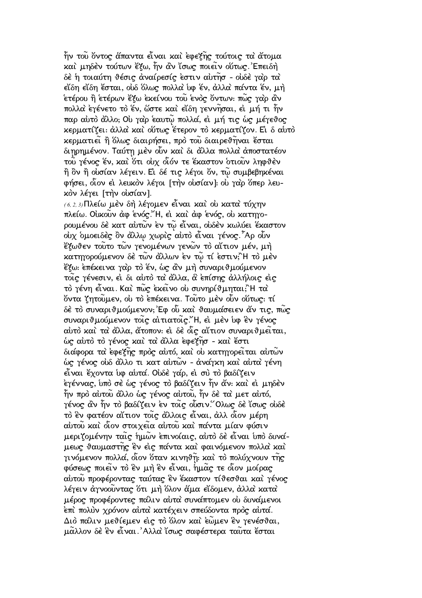ήν του όντος άπαντα είναι και εφεξης τούτοις τα άτομα και μηδέν τούτων έξω, ήν άν ίσως ποιείν ούτως. Επειδή δέ η τοιαύτη θέσις άναίρεσίς έστιν αυτησ - ουδέ γαρ τα είδη είδη έσται, ουδ όλως πολλα υφ έν, άλλα πάντα έν, μη ετέρου ή ετέρων έζω εκείνου του ενός ὄντων: πως γαρ ἀν πολλα εγένετο το έν, ώστε και είδη γεννησαι, ει μή τι ήν παρ αύτὸ ἄλλο; Ου γαρ εαυτώ πολλα, ει μή τις ως μέγεθος κερματίζει: άλλα και ούτως έτερον το κερματίζον. Ει δ αυτό κερματιεί ή όλως διαιρήσει, πρό του διαιρεθηναι έσται διηρημένον. Ταύτη μέν οὖν και δι άλλα πολλα αποστατέον του γένος έν, και ότι ουχ οίόν τε έκαστον οτιουν ληφθεν ή όν ή ουσίαν λέγειν. Ει δέ τις λέγοι όν, τω συμβεβηκέναι φήσει, δίον ει λευκόν λέγοι [τη ουσίαν]: ου γαρ όπερ λευκὸν λέγει [την ουσίαν].

(6, 2, 3) Πλείω μέν δη λέγομεν είναι και ου κατα τύχην πλείω. Ούκούν άφ ενός. Ή, ει και άφ ενός, ου κατηγορουμένου δε κατ αύτων εν τω είναι, ουδεν κωλύει έκαστον ούχ δμοειδές δν άλλω χωρίς αύτο είναι γένος. Άρ ούν έξωθεν τούτο τῶν γενομένων γενῶν τὸ αίτιον μέν, μὴ κατηγορούμενον δε τών άλλων έν τώ τί εστιν; Η το μέν έζω: επέκεινα γαρ το έν, ώς άν μή συναριθμούμενον τοις γένεσιν, εί δι αύτο τα άλλα, α επίσης αλλήλοις είς τὸ γένη εἶναι. Και πώς εκείνο ου συνηρίθμηται; Η τα όντα ζητούμεν, ου το επέκεινα. Τούτο μεν ούν ούτως: τί δέ το συναριθμούμενον; Έφ ού και θαυμάσειεν άν τις, πως συναριθμούμενον τοις αιτιατοις. Ή, ει μεν υφ εν γένος αύτο και τα άλλα, άτοπον: ει δε δίς αίτιον συναριθμείται, ώς αυτό το γένος και τα άλλα έφεξησ - και έστι διάφορα τα έφεξης πρός αυτό, και ου κατηγορείται αυτών ώς γένος ουδ άλλο τι κατ αυτών - άναγκη και αυτα γένη εἶναι ἔχοντα ὑφ αὑτα Ουδε γαρ, εί συ το βαδίζειν έγέννας, υπό σè ως γένος τὸ βαδίζειν ἦν άν: και εί μηδεν ήν πρὸ αυτοῦ άλλο ως γένος αυτοῦ, ἦν δὲ τα μετ αυτό, γένος άν ἦν τὸ βαδίζειν ἐν τοις οὖσιν. Ολως δὲ ἴσως οὐδε τὸ ềν φατέον αἴτιον τοις άλλοις εἶναι, άλλ οίον μέρη αύτου και οίον στοιχεία αύτου και πάντα μίαν φύσιν μεριζομένην ταις ημών επινοίαις, αυτό δε είναι υπό δυναμεως θαυμαστης έν εις πάντα και φαινόμενον πολλα και γινόμενον πολλα, οίον όταν κινηθη: και το πολύχνουν της φύσεως ποιείν το εν μη εν είναι, ημάς τε οίον μοίρας αύτου προφέροντας ταύτας έν έκαστον τίθεσθαι και γένος λέγειν άγνοούντας ότι μή όλον άμα είδομεν, άλλα κατα μέρος προφέροντες παλιν αύτα συναπτομεν ου δυναμενοι έπι πολύν χρόνον αύτα κατέχειν σπεύδοντα πρός αύτα. Διὸ πάλιν μεθίεμεν είς τὸ ὅλον καὶ ἐὦμεν ἓν γενέσθαι, μαλλον δε εν είναι. Αλλα ίσως σαφέστερα ταυτα έσται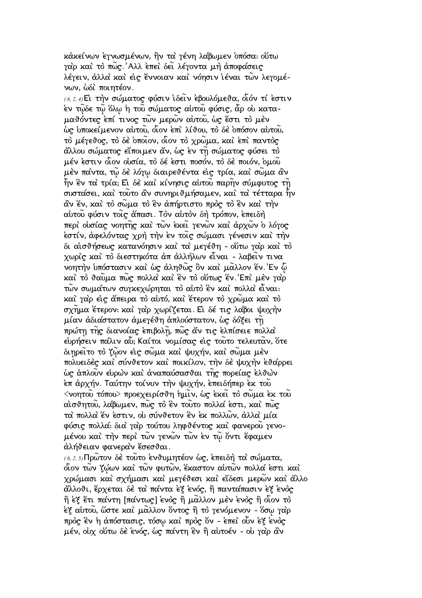κάκείνων εγνωσμένων, ήν τα γένη λαβωμεν οπόσα: ούτω γαρ και το πώς. Αλλ επει δει λέγοντα μη αποφάσεις λέγειν, άλλα και είς έννοιαν και νόησιν ιέναι των λεγομένων, ώδι ποιητέον.

 $(6, 2, 4)$ Ει την σώματος φύσιν ιδείν εβουλόμεθα, οι όν τί εστιν έν τῷδε τῷ ὅλῳ ἡ τοῦ σώματος αὐτοῦ φύσις, ἆρ οὐ καταμαθόντες επί τινος των μερων αυτου, ως έστι το μεν ώς υποκείμενον αύτου, οίον επι λίθου, το δε οπόσον αυτου, τὸ μέγεθος, τὸ δὲ ὁποἶον, οἶον τὸ χρῶμα, καὶ ἐπὶ παντὸς άλλου σώματος είποιμεν άν, ως εν τη σώματος φύσει το μέν 'εστιν οίον ουσία, το δέ 'εστι ποσόν, το δε ποιόν, δμου μέν πάντα, τῷ δὲ λόγῳ διαιρεθέντα ἐις τρία, καὶ σῶμα ἀν  $\tilde{m}$ ν εν τα τρία; Ει δε και κίνησις αυτου παρην σύμφυτος τη συστάσει, και τούτο άν συνηριθμήσαμεν, και τα τέτταρα ήν άν έν, και το σώμα το εν απήρτιστο προς το εν και την αύτου φύσιν τοις άπασι. Τον αύτον δη τρόπον, επειδη περι ουσίας νοητής και των εκεί γενών και άρχων ο λόγος έστίν, άφελόντας χρή την έν τοις σώμασι γένεσιν και την δι αισθήσεως κατανόησιν και τα μεγέθη - ούτω γαρ και το γωρίς και το διεστηκότα απ αλλήλων είναι - λαβείν τινα νοητήν υπόστασιν και ώς άληθως όν και μάλλον έν. Εν ώ και το θαύμα πώς πολλα και εν το ούτως εν. Επι μεν γαρ των σωματων συγκεχώρηται το αύτο εν και πολλα είναι: και γαρ είς άπειρα το αυτό, και έτερον το χρώμα και το σχημα έτερον: και γαρ χωρίζεται. Ει δέ τις λαβοι ψυχην μίαν αδιαστατον αμεγέθη απλούστατον, ως δόξει τη πρώτη της διανοίας επιβολη, πως άν τις ελπίσειε πολλα ευρήσειν πάλιν αύ; Καίτοι νομίσας είς τουτο τελευτάν, ότε διηρείτο τὸ ζῷον ἐις σῶμα καὶ ψυχήν, καὶ σῶμα μὲν πολυειδές και σύνθετον και ποικίλον, την δε ψυχην εθάρρει ώς άπλουν ευρων και άναπαύσασθαι της πορείας ελθων επ άρχήν. Ταύτην τοίνυν την ψυχήν, επειδήπερ εκ του <νοητού τόπου> προεχειρίσθη ἡμἶν, ὡς ἐκεἶ τὸ σὧμα ἐκ τοῦ αισθητού, λαβωμεν, πώς το εν τούτο πολλα έστι, και πώς τα πολλα έν έστιν, ου σύνθετον εν έκ πολλών, άλλα μία φύσις πολλα: δια γαρ τούτου ληφθέντος και φανερού γενομένου και την περι των γενών των εν τω όντι έφαμεν άλήθειαν φανεραν έσεσθαι.

 $(6, 2, 5)$ Πρώτον δε τούτο ενθυμητέον ως, επειδή τα σώματα, οίον των ζώων και των φυτών, έκαστον αυτών πολλα έστι και χρώμασι και σχήμασι και μεγέθεσι και είδεσι μερών και άλλο άλλοθι, έρχεται δε τα πάντα εξ ενός, ή παντάπασιν εξ ενός ή εξ έτι παντη [παντως] ενός ή μαλλον μεν ενός ή οίον το έξ αυτου, ώστε και μαλλον όντος ή το γενόμενον - όσω γαρ πρὸς ềν η ἀπόστασις, τόσω και πρὸς ὄν - ἐπει οὖν ἐξ ενὸς μέν, ούχ ούτω δε ενός, ως παντη εν ή αυτοέν - ου γαρ άν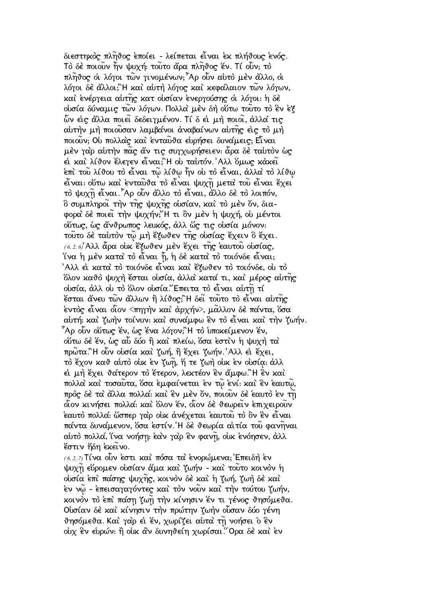διεστηκός πλήθος εποίει - λείπεται είναι έκ πλήθους ενός. Τὸ δε ποιούν ἦν ψυχή: τούτο άρα πληθος έν. Τί ούν; τὸ πληθος οι λόγοι των γινομένων; Άρ οὖν αυτό μεν άλλο, οι λόγοι δε άλλοι; Η και αύτη λόγος και κεφαλαιον των λόγων, και ενέργεια αύτης κατ ουσίαν ενεργούσης οι λόγοι: η δε ουσία δύναμις των λόγων. Πολλα μέν δη ούτω τουτο το έν έξ ών εις άλλα ποιει δεδειγμένον. Τί δ ει μη ποιοι, άλλα τις αύτην μη ποιούσαν λαμβανοι αναβαίνων αύτης είς το μη ποιούν; Ου πολλας και ενταύθα ευρήσει δυναμεις; Είναι μέν γαρ αύτην πας άν τις συγχωρήσειεν: άρα δε ταύτον ώς ει και λίθον έλεγεν είναι; Η ου ταυτόν. Αλλ όμως κάκει έπι του λίθου το είναι τῷ λίθῳ ἦν οὐ το εἶναι, άλλα το λίθῳ εἶναι: οὕτω και 'ενταῦθα τὸ εἶναι ψυχῆ μετα τοῦ εἶναι 'έχει τὸ ψυχῆ ἐἶναι. Αρ οὖν ἄλλο τὸ ἐἶναι, ἄλλο δὲ τὸ λοιπόν, δ συμπληροι την της ψυχης ουσίαν, και το μεν όν, διαφορα δε ποιεί την ψυχήν; Η τι όν μεν η ψυχή, ου μέντοι ούτως, ως άνθρωπος λευκός, άλλ ώς τις ουσία μόνον: τουτο δε ταυτον τω μη έξωθεν της ουσίας έχειν δ έχει.  $(6, 2, 6)$  Αλλ άρα ούκ έξωθεν μεν έχει της εαυτού ουσίας, ίνα ή μεν κατα το είναι ή, ή δε κατα το τοιόνδε είναι; `Αλλ ει κατα` τὸ τοιόνδε εἶναι και` ἔζωθεν τὸ τοιόνδε, οὐ τὸ δλον καθό ψυχή έσται ουσία, άλλα κατά τι, και μέρος αυτής ουσία, άλλ ου το δλον ουσία. Επειτα το είναι αυτη τί έσται άνευ των άλλων ή λίθος; Η δει τουτο το είναι αυτής έντος είναι οίον <πηγήν και άρχήν>, μαλλον δε παντα, όσα αύτή: και ζωήν τοίνυν: και συναμφω εν το είναι και την ζωήν. <sup>γ</sup>Άρ οὖν οὕτως ἕν, ὡς ἕνα λόγον;`Η τὸ ὑποκείμενον ἕν, ούτω δε έν, ως αὖ δύο ἢ και πλείω, ὅσα ἐστιν ἡ ψυχη τα πρώτα. Η ούν ουσία και ζωή, ή έχει ζωήν. Αλλ ει έχει, τὸ έχον καθ αυτό ουκ εν ζωή, ή τε ζωή ουκ εν ουσία: άλλ ει μη έχει θατερον το έτερον, λεκτέον εν άμφω. Η εν και πολλα και τοσαυτα, όσα εμφαίνεται εν τω ενί: και εν εαυτω, πρὸς δε τα άλλα πολλα: και εν μεν όν, ποιουν δε εαυτο εν τη δίον κινήσει πολλα: και όλον έν, οίον δε θεωρείν επιχειρούν εαυτό πολλα: ὥσπερ γαρ ουκ ανέχεται εαυτοῦ τὸ ὂν ὲν εἶναι πάντα δυνάμενον, όσα 'εστίν. Η δε θεωρία αιτία του φανηναι αύτο πολλα, ίνα νοήση: εαν γαρ εν φανη, ούκ ενόησεν, άλλ έστιν ήδη εκείνο.

 $(6, 2, 7)$  Τίνα ούν 'εστι και πόσα τα 'ενορώμενα; Επειδή 'εν ψυχη εύρομεν ουσίαν άμα και ζωήν - και τουτο κοινον η ούσία επι πάσης ψυχής, κοινόν δε και η ζωή, ζωή δε και έν νῷ - ἐπεισαγαγόντες καὶ τὸν νοῦν καὶ τὴν τούτου ζωήν, κοινον το επι πάση ζωη την κίνησιν έν τι γένος θησόμεθα. Ουσίαν δε και κίνησιν την πρώτην ζωην ούσαν δύο γένη θησόμεθα. Και γαρ ει έν, χωρίζει αυτα τη νοήσει ο εν σύχ εν ευρών: ή σύκ άν δυνηθείη χωρίσαι. Όρα δε και εν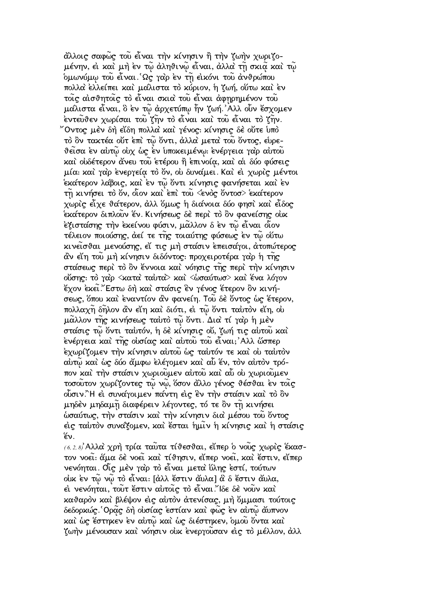άλλοις σαφώς του είναι την κίνησιν ή την ζωήν χωριζομένην, ει και μη εν τῷ ἀληθινῷ εἶναι, ἀλλα τῆ σκιῷ και τῷ δμωνύμω του είναι. Ώς γαρ εν τη εικόνι του ανθρώπου πολλα`ελλείπει και` μαλιστα το κύριον, η ζωή, ούτω και εν τοις αισθητοις το είναι σκια του είναι αφηρημένον του μαλιστα εἶναι, ὃ ἐν τῷ ἀρχετύπῳ ἦν ζωή. Ἀλλ οὖν ἔσχομεν έντευθεν χωρίσαι του ζην τὸ εἶναι καὶ του εἶναι τὸ ζην. "Όντος μέν δη είδη πολλα και γένος: κίνησις δε ούτε υπό τὸ ὂν τακτέα οὔτ ἐπὶ τῷ ὄντι, ἀλλα μετα τοῦ ὄντος, εὑρεθείσα εν αυτώ ουχ ως εν υποκειμένω: ενέργεια γαρ αυτού και ουδέτερον άνευ του ετέρου ή επινοία, και αι δύο φύσεις μία: και γαρ ενεργεία το όν, ου δυναμει. Και ει χωρις μέντοι έκάτερον λάβοις, και έν τω όντι κίνησις φανήσεται και εν τη κινήσει τὸ ὄν, οἶον και 'επι του <ενος "ντοσ> εκατερον χωρίς είχε θάτερον, άλλ όμως η διανοια δύο φησί και είδος εκάτερον διπλούν έν. Κινήσεως δε περί το όν φανείσης ούκ έξιστάσης την εκείνου φύσιν, μάλλον δ εν τῷ εἶναι οἷον τέλειον ποιούσης, άεί τε της τοιαύτης φύσεως έν τω ούτω κινείσθαι μενούσης, εί τις μή στάσιν επεισάγοι, άτοπώτερος άν είη του μή κίνησιν διδόντος: προχειροτέρα γαρ ή της στάσεως περί το όν έννοια και νόησις της περί την κίνησιν ούσης: το γαρ <κατα ταύτα> και <ύσαύτωσ> και ενα λόγον έχον έκει. Έστω δη και στάσις εν γένος έτερον όν κινήσεως, όπου και εναντίον άν φανείη. Του δε όντος ως έτερον, πολλαχη δηλον άν είη και διότι, ει τω όντι ταυτον είη, ου μαλλον της κινήσεως ταύτο τω όντι. Δια τί γαρ η μεν στάσις τω όντι ταυτόν, η δε κίνησις ού, ζωή τις αυτού και ένέργεια και της ουσίας και αυτου του είναι; Αλλ ώσπερ έχωρίζομεν την κίνησιν αύτου ώς ταυτόν τε και ου ταυτον αυτώ και ως δύο άμφω ελέγομεν και αύ έν, τον αυτον τρόπον και την στάσιν χωριούμεν αυτού και αύ ου χωριούμεν τοσούτον χωρίζοντες τω νω, όσον άλλο γένος θέσθαι έν τοις ούσιν. Η εί συναγοιμεν παντη είς εν την στασιν και το όν μηδέν μηδαμη διαφέρειν λέγοντες, τό τε όν τη κινήσει ώσαύτως, την στάσιν και την κίνησιν δια μέσου του όντος εις ταύτον συναξομεν, και έσται ημίν η κίνησις και η στάσις έν.

 $(6, 2, 8)$  Αλλα χρή τρία ταυτα τίθεσθαι, είπερ ο νους χωρις έκαστον νοει: άμα δέ νοει και τίθησιν, είπερ νοει, και έστιν, είπερ νενόηται. Οις μέν γαρ το είναι μετα ύλης εστί, τούτων ούκ εν τῷ νῷ τὸ εἶναι: [ἀλλ ἔστιν άυλα] ὰ δ ἔστιν άυλα, ει νενόηται, τουτ έστιν αυτοις το είναι. Ίδε δε νουν και καθαρόν και βλέψον είς αυτόν άτενίσας, μη όμμασι τούτοις δεδορκώς. Όρας δη ουσίας εστίαν και φως εν αυτώ άυπνον και ώς έστηκεν έν αυτώ και ώς διέστηκεν, δμού όντα και ζωήν μένουσαν και νόησιν ουκ ενεργούσαν εις το μέλλον, άλλ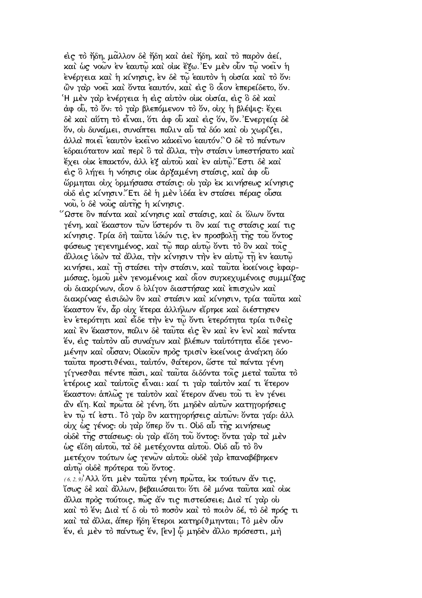εις τὸ ἤδη, μαλλον δὲ ἤδη καὶ ἀεὶ ἤδη, καὶ τὸ παρὸν ἀεί, και ώς νοών εν εαυτώ και ουκ έξω. Εν μεν ούν τω νοείν η ένέργεια και η κίνησις, εν δε τῷ εαυτον η ουσία και το ὄν: ών γαρ νοεί και όντα εαυτόν, και είς δ οίον επερείδετο, όν. Ή μεν γαρ ενέργεια ή εις αυτον ουκ ουσία, εις δ δε και άφ οὗ, τὸ ὄν: τὸ γαρ βλεπόμενον τὸ ὄν, οὐχ ἡ βλέψις: ἔχει δὲ καὶ αὕτη τὸ ἐἶναι, ὅτι ἀφ οὗ καὶ ἐις ὅν, ὄν. Ἐνεργεία δὲ όν, ου δυναμει, συναπτει παλιν αὖ τα δύο και ου χωρίζει, άλλα ποιεί εαυτόν εκείνο κάκεινο εαυτόν. Ο δε το παντων εδραιότατον και περι δ τα άλλα, την στάσιν υπεστήσατο και ἔχει οὐκ ἐπακτόν, ἀλλ ἐξ αὐτοῦ καὶ ἐν αὐτῷ. Έστι δὲ καὶ εις δ λήγει η νόησις ουκ αρξαμένη στασις, και αφ ού ώρμηται ούχ δρμήσασα στάσις: ου γαρ έκ κινήσεως κίνησις ούδ είς κίνησιν. Έτι δε η μεν ιδέα εν στάσει πέρας ούσα νου, ο δέ νους αυτής η κίνησις.

΄ Ωστε ὂν πάντα καὶ κίνησις καὶ στάσις, καὶ δι ὅλων ὄντα γένη, και έκαστον των ύστερόν τι όν καί τις στάσις καί τις κίνησις. Τρία δη ταυτα ιδών τις, εν προσβολη της του όντος φύσεως γεγενημένος, και τώ παρ αυτώ όντι το όν και τοις άλλοις ιδων τα άλλα, την κίνησιν την εν αυτώ τη εν εαυτώ κινήσει, και τη στάσει την στάσιν, και ταυτα εκείνοις εφαρμόσας, όμου μέν γενομένοις και οίον συγκεχυμένοις συμμίζας ού διακρίνων, οίον δ ολίγον διαστήσας και επισχων και διακρίνας εισιδων όν και στάσιν και κίνησιν, τρία ταυτα και έκαστον έν, ἆρ ουχ έτερα άλλήλων είρηκε και διέστησεν έν ετερότητι και είδε την εν τῷ ὄντι ετερότητα τρία τιθεις και εν έκαστον, πάλιν δε ταυτα εις εν και εν ενι και πάντα έν, εις ταυτον αύ συναγων και βλέπων ταυτότητα είδε γενομένην και ούσαν; Ουκούν προς τρισιν εκείνοις αναγκη δύο ταυτα προστιθέναι, ταυτόν, θάτερον, ώστε τα πάντα γένη γίγνεσθαι πέντε πάσι, και ταυτα διδόντα τοις μετα ταυτα το ετέροις και ταυτοις είναι: καί τι γαρ ταυτον καί τι έτερον έκαστον: άπλως γε ταύτον και έτερον άνευ του τι έν γένει άν είη. Και πρώτα δε γένη, ότι μηδεν αυτών κατηγορήσεις έν τῷ τί 'εστι. Τὸ γαρ ὂν κατηγορήσεις αὐτῶν: ὄντα γαρ: ἀλλ ούχ ώς γένος: ου γαρ όπερ όν τι. Ουδ αύ της κινήσεως ούδε της στάσεως: ου γαρ είδη του όντος: όντα γαρ τα μεν ώς είδη αυτου, τα δε μετέχοντα αυτου. Ουδ αύ το όν μετέχον τούτων ως γενών αύτου: ούδε γαρ επαναβέβηκεν αύτω ουδέ πρότερα του όντος.

 $(6, 2, 9)$  Αλλ ότι μέν ταύτα γένη πρώτα, εκ τούτων άν τις, ἴσως δὲ καὶ ἄλλων, βεβαιώσαιτο: ὅτι δὲ μόνα ταῦτα καὶ οὐκ άλλα πρὸς τούτοις, πῶς ἄν τις πιστεύσειε; Δια τί γαρ οὐ και το έν; Δια τί δ ου το ποσον και το ποιον δέ, το δε πρός τι και τα άλλα, άπερ ήδη έτεροι κατηρίθμηνται; Το μεν ούν έν, ει μεν το παντως έν, [εν] ω μηδεν άλλο πρόσεστι, μη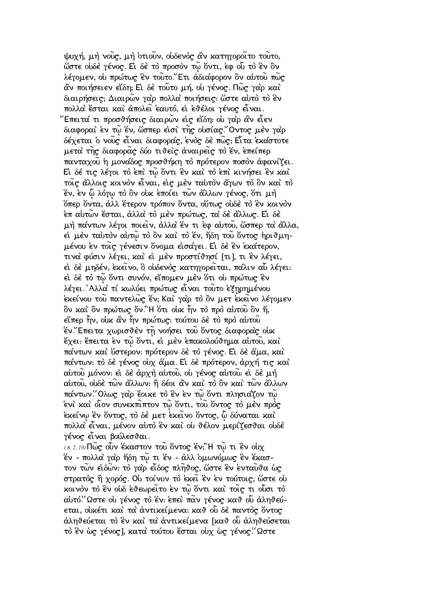ψυχή, μη νους, μη ότιουν, ούδενός άν κατηγοροίτο τουτο, ώστε ούδε γένος. Ει δε το προσον τω όντι, εφ ού το εν όν λέγομεν, ου πρώτως εν τουτο. Έτι άδιαφορον όν αυτου πως άν ποιήσειεν είδη; Ει δε τούτο μή, ου γένος. Πώς γαρ και διαιρήσεις; Διαιρών γαρ πολλα ποιήσεις: ώστε αυτό το εν πολλα έσται και άπολει εαυτό, ει εθέλοι γένος είναι. "Επειτά τι προσθήσεις διαιρών εις είδη: ου γαρ άν εἶεν διαφοραί έν τώ έν, ώσπερ είσι της ουσίας. Όντος μεν γαρ δέχεται ο νους είναι διαφοράς, ενός δε πως; Είτα εκαστοτε μετα της διαφοράς δύο τιθείς αναιρείς το έν, επείπερ πανταχού η μοναδος προσθήκη το πρότερον ποσον αφανίζει. Ει δέ τις λέγοι το έπι τω όντι εν και το επι κινήσει εν και τοις άλλοις κοινον είναι, εις μεν ταυτον άγων το ον και το έν, εν ὧ λόγω τὸ ὂν οὐκ ἐποίει τῶν ἄλλων γένος, ὅτι μὴ δπερ ὄντα, ἀλλ έτερον τρόπον ὄντα, ούτως ουδε το εν κοινον έπ αυτών έσται, άλλα το μεν πρώτως, τα δε άλλως. Ει δε μή παντων λέγοι ποιείν, άλλα έν τι έφ αυτου, ώσπερ τα άλλα, ει μεν ταυτον αυτώ το όν και το έν, ήδη του όντος ηριθμημένου έν τοις γένεσιν όνομα εισάγει. Ει δε εν εκάτερον, τινα` φύσιν λέγει, και` ει μεν προστίθησί [τι], τι εν λέγει, ει δε μηδέν, εκείνο, δ ουδενός κατηγορείται, παλιν αύ λέγει: ει δε το τω όντι συνόν, είπομεν μεν ότι ου πρώτως εν λέγει. Αλλα τί κωλύει πρώτως είναι τουτο εξηρημένου έκείνου του παντελώς έν; Καὶ γαρ τὸ ὂν μετ ἐκεῖνο λέγομεν δν και δν πρώτως ὄν. Η ότι ουκ ήν το προ αυτου δν ή, είπερ ἦν, ουκ άν ἦν πρώτως: τούτου δε το προ αυτου έν. Επειτα χωρισθέν τη νοήσει του όντος διαφορας ούκ έχει: έπειτα έν τῷ ὄντι, ει μεν επακολούθημα αυτου, και πάντων και ύστερον: πρότερον δε το γένος. Ει δε άμα, και πάντων: τὸ δε γένος ουχ άμα. Ει δε πρότερον, άρχή τις και αύτου μόνον: εί δε άρχη αύτου, ου γένος αύτου: εί δε μη αύτου, ουδέ των άλλων: ή δέοι άν και το όν και των άλλων πάντων. Όλως γαρ έοικε το εν εν τω όντι πλησιάζον τω ένι και δίον συνεκπιπτον τω όντι, του όντος το μεν προς εκείνω εν όντος, το δε μετ εκείνο όντος, ὧ δύναται και πολλα είναι, μένον αυτό εν και ου θέλον μερίζεσθαι ουδε γένος είναι βούλεσθαι.

 $(6, 2, 10)$ Πώς οὖν έκαστον του όντος έν; Η τ $\widetilde{\omega}$  τι εν ουχ έν - πολλα γαρ ήδη τῷ τι ἕν - ἀλλ δμωνύμως εν ἕκαστον των ειδών: τὸ γαρ εἶδος πληθος, ὥστε εν ενταυθα ώς στρατός ή χορός. Ου τοίνυν το έκει εν εν τούτοις, ώστε ου κοινον το εν ούδ εθεωρείτο εν τω όντι και τοις τι ούσι το αυτό. Ώστε ου γένος το έν: επει παν γένος καθ ου άληθεύεται, ουκέτι και τα άντικείμενα: καθ ού δε παντός όντος άληθεύεται τὸ ἓν καὶ τὰ ἀντικείμενα [καθ οὗ ἀληθεύσεται τὸ ềν ὡς γένος], κατα τούτου ἔσται ουχ ὡς γένος. Ώστε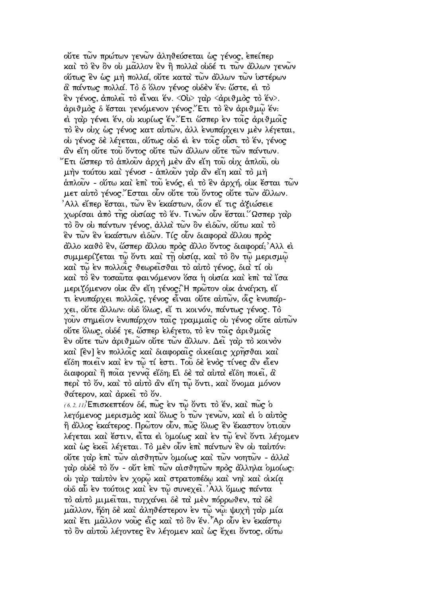ούτε των πρώτων γενων άληθεύσεται ως γένος, επείπερ και το εν ον ου μαλλον εν ή πολλα ουδέ τι των άλλων γενων ούτως εν ώς μή πολλα, ούτε κατα των άλλων των υστέρων ά πάντως πολλά. Τὸ δ ὅλον γένος οὐδεν ἕν: ὥστε, εἰ τὸ έν γένος, άπολεἶ τὸ εἶναι ἕν. <Οὐ> γαρ <άριθμὸς τὸ ἕν>. άριθμός δ έσται γενόμενον γένος. Έτι το εν άριθμώ έν: ει γαρ γένει έν, ου κυρίως έν. Έτι ώσπερ εν τοις αριθμοις τὸ ềν ουχ ως γένος κατ αυτών, άλλ ενυπάρχειν μεν λέγεται, ού γένος δε λέγεται, ούτως ουδ ει εν τοις ούσι το έν, γένος άν είη ούτε του όντος ούτε των άλλων ούτε των παντων. "Ετι ὥσπερ τὸ ἁπλοῦν ἀρχὴ μὲν ἀν εἴη τοῦ οὐχ ἁπλοῦ, οὐ μήν τούτου και γένοσ - άπλουν γαρ άν είη και το μη άπλούν - ούτω και επι του ενός, ει το εν αρχή, ουκ έσται των μετ αυτό γένος. Έσται ούν ούτε του όντος ούτε των άλλων. 'Αλλ εἴπερ ἔσται, τῶν ἓν ἑκαστων, οἷον εἴ τις ἀξιώσειε γωρίσαι άπό της ουσίας το έν. Τινών ούν έσται. Ώσπερ γαρ τὸ ὂν ου παντων γένος, ἀλλα των ὂν ειδων, ούτω και τὸ εν των εν εκαστων ειδών. Τίς ούν διαφορα άλλου προς άλλο καθό έν, ώσπερ άλλου πρός άλλο όντος διαφορα; Αλλ ει συμμερίζεται τω όντι και τη ουσία, και το όν τω μερισμώ και τω έν πολλοις θεωρεισθαι το αυτό γένος, δια τί ου και το έν τοσαυτα φαινόμενον όσα η ουσία και επι τα ίσα μεριζόμενον ουκ άν είη γένος; Η πρώτον ουκ άναγκη, εί τι ενυπάρχει πολλοϊς, γένος είναι ούτε αυτών, οις ενυπάργει, ούτε άλλων: ουδ όλως, εί τι κοινόν, παντως γένος. Το γούν σημείον ενυπάρχον ταις γραμμαις ου γένος ούτε αυτών ούτε όλως, ουδέ γε, ώσπερ ελέγετο, το εν τοις άριθμοις εν ούτε τῶν ἀριθμῶν ούτε τῶν ἀλλων. Δεῖ γαρ τὸ κοινὸν και [εν] εν πολλοίς και διαφοραίς οικείαις χρησθαι και είδη ποιείν και εν τω τί εστι. Του δε ενός τίνες άν είεν διαφοραι ή ποια γεννα είδη; Ει δε τα αυτα είδη ποιει, α περί το όν, και το αύτο άν είη τω όντι, και όνομα μόνον θατερον, και άρκει το όν.

 $(6, 2, 11)$  Επισκεπτέον δέ, πώς εν τω όντι το έν, και πώς δ λεγόμενος μερισμός και όλως ο των γενών, και εί ο αυτός ή άλλος εκατερος. Πρώτον ούν, πως όλως εν έκαστον οτιουν λέγεται και έστιν, είτα ει δμοίως και εν τω ενι όντι λέγομεν και ως εκει λέγεται. Το μεν ούν επι παντων εν ου ταυτόν: ούτε γαρ επι των αισθητών δμοίως και των νοητών - άλλα γαρ ουδέ τὸ ὄν - ούτ ἐπὶ των αισθητων πρὸς άλληλα δμοίως: ού γαρ ταύτον έν χορώ και στρατοπέδω και νηι και οικία ούδ αὖ έν τούτοις και έν τῷ συνεχει Άλλ δμως πάντα τὸ αὐτὸ μιμειται, τυγχανει δὲ τα` μὲν πόρρωθεν, τα` δὲ μᾶλλον, ἤδη δὲ καὶ ἀληθέστερον ἐν τῷ νῷ: ψυχὴ γαρ μία και έτι μάλλον νους είς και το όν έν. Άρ ούν εν εκάστω τὸ ὂν αὐτοῦ λέγοντες ἓν λέγομεν και ὡς ἔχει ὄντος, οὕτω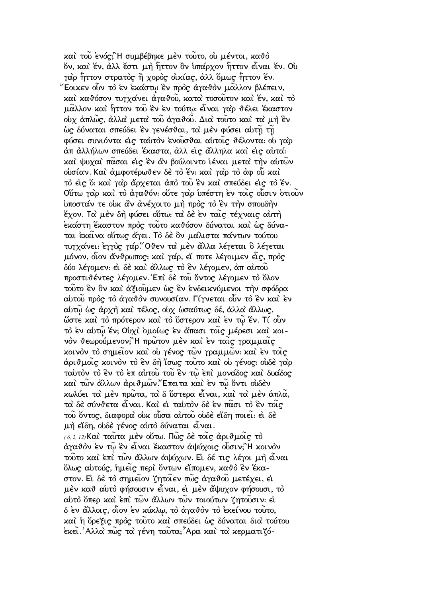και του ενός; Η συμβέβηκε μεν τουτο, ου μέντοι, καθό όν, και έν, άλλ έστι μη ήττον ον υπάρχον ήττον είναι έν. Ου γαρ ήττον στρατός ή χορός οικίας, άλλ δμως ήττον έν. "Εοικεν οὖν τὸ ἐν Ἑκαστῳ ἓν πρὸς ἀγαθὸν μᾶλλον βλέπειν, και καθόσον τυγχάνει άγαθου, κατα τοσούτον και έν, και το μαλλον και ήττον του εν έν τούτω: είναι γαρ θέλει έκαστον ούχ άπλως, άλλα μετα του άγαθου. Δια τούτο και τα μη εν ώς δύναται σπεύδει εν γενέσθαι, τα μεν φύσει αυτή τη φύσει συνιόντα είς ταύτον ενουσθαι αύτοις θέλοντα: ου γαρ άπ άλλήλων σπεύδει έκαστα, άλλ εις άλληλα και εις αυτά: και ψυχαι πασαι είς εν άν βούλοιντο ιέναι μετα την αυτών ουσίαν. Και άμφοτέρωθεν δε το έν: και γαρ το άφ ού και τὸ ἐις ὅ: και γαρ ἄρχεται ἀπὸ του εν και σπεύδει ἐις τὸ έν. Ούτω γαρ και το άγαθόν: ούτε γαρ υπέστη εν τοις ούσιν οτιουν υποσταν τε ούκ άν ανέχοιτο μή πρός το εν την σπουδήν έχον. Τα μέν δη φύσει ούτω: τα δέ εν ταις τέχναις αυτη εκάστη έκαστον πρός τουτο καθόσον δύναται και ως δύναται 'εκείνα ούτως άγει. Το δε όν μαλιστα παντων τούτου τυγχάνει: έγγύς γάρ. Οθεν τα μέν άλλα λέγεται δ λέγεται μόνον, οίον άνθρωπος: και γάρ, εί ποτε λέγοιμεν είς, προς δύο λέγομεν: εί δε και άλλως το εν λέγομεν, άπ αυτου προστιθέντες λέγομεν. Επι δε του όντος λέγομεν το όλον τουτο εν όν και άξιουμεν ως εν ενδεικνύμενοι την σφόδρα αύτου πρός το άγαθον συνουσίαν. Γίγνεται ούν το εν και εν αύτω ως άρχη και τέλος, ουχ ωσαύτως δέ, άλλα άλλως, ώστε και το πρότερον και το ύστερον και εν τω έν. Τί ούν το έν αύτω έν; Ούχι δμοίως έν άπασι τοις μέρεσι και κοινον θεωρούμενον; Η πρώτον μέν και έν ταις γραμμαίς κοινόν το σημείον και ου γένος των γραμμών: και έν τοις άριθμοις κοινόν το εν δη ίσως τουτο και ου γένος: ουδε γαρ ταύτον το εν το επ αύτου του εν τω επι μοναδος και δυαδος και των άλλων αριθμών. Επειτα και εν τω όντι ουδεν κωλύει τα μέν πρώτα, τα δ ύστερα είναι, και τα μέν άπλα, τα δέ σύνθετα είναι. Και εί ταυτον δε εν πάσι το εν τοις του όντος, διαφορα ούκ ούσα αυτου ουδε είδη ποιει: ει δε μή είδη, ουδέ γένος αυτό δύναται είναι.  $(6, 2, 12)$  Και ταυτα μεν ούτω. Πώς δε τοις άριθμοις το άγαθον εν τω εν είναι έκαστον αψύχοις ούσιν; Η κοινον

τούτο και επι των άλλων αψύχων. Ει δέ τις λέγοι μη είναι δλως αυτούς, ημείς περι όντων είπομεν, καθο εν έκαστον. Ει δέ το σημείον ζητοίεν πως άγαθού μετέχει, εί μέν καθ αύτο φήσουσιν είναι, εί μεν άψυχον φήσουσι, το αύτο όπερ και επι των άλλων των τοιούτων ζητουσιν: ει δ εν άλλοις, δίον εν κύκλω, το άγαθον το εκείνου τουτο, και η όρεξις προς τουτο και σπεύδει ως δύναται δια τούτου 'εκει.'Αλλα πῶς τα γένη ταῦτα; "Αρα και τα κερματιζό-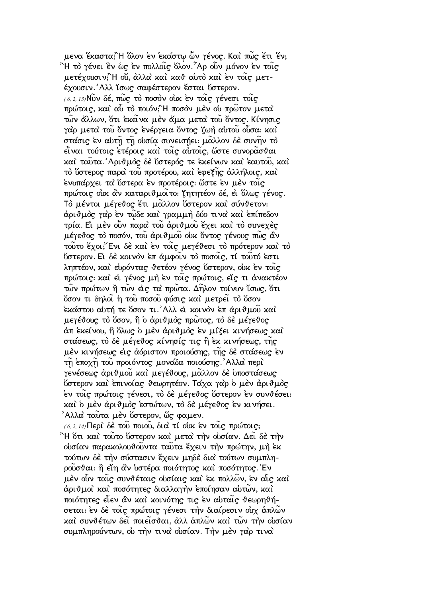μενα έκαστα; Η όλον εν εκάστω ὧν γένος. Και πως έτι έν; "Η τὸ γένει εν ως εν πολλοις δλον. Αρ οὖν μόνον εν τοις μετέχουσιν; Η ού, άλλα και καθ αυτό και εν τοις μετέχουσιν. Αλλ Ίσως σαφέστερον έσται ύστερον.  $(6, 2, 13)$  Νύν δέ, πώς τὸ ποσὸν ουκ εν τοις γένεσι τοις πρώτοις, και αύ το ποιόν; Η ποσον μεν ου πρώτον μετα των άλλων, ότι εκείνα μεν άμα μετα του όντος. Κίνησις γαρ μετα του όντος ενέργεια όντος ζωή αυτου ούσα: και στάσις έν αυτή τη ουσία συνεισήει: μάλλον δε συνήν το είναι τούτοις ετέροις και τοις αυτοις, ώστε συνορασθαι και ταυτα. Αριθμός δε ύστερός τε εκείνων και εαυτου, και το ύστερος παρα του προτέρου, και εφεξης αλλήλοις, και ένυπάρχει τα ύστερα έν προτέροις: ώστε έν μέν τοις πρώτοις ούκ άν καταριθμοΐτο: ζητητέον δέ, ει δλως γένος. Τὸ μέντοι μέγεθος έτι μάλλον ύστερον και σύνθετον: άριθμός γαρ έν τῷδε και γραμμή δύο τινα και επίπεδον τρία. Ει μεν ούν παρα του αριθμού έχει και το συνεχες μέγεθος τὸ ποσόν, του ἀριθμου ουκ ὄντος γένους πως ἀν τούτο έχοι; Ενι δέ και έν τοις μεγέθεσι το πρότερον και το ύστερον. Ει δε κοινόν επ άμφοιν το ποσοις, τί τουτό εστι ληπτέον, και ευρόντας θετέον γένος ύστερον, ούκ έν τοις πρώτοις: και εί γένος μη εν τοις πρώτοις, είς τι ανακτέον των πρώτων ή των είς τα πρώτα. Δήλον τοίνυν ίσως, ότι δσον τι δηλοί ή του ποσου φύσις και μετρεί το δσον εκάστου αυτή τε όσον τι. Αλλ ει κοινον επ αριθμού και μεγέθους τὸ ὅσον, ἢ ὁ ἀριθμὸς πρῶτος, τὸ δε μέγεθος άπ εκείνου, ή όλως ο μεν άριθμός εν μίζει κινήσεως και στάσεως, το δε μέγεθος κίνησίς τις ή εκ κινήσεως, της μέν κινήσεως είς άόριστον προιούσης, της δε στάσεως έν τη εποχή του προιόντος μοναδα ποιούσης. Αλλα περί γενέσεως άριθμού και μεγέθους, μαλλον δε υποστάσεως ύστερον και επινοίας θεωρητέον. Τάχα γαρ ο μεν αριθμός έν τοις πρώτοις γένεσι, το δε μέγεθος ύστερον εν συνθέσει: και ο μεν άριθμος εστώτων, το δε μέγεθος εν κινήσει. 'Αλλα ταύτα μεν ύστερον, ώς φαμεν.

 $(6, 2, 14)$ Περί δέ του ποιου, δια τί ούκ εν τοις πρώτοις; "Η ὅτι καὶ τοῦτο ὕστερον καὶ μετα τὴν οὐσίαν. Δεἶ δὲ τὴν ουσίαν παρακολουθούντα ταύτα έχειν την πρώτην, μη έκ τούτων δέ την σύστασιν έχειν μηδέ δια τούτων συμπληρουσθαι: ή είη άν υστέρα ποιότητος και ποσότητος. Έν μέν οὖν ταις συνθέταις οὐσίαις και 'εκ πολλων, 'εν αις και' άριθμοί και ποσότητες διαλλαγήν εποίησαν αυτών, και ποιότητες είεν άν και κοινότης τις έν αυταίς θεωρηθήσεται: έν δέ τοις πρώτοις γένεσι την διαίρεσιν ούχ άπλων και συνθέτων δεί ποιείσθαι, άλλ άπλων και των την ουσίαν συμπληρούντων, ου την τινα ουσίαν. Την μέν γαρ τινα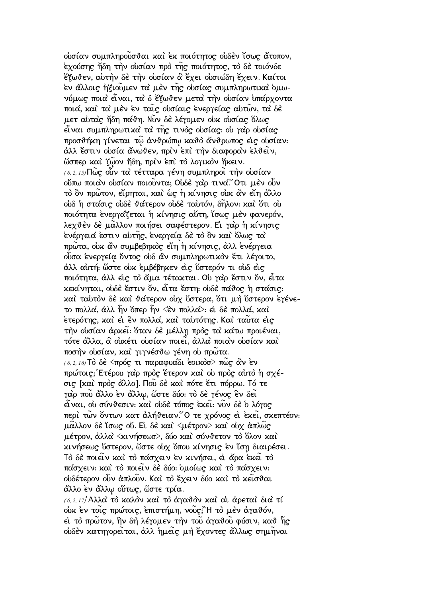ουσίαν συμπληρουσθαι και έκ ποιότητος ουδεν ίσως άτοπον, έχούσης ήδη την ουσίαν πρό της ποιότητος, το δε τοιόνδε έξωθεν, αυτήν δέ την ουσίαν α έχει ουσιώδη έχειν. Καίτοι έν άλλοις ή ζιούμεν τα μέν της ουσίας συμπληρωτικα δμωνύμως ποια είναι, τα δ έζωθεν μετα την ουσίαν υπάρχοντα ποιά, και τα μέν έν ταις ουσίαις ενεργείας αυτών, τα δέ μετ αύτας ήδη πάθη. Νύν δε λέγομεν ούκ ουσίας όλως είναι συμπληρωτικα τα της τινός ουσίας: ου γαρ ουσίας προσθήκη γίνεται τω άνθρώπω καθό άνθρωπος εις ουσίαν: άλλ έστιν ουσία άνωθεν, πριν επι την διαφοραν ελθείν, ώσπερ και ζώον ήδη, πριν επι το λογικον ήκειν.  $(6, 2, 15)$ Πώς ούν τα τέτταρα γένη συμπληροί την ουσίαν ούπω ποιαν ουσίαν ποιούντα; Ουδέ γαρ τινα. Ότι μέν ούν τὸ ὂν πρῶτον, εἴρηται, καὶ ὡς ἡ κίνησις οὐκ ἀν εἴη άλλο ούδ η στάσις ούδε θάτερον ούδε ταυτόν, δηλον: και ότι ου ποιότητα ενεργαζεται η κίνησις αύτη, ίσως μεν φανερόν, λεχθέν δέ μαλλον ποιήσει σαφέστερον. Ει γαρ η κίνησις ένέργεια έστιν αύτης, ενεργεία δε το όν και δλως τα πρώτα, ουκ άν συμβεβηκός είη η κίνησις, άλλ ενέργεια ούσα ενεργεία όντος ουδ άν συμπληρωτικον έτι λέγοιτο, άλλ αυτή: ώστε ουκ εμβέβηκεν εις ύστερόν τι ουδ εις ποιότητα, άλλ είς το άμα τέτακται. Ου γαρ έστιν όν, είτα κεκίνηται, ουδέ έστιν όν, είτα έστη: ουδέ πάθος η στάσις: και ταυτον δε και θατερον ουχ ύστερα, ότι μη ύστερον εγένετο πολλα, άλλ ἦν ὅπερ ἦν <εν πολλα>: ει δε πολλα, και ετερότης, και εί εν πολλά, και ταυτότης. Και ταυτα είς την ουσίαν άρκει: όταν δε μέλλη προς τα κάτω προιέναι, τότε άλλα, δ' ούκέτι ουσίαν ποιει, άλλα ποιαν ουσίαν και ποσην ουσίαν, και γιγνέσθω γένη ου πρώτα. (6, 2, 16) Το δε <πρός τι παραφυαδι εοικοσ> πώς άν εν πρώτοις; Ετέρου γαρ πρός έτερον και ου πρός αυτό η σχέσις [και πρός άλλο]. Που δέ και πότε έτι πόρρω. Τό τε γαρ που άλλο έν άλλω, ώστε δύο: τὸ δὲ γένος εν δεϊ εἶναι, ου σύνθεσιν: και ουδέ τόπος εκει: νύν δε ο λόγος περί των όντων κατ άλήθειαν. Ο τε χρόνος εί εκει, σκεπτέον: μαλλον δε ίσως ού. Ει δε και <μέτρον> και ουχ άπλως μέτρον, άλλα < κινήσεωσ>, δύο και σύνθετον το δλον και κινήσεως ύστερον, ώστε ουχ όπου κίνησις έν Ίση διαιρέσει. Τὸ δὲ ποιεἶν καὶ τὸ πάσχειν ἐν κινήσει, ἐι ἄρα ἐκεἶ τὸ πάσχειν: και το ποιείν δε δύο: δμοίως και το πάσχειν: ουδέτερον ούν άπλουν. Και το έχειν δύο και το κεισθαι άλλο έν άλλω ούτως, ώστε τρία.

(6, 2, 17) Αλλα το καλον και το άγαθον και αι άρεται δια τί ούκ έν τοις πρώτοις, επιστήμη, νους; Η το μεν άγαθόν, ει το πρώτον, ην δη λέγομεν την του άγαθου φύσιν, καθ ής ούδεν κατηγορείται, άλλ ημείς μη έχοντες άλλως σημηναι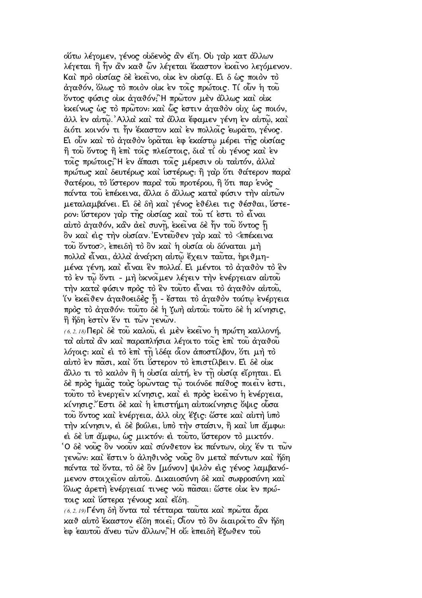ούτω λέγομεν, γένος ουδενός άν είη. Ου γαρ κατ άλλων λέγεται ή ήν άν καθ ὧν λέγεται έκαστον εκείνο λεγόμενον. Και προ ουσίας δε εκείνο, ουκ εν ουσία. Ει δ ώς ποιον το άγαθόν, όλως τὸ ποιὸν οὐκ 'εν τοις πρώτοις. Τί οὖν ἡ του όντος φύσις ουκ άγαθόν; Η πρώτον μεν άλλως και ουκ εκείνως ώς τὸ πρῶτον: καὶ ὧς ἐστιν ἀγαθὸν οὐχ ὡς ποιόν, άλλ έν αυτώ. Αλλα και τα άλλα έφαμεν γένη εν αυτώ, και διότι κοινόν τι ήν έκαστον και εν πολλοις εωράτο, γένος. Ει ούν και το άγαθον δράται εφ εκαστω μέρει της ουσίας ή του όντος ή έπι τοις πλείστοις, δια τι ου γένος και έν τοις πρώτοις; Η έν άπασι τοις μέρεσιν ου ταυτόν, άλλα πρώτως και δευτέρως και υστέρως: ή γαρ ότι θάτερον παρα θατέρου, τὸ ὕστερον παρα τοῦ προτέρου, ἢ ὅτι παρ ενὸς πάντα του επέκεινα, άλλα δ άλλως κατα φύσιν την αυτών μεταλαμβανει. Ει δε δη και γένος εθέλει τις θέσθαι, ύστερον: ύστερον γαρ της ουσίας και του τί έστι το είναι αύτο άγαθόν, κάν άει συνη, εκείνα δε ήν του όντος ή ον και είς την ουσίαν. Εντεύθεν γαρ και το <επέκεινα του όντοσ>, επειδή το όν και η ουσία ου δύναται μή πολλα είναι, άλλα άναγκη αυτώ έχειν ταυτα, ηριθμημένα γένη, και είναι εν πολλα. Ει μέντοι το άγαθον το εν τὸ 'εν τῷ Όντι - μὴ οκνοίμεν λέγειν την 'ενέργειαν αυτού την κατα φύσιν πρός το έν τουτο είναι το άγαθον αυτου, ίν εκειθεν αγαθοειδές ή - έσται το αγαθον τούτω ενέργεια πρός το άγαθόν: τούτο δε ή ζωή αύτου: τούτο δε ή κίνησις, η ήδη έστιν έν τι των γενων.

 $(6, 2, 18)$ Περι δε του καλου, ει μεν εκείνο η πρώτη καλλονή, τα αύτα άν και παραπλήσια λέγοιτο τοις επι του άγαθου λόγοις: και εί το επι τη ιδέα δίον αποστίλβον, ότι μη το αύτο έν πάσι, και ότι ύστερον το επιστίλβειν. Ει δε ούκ άλλο τι τὸ καλὸν ἢ ἡ ουσία αυτή, ἐν τη ουσία εἴρηται. Ει δέ προς ημάς τους δρώντας τω τοιόνδε πάθος ποιείν έστι, τούτο το ενεργείν κίνησις, και εί προς εκείνο η ενέργεια, κίνησις. Έστι δέ και η επιστήμη αυτοκίνησις όψις ούσα του όντος και ενέργεια, άλλ ουχ έξις: ώστε και αυτή υπό την κίνησιν, εί δε βούλει, υπό την στάσιν, ή και υπ άμφω: ει δε υπ άμφω, ως μικτόν: ει τουτο, ύστερον το μικτόν. Ό δὲ νοῦς ὂν νοοῦν καὶ σύνθετον ἐκ πάντων, οὐχ ἕν τι τῶν γενών: και έστιν ο άληθινος νους όν μετα πάντων και ήδη πάντα τα όντα, το δε όν [μόνον] ψιλον εις γένος λαμβανόμενον στοιχείον αύτου. Δικαιοσύνη δε και σωφροσύνη και δλως άρετη ενέργειαί τινες νου πασαι: ώστε ουκ εν πρώτοις και ύστερα γένους και είδη.

 $(6, 2, 19)$  Γένη δη ὄντα τα τέτταρα ταύτα και πρώτα άρα καθ αυτό έκαστον είδη ποιει: Οίον το όν διαιροίτο αν ήδη έφ εαυτου άνευ των άλλων; Η ού: επειδη έξωθεν του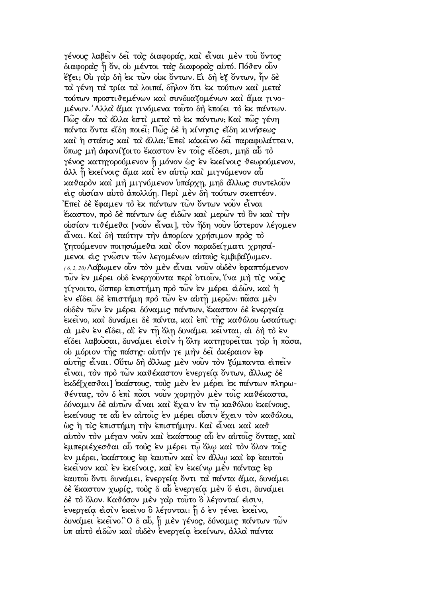γένους λαβείν δεί τας διαφοράς, και είναι μεν του όντος διαφορας ή όν, ου μέντοι τας διαφορας αυτό. Πόθεν ούν έξει: Ου γαρ δη έκ των ουκ όντων. Ει δη εξ όντων, ην δε τα γένη τα τρία τα λοιπά, δηλον ότι εκ τούτων και μετα τούτων προστιθεμένων και συνδυαζομένων και άμα γινομένων. Αλλα άμα γινόμενα τουτο δη εποίει το εκ παντων. Πώς ούν τα άλλα έστι μετα το έκ πάντων; Και πώς γένη πάντα όντα είδη ποιεί; Πώς δε η κίνησις είδη κινήσεως και η στάσις και τα άλλα; Επει κάκεινο δει παραφυλάττειν, δπως μη άφανίζοιτο έκαστον εν τοις είδεσι, μηδ αὖ τὸ γένος κατηγορούμενον ή μόνον ως έν εκείνοις θεωρούμενον, άλλ η εκείνοις άμα και εν αυτώ και μιγνύμενον αύ καθαρόν και μή μιγνύμενον υπάρχη, μηδ άλλως συντελούν εις ουσίαν αυτό άπολλύη. Περι μεν δη τούτων σκεπτέον. Επει δε έφαμεν το εκ πάντων των όντων νουν είναι έκαστον, πρὸ δὲ πάντων ὡς ἐιδῶν καὶ μερῶν τὸ ὂν καὶ τὴν ουσίαν τιθέμεθα [νουν είναι], τον ήδη νουν ύστερον λέγομεν είναι. Και δη ταύτην την άπορίαν χρήσιμον προς το ζητούμενον ποιησώμεθα και οίον παραδείγματι χρησάμενοι είς γνώσιν των λεγομένων αύτους εμβιβαζωμεν.  $(6, 2, 20)$  Λαβωμεν ούν τον μεν είναι νουν ουδεν εφαπτόμενον τών έν μέρει ουδ ενεργούντα περι οτιούν, ίνα μη τις νους γίγνοιτο, ώσπερ επιστήμη πρὸ τῶν εν μέρει ειδῶν, καὶ ἡ έν είδει δε επιστήμη πρὸ τῶν ἐν αὐτῆ μερῶν: πασα μεν ούδεν των εν μέρει δύναμις πάντων, έκαστον δε ενεργεία έκεινο, και δυνάμει δε πάντα, και επι της καθόλου ώσαύτως: αι μέν έν είδει, αι έν τη δλη δυναμει κείνται, αι δη το έν είδει λαβούσαι, δυναμει εισιν η δλη: κατηγορείται γαρ η πάσα, ού μόριον της πάσης: αυτήν γε μήν δεϊ άκέραιον έφ αυτής είναι. Ούτω δη άλλως μεν νουν τον ζύμπαντα ειπείν εἶναι, τον προ τῶν καθέκαστον 'ενεργεία ὄντων, άλλως δε εκδέ[χεσθαι] εκαστους, τους μεν εν μέρει εκ παντων πληρωθέντας, τον δ επι πασι νούν χορηγον μεν τοις καθέκαστα, δύναμιν δε αυτών είναι και έχειν εν τω καθόλου εκείνους, εκείνους τε αὖ εν αυτοις εν μέρει οὖσιν έχειν τον καθόλου, ώς η τις επιστήμη την επιστήμην. Και είναι και καθ αυτόν τον μέγαν νουν και εκάστους αύ εν αυτοις όντας, και έμπεριέχεσθαι αὖ τους έν μέρει τὦ ὅλω και τον ὅλον τοἶς έν μέρει, εκάστους εφ εαυτών και εν άλλω και εφ εαυτου έκεινον και έν εκείνοις, και εν εκείνω μεν πάντας έφ εαυτου όντι δυναμει, ενεργεία όντι τα παντα άμα, δυναμει δε έκαστον χωρίς, τους δ αὖ ενεργεία μεν δ είσι, δυναμει δε το όλον. Καθόσον μεν γαρ τουτο δ λέγονταί είσιν, ένεργεία εισιν εκείνο δ λέγονται: η δ εν γένει εκείνο, δυναμει εκείνο. Ο δ αύ, η μεν γένος, δύναμις παντων των υπ αυτό ειδών και ουδεν ενεργεία εκείνων, άλλα πάντα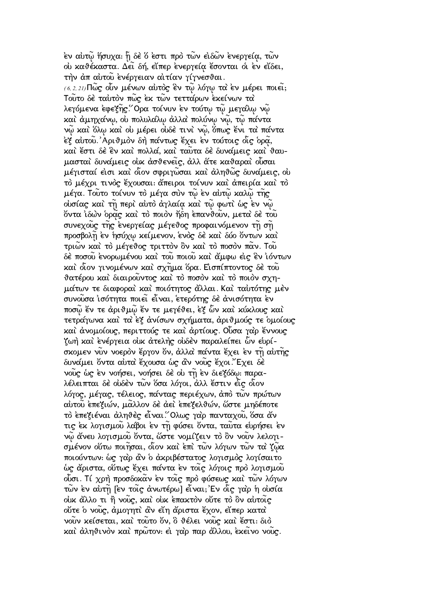εν αυτώ ήσυχα: η δε δ εστι προ των ειδών ενεργεία, των ού καθέκαστα. Δεί δή, είπερ ενεργεία έσονται οι εν είδει, την άπ αύτου ενέργειαν αιτίαν γίγνεσθαι.  $(6, 2, 21)$ Πώς ούν μένων αυτός εν τω λόγω τα εν μέρει ποιεί; Τούτο δε ταύτον πώς έκ των τεττάρων εκείνων τα λεγόμενα έφεξης. Όρα τοίνυν εν τούτω τω μεγάλω νω και άμηχανω, ου πολυλαλω άλλα πολύνω νω, τω παντα νῷ καὶ ὅλῳ καὶ οὐ μέρει οὐδὲ τινὶ νῷ, ὅπως ἔνι τα παντα έξ αυτου. Αριθμον δη παντως έχει εν τούτοις οις δρα, και έστι δε εν και πολλά, και ταυτα δε δυνάμεις και θαυμασται δυναμεις ούκ άσθενεις, άλλ άτε καθαραι ούσαι μέγισταί είσι και δίον σφριγωσαι και άληθως δυνάμεις, ου το μέχρι τινός έχουσαι: άπειροι τοίνυν και άπειρία και το μέγα. Τουτο τοίνυν το μέγα σύν τω εν αυτώ καλώ της ουσίας και τη περι αυτο άγλαία και τω φωτι ως εν νω όντα ιδων δράς και το ποιον ήδη επανθούν, μετα δε του συνεχούς της ενεργείας μέγεθος προφαινόμενον τη ση προσβολη έν ησύχω κείμενον, ενός δε και δύο όντων και τριών και το μέγεθος τριττον όν και το ποσον πάν. Του δε ποσου ενορωμένου και του ποιου και άμφω εις εν ιόντων και οίον γινομένων και σχήμα δρα. Εισπίπτοντος δε του θατέρου και διαιρούντος και το ποσον και το ποιον σχηματων τε διαφοραί και ποιότητος άλλαι. Και ταυτότης μεν συνουσα ισότητα ποιεί είναι, ετερότης δε άνισότητα εν ποσῷ ἔν τε ἀριθμῷ ἔν τε μεγέθει, ἐξ ὧν και κύκλους και τετράγωνα και τα έξ ανίσων σχήματα, αριθμούς τε δμοίους και άνομοίους, περιττούς τε και άρτίους. Ούσα γαρ έννους ζωή και ενέργεια ουκ άτελης ουδεν παραλείπει ὧν ευρίσκομεν νυν νοερον έργον όν, άλλα παντα έχει εν τη αυτής δυναμει όντα αυτα έχουσα ως αν νους έχοι. Έχει δέ νους ως εν νοήσει, νοήσει δε ου τη εν διεξόδω: παραλέλειπται δε σύδεν των όσα λόγοι, άλλ έστιν είς οίον λόγος, μέγας, τέλειος, πάντας περιέχων, άπό των πρώτων αύτου επεξιών, μαλλον δε άει επεξελθών, ώστε μηδέποτε τὸ ἐπεξιέναι ἀληθὲς ἐἶναι. Όλως γαρ πανταχου, ὅσα ἄν τις έκ λογισμού λαβοι έν τη φύσει όντα, ταυτα ευρήσει έν νω άνευ λογισμου όντα, ὥστε νομίζειν τὸ ὂν νουν λελογισμένον ούτω ποιησαι, οίον και επι των λόγων των τα ζωα ποιούντων: ώς γαρ άν ο άκριβέστατος λογισμός λογίσαιτο ώς άριστα, ούτως έχει πάντα εν τοις λόγοις προ λογισμου ούσι. Τί χρη προσδοκαν εν τοις προ φύσεως και των λόγων τῶν ἐν αύτῆ | εν τοις ἀνωτέρω | εἶναι; Ἐν οις γαρ ἡ ουσία ούκ άλλο τι ή νους, και ουκ επακτον ούτε το όν αυτοις ούτε ο νους, άμογητι άν είη άριστα έχον, είπερ κατα νούν κείσεται, και τούτο όν, δ θέλει νούς και έστι: διο και άληθινον και πρώτον: ει γαρ παρ άλλου, εκείνο νους.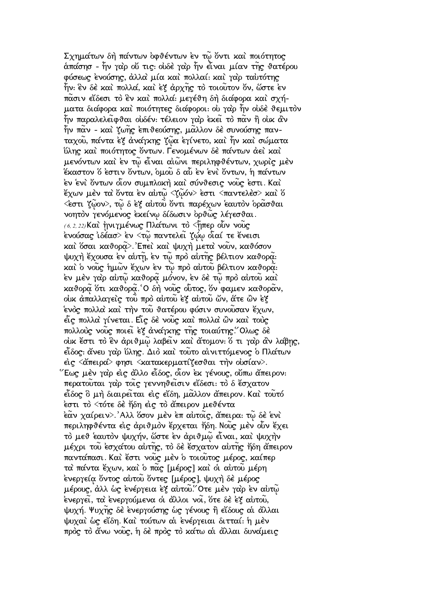Σχημάτων δη πάντων οφθέντων εν τω όντι και ποιότητος άπάσησ - ήν γαρ ού τις: ούδε γαρ ήν είναι μίαν της θατέρου φύσεως ενούσης, άλλα μία και πολλαί: και γαρ ταυτότης ἦν: ἓν δὲ καὶ πολλά, καὶ ἐξ ἀρχῆς τὸ τοιοῦτον ὄν, ὥστε ἐν πασιν είδεσι τὸ ềν και πολλα: μεγέθη δη διαφορα και σχήματα διάφορα και ποιότητες διάφοροι: ου γαρ ήν ουδέ θεμιτον ήν παραλελειφθαι ουδέν: τέλειον γαρ εκει το παν ή ουκ άν ήν παν - και ζωης επιθεούσης, μαλλον δε συνούσης πανταχου, πάντα έξ άνάγκης ζώα εγίνετο, και ήν και σώματα ύλης και ποιότητος όντων. Γενομένων δε πάντων άει και μενόντων και έν τω είναι αιώνι περιληφθέντων, χωρις μεν έκαστον δ έστιν όντων, δμου δ αύ έν ενι όντων, η πάντων έν ενι ὄντων οἷον συμπλοκή και σύνθεσις νους εστι. Και ἔχων μὲν τα` ὄντα ἐν αὐτῷ <ζῷόν> ἐστι <παντελὲσ> και ὅ < εστι ζώον>, τώ δ εξ αύτου όντι παρέχων εαυτον ορασθαι νοητον γενόμενος εκείνω δίδωσιν ορθώς λέγεσθαι. (6, 2, 22) Και ηνιγμένως Πλάτωνι το <ξηπερ ούν νους ενούσας ιδέασ> εν <τῷ παντελεῖ ζώω οἶαί τε ἔνεισι και όσαι καθορά>. Επει και ψυχη μετα νουν, καθόσον ψυχή έχουσα εν αυτή, εν τω πρό αυτής βέλτιον καθορά: και ο νους ημών έχων εν τω προ αυτου βέλτιον καθορα: έν μεν γαρ αυτώ καθορά μόνον, εν δε τώ προ αυτού και καθορα ότι καθορα. Ο δη νους ούτος, όν φαμεν καθοραν, ούκ άπαλλαγείς του πρό αύτου έξ αύτου ών, άτε ών έξ ένός πολλα και την του θατέρου φύσιν συνουσαν έχων, είς πολλα γίνεται. Είς δε νους και πολλα ών και τους πολλούς νους ποιεί έξ άναγκης της τοιαύτης. Όλως δέ ούκ έστι το εν άριθμώ λαβείν και άτομον: δ τι γαρ άν λάβης, εἶδος: άνευ γαρ ὕλης. Διὸ και τουτο αινιττόμενος ὁ Πλατων εις <άπειρά> φησι <κατακερματίζεσθαι την ουσίαν>. Έως μέν γαρ εις άλλο είδος, οίον εκ γένους, ούπω άπειρον: περατούται γαρ τοις γεννηθείσιν είδεσι: το δ έσχατον εἶδος δ μη διαιρεῖται εἰς εἴδη, μαλλον άπειρον. Καὶ τουτό έστι τὸ <τότε δὲ ἤδη ἐις τὸ ἄπειρον μεθέντα 'εαν χαίρειν>.'Αλλ δσον μεν 'επ αυτοις, άπειρα: τῷ δε ενι' περιληφθέντα εις άριθμον έρχεται ήδη. Νους μεν ούν έχει τὸ μεθ εαυτὸν ψυχήν, ὥστε ἐν ἀριθμῳ εἶναι, καὶ ψυχὴν μέχρι του έσχατου αυτής, το δε έσχατον αυτής ήδη άπειρον παντάπασι. Και έστι νους μεν ο τοιουτος μέρος, καίπερ τα πάντα έχων, και ο πας [μέρος] και οι αυτου μέρη ένεργεία ὄντος αύτου ὄντες [μέρος], ψυχη δε μέρος μέρους, άλλ ως ενέργεια εξ αύτου. Ότε μεν γαρ εν αύτω ενεργει, τα ενεργούμενα οι άλλοι νοι, ότε δε εξ αυτου, ψυχή. Ψυχής δε ενεργούσης ως γένους ή είδους αι άλλαι ψυχαί ως είδη. Και τούτων αι ενέργειαι διτταί: η μεν πρὸς τὸ ἄνω νους, ἡ δὲ πρὸς τὸ κατω αι άλλαι δυναμεις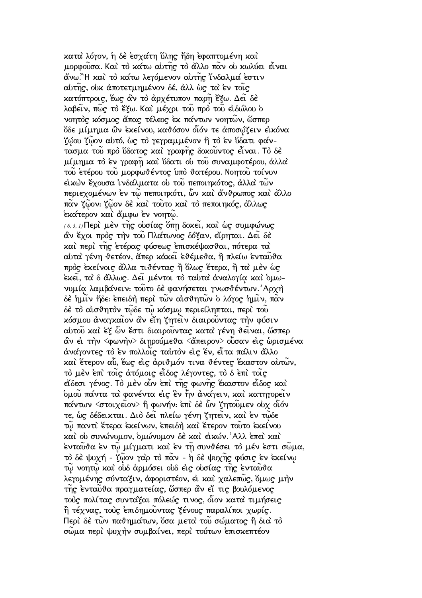κατα λόγον, η δε εσχάτη ύλης ήδη εφαπτομένη και μορφούσα. Και το κάτω αύτης το άλλο παν ου κωλύει είναι άνω."Η και το κάτω λεγόμενον αυτής ζνδαλμά εστιν αύτης, ούκ αποτετμημένον δέ, άλλ ώς τα εν τοις κατόπτροις, έως άν το άρχέτυπον παρη έξω. Δεϊ δε λαβείν, πως τὸ ἔξω. Καὶ μέχρι του πρὸ του ειδώλου δ νοητός κόσμος άπας τέλεος έκ πάντων νοητών, ώσπερ δδε μίμημα ὢν 'εκείνου, καθόσον οἷόν τε άποσώζειν εικόνα ζώου ζώον αυτό, ως το γεγραμμένον ή το έν ύδατι φαντασμα του πρό ύδατος και γραφής δοκουντος είναι. Το δε μίμημα τὸ εν γραφη και ύδατι ου του συναμφοτέρου, άλλα του ετέρου του μορφωθέντος υπό θατέρου. Νοητου τοίνυν εικων έχουσα ινδαλματα ου του πεποιηκότος, άλλα των περιεχομένων έν τώ πεποιηκότι, ὧν και άνθρωπος και άλλο παν ζώον: ζώον δε και τουτο και το πεποιηκός, άλλως εκάτερον και άμφω εν νοητώ.

 $(6, 3, 1)$ Περι μεν της ουσίας όπη δοκει, και ώς συμφώνως άν έχοι πρός την του Πλατωνος δόξαν, είρηται. Δει δέ και περι της ετέρας φύσεως επισκέψασθαι, πότερα τα αύτα γένη θετέον, άπερ κάκει εθέμεθα, ή πλείω ενταυθα πρός εκείνοις άλλα τιθέντας ή όλως έτερα, ή τα μεν ώς εκει, τα δ άλλως. Δει μέντοι το ταύτα αναλογία και δμωνυμία λαμβάνειν: τουτο δε φανήσεται γνωσθέντων. Αρχή δε ημίν ήδε: επειδη περι των αισθητων ο λόγος ημίν, παν δε το αισθητον τωδε τω κόσμω περιείληπται, περί του κόσμου άναγκαίον άν είη ζητείν διαιρούντας την φύσιν αύτου και έξ ὧν έστι διαιρούντας κατα γένη θείναι, ώσπερ άν ει την <φωνην> διηρούμεθα <άπειρον> ούσαν εις ωρισμένα άναγοντες τὸ έν πολλοις ταυτον εις έν, είτα παλιν άλλο και έτερον αύ, έως εις άριθμόν τινα θέντες έκαστον αυτών, τὸ μὲν ἐπὶ τοις ἀτόμοις ἐιδος λέγοντες, τὸ δ ἐπὶ τοις είδεσι γένος. Το μεν ούν επι της φωνης έκαστον είδος και δμού παντα τα φανέντα εις εν ήν αναγειν, και κατηγορείν πάντων <στοιχείον> ή φωνήν: επι δε ὧν ζητούμεν ουχ οἷόν τε, ώς δέδεικται. Διὸ δει πλείω γένη ζητειν, και έν τῷδε τω παντι έτερα εκείνων, επειδή και έτερον τουτο εκείνου καὶ οὐ συνώνυμον, δμώνυμον δὲ καὶ ἐικών. Αλλ ἐπεὶ καὶ ένταΰθα έν τῷ μίγματι καὶ ἐν τῇ συνθέσει τὸ μέν ἐστι σῶμα, τὸ δὲ ψυχή - ζῷον γαρ τὸ παν - ἡ δὲ ψυχῆς φύσις ἐν ἐκείνῳ τω νοητώ και ουδ άρμόσει ουδ εις ουσίας της ενταυθα λεγομένης σύνταξιν, άφοριστέον, ει και χαλεπώς, όμως μήν της ενταύθα πραγματείας, ώσπερ άν εί τις βουλόμενος τούς πολίτας συντάζαι πόλεώς τινος, οίον κατα` τιμήσεις ή τέχνας, τους επιδημούντας ξένους παραλίποι χωρίς. Περι δε των παθηματων, όσα μετα του σώματος ή δια το σώμα περί ψυχήν συμβαίνει, περί τούτων επισκεπτέον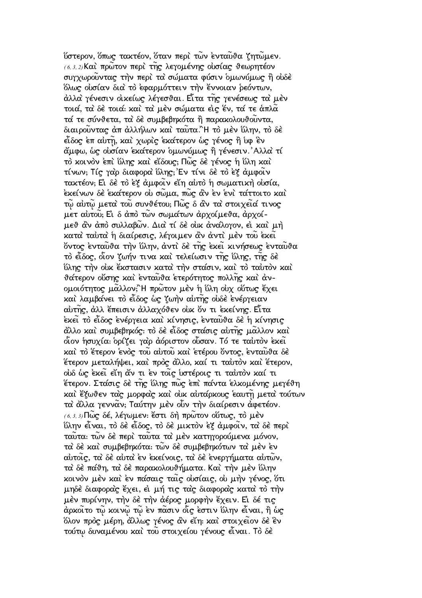ύστερον, όπως τακτέον, όταν περί των ενταυθα ζητώμεν.  $(6, 3, 2)$ Και πρώτον περι της λεγομένης ουσίας θεωρητέον συγχωρούντας την περί τα σώματα φύσιν δμωνύμως ή ουδέ δλως ουσίαν δια το εφαρμόττειν την έννοιαν ρεόντων, άλλα γένεσιν οικείως λέγεσθαι. Είτα της γενέσεως τα μέν τοιά, τα δέ τοιά: και τα μέν σώματα εις έν, τά τε άπλα τα τε σύνθετα, τα δέ συμβεβηκότα ή παρακολουθούντα, διαιρούντας άπ άλλήλων και ταυτα. Η το μεν ύλην, το δε εἶδος επαύτῆ, καὶ χωρὶς εκατερον ὡς γένος ἢ ὑφ ἓν άμφω, ως ουσίαν εκατερον ομωνύμως ή γένεσιν. Αλλα τί τὸ κοινὸν ἐπὶ ὕλης καὶ ἐίδους; Πὦς δὲ γένος ἡ ὕλη καὶ τίνων; Τίς γαρ διαφορα ύλης; Έν τίνι δε το εξ άμφοιν τακτέον; Ει δε το έξ άμφοιν είη αυτο η σωματική ουσία, ,<br>εκείνων δὲ εκατερον οὐ σῶμα, πῶς ἀν ἐν ἑνὶ ταττοιτο καὶ τώ αυτώ μετα του συνθέτου; Πώς δ άν τα στοιχειά τινος μετ αύτου; Ει δ άπό των σωμάτων άρχοίμεθα, άρχοίμεθ άν άπό συλλαβών. Δια τί δε ούκ άναλογον, εί και μή κατα ταυτα η διαίρεσις, λέγοιμεν άν άντι μεν του εκει όντος ενταύθα την ύλην, άντι δε της εκεί κινήσεως ενταύθα τὸ ἐἶδος, οἶον ζωήν τινα καὶ τελείωσιν τῆς ὕλης, τῆς δὲ ύλης την ούκ έκστασιν κατα την στάσιν, και το ταύτον και θάτερον ούσης και ενταυθα ετερότητος πολλης και άνομοιότητος μαλλον; Η πρώτον μεν η ύλη ουχ ούτως έχει και λαμβάνει το είδος ως ζωην αυτής ουδε ενέργειαν αύτης, άλλ έπεισιν άλλαχόθεν ούκ όν τι εκείνης. Είτα έκει το είδος ενέργεια και κίνησις, ενταυθα δε η κίνησις άλλο και συμβεβηκός: το δε είδος στάσις αυτής μαλλον και δίον ησυχία: δρίζει γαρ αόριστον ούσαν. Τό τε ταυτον εκεί και το έτερον ενός του αύτου και ετέρου όντος, ενταυθα δε έτερον μεταλήψει, και πρός άλλο, καί τι ταυτον και έτερον, ούδ ως έκει είη άν τι έν τοις υστέροις τι ταύτον καί τι έτερον. Στάσις δε της ύλης πως επι πάντα ελκομένης μεγέθη και έξωθεν τας μορφας και ούκ αυτάρκους εαυτή μετα τούτων τα άλλα γενναν; Ταύτην μέν ούν την διαίρεσιν άφετέον.  $(6, 3, 3)$ Πὦς δέ, λέγωμεν: έστι δη πρώτον ούτως, τὸ μέν ύλην εἶναι, τὸ δὲ εἶδος, τὸ δὲ μικτὸν ἐξ ἀμφοῖν, τα δὲ περὶ ταυτα: των δέ περι ταυτα τα μέν κατηγορούμενα μόνον, τα δε και συμβεβηκότα: των δε συμβεβηκότων τα μεν εν αύτοις, τα δέ αύτα έν εκείνοις, τα δέ ενεργήματα αύτων, τα` δὲ πάθη, τα` δὲ παρακολουθήματα. Καὶ τὴν μὲν ὕλην κοινόν μέν και έν πάσαις ταις ουσίαις, ου μήν γένος, ότι μηδέ διαφορας έχει, ει μή τις τας διαφορας κατα το την μέν πυρίνην, την δε την άέρος μορφην έχειν. Ει δέ τις άρκοιτο τω κοινώ τω εν πασιν οις εστιν ύλην είναι, ή ώς δλον πρὸς μέρη, ἄλλως γένος ἀν είη: και στοιχείον δε εν τούτω δυναμένου και του στοιχείου γένους είναι. Το δε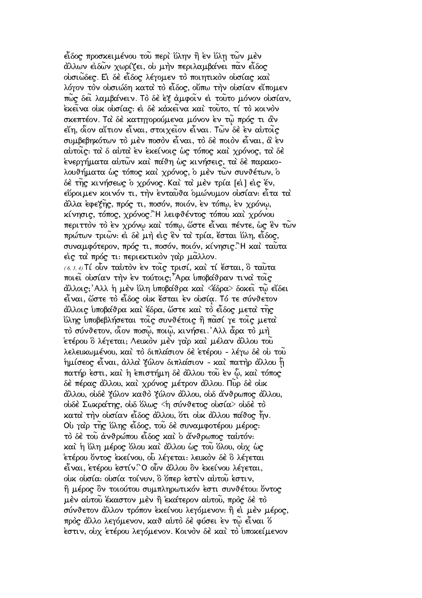εἶδος προσκειμένου του περὶ ὕλην ἢ εν ὕλη των μεν άλλων ειδών χωρίζει, ου μήν περιλαμβάνει παν είδος ουσιώδες. Ει δε είδος λέγομεν το ποιητικον ουσίας και λόγον τον ουσιώδη κατα το είδος, ούπω την ουσίαν είπομεν πώς δει λαμβανειν. Το δε εξ αμφοιν ει τουτο μόνον ουσίαν, έκεινα ουκ ουσίας: ει δε κάκεινα και τουτο, τί το κοινον σκεπτέον. Τα δε κατηγορούμενα μόνον εν τω πρός τι άν είη, δίον αίτιον είναι, στοιχείον είναι. Των δε εν αυτοίς συμβεβηκότων τὸ μèν ποσὸν εἶναι, τὸ δè ποιὸν εἶναι, ὰ 'εν αύτοις: τα δ αύτα έν εκείνοις ως τόπος και χρόνος, τα δέ ένεργήματα αυτῶν και πάθη ὡς κινήσεις, τα δὲ παρακολουθήματα ώς τόπος και χρόνος, ο μεν των συνθέτων, ο δέ της κινήσεως ο χρόνος. Και τα μέν τρία [ει] εις έν, εύροιμεν κοινόν τι, την ενταύθα δμώνυμον ουσίαν: είτα τα άλλα έφεξης, πρός τι, ποσόν, ποιόν, έν τόπω, έν χρόνω, κίνησις, τόπος, χρόνος. Η λειφθέντος τόπου και χρόνου περιττον το έν χρόνω και τόπω, ώστε είναι πέντε, ως εν των πρώτων τριών: εί δε μή είς εν τα τρία, έσται ύλη, είδος, συναμφότερον, πρός τι, ποσόν, ποιόν, κίνησις. Η και ταυτα είς τα πρός τι: περιεκτικόν γαρ μάλλον.

 $(6, 3, 4)$  Τί ούν ταύτον εν τοις τρισί, και τί έσται, δ ταυτα ποιεί ουσίαν την έν τούτοις; Άρα υποβάθραν τινα τοις άλλοις; Αλλ η μεν ύλη υποβαθρα και <έδρα> δοκει τω είδει είναι, ώστε το είδος ούκ έσται εν ουσία. Τό τε σύνθετον άλλοις υποβαθρα και έδρα, ώστε και το είδος μετα της ύλης υποβεβλήσεται τοις συνθέτοις ή πασί γε τοις μετα τὸ σύνθετον, δίον ποσῷ, ποιῷ, κινήσει. Αλλ ἆρα τὸ μὴ ετέρου δ λέγεται; Λευκόν μέν γαρ και μέλαν άλλου του λελευκωμένου, και το διπλασιον δε ετέρου - λέγω δε ου του ήμίσεος είναι, άλλα ζύλον διπλάσιον - και πατήρ άλλου ή πατήρ έστι, και η επιστήμη δε άλλου του εν ω, και τόπος δε πέρας άλλου, και χρόνος μέτρον άλλου. Πυρ δε ουκ άλλου, ουδέ ζύλον καθό ζύλον άλλου, ουδ άνθρωπος άλλου, ουδέ Σωκρατης, ουδ όλως <η σύνθετος ουσία> ουδέ το κατα την ουσίαν είδος άλλου, ότι ουκ άλλου πάθος ήν. Ου γαρ της ύλης είδος, του δε συναμφοτέρου μέρος: τὸ δὲ του ἀνθρώπου ἐίδος και ο άνθρωπος ταυτόν: και η ύλη μέρος όλου και άλλου ώς του όλου, ουχ ώς ετέρου ὄντος 'εκείνου, οὗ λέγεται: λευκὸν δὲ ὃ λέγεται εἶναι, ετέρου 'εστίν. Ο οὖν άλλου ὂν 'εκείνου λέγεται, ούκ ουσία: ουσία τοίνυν, δ όπερ έστιν αυτου έστιν, ή μέρος όν τοιούτου συμπληρωτικόν εστι συνθέτου: όντος μέν αυτου έκαστον μέν ή εκατερον αυτου, πρός δέ το σύνθετον άλλον τρόπον εκείνου λεγόμενον: ή ει μεν μέρος, πρὸς ἄλλο λεγόμενον, καθ αυτὸ δὲ φύσει ἐν τω εἶναι ὅ έστιν, ούχ ετέρου λεγόμενον. Κοινόν δε και το υποκείμενον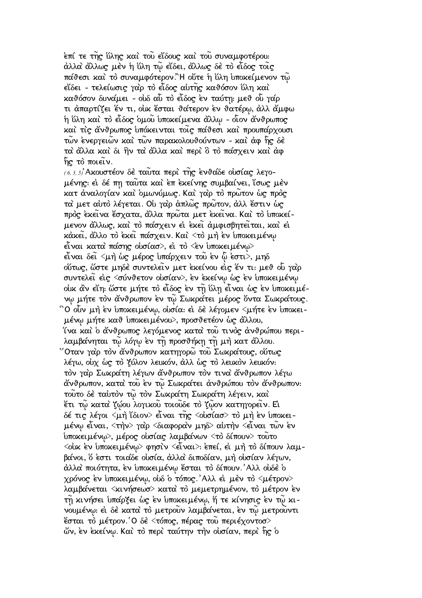επί τε της ύλης και του είδους και του συναμφοτέρου: άλλα άλλως μεν η ύλη τῷ είδει, άλλως δε τὸ εἶδος τοις πάθεσι και το συναμφότερον. Η ούτε η ύλη υποκείμενον τω είδει - τελείωσις γαρ το είδος αυτής καθόσον ύλη και καθόσον δυναμει - ουδ αύ το είδος εν ταύτη: μεθ ού γαρ τι άπαρτίζει έν τι, ούκ έσται θάτερον έν θατέρω, άλλ άμφω η ύλη και το είδος όμου υποκείμενα άλλω - οίον άνθρωπος και τις άνθρωπος υπόκεινται τοις πάθεσι και προυπάρχουσι των ενεργειών και των παρακολουθούντων - και άφ ής δε τα άλλα και δι ην τα άλλα και περι δ το πάσχειν και άφ  $\tilde{\eta}$ ς το ποιείν.

 $(6, 3, 5)$  Ακουστέον δε ταῦτα περί της ενθαδε ουσίας λεγομένης: εί δέ πη ταυτα και επ εκείνης συμβαίνει, ίσως μέν κατ άναλογίαν και δμωνύμως. Και γαρ το πρώτον ως πρός τα μετ αυτό λέγεται. Ου γαρ άπλως πρώτον, άλλ έστιν ώς πρὸς 'εκείνα 'έσχατα, άλλα πρώτα μετ 'εκείνα. Και το υποκείμενον άλλως, και το πάσχειν ει εκει αμφισβητειται, και ει κάκει, άλλο το εκει πάσχειν. Και <το μη εν υποκειμένω είναι κατα πάσης ουσίασ>, ει το <εν υποκειμένω> είναι δεί <μη ώς μέρος υπάρχειν του εν ὧ εστι>, μηδ ούτως, ώστε μηδέ συντελείν μετ εκείνου εις έν τι: μεθ ού γαρ συντελεί εις <σύνθετον ουσίαν>, εν εκείνω ως εν υποκειμένω ούκ άν είη: ὥστε μήτε τὸ εἶδος ἐν τῃ ὕλῃ εἶναι ὡς ἐν ὑποκειμένω μήτε τον άνθρωπον εν τω Σωκράτει μέρος όντα Σωκράτους. Ό οὖν μὴ ἐν ὑποκειμένω, οὐσία: εἰ δὲ λέγομεν <μήτε ἐν ὑποκειμένω μήτε καθ υποκειμένου>, προσθετέον ως άλλου, ίνα και ο άνθρωπος λεγόμενος κατα του τινος ανθρώπου περιλαμβανηται τω λόγω έν τη προσθήκη τη μη κατ άλλου. **Όταν γαρ τον άνθρωπον κατηγορώ του Σωκράτους, ούτως** λέγω, ουχ ως το ξύλον λευκόν, άλλ ως το λευκον λευκόν: τον γαρ Σωκράτη λέγων άνθρωπον τον τινα άνθρωπον λέγω άνθρωπον, κατα του έν τω Σωκράτει ανθρώπου τον άνθρωπον: τούτο δε ταύτον τω τον Σωκράτη Σωκράτη λέγειν, και έτι τῷ κατα ζώου λογικοῦ τοιοῦδε τὸ ζῷον κατηγορεῖν. Ει δέ τις λέγοι <μή (διον> εἶναι της <ουσίασ> το μή έν υποκειμένω είναι, <την> γαρ <διαφοραν μηδ> αύτην <είναι των εν υποκειμένω>, μέρος ουσίας λαμβάνων <το δίπουν> τουτο < ούκ εν υποκειμένω φησιν < εἶναι >: επεί, εί μη το δίπουν λαμβανοι, δ' εστι τοιαδε ουσία, άλλα διποδίαν, μη ουσίαν λέγων, άλλα ποιότητα, εν υποκειμένω έσται το δίπουν. Αλλ ουδε ο χρόνος εν υποκειμένω, ουδ ο τόπος. Αλλ ει μεν το <μέτρον> λαμβανεται < κινήσεωσ> κατα το μεμετρημένον, το μέτρον εν τη κινήσει υπάρξει ως έν υποκειμένω, ή τε κίνησις έν τω κινουμένω: ει δε κατα το μετρούν λαμβανεται, εν τω μετρούντι έσται τὸ μέτρον. Ο δε <τόπος, πέρας του περιέχοντοσ> ών, εν εκείνω. Καὶ τὸ περὶ ταύτην τὴν οὐσίαν, περὶ ἡς ὁ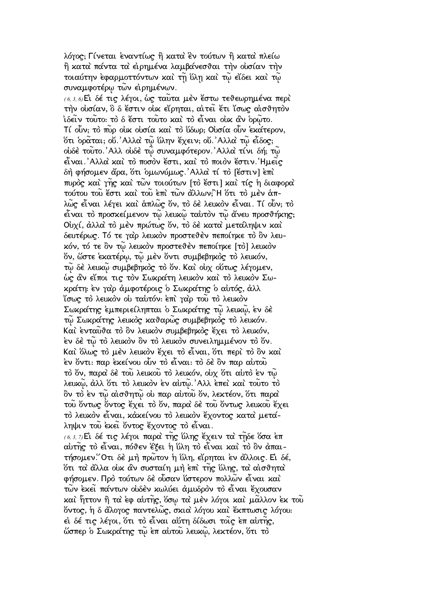λόγος; Γίνεται 'εναντίως ή κατα εν τούτων ή κατα πλείω ή κατα πάντα τα είρημένα λαμβάνεσθαι την ουσίαν την τοιαύτην εφαρμοττόντων και τη ύλη και τω είδει και τω συναμφοτέρω των ειρημένων.

 $(6, 3, 6)$ Ει δέ τις λέγοι, ως ταυτα μέν έστω τεθεωρημένα περι την ουσίαν, δ δ έστιν ουκ είρηται, αιτει έτι ίσως αισθητον ίδειν τουτο: τὸ δ ἔστι τουτο καὶ τὸ εἶναι οὐκ ἀν ὁρῷτο. Τί οὖν; τὸ πυρ οὐκ οὐσία καὶ τὸ ὕδωρ; Οὐσία οὖν εκατερον, δτι δράται; οὔ. Αλλα τῷ ὕλην ἔχειν; οὔ. Αλλα τῷ εἶδος; ούδε τουτο. Αλλ ούδε τω συναμφότερον. Αλλα τίνι δή; τω εἶναι.'Αλλα και το ποσον έστι, και το ποιον έστιν. Ημείς δη φήσομεν άρα, ότι δμωνύμως. Αλλα τί το [έστιν] επι πυρός και γης και των τοιούτων [το έστι] και τίς η διαφορα τούτου του έστι και του επι των άλλων, Η ότι το μεν άπλώς είναι λέγει και άπλώς όν, το δε λευκον είναι. Τί ούν; το είναι το προσκείμενον τω λευκώ ταύτον τω άνευ προσθήκης; Ουχί, άλλα το μεν πρώτως όν, το δε κατα μετάληψιν και δευτέρως. Τό τε γαρ λευκόν προστεθεν πεποίηκε το όν λευκόν, τό τε όν τώ λευκόν προστεθέν πεποίηκε [το ]λευκόν όν, ώστε εκατέρω, τω μεν όντι συμβεβηκός το λευκόν, τώ δε λευκώ συμβεβηκός το όν. Και ούχ ούτως λέγομεν, ώς άν είποι τις τον Σωκράτη λευκον και το λευκον Σωκράτη: εν γαρ άμφοτέροις ο Σωκράτης ο αυτός, άλλ ἴσως τὸ λευκὸν οὐ ταὐτόν: ἐπὶ γαρ τοῦ τὸ λευκὸν Σωκράτης εμπεριείληπται ο Σωκράτης τω λευκώ, έν δέ τώ Σωκράτης λευκός καθαρώς συμβεβηκός το λευκόν. Και ενταύθα το όν λευκον συμβεβηκος έχει το λευκόν, έν δε τῷ τὸ λευκὸν ὂν τὸ λευκὸν συνειλημμένον τὸ ὄν. Καὶ ὅλως τὸ μὲν λευκὸν ἔχει τὸ ἐἶναι, ὅτι περὶ τὸ ὂν καὶ έν ὄντι: παρ εκείνου οὖν τὸ εἶναι: τὸ δὲ ὂν παρ αὐτοῦ τὸ ὄν, παρα δέ του λευκου τὸ λευκόν, ουχ ὅτι αυτὸ ἐν τῷ λευκώ, άλλ ότι τὸ λευκὸν 'εν αὐτώ. Αλλ 'επει και τουτο τὸ ον το εν τω αισθητω ου παρ αυτου όν, λεκτέον, ότι παρα του όντως όντος έχει το όν, παρα δε του όντως λευκου έχει τὸ λευκὸν εἶναι, κάκείνου τὸ λευκὸν ἔχοντος κατα μετάληψιν του εκει όντος έχοντος το είναι.

(6, 3, 7) Ει δέ τις λέγοι παρα της ύλης έχειν τα τηδε όσα έπ αύτης το είναι, πόθεν έξει η ύλη το είναι και το όν άπαιτήσομεν. Ότι δε μη πρώτον η ύλη, είρηται εν άλλοις. Ει δέ, ότι τα άλλα ουκ άν συσταίη μη επι της ύλης, τα αισθητα φήσομεν. Πρὸ τούτων δε οὖσαν ὕστερον πολλων εἶναι και των έκει πάντων ουδέν κωλύει άμυδρον το είναι έχουσαν και ήττον ή τα έφ αυτής, όσω τα μεν λόγοι και μάλλον εκ του όντος, η δ άλογος παντελώς, σκια λόγου και έκπτωσις λόγου: ει δέ τις λέγοι, ότι το είναι αύτη δίδωσι τοις επ αυτής, ώσπερ ο Σωκράτης τῷ επ αυτού λευκῷ, λεκτέον, ότι τὸ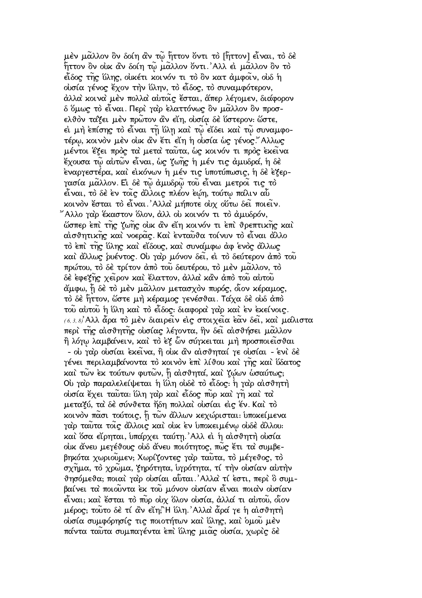μέν μαλλον ὂν δοίη ἀν τῷ ἧττον ὄντι τὸ [ἧττον] εἶναι, τὸ δὲ ήττον ὂν οὐκ ἀν δοίη τῷ μᾶλλον ὄντι. Αλλ εἰ μᾶλλον ὂν τὸ είδος της ύλης, ούκέτι κοινόν τι το όν κατ άμφοιν, ούδ ή ουσία γένος έχον την ύλην, το είδος, το συναμφότερον, άλλα κοινα μέν πολλα αύτοις έσται, άπερ λέγομεν, διαφορον δ όμως τὸ ἐἶναι. Περὶ γαρ ελαττόνως ὂν μαλλον ὂν προσελθόν ταξει μεν πρώτον άν είη, ουσία δε ύστερον: ώστε, ει μη επίσης το είναι τη ύλη και τω είδει και τω συναμφοτέρω, κοινόν μέν ούκ άν έτι είη η ούσία ως γένος. Αλλως μέντοι έξει πρός τα μετα ταυτα, ως κοινόν τι πρός εκείνα έχουσα τῷ αὐτῶν ἐἶναι, ὡς ζωῆς ἡ μέν τις ἀμυδρα, ἡ δè έναργεστέρα, και εικόνων η μέν τις υποτύπωσις, η δε εξεργασία μαλλον. Ει δε τω άμυδρω του είναι μετροί τις το εἶναι, τὸ δὲ ἐν τοις ἀλλοις πλέον ἐψη, τούτψ παλιν αὖ κοινόν έσται το είναι. Αλλα μήποτε ούχ ούτω δει ποιείν. "Αλλο γαρ έκαστον δλον, άλλ ου κοινόν τι το άμυδρόν, ώσπερ επι της ζωής ούκ άν είη κοινόν τι επι θρεπτικής και αισθητικής και νοεράς. Και ενταύθα τοίνυν το είναι άλλο τὸ ἐπὶ της ΰλης καὶ ἐίδους, καὶ συνάμφω ἀφ Ένὸς ἄλλως και άλλως ρυέντος. Ου γαρ μόνον δει, ει το δεύτερον άπο του πρώτου, τὸ δὲ τρίτον ἀπὸ τοῦ δευτέρου, τὸ μεν μαλλον, τὸ δε εφετής χείρον και έλαττον, άλλα κάν άπο του αυτου άμφω, ή δε το μεν μαλλον μετασχον πυρός, δίον κέραμος, τὸ δε ηττον, ὥστε μή κέραμος γενέσθαι. Τάχα δε ουδ άπο του αύτου η ύλη και το είδος: διαφορα γαρ και εν εκείνοις.  $(6, 3, 8)$  Αλλ άρα το μεν διαιρείν είς στοιχεία εάν δεί, και μαλιστα περι της αισθητης ουσίας λέγοντα, ην δει αισθήσει μάλλον ή λόγω λαμβανειν, και το εξ ὧν σύγκειται μη προσποιεισθαι - ου γαρ ουσίαι 'εκείνα, ή ουκ άν αισθηταί γε ουσίαι - ενι δε γένει περιλαμβάνοντα το κοινον επι λίθου και γης και ύδατος και των εκ τούτων φυτών, η αισθητα, και ζώων ωσαύτως; Ου γαρ παραλελείψεται η ύλη ουδέ το είδος: η γαρ αισθητη ουσία έχει ταυτα: ύλη γαρ και είδος πυρ και γη και τα μεταξύ, τα δέ σύνθετα ήδη πολλαι ουσίαι εις έν. Και το κοινόν πάσι τούτοις, ή των άλλων κεχώρισται: υποκείμενα γαρ ταυτα τοις άλλοις και ούκ εν υποκειμένω ουδε άλλου: καὶ ὅσα ἐἴρηται, ὑπάρχει ταύτη. Ἀλλ ἐι ἡ αισθητὴ οὐσία ούκ άνευ μεγέθους ούδ άνευ ποιότητος, πως έτι τα συμβεβηκότα χωριούμεν; Χωρίζοντες γαρ ταυτα, το μέγεθος, το σχημα, τὸ χρώμα, ξηρότητα, υγρότητα, τί την ουσίαν αυτην θησόμεθα; ποιαι γαρ ουσίαι αύται. Αλλα τί εστι, περι δ συμβαίνει τα ποιούντα έκ του μόνον ουσίαν είναι ποιαν ουσίαν εἶναι; και 'έσται το πυρ ουχ 'όλον ουσία, άλλα τι αυτου, οίον μέρος; τούτο δε τί άν είη; Η ύλη. Αλλα άρα γε η αισθητη ούσία συμφόρησίς τις ποιοτήτων και ύλης, και όμου μέν πάντα ταύτα συμπαγέντα επι ύλης μιας ουσία, χωρις δε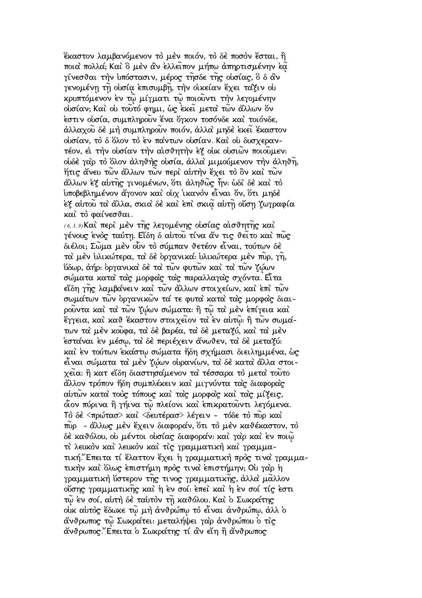έκαστον λαμβανόμενον τὸ μὲν ποιόν, τὸ δὲ ποσὸν ἔσται, ἢ ποια πολλα; Και δ μεν άν ελλειπον μήπω απηρτισμένην εα γίνεσθαι την υπόστασιν, μέρος τησδε της ουσίας, δ δ άν γενομένη τη ουσία επισυμβη, την οικείαν έχει ταζιν ου κρυπτόμενον έν τώ μίγματι τώ ποιούντι την λεγομένην ουσίαν; Και ου τουτό φημι, ως εκει μετα των άλλων όν εστιν ουσία, συμπληρουν ένα όγκον τοσόνδε και τοιόνδε, άλλαχου δέ μή συμπληρουν ποιόν, άλλα μηδέ εκει έκαστον ουσίαν, τὸ δ Όλον τὸ 'εν πάντων ουσίαν. Και ου δυσχεραντέον, ει την ουσίαν την αισθητην εξ ουκ ουσιών ποιούμεν: ούδε γαρ το όλον άληθης ουσία, άλλα μιμούμενον την άληθη, ήτις άνευ των άλλων των περί αυτήν έχει το όν και των άλλων εε αυτής γινομένων, ότι άληθως ήν: ωδι δε και το υποβεβλημένον άγονον και ουχ ικανον είναι όν, ότι μηδε ε ζαυτου τα άλλα, σκια δε και επι σκια αυτη ούση ζωγραφία και το φαίνεσθαι.

(6, 3, 9) Και περι μέν της λεγομένης ουσίας αισθητής και γένους ενός ταύτη. Είδη δ αύτου τίνα άν τις θείτο και πώς διέλοι; Σώμα μέν οὖν τὸ σύμπαν θετέον εἶναι, τούτων δέ τα μεν υλικώτερα, τα δε οργανικα: υλικώτερα μεν πυρ, γη, ύδωρ, άήρ: οργανικα δε τα των φυτών και τα των ζώων σώματα κατα τας μορφας τας παραλλαγας σχόντα. Είτα είδη γης λαμβάνειν και των άλλων στοιχείων, και επι των σωμάτων των οργανικών τα τε φυτα κατα τας μορφας διαιρούντα και τα των ζώων σώματα: ή τω τα μεν επίγεια και έγγεια, και καθ έκαστον στοιχείον τα έν αυτώ: ή των σωμάτων τα μέν κούφα, τα δέ βαρέα, τα δέ μεταξύ, και τα μέν έστάναι έν μέσω, τα δε περιέχειν άνωθεν, τα δε μεταξύ: και εν τούτων εκαστω σώματα ήδη σχήμασι διειλημμένα, ως εἶναι σώματα τα μεν ζώων ουρανίων, τα δε κατα άλλα στοιχεία: ή κατ είδη διαστησάμενον τα τέσσαρα το μετα τουτο άλλον τρόπον ήδη συμπλέκειν και μιγνύντα τας διαφορας αύτων κατα τούς τόπους και τας μορφας και τας μίξεις, οίον πύρινα ή γήινα τω πλείονι και επικρατούντι λεγόμενα. Τὸ δὲ <πρώτασ> και <δευτέρασ> λέγειν - τόδε τὸ πύρ και πύρ - άλλως μέν έχειν διαφοραν, ότι το μέν καθέκαστον, το δε καθόλου, ου μέντοι ουσίας διαφοράν: και γαρ και εν ποιω τι λευκόν και λευκόν και τις γραμματική και γραμματική. Επειτα τί έλαττον έχει η γραμματική πρός τινα γραμματικήν καὶ ὅλως ἐπιστήμη πρὸς τινα ἐπιστήμην; Οὐ γαρ ἡ γραμματική ύστερον της τινος γραμματικής, άλλα μαλλον ούσης γραμματικής και ή έν σοί: έπει και ή έν σοί τίς έστι τω εν σοί, αυτή δε ταυτον τη καθόλου. Και ο Σωκράτης ούκ αυτός έδωκε τω μή άνθρώπω το είναι άνθρώπω, άλλ δ άνθρωπος τω Σωκράτει: μεταλήψει γαρ ανθρώπου ο τις άνθρωπος. Επειτα ο Σωκράτης τί άν είη ή άνθρωπος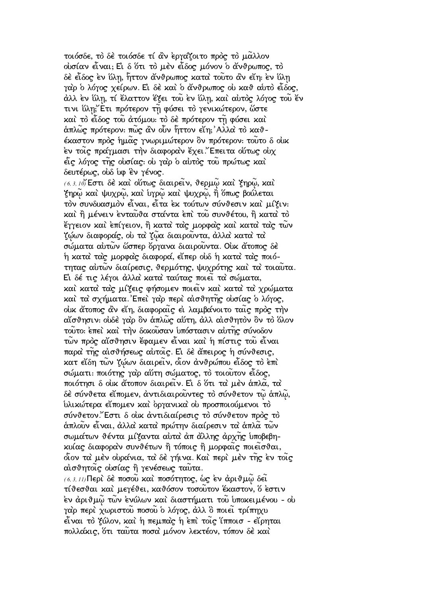τοιόσδε, τὸ δὲ τοιόσδε τί ἀν ἐργαῖοιτο πρὸς τὸ μαλλον ουσίαν είναι; Ει δ ότι το μεν είδος μόνον ο άνθρωπος, το δε είδος εν ύλη, ήττον άνθρωπος κατα τουτο άν είη: εν ύλη γαρ ο λόγος χείρων. Ει δε και ο άνθρωπος ου καθ αυτο είδος, άλλ έν ύλη, τί έλαττον έξει του έν ύλη, και αυτος λόγος του έν τινι ύλη; Έτι πρότερον τη φύσει το γενικώτερον, ώστε και το είδος του άτόμου: το δε πρότερον τη φύσει και άπλώς πρότερον: πως άν οὖν ἧττον εἴη; Αλλα τὸ καθέκαστον πρὸς ημάς γνωριμώτερον ὂν πρότερον: τούτο δ ούκ έν τοις πράγμασι την διαφοραν έχει. Επειτα ούτως ουχ είς λόγος της ουσίας: ου γαρ ο αυτός του πρώτως και δευτέρως, ουδ υφ εν γένος.

 $(6, 3, 10)$  Εστι δέ και ούτως διαιρείν, θερμώ και ξηρώ, και ξηρώ και ψυχρώ, και υγρώ και ψυχρώ, ή όπως βούλεται τον συνδυασμον είναι, είτα εκ τούτων σύνθεσιν και μίζιν: και ή μένειν ενταύθα στάντα επι του συνθέτου, ή κατα το ἔγγειον καὶ ἐπίγειον, ἢ κατὰ τὰς μορφὰς καὶ κατὰ τὰς τὧν ζώων διαφοράς, ου τα ζώα διαιρούντα, άλλα κατα τα σώματα αυτών ώσπερ όργανα διαιρούντα. Ουκ άτοπος δέ η κατα τας μορφας διαφορα, είπερ ουδ η κατα τας ποιότητας αυτών διαίρεσις, θερμότης, ψυχρότης και τα τοιαυτα. Ει δέ τις λέγοι άλλα κατα ταύτας ποιεί τα σώματα, και κατα τας μίζεις φήσομεν ποιείν και κατα τα χρώματα και τα σχήματα. Επει γαρ περι αισθητής ουσίας ο λόγος, ούκ άτοπος άν είη, διαφοραίς ει λαμβανοιτο ταις πρός την αΐσθησιν: ούδέ γαρ όν άπλως αύτη, άλλ αισθητον όν το όλον τούτο: επεί και την δοκούσαν υπόστασιν αυτής σύνοδον τῶν πρὸς αἴσθησιν ἔφαμεν εἶναι καὶ ἡ πίστις τοῦ εἶναι παρα της αισθήσεως αυτοίς. Ει δε άπειρος η σύνθεσις, κατ είδη των ζώων διαιρείν, δίον ανθρώπου είδος το επι σώματι: ποιότης γαρ αύτη σώματος, το τοιούτον είδος, ποιότησι δ ούκ άτοπον διαιρείν. Ει δ ότι τα μεν άπλα, τα δέ σύνθετα είπομεν, άντιδιαιρούντες το σύνθετον τω άπλω, υλικώτερα είπομεν και οργανικα ου προσποιούμενοι το σύνθετον. Έστι δ ούκ άντιδιαίρεσις το σύνθετον προς το άπλουν είναι, άλλα κατα πρώτην διαίρεσιν τα άπλα των σωμάτων θέντα μίζαντα αυτα άπ άλλης άρχης υποβεβηκυίας διαφοραν συνθέτων ή τόποις ή μορφαίς ποιείσθαι, δίον τα μέν ουρανια, τα δέ γήινα. Και περι μέν της έν τοις αισθητοις ουσίας ή γενέσεως ταυτα.

(6, 3, 11) Περι δε ποσού και ποσότητος, ως εν άριθμω δει τίθεσθαι και μεγέθει, καθόσον τοσούτον έκαστον, δ'εστιν έν ἀριθμῳ των ἐνύλων καὶ διαστήματι του ὑποκειμένου - ου γαρ περί χωριστού ποσού ο λόγος, άλλ δ ποιεί τρίπηχυ εἶναι τὸ ξύλον, και ἡ πεμπας ἡ ἐπι τοις ἵπποισ - εἴρηται πολλάκις, ότι ταυτα ποσα μόνον λεκτέον, τόπον δε και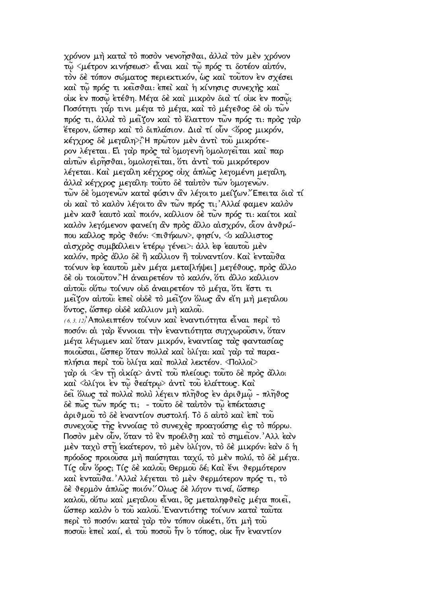χρόνον μή κατα το ποσον νενοησθαι, άλλα τον μεν χρόνον τώ <μέτρον κινήσεωσ> είναι και τώ πρός τι δοτέον αυτόν, τον δε τόπον σώματος περιεκτικόν, ως και τουτον εν σχέσει και τω πρός τι κεισθαι: επει και η κίνησις συνεχης και ούκ έν ποσῷ έτέθη. Μέγα δε και μικρον δια τί ουκ εν ποσῷ; Ποσότητι γάρ τινι μέγα τὸ μέγα, καὶ τὸ μέγεθος δὲ ου των πρός τι, άλλα το μείζον και το έλαττον των πρός τι: προς γαρ έτερον, ώσπερ και το διπλασιον. Δια τί ούν <όρος μικρόν, κέγχρος δε μεγάλη>; Η πρώτον μεν άντι του μικρότερον λέγεται. Ει γαρ πρός τα δμογενή δμολογείται και παρ αύτων ειρησθαι, δμολογείται, ότι άντι του μικρότερον λέγεται. Και μεγάλη κέγχρος ουχ απλώς λεγομένη μεγάλη, άλλα κέγχρος μεγάλη: τούτο δε ταύτον των δμογενών. τῶν δὲ δμογενῶν κατα φύσιν ἀν λέγοιτο μείζων. Επειτα δια τί ού και το καλον λέγοιτο άν των πρός τι; Αλλα φαμεν καλον μέν καθ έαυτό και ποιόν, καλλιον δέ των πρός τι: καίτοι και καλόν λεγόμενον φανείη άν πρός άλλο αισχρόν, όιον ανθρώπου καλλος πρός θεόν: <πιθήκων>, φησίν, <ο καλλιστος αισχρός συμβαλλειν ετέρω γένει>: άλλ 'εφ 'εαυτού μέν καλόν, πρὸς άλλο δε ή καλλιον ή τουναντίον. Και ενταύθα τοίνυν 'εφ 'εαυτού μεν μέγα μετα[λήψει] μεγέθους, προς άλλο δέ ου τοιούτον. Η άναιρετέον το καλόν, ότι άλλο καλλιον αύτου: ούτω τοίνυν ουδ άναιρετέον το μέγα, ότι έστι τι μει (ον αύτου: επει ουδε το μει (ον όλως άν είη μη μεγαλου όντος, ώσπερ ουδέ καλλιον μή καλου.

 $(6, 3, 12)$  Απολειπτέον τοίνυν και εναντιότητα είναι περι το ποσόν: αι γαρ έννοιαι την εναντιότητα συγχωρούσιν, όταν μέγα λέγωμεν και όταν μικρόν, εναντίας τας φαντασίας ποιούσαι, ώσπερ όταν πολλα και ολίγα: και γαρ τα παραπλήσια περί του ολίγα και πολλα λεκτέον. «Πολλοι» γαρ οι <εν τη οικία> άντι του πλείους: τουτο δε προς άλλο: και <ολίγοι εν τώ θεάτρω> άντι του ελάττους. Και δει όλως τα πολλα πολύ λέγειν πληθος εν άριθμώ - πληθος δε πως των πρός τι; - τουτο δε ταυτον τω επέκτασις άριθμου το δε εναντίον συστολή. Το δ αύτο και επι του συνεχους της εννοίας το συνεχές προαγούσης είς το πόρρω. Ποσὸν μεν οἶν, ὅταν τὸ εν προέλθη και τὸ σημεϊον. Αλλ ἐαν μέν ταχύ στη εκάτερον, το μέν ολίγον, το δε μικρόν: εαν δή πρόοδος προιούσα μή παύσηται ταχύ, τὸ μèν πολύ, τὸ δè μέγα. Τίς ούν δρος; Τίς δε καλου; Θερμου δέ; Και ένι θερμότερον και ενταύθα. Αλλα λέγεται το μεν θερμότερον πρός τι, το δε θερμον άπλως ποιόν. Όλως δε λόγον τινα, ώσπερ καλου, ούτω και μεγαλου είναι, δς μεταληφθείς μέγα ποιεί, ώσπερ καλόν ο του καλού. Εναντιότης τοίνυν κατα ταυτα περί τὸ ποσόν: κατα γαρ τὸν τόπον οὐκέτι, ὅτι μή του ποσου: επει καί, ει του ποσου ήν ο τόπος, ουκ ήν εναντίον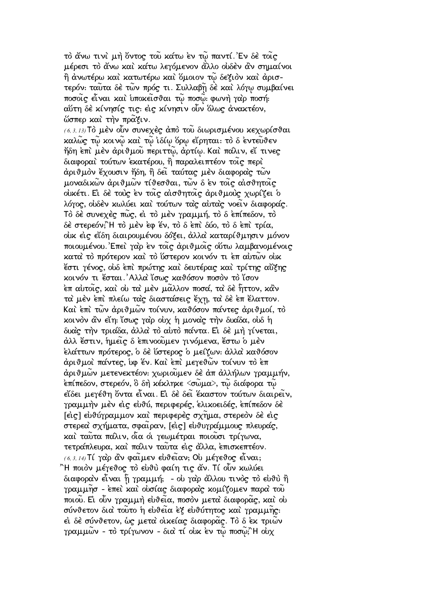τὸ ἄνω τινι μη ὄντος του κατω εν τω παντί. Εν δε τοις μέρεσι τὸ ἄνω και κάτω λεγόμενον ἄλλο οὐδεν ἀν σημαίνοι ἢ ἀνωτέρω καὶ κατωτέρω καὶ ὅμοιον τῷ δεξιὸν καὶ ἀριστερόν: ταυτα δε των πρός τι. Συλλαβη δε και λόγω συμβαίνει ποσοις είναι και υποκεισθαι τω ποσω: φωνή γαρ ποσή: αύτη δε κίνησίς τις: εις κίνησιν ούν όλως άνακτέον, ώσπερ και την πραξιν.

(6, 3, 13) Το μεν ούν συνεχες άπο του διωρισμένου κεχωρίσθαι καλώς τω κοινώ και τω ιδίω δρω είρηται: το δ εντεύθεν ήδη επι μεν αριθμού περιττώ, αρτίω. Και παλιν, εί τινες διαφοραί τούτων εκατέρου, ή παραλειπτέον τοις περί άριθμον έχουσιν ήδη, ή δει ταύτας μεν διαφορας των μοναδικών άριθμών τίθεσθαι, τών δ΄ εν τοις αισθητοις ούκέτι. Ει δε τούς έν τοις αισθητοις άριθμούς χωρίζει δ λόγος, ουδέν κωλύει και τούτων τας αυτας νοείν διαφοράς. Τὸ δὲ συνεχὲς πώς, ει τὸ μεν γραμμή, τὸ δ ἐπίπεδον, τὸ δέ στερεόν; Η τὸ μεν εφ έν, τὸ δ ἐπὶ δύο, τὸ δ ἐπὶ τρία, ούκ εις είδη διαιρουμένου δόξει, άλλα καταρίθμησιν μόνον ποιουμένου. Έπει γαρ εν τοις άριθμοις ούτω λαμβανομένοις κατα το πρότερον και το ύστερον κοινόν τι επ αυτών ουκ έστι γένος, ουδ επι πρώτης και δευτέρας και τρίτης αύξης κοινόν τι έσται. Αλλα ίσως καθόσον ποσον το ίσον επ αυτοίς, και ου τα μεν μαλλον ποσά, τα δε ήττον, κάν τα μέν επι πλείω τας διαστάσεις έχη, τα δε επ έλαττον. Και επι των άριθμων τοίνυν, καθόσον πάντες άριθμοί, το κοινόν άν είη: ίσως γαρ ούχ η μονας την δυάδα, ουδ η δυας την τριαδα, άλλα το αύτο παντα. Ει δε μη γίνεται, άλλ έστιν, ημείς δ επινοούμεν γινόμενα, έστω ο μέν έλαττων πρότερος, ο δε ύστερος ο μείζων: άλλα καθόσον άριθμοί πάντες, υφ έν. Καί επί μεγεθών τοίνυν το έπ άριθμών μετενεκτέον: χωριούμεν δε άπ άλλήλων γραμμήν, 'επίπεδον, στερεόν, δ δη κέκληκε <σώμα>, τω διάφορα τω είδει μεγέθη όντα είναι. Ει δε δει έκαστον τούτων διαιρείν, γραμμήν μέν είς εύθύ, περιφερές, ελικοειδές, επίπεδον δέ [είς] ευθύγραμμον και περιφερές σχημα, στερεόν δε είς στερεα σχήματα, σφαίραν, [εις] ευθυγράμμους πλευράς, και ταυτα πάλιν, οία οι γεωμέτραι ποιουσι τρίγωνα, τετράπλευρα, και πάλιν ταυτα είς άλλα, επισκεπτέον.  $(6, 3, 14)$  Τί γαρ άν φαΐμεν ευθεΐαν; Ου μέγεθος εἶναι; "Η ποιὸν μέγεθος τὸ εὐθὺ φαίη τις ἄν. Τί οὖν κωλύει διαφοραν είναι ή γραμμή; - ου γαρ άλλου τινός το ευθύ ή γραμμήσ - επεί και ουσίας διαφορας κομίζομεν παρα του ποιου. Ει ούν γραμμή εύθεια, ποσον μετα διαφορας, και ου σύνθετον δια τουτο η εύθεια εξ εύθύτητος και γραμμής: ει δε σύνθετον, ως μετα οικείας διαφοράς. Το δ εκ τριών γραμμών - το τρίγωνον - δια τί ούκ εν τώ ποσώ; Η ούχ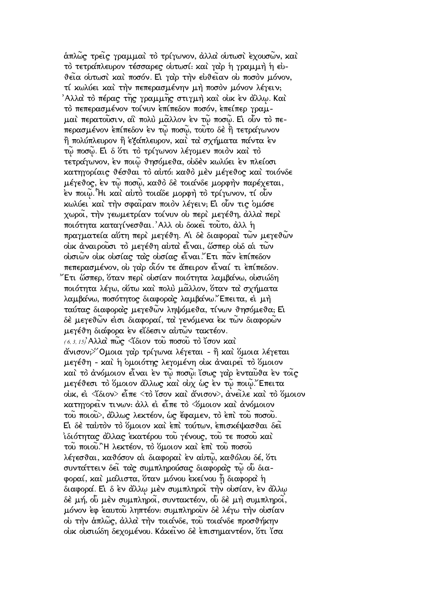άπλώς τρείς γραμμαί το τρίγωνον, άλλα ούτωσι εχουσών, και τὸ τετράπλευρον τέσσαρες ουτωσί: και γαρ η γραμμή η ευθεία ούτωσι και ποσόν. Ει γαρ την εύθειαν ου ποσον μόνον, τί κωλύει και την πεπερασμένην μη ποσον μόνον λέγειν; 'Αλλα το πέρας της γραμμης στιγμη και ούκ εν άλλω. Και τὸ πεπερασμένον τοίνυν ἐπίπεδον ποσόν, ἐπείπερ γραμμαι περατούσιν, αι πολύ μαλλον εν τω ποσω. Ει ούν το πεπερασμένον επίπεδον εν τω ποσω, τουτο δε ή τετραγωνον ή πολύπλευρον ή εξαπλευρον, και τα σχήματα παντα εν τώ ποσώ. Ει δ ότι το τρίγωνον λέγομεν ποιον και το τετράγωνον, έν ποιω θησόμεθα, ούδεν κωλύει εν πλείοσι κατηγορίαις θέσθαι το αύτό: καθό μέν μέγεθος και τοιόνδε μέγεθος, εν τω ποσω, καθό δε τοιανδε μορφήν παρέχεται, έν ποι . Ηι και αυτο τοιαδε μορφη το τρίγωνον, τί ούν κωλύει και την σφαίραν ποιον λέγειν; Ει ούν τις ομόσε χωροϊ, την γεωμετρίαν τοίνυν ου περί μεγέθη, άλλα περί ποιότητα καταγίνεσθαι. Αλλ ου δοκεί τουτο, άλλ η πραγματεία αύτη περί μεγέθη. Αι δε διαφοραί των μεγεθών ούκ άναιρούσι το μεγέθη αύτα είναι, ώσπερ ουδ αι των ούσιων ούκ ουσίας τας ουσίας είναι. Έτι παν επίπεδον πεπερασμένον, ου γαρ οίον τε άπειρον είναι τι επίπεδον. "Ετι ὥσπερ, ὅταν περὶ οὐσίαν ποιότητα λαμβανω, οὐσιώδη ποιότητα λέγω, ούτω και πολι μαλλον, όταν τα σχήματα λαμβανω, ποσότητος διαφορας λαμβανω. Επειτα, εί μή ταύτας διαφορας μεγεθών ληψόμεθα, τίνων θησόμεθα; Ει δέ μεγεθών είσι διαφοραί, τα γενόμενα εκ των διαφορών μεγέθη διάφορα εν είδεσιν αυτών τακτέον.  $(6, 3, 15)$  Αλλα πώς <(διον του ποσου το ίσον και) άνισον; Όμοια γαρ τρίγωνα λέγεται - ή και δμοια λέγεται μεγέθη - και η δμοιότης λεγομένη ούκ άναιρει το δμοιον και το ανόμοιον είναι εν τω ποσω: Ίσως γαρ ενταυθα εν τοις μεγέθεσι τὸ ὅμοιον ἄλλως και ουχ ως εν τω ποιω. Επειτα ούκ, ει < ίδιον> είπε < το ίσον και άνισον>, άνειλε και το όμοιον κατηγορείν τινων: άλλ εί είπε το < δμοιον και ανόμοιον του ποιού>, άλλως λεκτέον, ως έφαμεν, το επι του ποσου. Ει δε ταύτον το δμοιον και έπι τούτων, επισκέψασθαι δεί ιδιότητας άλλας εκατέρου του γένους, του τε ποσου και του ποιου. Η λεκτέον, το δμοιον και επι του ποσου λέγεσθαι, καθόσον αι διαφοραί έν αυτώ, καθόλου δέ, ότι συντάττειν δει τας συμπληρούσας διαφορας τω ού διαφοραί, και μαλιστα, όταν μόνου εκείνου ή διαφορα η διαφορά. Ει δ εν άλλω μεν συμπληροι την ουσίαν, εν άλλω δε μή, ού μεν συμπληροϊ, συντακτέον, ού δε μη συμπληροϊ, μόνον έφ εαυτου ληπτέον: συμπληρουν δε λέγω την ουσίαν ού την άπλώς, άλλα την τοιανδε, του τοιανδε προσθήκην ούκ ουσιώδη δεχομένου. Κάκεινο δε επισημαντέον, ότι ίσα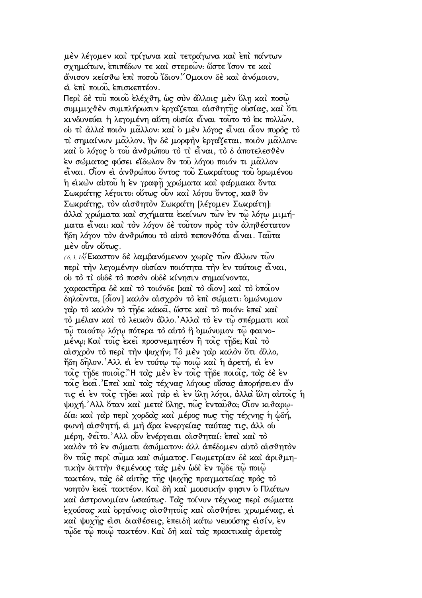μέν λέγομεν και τρίγωνα και τετράγωνα και επι πάντων σχημάτων, επιπέδων τε και στερεών: ώστε ίσον τε και άνισον κείσθω επι ποσού ίδιον. Ομοιον δε και ανόμοιον, ει επι ποιου, επισκεπτέον.

Περι δε του ποιου ελέχθη, ως συν άλλοις μεν ύλη και ποσώ συμμιγθέν συμπλήρωσιν εργαζεται αισθητής ουσίας, και ότι κινδυνεύει η λεγομένη αύτη ουσία είναι τούτο το εκ πολλών, ού τι άλλα ποιον μαλλον: και ο μεν λόγος είναι οίον πυρος το τι σημαίνων μαλλον, ην δε μορφην εργαζεται, ποιον μαλλον: και ο λόγος ο του άνθρώπου το τι είναι, το δ άποτελεσθεν έν σώματος φύσει είδωλον όν του λόγου ποιόν τι μαλλον είναι. Οίον εί ανθρώπου όντος του Σωκρατους του δρωμένου η εικών αυτού η εν γραφή χρώματα και φάρμακα όντα Σωκράτης λέγοιτο: ούτως ούν και λόγου όντος, καθ δν Σωκράτης, τον αισθητον Σωκράτη [λέγομεν Σωκράτη]: άλλα χρώματα και σχήματα εκείνων των εν τω λόγω μιμήματα είναι: και τον λόγον δε τουτον προς τον άληθέστατον ήδη λόγον τον ανθρώπου το αυτο πεπονθότα είναι. Ταυτα  $\mu$ εν ούν ούτως.

 $(6, 3, 16)$  Εκαστον δε λαμβανόμενον χωρίς των άλλων των περί την λεγομένην ουσίαν ποιότητα την έν τούτοις είναι, ού το τι ουδέ το ποσον ουδέ κίνησιν σημαίνοντα, χαρακτήρα δε και το τοιόνδε [και το οίον] και το οποιον δηλούντα, [οίον] καλόν αισχρόν το επι σώματι: δμώνυμον γαρ το καλον το τηδε κάκει, ώστε και το ποιόν: επει και τὸ μέλαν καὶ τὸ λευκὸν ἄλλο. Αλλα τὸ ἐν τῷ σπέρματι καὶ τώ τοιούτω λόγω πότερα το αύτο ή δμώνυμον τώ φαινομένω; Και τοις εκει προσνεμητέον ή τοις τηδε; Και το αίσχρον το περί την ψυχήν; Το μεν γαρ καλον ότι άλλο, ήδη δηλον. Αλλ ει εν τούτω τω ποιώ και η άρετή, ει εν τοις τηδε ποιοις. Η τας μεν εν τοις τηδε ποιοις, τας δε εν τοις έκει. Επει και τας τέχνας λόγους ούσας απορήσειεν άν τις εί εν τοις τηδε: και γαρ εί εν ύλη λόγοι, άλλα ύλη αυτοις ή ψυχή. Αλλ όταν και μετα ύλης, πως ενταυθα; Οίον κιθαρωδία: και γαρ περι χορδας και μέρος πως της τέχνης η ώδη, φωνή αισθητή, ει μή άρα ενεργείας ταύτας τις, άλλ ου μέρη, θείτο. Αλλ ούν ενέργειαι αισθηταί: επει και το καλόν το έν σώματι άσώματον: άλλ άπέδομεν αυτό αισθητον ὂν τοις περι σώμα και σώματος. Γεωμετρίαν δε και άριθμητικήν διττήν θεμένους τας μεν ώδι εν τῷδε τῷ ποιῷ τακτέον, τας δε αυτής της ψυχής πραγματείας πρός το νοητον έκει τακτέον. Και δη και μουσικήν φησιν ο Πλάτων και άστρονομίαν ώσαύτως. Τας τοίνυν τέχνας περι σώματα έχούσας και όργανοις αισθητοις και αισθήσει χρωμένας, ει και ψυχης είσι διαθέσεις, επειδη κάτω νευούσης είσίν, εν τώδε τω ποιώ τακτέον. Και δη και τας πρακτικας άρετας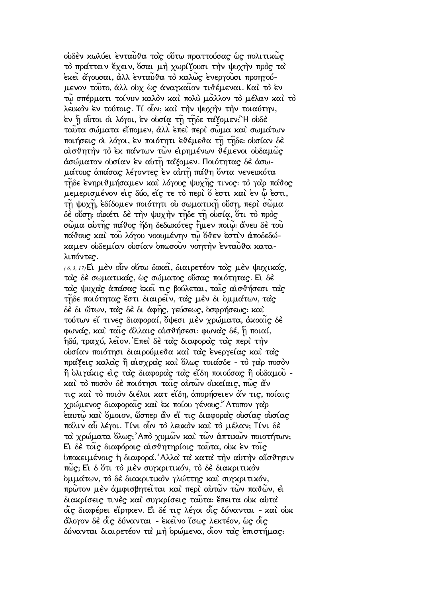ούδεν κωλύει ενταύθα τας ούτω πραττούσας ως πολιτικώς το πράττειν έχειν, όσαι μη χωρίζουσι την ψυχην προς τα εκει άγουσαι, άλλ ενταύθα το καλώς ενεργούσι προηγούμενον τούτο, άλλ ούχ ώς άναγκαιον τιθέμεναι. Και το έν τὦ σπέρματι τοίνυν καλὸν καὶ πολὺ μἆλλον τὸ μέλαν καὶ τὸ λευκόν έν τούτοις. Τί οὖν; και την ψυχην την τοιαύτην, έν η ούτοι οι λόγοι, εν ουσία τη τηδε ταξομεν, Η ουδε ταυτα σώματα είπομεν, άλλ επει περι σώμα και σωμάτων ποιήσεις οι λόγοι, εν ποιότητι εθέμεθα τη τηδε: ουσίαν δε αισθητήν το έκ παντων των ειρημένων θέμενοι ουδαμώς άσώματον ουσίαν εν αυτη ταξομεν. Ποιότητας δε άσωμάτους άπάσας λέγοντες έν αυτή πάθη όντα νενευκότα τηδε ενηριθμήσαμεν και λόγους ψυχης τινος: το γαρ πάθος μεμερισμένον εις δύο, είς τε το περι ό εστι και εν ω εστι, τη ψυχη, εδίδομεν ποιότητι ου σωματικη ούση, περι σώμα δε ούση: ουκέτι δε την ψυχην τηδε τη ουσία, ότι το προς σώμα αυτής πάθος ήδη δεδωκότες ήμεν ποιώ: άνευ δε του πάθους και του λόγου νοουμένην τω όθεν εστιν αποδεδώκαμεν ουδεμίαν ουσίαν δπωσούν νοητήν ενταύθα καταλιπόντες.

 $(6, 3, 17)$  Ει μέν ούν ούτω δοκει, διαιρετέον τας μέν ψυχικάς, τας δέ σωματικάς, ως σώματος ούσας ποιότητας. Ει δέ τας ψυχας άπάσας έκει τις βούλεται, ταις αισθήσεσι τας τηδε ποιότητας έστι διαιρείν, τας μεν δι ομμάτων, τας δέ δι ὤτων, τας δέ δι άφης, γεύσεως, οσφρήσεως: και τούτων εί τινες διαφοραί, όψεσι μεν χρώματα, άκοαις δε φωνάς, και ταις άλλαις αισθήσεσι: φωνας δέ, η ποιαί, ηδύ, τραχύ, λείον. Επεί δε τας διαφορας τας περί την ούσίαν ποιότησι διαιρούμεθα και τας ενεργείας και τας πραξεις καλας ή αισχρας και δλως τοιασδε - το γαρ ποσον ή ολιγακις είς τας διαφορας τας είδη ποιούσας ή ουδαμού και το ποσον δε ποιότησι ταις αυτών οικείαις, πως άν τις και το ποιον διέλοι κατ είδη, απορήσειεν άν τις, ποίαις χρώμενος διαφοραίς και έκ ποίου γένους. Ατοπον γαρ εαυτώ και δμοιον, ώσπερ άν εί τις διαφορας ουσίας ουσίας πάλιν αὖ λέγοι. Τίνι οὖν τὸ λευκὸν καὶ τὸ μέλαν; Τίνι δὲ τα χρώματα δλως; Από χυμών και των απτικών ποιοτήτων; Ει δε τοις διαφόροις αισθητηρίοις ταυτα, ουκ εν τοις υποκειμένοις η διαφορά. Αλλα τα κατα την αυτην αίσθησιν πώς; Ει δ ότι το μέν συγκριτικόν, το δε διακριτικον όμμάτων, τὸ δε διακριτικόν γλώττης και συγκριτικόν, πρώτον μέν άμφισβητείται και περι αυτών των παθών, ει διακρίσεις τινές και συγκρίσεις ταυτα: έπειτα ούκ αυτα δίς διαφέρει είρηκεν. Ει δέ τις λέγοι δις δύνανται - και σύκ άλογον δε οίς δύνανται - εκείνο Ίσως λεκτέον, ως οίς δύνανται διαιρετέον τα μη δρώμενα, δίον τας επιστήμας: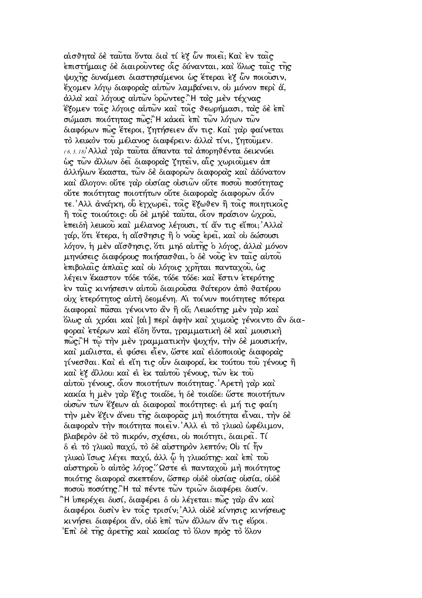αισθητα δέ ταυτα όντα δια τί εξ ων ποιει; Και εν ταις επιστήμαις δε διαιρούντες οις δύνανται, και δλως ταις της ψυχης δυναμεσι διαστησαμενοι ως έτεραι εξ ων ποιούσιν, έχομεν λόγω διαφορας αυτών λαμβανειν, ου μόνον περι ά, άλλα και λόγους αυτών δρώντες. Η τας μεν τέχνας έξομεν τοις λόγοις αυτών και τοις θεωρήμασι, τας δε επι σώμασι ποιότητας πώς; Η κάκει επι των λόγων των διαφόρων πώς έτεροι, ζητήσειεν άν τις. Και γαρ φαίνεται τὸ λευκὸν του μέλανος διαφέρειν: άλλα τίνι, ζητούμεν. (6, 3, 18) Αλλα γαρ ταυτα άπαντα τα άπορηθέντα δεικνύει ώς των άλλων δει διαφορας ζητειν, αις χωριουμεν απ άλλήλων έκαστα, τών δε διαφορών διαφορας και άδύνατον και άλογον: ούτε γαρ ουσίας ουσιών ούτε ποσου ποσότητας ούτε ποιότητας ποιοτήτων ούτε διαφορας διαφορών οιόν τε. Αλλ άναγκη, οὗ 'εγχωρεῖ, τοῖς 'έξωθεν ή τοῖς ποιητικοῖς ή τοις τοιούτοις: οὗ δὲ μηδὲ ταῦτα, οἷον πράσιον ἀγροῦ, επειδή λευκού και μέλανος λέγουσι, τί άν τις είποι; Αλλα γάρ, ότι έτερα, η αίσθησις ή ο νους έρει, και ου δώσουσι λόγον, η μέν αΐσθησις, ότι μηδ αύτης ο λόγος, άλλα μόνον μηνύσεις διαφόρους ποιήσασθαι, ο δε νους έν ταις αυτου επιβολαϊς άπλαϊς και ου λόγοις χρηται πανταχου, ως λέγειν έκαστον τόδε τόδε, τόδε τόδε: και έστιν ετερότης έν ταις κινήσεσιν αυτου διαιρούσα θάτερον άπό θατέρου ούχ ετερότητος αύτη δεομένη. Αι τοίνυν ποιότητες πότερα διαφοραί πάσαι γένοιντο άν ή ού; Λευκότης μέν γαρ καί δλως αι χρόαι και [αι] περι άφην και χυμούς γένοιντο άν διαφοραί ετέρων και είδη όντα, γραμματική δε και μουσική πώς; Η τω την μέν γραμματικήν ψυχήν, την δέ μουσικήν, και μαλιστα, ει φύσει είεν, ώστε και ειδοποιούς διαφορας γίνεσθαι. Καὶ ἐι εἴη τις οὖν διαφορά, εκ τούτου τοῦ γένους ἢ και εξ άλλου: και ει εκ ταύτου γένους, των εκ του αύτου γένους, δίον ποιοτήτων ποιότητας. Αρετή γαρ και κακία η μέν γαρ έξις τοιαδε, η δε τοιαδε: ώστε ποιοτήτων ούσων των έξεων αι διαφοραι ποιότητες: ει μή τις φαίη την μέν έξιν άνευ της διαφοράς μη ποιότητα είναι, την δέ διαφοραν την ποιότητα ποιείν. Αλλ εί το γλυκύ ώφέλιμον, βλαβερον δε το πικρόν, σχέσει, ου ποιότητι, διαιρεί. Τί δ εί το γλυκύ παχύ, το δε αύστηρον λεπτόν; Ου τί ήν γλυκύ Ίσως λέγει παχύ, άλλ ὧ η γλυκύτης: και 'επι' του αύστηρού ο αύτος λόγος. Ωστε εί πανταχού μή ποιότητος ποιότης διαφορα σκεπτέον, ὥσπερ ουδε ουσίας ουσία, ουδε ποσού ποσότης. Η τα πέντε των τριών διαφέρει δυσίν. "Η υπερέχει δυσί, διαφέρει δ ου λέγεται: πως γαρ άν και διαφέροι δυσιν έν τοις τρισίν; Αλλ ουδε κίνησις κινήσεως κινήσει διαφέροι άν, ουδ επι των άλλων άν τις εύροι. Επὶ δε της άρετης και κακίας το δλον προς το δλον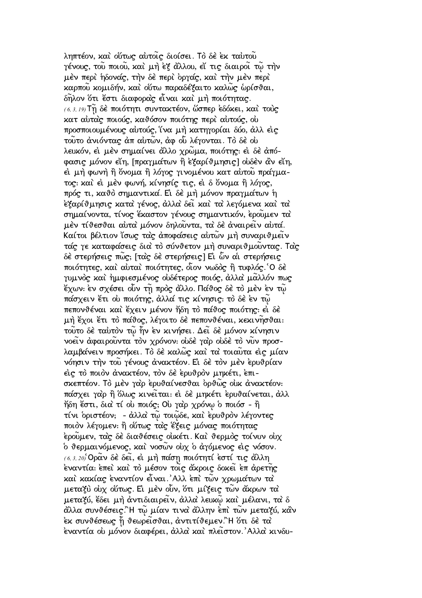ληπτέον, και ούτως αυτοις διοίσει. Το δε εκ ταυτου γένους, του ποιού, και μή εξ άλλου, εί τις διαιροί τω την μέν περι ηδονας, την δε περι όργας, και την μέν περι καρπού κομιδήν, και ούτω παραδέξαιτο καλώς ωρίσθαι, δήλον ότι έστι διαφορας είναι και μή ποιότητας.  $(6, 3, 19)$  Τη δέ ποιότητι συντακτέον, ώσπερ εδόκει, και τους κατ αυτας ποιούς, καθόσον ποιότης περι αυτούς, ου προσποιουμένους αύτούς, ίνα μή κατηγορίαι δύο, άλλ είς τούτο άνιόντας άπ αύτων, άφ ού λέγονται. Τὸ δè ου λευκόν, ει μεν σημαίνει άλλο χρωμα, ποιότης: ει δε άπόφασις μόνον είη, [πραγμάτων ή εξαρίθμησις] ουδεν άν είη, ει μή φωνή ή όνομα ή λόγος γινομένου κατ αυτου πραγματος: και εί μεν φωνή, κίνησίς τις, ει δ όνομα ή λόγος, πρός τι, καθό σημαντικά. Ει δέ μή μόνον πραγμάτων ή 'εξαρίθμησις κατα γένος, άλλα δει και τα λεγόμενα και τα σημαίνοντα, τίνος έκαστον γένους σημαντικόν, ερούμεν τα μέν τίθεσθαι αύτα μόνον δηλούντα, τα δέ άναιρείν αύτά. Καίτοι βέλτιον ίσως τας άποφασεις αυτών μη συναριθμείν τάς γε καταφάσεις δια το σύνθετον μή συναριθμούντας. Τας δέ στερήσεις πώς; [τας δέ στερήσεις] Ει ὧν αι στερήσεις ποιότητες, και αυται ποιότητες, δίον νωδος ή τυφλός. Ο δε γυμνός και ημφιεσμένος ουδέτερος ποιός, άλλα μαλλόν πως έχων: εν σχέσει ούν τη προς άλλο. Παθος δε το μεν εν τω πάσχειν έτι ου ποιότης, άλλα τις κίνησις: το δε έν τω πεπονθέναι και έχειν μένον ήδη το πάθος ποιότης: εί δε μή έχοι έτι το πάθος, λέγοιτο δε πεπονθέναι, κεκινήσθαι: τούτο δε ταύτον τώ ήν εν κινήσει. Δεί δε μόνον κίνησιν νοείν άφαιρούντα τον χρόνον: ούδε γαρ ούδε το νύν προσλαμβανειν προσήκει. Τὸ δε καλώς και τα τοιαυτα είς μίαν νόησιν την του γένους άνακτέον. Ει δε τον μεν ερυθρίαν είς το ποιον άνακτέον, τον δε ερυθρον μηκέτι, επισκεπτέον. Τὸ μèν γαρ 'ερυθαίνεσθαι 'ορθως ουκ άνακτέον: πάσχει γαρ ή όλως κινείται: εί δε μηκέτι ερυθαίνεται, άλλ ήδη έστι, δια τί ου ποιός; Ου γαρ χρόνω ο ποιόσ - ή τίνι δριστέον; - άλλα τω τοιώδε, και ερυθρον λέγοντες ποιόν λέγομεν: ή ούτως τας έξεις μόνας ποιότητας έρουμεν, τας δε διαθέσεις ουκέτι. Και θερμός τοίνυν ουχ δ θερμαινόμενος, και νοσών ουχ δ άγόμενος εις νόσον.  $(6, 3, 20)$  Οραν δε δεί, εί μή παση ποιότητί εστί τις άλλη έναντία: επει και το μέσον τοις άκροις δοκει επ άρετης και κακίας εναντίον είναι. Αλλ επι των χρωμάτων τα μεταξύ ουχ ούτως. Ει μεν ούν, ότι μίζεις των άκρων τα μεταξύ, έδει μή άντιδιαιρείν, άλλα λευκώ και μέλανι, τα δ άλλα συνθέσεις. Η τω μίαν τινα άλλην επι των μεταξύ, κάν ,<br>εκ συνθέσεως ἧ θεωρεῖσθαι, ἀντιτίθεμεν. Η ὅτι δὲ τα έναντία ου μόνον διαφέρει, άλλα και πλεϊστον. Αλλα κινδυ-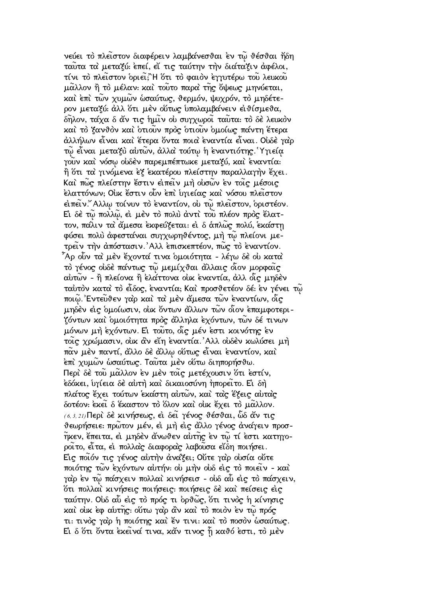νεύει το πλειστον διαφέρειν λαμβανεσθαι εν τω θέσθαι ήδη ταύτα τα μεταξύ: επεί, εί τις ταύτην την διαταξιν αφέλοι, τίνι το πλεϊστον δριεϊ; Η ότι το φαιον εγγυτέρω του λευκου μαλλον ή το μέλαν: και τούτο παρα της όψεως μηνύεται, και επι των χυμών ωσαύτως, θερμόν, ψυχρόν, το μηδέτερον μεταξύ: άλλ ότι μέν ούτως υπολαμβάνειν ειθίσμεθα, δηλον, ταχα δ άν τις ημίν ου συγχωροί ταυτα: το δε λευκον και το ζανθον και ότιουν προς ότιουν ομοίως πάντη έτερα άλλήλων εἶναι καὶ ἕτερα ὄντα ποια εναντία εἶναι. Οὐδε γαρ τῷ ἐἶναι μεταξὺ αὐτῶν, ἀλλα τούτῳ ἡ ἐναντιότης. Υγιεία γούν και νόσω ουδεν παρεμπέπτωκε μεταξύ, και εναντία: ή ότι τα γινόμενα εξ εκατέρου πλείστην παραλλαγήν έχει. Και πώς πλείστην έστιν ειπείν μη ουσών εν τοις μέσοις έλαττόνων; Ούκ έστιν οὖν επι υγιείας και νόσου πλειστον ειπείν. Αλλω τοίνυν το εναντίον, ου τω πλείστον, οριστέον. Ει δε τώ πολλώ, ει μεν το πολύ άντι του πλέον προς έλαττον, παλιν τα άμεσα εκφεύξεται: ει δ άπλως πολύ, εκαστη φύσει πολύ άφεσταναι συγχωρηθέντος, μή τω πλείονι μετρείν την απόστασιν. Αλλ επισκεπτέον, πως το εναντίον.  $\tilde{}$ Άρ οὖν τα` μὲν ἔχοντά τινα ὁμοιότητα - λέγω δὲ οὐ κατα` τὸ γένος οὐδε παντως τῷ μεμίχθαι άλλαις οἶον μορφαις αύτων - ή πλείονα ή ελαττονα ούκ εναντία, άλλ οίς μηδεν ταύτον κατα το είδος, εναντία; Και προσθετέον δέ: εν γένει τω ποιώ. Εντεύθεν γαρ και τα μεν άμεσα των εναντίων, δις μηδέν είς δμοίωσιν, ουκ όντων άλλων των οίον επαμφοτεριζόντων και δμοιότητα προς άλληλα εχόντων, των δέ τινων μόνων μή έχόντων. Ει τούτο, δίς μέν έστι κοινότης έν τοις χρώμασιν, ούκ άν είη εναντία. Αλλ ουδεν κωλύσει μή παν μέν παντί, άλλο δε άλλω ούτως είναι εναντίον, και έπι χυμών ώσαύτως. Ταυτα μέν ούτω διηπορήσθω. Περι δε του μάλλον εν μεν τοις μετέχουσιν ότι εστίν, εδόκει, υγίεια δε αυτή και δικαιοσύνη ήπορείτο. Ει δή πλάτος έχει τούτων εκάστη αυτών, και τας έξεις αυτας δοτέον: εκεί δ έκαστον το δλον και ούκ έχει το μαλλον.  $(6, 3, 21)$ Περί δέ κινήσεως, ει δει γένος θέσθαι, ὧδ άν τις θεωρήσειε: πρώτον μέν, ει μη εις άλλο γένος αναγειν προσηκεν, έπειτα, ει μηδεν άνωθεν αυτης εν τω τί εστι κατηγοροΐτο, εἶτα, ει πολλας διαφορας λαβούσα είδη ποιήσει. Εις ποιόν τις γένος αύτην αναζει; Ούτε γαρ ουσία ούτε ποιότης των εχόντων αυτήν: ου μήν ουδ είς το ποιείν - και γαρ έν τω πάσχειν πολλαι κινήσεισ - ουδ αύ εις το πάσχειν, δτι πολλαί κινήσεις ποιήσεις: ποιήσεις δέ και πείσεις είς ταύτην. Ουδ αύ εις το πρός τι ορθώς, ότι τινος η κίνησις και ούκ εφ αυτής: ούτω γαρ άν και το ποιον εν τω πρός τι: τινός γαρ ή ποιότης και έν τινι: και το ποσον ώσαύτως. Ει δ ότι όντα εκείνα τινα, κάν τινος ή καθό εστι, το μεν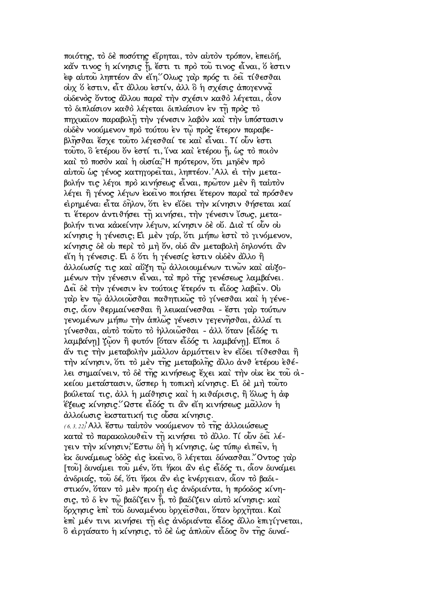ποιότης, τὸ δὲ ποσότης εἶρηται, τὸν αὐτὸν τρόπον, ἐπειδή, κάν τινος η κίνησις η, έστι τι πρό του τινος είναι, ό έστιν έφ αυτου ληπτέον άν είη. Όλως γαρ πρός τι δει τίθεσθαι ούχ δ'εστιν, είτ άλλου εστίν, άλλ δ η σχέσις άπογεννα ούδενος όντος άλλου παρα την σχέσιν καθο λέγεται, οίον το διπλασιον καθό λέγεται διπλασιον έν τη προς το πηχυαίον παραβολη την γένεσιν λαβόν και την υπόστασιν ούδεν νοούμενον πρό τούτου εν τω πρός έτερον παραβεβλησθαι έσχε τουτο λέγεσθαί τε και είναι. Τί ούν έστι τούτο, δ ετέρου όν έστί τι, ίνα και ετέρου ή, ως το ποιον και το ποσον και η ουσία; Η πρότερον, ότι μηδεν προ αύτου ώς γένος κατηγορείται, ληπτέον. Αλλ εί την μεταβολήν τις λέγοι πρὸ κινήσεως εἶναι, πρώτον μεν ή ταυτον λέγει ή γένος λέγων εκείνο ποιήσει έτερον παρα τα πρόσθεν ειρημένα: είτα δηλον, ότι εν είδει την κίνησιν θήσεται καί τι έτερον άντιθήσει τη κινήσει, την γένεσιν Ίσως, μεταβολήν τινα κάκείνην λέγων, κίνησιν δε ού. Δια τί ούν ου κίνησις η γένεσις; Ει μέν γάρ, ότι μήπω έστι το γινόμενον, κίνησις δέ ου περί το μή όν, ουδ άν μεταβολή δηλονότι άν είη η γένεσις. Ει δ ότι η γένεσίς εστιν ουδεν άλλο ή άλλοίωσίς τις και αύξη τω άλλοιουμένων τινων και αυξομένων την γένεσιν είναι, τα προ της γενέσεως λαμβανει. Δεϊ δὲ τὴν γένεσιν ἐν τούτοις ἕτερόν τι εἶδος λαβεϊν. Ου γαρ έν τω άλλοιουσθαι παθητικώς το γίνεσθαι και η γένεσις, δίον θερμαίνεσθαι ή λευκαίνεσθαι - έστι γαρ τούτων γενομένων μήπω την άπλῶς γένεσιν γεγενῆσθαι, ἀλλά τι γίνεσθαι, αυτό τουτο το ηλλοιώσθαι - άλλ όταν [εἶδός τι λαμβανη] ζώον ή φυτόν Γόταν εἶδός τι λαμβανη]. Είποι δ άν τις την μεταβολην μαλλον άρμόττειν εν είδει τίθεσθαι ή την κίνησιν, ότι το μέν της μεταβολης άλλο άνθ ετέρου εθέλει σημαίνειν, το δε της κινήσεως έχει και την ουκ εκ του οικείου μετάστασιν, ώσπερ ή τοπική κίνησις. Ει δέ μή τούτο βούλεταί τις, άλλ η μαθησις και η κιθαρισις, ή δλως η άφ έξεως κίνησις. Ώστε εἶδός τι ἀν είη κινήσεως μαλλον η άλλοίωσις εκστατική τις ούσα κίνησις.  $(6, 3, 22)$  Αλλ έστω ταύτον νοούμενον το της αλλοιώσεως

κατα το παρακολουθείν τη κινήσει το άλλο. Τί ούν δεί λέγειν την κίνησιν; Έστω δη η κίνησις, ώς τύπω ειπείν, η εκ δυνάμεως δδός εις εκείνο, δ λέγεται δύνασθαι." Οντος γαρ [του] δυναμει του μέν, ότι ήκοι άν εις ειδός τι, οιον δυναμει άνδριάς, του δέ, ότι ήκοι άν εις ενέργειαν, οίον το βαδιστικόν, όταν τὸ μèν προίη εις ανδριαντα, η πρόοδος κίνησις, τὸ δ ἐν τῷ βαδίζειν ἦ, τὸ βαδίζειν αὐτὸ κίνησις: καὶ όρχησις επι του δυναμένου ορχεισθαι, όταν ορχηται. Και έπι μέν τινι κινήσει τη εις ανδριαντα είδος άλλο επιγίγνεται, δ ειργασατο ή κίνησις, το δε ως απλούν είδος ον της δυνα-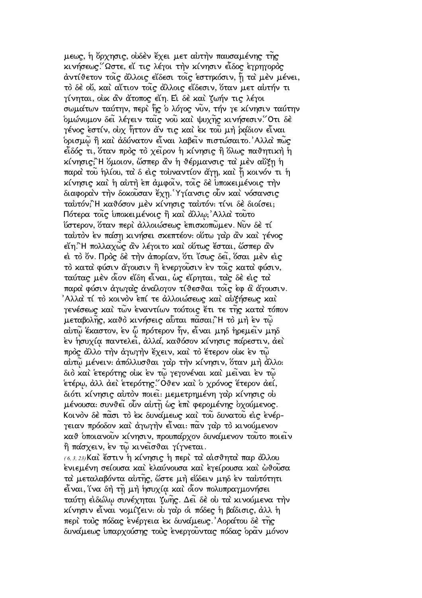μεως, η όρχησις, ούδεν έχει μετ αύτην παυσαμένης της κινήσεως. Ώστε, εί τις λέγοι την κίνησιν είδος εγρηγορός άντίθετον τοις άλλοις είδεσι τοις εστηκόσιν, ή τα μεν μένει, τὸ δὲ ού, και αίτιον τοις άλλοις είδεσιν, όταν μετ αυτήν τι γίνηται, ούκ άν άτοπος είη. Ει δε και ζωήν τις λέγοι σωμάτων ταύτην, περί ής ο λόγος νύν, τήν γε κίνησιν ταύτην δμώνυμον δει λέγειν ταις νου και ψυχης κινήσεσιν. Ότι δε γένος 'εστίν, ούχ ήττον άν τις και 'εκ του μη ραδιον είναι δρισμώ ή και άδύνατον είναι λαβείν πιστώσαιτο. Αλλα πώς εἶδός τι, ὅταν πρὸς τὸ χεἶρον ἡ κίνησις ἢ ὅλως παθητικὴ ἡ κίνησις; Η δμοιον, ώσπερ άν η θέρμανσις τα μεν αύξη η παρα του ηλίου, τα δ εις τουναντίον άγη, και ή κοινόν τι η κίνησις και η αυτή επ άμφοιν, τοις δε υποκειμένοις την διαφοραν την δοκούσαν έχη. Υγίανσις ούν και νόσανσις ταύτόν; Η καθόσον μέν κίνησις ταύτόν: τίνι δέ διοίσει; Πότερα τοις υποκειμένοις ή και άλλω; Αλλα τουτο ύστερον, όταν περι άλλοιώσεως επισκοπώμεν. Νυν δε τί ταύτον έν πάση κινήσει σκεπτέον: ούτω γαρ άν και γένος είη."Η πολλαχώς άν λέγοιτο και ούτως έσται, ώσπερ άν ει το όν. Προς δε την απορίαν, ότι ίσως δει, όσαι μεν εις το κατα φύσιν άγουσιν ή ενεργούσιν εν τοις κατα φύσιν, ταύτας μέν οίον είδη είναι, ως είρηται, τας δέ είς τα παρα φύσιν άγωγας άναλογον τίθεσθαι τοις έφ α άγουσιν. 'Αλλα` τί τὸ κοινὸν ἐπί τε ἀλλοιώσεως καὶ αὐξήσεως καὶ γενέσεως και των εναντίων τούτοις έτι τε της κατα τόπον μεταβολής, καθό κινήσεις αὗται πἆσαι; Η τὸ μὴ ἐν τῷ αυτώ έκαστον, εν ώ πρότερον ήν, είναι μηδ ηρεμείν μηδ έν ησυχία παντελεί, άλλα, καθόσον κίνησις παρεστιν, άει πρὸς ἄλλο τὴν ἀγωγὴν ἔχειν, καὶ τὸ ἕτερον οὐκ ἐν τῷ αυτώ μένειν: άπόλλυσθαι γαρ την κίνησιν, όταν μη άλλο: διὸ και ετερότης ουκ εν τῷ γεγονέναι και μεῖναι εν τῷ 'ετέρω, άλλ άει 'ετερότης. Όθεν και ο χρόνος έτερον άεί, διότι κίνησις αύτον ποιεί: μεμετρημένη γαρ κίνησις ού μένουσα: συνθεί ούν αύτη ως επι φερομένης οχούμενος. Κοινόν δε πασι το έκ δυναμεως και του δυνατου είς ενέργειαν πρόοδον και άγωγην είναι: παν γαρ το κινούμενον καθ οποιανούν κίνησιν, προυπάρχον δυνάμενον τούτο ποιείν η πάσχειν, εν τω κινεισθαι γίγνεται.

 $(6, 3, 23)$  Και έστιν η κίνησις η περι τα αισθητα παρ άλλου ένιεμένη σείουσα και ελαύνουσα και εγείρουσα και ώθουσα τα μεταλαβόντα αύτης, ώστε μη εύδειν μηδ εν ταυτότητι εἶναι, ἵνα δη τη μη ησυχία και οἶον πολυπραγμονήσει ταύτη ειδώλω συνέχηται ζωής. Δεί δε ου τα κινούμενα την κίνησιν είναι νομίζειν: ου γαρ οι πόδες η βαδισις, άλλ η περί τούς πόδας ενέργεια εκ δυνάμεως. Αοράτου δε της δυναμεως υπαρχούσης τους ενεργούντας πόδας δράν μόνον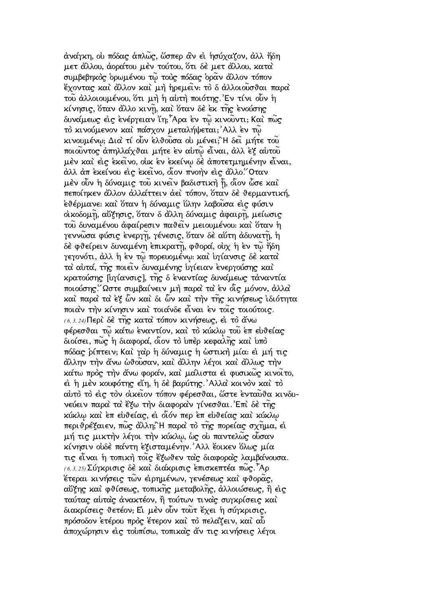άναγκη, ου πόδας άπλως, ώσπερ άν ει ησύχαζον, άλλ ήδη μετ άλλου, άορατου μέν τούτου, ότι δέ μετ άλλου, κατα συμβεβηκός δρωμένου τὦ τούς πόδας δραν άλλον τόπον έχοντας και άλλον και μη ηρεμείν: το δ άλλοιουσθαι παρα του άλλοιουμένου, ότι μή η αύτη ποιότης. Έν τίνι ούν η κίνησις, όταν άλλο κινη, και όταν δε εκ της ενούσης δυναμεως εις ενέργειαν ζη; Άρα εν τω κινούντι; Και πώς το κινούμενον και πάσχον μεταλήψεται; Αλλ έν τω κινουμένω; Δια τί ούν ελθούσα ου μένει; Η δει μήτε του ποιούντος άπηλλαχθαι μήτε εν αυτώ είναι, άλλ εξ αυτού μέν και είς εκείνο, ούκ εν εκείνω δε άποτετμημένην είναι, άλλ άπ εκείνου εις εκείνο, οίον πνοήν εις άλλο. Όταν μέν οὖν η δύναμις του κινείν βαδιστική η δίον ὦσε και πεποίηκεν άλλον αλλαττειν αεί τόπον, όταν δε θερμαντική, έθέρμανε: και όταν η δύναμις ύλην λαβούσα εις φύσιν σικοδομη, αύξησις, όταν δ άλλη δύναμις άφαιρη, μείωσις του δυναμένου άφαίρεσιν παθείν μειουμένου: και όταν η γεννώσα φύσις ενεργη, γένεσις, όταν δε αύτη άδυνατη, η δε φθείρειν δυναμένη επικρατη, φθορα, ουχ η εν τω ήδη γεγονότι, άλλ ή έν τω πορευομένω: και υγίανσις δε κατα τα αυτά, της ποιείν δυναμένης υγίειαν ενεργούσης και κρατούσης [υγίανσις], της δ εναντίας δυνάμεως τάναντία ποιούσης. Ώστε συμβαίνειν μη παρα τα έν οις μόνον, άλλα και παρα τα έξ ὧν και δι ὧν και την της κινήσεως ιδιότητα ποιαν την κίνησιν και τοιανδε είναι εν τοις τοιούτοις. (6, 3, 24) Περί δέ της κατα τόπον κινήσεως, ει το άνω φέρεσθαι τω κάτω εναντίον, και το κύκλω του επ ευθείας διοίσει, πως η διαφορα, οίον το υπέρ κεφαλής και υπο πόδας ρίπτειν; Και γαρ η δύναμις η ώστικη μία: εί μή τις άλλην την άνω ώθουσαν, και άλλην λέγοι και άλλως την κάτω πρός την άνω φοράν, και μάλιστα ει φυσικώς κινοίτο, ει η μεν κουφότης είη, η δε βαρύτης. Αλλα κοινον και το αύτο το είς τον οικείον τόπον φέρεσθαι, ώστε ενταύθα κινδυνεύειν παρα τα έξω την διαφοραν γίνεσθαι. Επι δε της κύκλω και έπ ευθείας, ει οι όν περ επ ευθείας και κύκλω περιθρέζαιεν, πώς άλλη; Η παρα το της πορείας σχημα, ει μή τις μικτήν λέγοι την κύκλω, ως ου παντελώς ούσαν κίνησιν ουδέ πάντη εξισταμένην. Αλλ έοικεν όλως μία τις είναι η τοπική τοις έξωθεν τας διαφορας λαμβάνουσα.  $(6, 3, 25)$  Σύγκρισις δε και διάκρισις επισκεπτέα πώς. Άρ έτεραι κινήσεις των ειρημένων, γενέσεως και φθοράς, αΰζης και φθίσεως, τοπικής μεταβολής, άλλοιώσεως, ή εις ταύτας αυτας άνακτέον, ή τούτων τινας συγκρίσεις και διακρίσεις θετέον; Ει μέν ούν τουτ έχει η σύγκρισις, πρόσοδον ετέρου πρός έτερον και το πελαζειν, και αύ άποχώρησιν είς τουπίσω, τοπικας άν τις κινήσεις λέγοι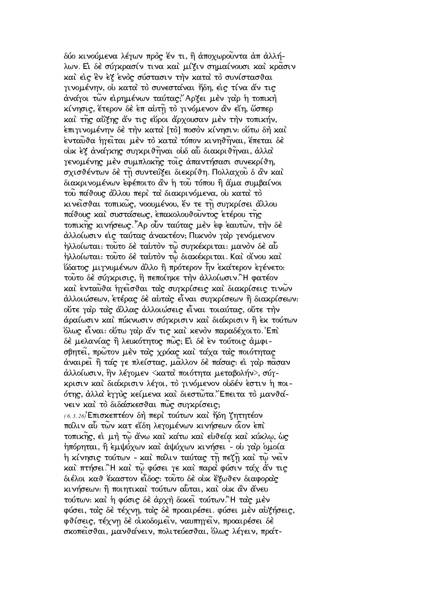δύο κινούμενα λέγων πρὸς έν τι, ἢ ἀποχωροῦντα ἀπ ἀλλήλων. Ει δε σύγκρασίν τινα και μίζιν σημαίνουσι και κρασιν και είς εν εξ ενός σύστασιν την κατα το συνίστασθαι γινομένην, ού κατα το συνεστάναι ήδη, είς τίνα άν τις άναγοι των ειρημένων ταύτας; Αρξει μεν γαρ η τοπική κίνησις, έτερον δε επ αύτη το γινόμενον άν είη, ώσπερ και της αύξης άν τις εύροι άρχουσαν μεν την τοπικήν, έπιγινομένην δὲ τὴν κατα [τὸ] ποσὸν κίνησιν: οὕτω δὴ καὶ ένταυθα ήγειται μέν το κατα τόπον κινηθηναι, έπεται δέ ούκ έξ άναγκης συγκριθηναι ούδ αύ διακριθηναι, άλλα γενομένης μέν συμπλοκής τοις απαντήσασι συνεκρίθη, σχισθέντων δε τη συντεύξει διεκρίθη. Πολλαχού δ άν και διακρινομένων εφέποιτο άν η του τόπου ή άμα συμβαίνοι του πάθους άλλου περί τα διακρινόμενα, ου κατα το κινείσθαι τοπικώς, νοουμένου, έν τε τη συγκρίσει άλλου πάθους και συστάσεως, επακολουθούντος ετέρου της τοπικής κινήσεως. Άρ ούν ταύτας μέν έφ εαυτών, την δέ άλλοίωσιν εις ταύτας άνακτέον; Πυκνον γαρ γενόμενον ηλλοίωται: τούτο δε ταύτον τω συγκέκριται: μανον δε αύ ηλλοίωται: τούτο δε ταυτον τω διακέκριται. Και σίνου και ύδατος μιγνυμένων άλλο ή πρότερον ήν εκατερον εγένετο: τούτο δε σύγκρισις, ή πεποίηκε την άλλοίωσιν. Η φατέον και ενταύθα ηγείσθαι τας συγκρίσεις και διακρίσεις τινών άλλοιώσεων, ετέρας δε αύτας είναι συγκρίσεων ή διακρίσεων: ούτε γαρ τας άλλας άλλοιώσεις είναι τοιαύτας, ούτε την άραίωσιν και πύκνωσιν σύγκρισιν και διάκρισιν ή έκ τούτων δλως είναι: ούτω γαρ άν τις και κενον παραδέχοιτο. Επι δέ μελανίας ή λευκότητος πώς; Ει δέ εν τούτοις άμφισβητεί, πρώτον μέν τας χρόας και τάχα τας ποιότητας άναιρει ή τάς γε πλείστας, μάλλον δε πάσας: ει γαρ πασαν άλλοίωσιν, ην λέγομεν <κατα ποιότητα μεταβολήν>, σύγκρισιν και διακρισιν λέγοι, το γινόμενον ουδέν εστιν ή ποιότης, άλλα έγγύς κείμενα και διεστώτα. Επειτα το μανθάνειν και το διδασκεσθαι πως συγκρίσεις;  $(6, 3, 26)$  Επισκεπτέον δη περί τούτων και ήδη ζητητέον πάλιν αὖ τῶν κατ ἐίδη λεγομένων κινήσεων οἶον ἐπι τοπικής, ει μή τῷ ἄνω και κατω και εὐθεία και κύκλω, ὡς ήπόρηται, ή εμψύχων και άψύχων κινήσει - ου γαρ ομοία η κίνησις τούτων - και πάλιν ταύτας τη πεζη και τω νειν και πτήσει. Η και τω φύσει γε και παρα φύσιν τάχ άν τις διέλοι καθ έκαστον είδος: τουτο δε ούκ έξωθεν διαφορας κινήσεων: ή ποιητικαι τούτων αύται, και ουκ άν άνευ τούτων: και η φύσις δε άρχη δοκει τούτων. Η τας μεν φύσει, τας δέ τέχνη, τας δέ προαιρέσει. φύσει μέν αυζήσεις, φθίσεις, τέχνη δε οικοδομείν, ναυπηγείν, προαιρέσει δε σκοπείσθαι, μανθάνειν, πολιτεύεσθαι, όλως λέγειν, πράτ-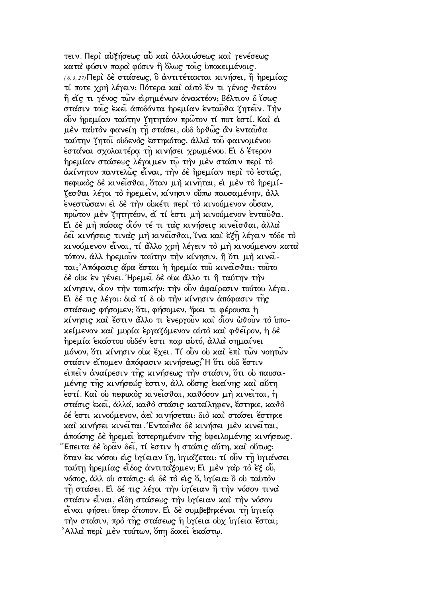τειν. Περι αυξήσεως αύ και άλλοιώσεως και γενέσεως κατα φύσιν παρα φύσιν ή όλως τοις υποκειμένοις.  $(6, 3, 27)$ Περί δέ στάσεως, δ άντιτέτακται κινήσει, ή ηρεμίας τί ποτε χρή λέγειν; Πότερα καὶ αὐτὸ ἕν τι γένος θετέον ή είς τι γένος τῶν ειρημένων ἀνακτέον; Βέλτιον δ ἴσως στάσιν τοις εκει αποδόντα ηρεμίαν ενταυθα ζητειν. Την οὖν ηρεμίαν ταύτην ζητητέον πρώτον τί ποτ έστί. Και εί μέν ταύτον φανείη τη στάσει, ούδ ορθώς άν ενταύθα ταύτην ζητοι ουδενός εστηκότος, άλλα του φαινομένου έστάναι σχολαιτέρα τη κινήσει χρωμένου. Ει δ έτερον ήρεμίαν στάσεως λέγοιμεν τω την μέν στάσιν περί το άκίνητον παντελώς είναι, την δε ηρεμίαν περι το εστώς, πεφυκός δε κινείσθαι, όταν μή κινηται, ει μεν το ήρεμίζεσθαι λέγοι το ηρεμείν, κίνησιν ούπω παυσαμένην, άλλ ένεστὧσαν: εί δε την ουκέτι περι το κινούμενον ούσαν, πρώτον μέν ζητητέον, εί τί έστι μή κινούμενον ενταύθα. Ει δέ μη πάσας δίόν τέ τι τας κινήσεις κινείσθαι, άλλα δει κινήσεις τινας μη κινεισθαι, ίνα και εξη λέγειν τόδε το κινούμενον είναι, τί άλλο χρή λέγειν το μή κινούμενον κατα τόπον, άλλ ήρεμούν ταύτην την κίνησιν, ή ότι μη κινείται; Απόφασις άρα έσται η ηρεμία του κινεισθαι: τουτο δέ ούκ έν γένει. Ηρεμεί δε ούκ άλλο τι ή ταύτην την κίνησιν, οίον την τοπικήν: την ούν άφαίρεσιν τούτου λέγει. Ει δέ τις λέγοι: δια τί δ ου την κίνησιν απόφασιν της στάσεως φήσομεν; ότι, φήσομεν, ήκει τι φέρουσα η κίνησις και έστιν άλλο τι ενεργούν και δίον ώθουν το υποκείμενον και μυρία εργαζόμενον αυτό και φθείρον, η δέ ήρεμία εκάστου ουδέν εστι παρ αυτό, άλλα σημαίνει μόνον, ότι κίνησιν ούκ έχει. Τί οὖν οὐ καὶ ἐπὶ τὦν νοητῶν στάσιν είπομεν απόφασιν κινήσεως; Η ότι ουδ έστιν ειπείν αναίρεσιν της κινήσεως την στάσιν, ότι ου παυσαμένης της κινήσεώς έστιν, άλλ ούσης εκείνης και αύτη έστί. Και ου πεφυκός κινείσθαι, καθόσον μη κινείται, η στάσις εκει, άλλα, καθό στάσις κατείληφεν, έστηκε, καθό δέ έστι κινούμενον, άει κινήσεται: διο και στάσει έστηκε και κινήσει κινείται. Ενταύθα δε κινήσει μεν κινείται, άπούσης δε ηρεμεί εστερημένον της όφειλομένης κινήσεως. "Επειτα δὲ ὁρᾶν δεἶ, τί ἐστιν ἡ στάσις αὕτη, καὶ οὕτως: δταν 'εκ νόσου εις υγίειαν <sup>γ</sup>η, υγιαζεται: τί ούν τη υγιανσει ταύτη ηρεμίας είδος άντιταξομεν; Ει μεν γαρ το εξ ού, νόσος, άλλ ου στάσις: ει δε το εις δ, υγίεια: δ ου ταυτον τη στάσει. Ει δέ τις λέγοι την υγίειαν ή την νόσον τινα στάσιν είναι, είδη στάσεως την υγίειαν και την νόσον είναι φήσει: όπερ άτοπον. Ει δε συμβεβηκέναι τη υγιεία την στάσιν, πρὸ της στάσεως η υγίεια ουχ υγίεια έσται; 'Αλλα περι μεν τούτων, όπη δοκει εκαστω.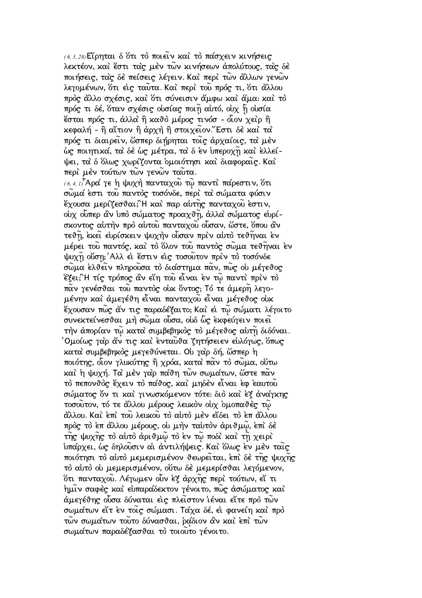$(6, 3, 28)$  Είρηται δ ότι το ποιείν και το πάσχειν κινήσεις λεκτέον, και έστι τας μεν των κινήσεων απολύτους, τας δε ποιήσεις, τας δε πείσεις λέγειν. Και περι των άλλων γενων λεγομένων, ότι είς ταυτα. Και περι του πρός τι, ότι άλλου πρός άλλο σχέσις, και ότι σύνεισιν άμφω και άμα: και το πρός τι δέ, όταν σχέσις ουσίας ποιη αυτό, ουχ η ουσία ἔσται πρός τι, ἀλλα ἢ καθὸ μέρος τινόσ - οἷον χειρ ἢ κεφαλή - η αίτιον η άρχη η στοιχείον. Έστι δε και τα πρός τι διαιρείν, ώσπερ διήρηται τοις άρχαίοις, τα μέν ώς ποιητικά, τα δε ώς μέτρα, τα δ εν υπεροχη και ελλείψει, τα δ δλως χωρίζοντα δμοιότησι και διαφοραίς. Και περί μέν τούτων των γενων ταυτα.

 $(6, 4, 1)$  Άρα γε η ψυχη πανταχού τω παντι παρεστιν, ότι σώμα έστι του παντός τοσόνδε, περί τα σώματα φύσιν έχουσα μερίζεσθαι; Η και παρ αύτης πανταχού εστιν, ούχ ούπερ άν υπό σώματος προαχθη, άλλα σώματος ευρίσκοντος αύτην πρό αύτου πανταχού ούσαν, ώστε, όπου άν τεθη, εκεί ευρίσκειν ψυχην ούσαν πριν αυτό τεθηναι εν μέρει του παντός, και το δλον του παντος σώμα τεθηναι εν ψυχη ούση; Αλλ ει έστιν εις τοσούτον πριν το τοσόνδε σώμα ελθείν πληρούσα το διαστημα παν, πώς ου μέγεθος έξει, Η τίς τρόπος άν είη του είναι εν τω παντι πριν το παν γενέσθαι του παντός ούκ όντος; Τό τε άμερη λεγομένην και άμεγέθη είναι πανταχου είναι μέγεθος ούκ έχουσαν πως άν τις παραδέξαιτο; Και εί τω σώματι λέγοιτο συνεκτείνεσθαι μη σώμα ούσα, ουδ ως εκφεύγειν ποιεί την άπορίαν τω κατα συμβεβηκός το μέγεθος αυτη διδόναι. Όμοίως γαρ άν τις και ενταυθα ζητήσειεν ευλόγως, όπως κατα συμβεβηκός μεγεθύνεται. Ου γαρ δή, ώσπερ η ποιότης, οίον γλυκύτης ή χρόα, κατα πάν το σώμα, ούτω και η ψυχή. Τα μεν γαρ πάθη των σωμάτων, ώστε παν το πεπονθός έχειν το πάθος, και μηδεν είναι εφ εαυτού σώματος όν τι και γινωσκόμενον τότε: διο και έξ ανάγκης τοσούτον, τό τε άλλου μέρους λευκόν ουχ δμοπαθές τω άλλου. Και 'επι του λευκου το αυτο μεν είδει το 'επ άλλου πρὸς τὸ ἐπ ἀλλου μέρους, ου μήν ταυτον ἀριθμῷ, ἐπι δε της ψυχης το αυτο άριθμω το εν τω ποδι και τη χειρι υπάρχει, ώς δηλούσιν αι αντιλήψεις. Και όλως έν μέν ταις ποιότησι το αυτό μεμερισμένον θεωρεϊται, επι δε της ψυχης τὸ αὐτὸ οὐ μεμερισμένον, οὕτω δὲ μεμερίσθαι λεγόμενον, δτι πανταχου. Λέγωμεν οὖν 'εξ άρχης περι τούτων, εί τι ημίν σαφές και ευπαράδεκτον γένοιτο, πως ασώματος και άμεγέθης ούσα δύναται είς πλεϊστον ιέναι είτε πρό των σωμάτων είτ εν τοις σώμασι. Τάχα δέ, ει φανείη και πρό των σωμάτων τουτο δύνασθαι, ράδιον άν και επι των σωμάτων παραδέξασθαι το τοιούτο γένοιτο.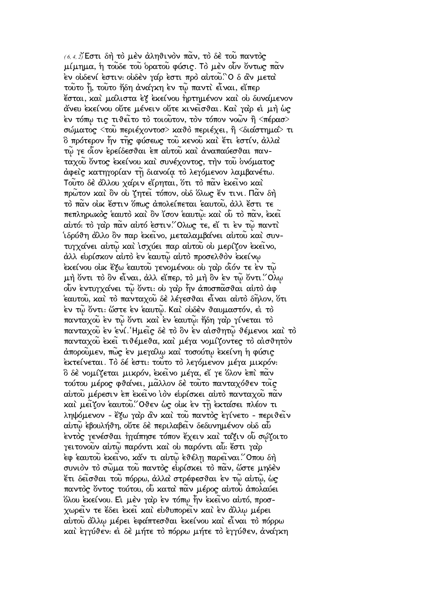$(6, 4, 2)$  Εστι δή τὸ μèν ἀληθινὸν παν, τὸ δè του παντὸς μίμημα, η τουδε του δρατου φύσις. Το μεν ούν όντως παν έν ουδενί έστιν: ουδέν γαρ έστι προ αυτου. Ο δ άν μετα τουτο ή, τουτο ήδη άναγκη έν τω παντι είναι, είπερ έσται, καὶ μάλιστα ἐζ ἐκείνου ἠρτημένον καὶ οὐ δυνάμενον άνευ εκείνου ούτε μένειν ούτε κινεισθαι. Και γαρ ει μη ώς εν τόπω τις τιθείτο το τοιούτον, τον τόπον νοών ή  $\langle \pi \epsilon \rho \alpha \sigma \rangle$ σώματος <του περιέχοντοσ> καθό περιέχει, ή <διάστημά> τι δ πρότερον ἦν τῆς φύσεως τοῦ κενοῦ καὶ ἔτι ἐστίν, ἀλλα τώ γε οίον ερείδεσθαι επ αυτού και άναπαύεσθαι πανταχου όντος εκείνου και συνέχοντος, την του ονόματος άφεις κατηγορίαν τη διανοία το λεγόμενον λαμβανέτω. Τούτο δέ άλλου χαριν είρηται, ότι το παν εκείνο και πρώτον και όν ου ζητει τόπον, ουδ όλως έν τινι. Παν δη τὸ παν ουκ ἔστιν ὅπως ἀπολείπεται ἑαυτου, ἀλλ ἔστι τε πεπληρωκός εαυτό και όν ίσον εαυτώ: και ού το πάν, εκεί αύτό: τὸ γαρ παν αύτό 'εστιν. Όλως τε, εί τι έν τω παντι ίδρύθη άλλο όν παρ εκείνο, μεταλαμβανει αυτου και συντυγχάνει αυτώ και ισχύει παρ αυτου ου μερίζον εκείνο, άλλ ευρίσκον αυτό εν εαυτώ αυτό προσελθον εκείνω εκείνου ουκ έξω εαυτου γενομένου: ου γαρ οιόν τε εν τω μη ὄντι τὸ ὂν ἐἶναι, ἀλλ ἐίπερ, τὸ μη ὂν ἐν τῷ ὄντι. Όλῳ ούν εντυγχανει τω όντι: ου γαρ ήν αποσπασθαι αυτό άφ εαυτου, και το πανταχου δε λέγεσθαι είναι αυτο δηλον, ότι έν τῷ ὄντι: ὥστε 'εν 'εαυτῷ. Και' ουδεν θαυμαστόν, εί το πανταχού έν τώ όντι και έν εαυτώ: ήδη γαρ γίνεται το πανταχού έν ενί. Ημείς δε το όν εν αισθητώ θέμενοι και το πανταχού εκεί τιθέμεθα, και μέγα νομίζοντες το αισθητον άπορούμεν, πώς έν μεγάλω και τοσούτω εκείνη η φύσις εκτείνεται. Τὸ δέ εστι: τουτο τὸ λεγόμενον μέγα μικρόν: δ δε νομίζεται μικρόν, εκείνο μέγα, εί γε όλον επι παν τούτου μέρος φθανει, μαλλον δε τούτο πανταχόθεν τοις αύτου μέρεσιν επ εκείνο ιον ευρίσκει αυτό πανταχου παν και μείζον εαυτου. Οθεν ώς ούκ εν τη εκτάσει πλέον τι ληψόμενον - έξω γαρ άν και του παντός εγίνετο - περιθείν αύτω εβουλήθη, ούτε δε περιλαβείν δεδυνημένον ουδ αύ έντὸς γενέσθαι ἠγάπησε τόπον ἔχειν καὶ τάξιν οὑ σώζοιτο γειτονούν αυτώ παρόντι και ου παρόντι αύ: έστι γαρ έφ εαυτού εκείνο, κάν τι αυτώ εθέλη παρείναι. Όπου δη συνιον το σώμα του παντος ευρίσκει το παν, ώστε μηδεν έτι δεισθαι του πόρρω, άλλα στρέφεσθαι εν τω αυτω, ώς παντός όντος τούτου, ού κατα παν μέρος αυτού άπολαύει δλου εκείνου. Ει μεν γαρ εν τόπω ήν εκεινο αυτό, προσχωρείν τε έδει εκεί και ευθυπορείν και εν άλλω μέρει αύτου άλλω μέρει εφαπτεσθαι εκείνου και είναι το πόρρω και εγγύθεν: εί δε μήτε το πόρρω μήτε το εγγύθεν, αναγκη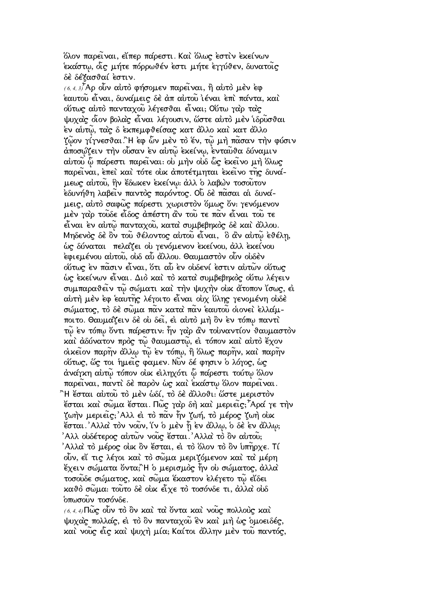δλον παρείναι, είπερ πάρεστι. Και δλως εστιν εκείνων εκάστω, δίς μήτε πόρρωθέν έστι μήτε εγγύθεν, δυνατοίς δέ δέξασθαί έστιν.

 $(6, 4, 3)$  Αρ ούν αυτό φήσομεν παρείναι, ή αυτό μέν έφ έαυτου είναι, δυναμεις δε απ αυτου ιέναι επι παντα, και ούτως αυτό πανταχου λέγεσθαι είναι; Ούτω γαρ τας ψυχας οίον βολας είναι λέγουσιν, ώστε αυτό μεν ιδρύσθαι ζεν αυτῶ, τας δ ἐκπεμφθείσας κατ ἄλλο και κατ ἄλλο ζὦον γίγνεσθαι."Η 'εφ ὧν μεν το έν, τὦ μη πασαν την φύσιν άποσώζειν την ούσαν εν αυτώ εκείνω, ενταυθα δύναμιν αύτου ω πάρεστι παρείναι: ου μήν ουδ ως εκείνο μή όλως παρείναι, επεί και τότε ούκ αποτέτμηται εκείνο της δυνάμεως αύτου, ην έδωκεν εκείνω: άλλ ο λαβων τοσούτον έδυνήθη λαβείν παντός παρόντος. Οὗ δε πασαι αί δυναμεις, αύτὸ σαφώς πάρεστι χωριστὸν ὅμως ὄν: γενόμενον μέν γαρ τουδε είδος απέστη αν του τε παν είναι του τε είναι εν αυτώ πανταχού, κατα συμβεβηκός δε και άλλου. Μηδενός δε όν του θέλοντος αύτου είναι, δ άν αύτω εθέλη, ώς δύναται πελάζει ου γενόμενον εκείνου, άλλ εκείνου έφιεμένου αύτου, ουδ αὖ άλλου. Θαυμαστον οὖν ουδεν ούτως εν πάσιν είναι, ότι αὖ εν ουδενί εστιν αυτών ούτως ώς εκείνων είναι. Διὸ και τὸ κατα συμβεβηκὸς ούτω λέγειν συμπαραθείν τω σώματι και την ψυχην ουκ άτοπον ίσως, ει αύτη μέν έφ εαυτής λέγοιτο είναι ούχ ύλης γενομένη ούδε σώματος, τὸ δὲ σὦμα παν κατα παν εαυτοῦ οίονει 'ελλαμποιτο. Θαυμάζειν δε ου δει, ει αυτό μή όν εν τόπω παντι τῷ ἐν τόπω ὄντι πάρεστιν: ἦν γαρ ἀν τουναντίον θαυμαστον και άδύνατον πρός τω θαυμαστω, ει τόπον και αυτό έχον οικείον παρήν άλλω τω εν τόπω, ή όλως παρήν, και παρήν ούτως, ώς τοι ημείς φαμεν. Νύν δέ φησιν ο λόγος, ως άναγκη αυτώ τόπον ουκ ειληχότι ω παρεστι τούτω δλον παρείναι, παντι δε παρον ώς και εκαστω όλον παρείναι. "Η έσται αύτοῦ τὸ μèν ὡδί, τὸ δè ἄλλοθι: ὥστε μεριστὸν έσται καὶ σὧμα ἔσται. Πὧς γαρ δὴ καὶ μεριεἶς; Ἄρα γε τὴν ζωήν μεριείς; Αλλ ει το πάν ήν ζωή, το μέρος ζωή ούχ έσται. Αλλα τον νούν, ίν ο μεν ή εν άλλω, ο δε εν άλλω; 'Αλλ ουδέτερος αυτών νους έσται.'Αλλα το όν αυτου; 'Αλλα το μέρος ουκ όν έσται, ει το όλον το όν υπήρχε. Τί οὖν, εἴ τις λέγοι καὶ τὸ σὦμα μεριζόμενον καὶ τα μέρη έχειν σώματα ὄντα;`Η ὁ μερισμὸς ἦν οὐ σώματος, ἀλλα` τοσούδε σώματος, και σώμα έκαστον ελέγετο τω είδει καθό σώμα: τούτο δέ ούκ είχε το τοσόνδε τι, άλλα ούδ *<u>δπωσουν</u>* τοσόνδε.

 $(6, 4, 4)$ Πὦς οὖν τὸ ὂν καὶ τα ὄντα καὶ νοὖς πολλούς καὶ ψυχας πολλας, ει το όν πανταχού εν και μη ως δμοειδές, και νους είς και ψυχη μία, Καίτοι άλλην μεν του παντός,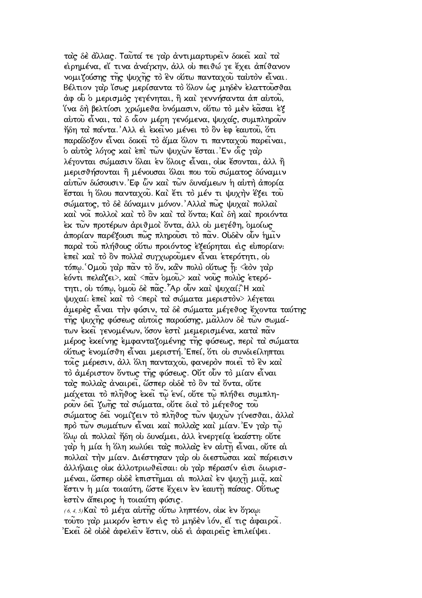τας δε άλλας. Ταυτά τε γαρ αντιμαρτυρείν δοκει και τα ειρημένα, εί τινα αναγκην, άλλ ου πειθώ γε έχει απίθανον νομιζούσης της ψυχης το έν ούτω πανταχού ταυτον είναι. Βέλτιον γαρ ίσως μερίσαντα το όλον ως μηδεν ελαττουσθαι άφ ού ο μερισμός γεγένηται, ή και γεννήσαντα άπ αυτου, ίνα δη βελτίοσι χρώμεθα ονόμασιν, ούτω το μεν εασαι εξ αύτου είναι, τα δ οίον μέρη γενόμενα, ψυχας, συμπληρουν ήδη τα πάντα. Αλλ ει εκείνο μένει το όν εφ εαυτου, ότι παραδοξον είναι δοκεί το άμα όλον τι πανταχού παρείναι, ο αυτός λόγος και έπι των ψυχων έσται. Εν οις γαρ λέγονται σώμασιν όλαι εν όλοις είναι, ουκ έσονται, άλλ ή μερισθήσονται ή μένουσαι όλαι που του σώματος δύναμιν αύτων δώσουσιν. Εφ ὧν και των δυναμεων η αύτη απορία έσται η όλου πανταχου. Και έτι το μέν τι ψυχην έξει του σώματος, τὸ δε δύναμιν μόνον. Αλλα πώς ψυχαι πολλαι και νοι πολλοι και το όν και τα όντα: Και δη και προιόντα εκ των προτέρων ἀριθμοὶ ὄντα, ἀλλ οὐ μεγέθη, ὁμοίως άπορίαν παρέξουσι πως πληρούσι το παν. Ουδεν ούν ημιν παρα του πλήθους ούτω προιόντος εξεύρηται είς ευπορίαν: έπει και το όν πολλα συγχωρούμεν είναι ετερότητι, ου τόπω. Όμου γαρ παν το όν, κάν πολύ ούτως ή: < εον γαρ 'εόντι πελαΐζει>, και <παν δμου> και νους πολυς ετερότητι, ου τόπω, όμου δε πας. Άρ ούν και ψυχαί; Η και ψυχαί: 'επει' και' το <περι' τα σώματα μεριστον> λέγεται άμερές είναι την φύσιν, τα δε σώματα μέγεθος έχοντα ταύτης της ψυχης φύσεως αυτοίς παρούσης, μαλλον δε των σωμάτων εκεί γενομένων, όσον εστι μεμερισμένα, κατα πάν μέρος εκείνης εμφανταζομένης της φύσεως, περι τα σώματα ούτως ενομίσθη είναι μεριστή. Επεί, ότι ου συνδιείληπται τοις μέρεσιν, άλλ όλη πανταχου, φανερον ποιει το εν και τὸ ἀμέριστον ὄντως της φύσεως. Ούτ οὖν τὸ μίαν εἶναι τας πολλας άναιρει, ώσπερ ουδε το όν τα όντα, ούτε μάχεται τὸ πλῆθος ἐκεἶ τῷ ἑνί, ούτε τῷ πλήθει συμπληρούν δει ζωής τα σώματα, ούτε δια το μέγεθος του σώματος δεί νομίζειν το πλήθος των ψυχών γίνεσθαι, άλλα πρὸ τῶν σωματων εἶναι και πολλας και μίαν. Εν γαρ τῷ δλω αι πολλαι ήδη ου δυναμει, άλλ ενεργεία εκαστη: ούτε γαρ η μία η δλη κωλύει τας πολλας εν αυτη είναι, ούτε αι πολλαί την μίαν. Διέστησαν γαρ ου διεστώσαι και πάρεισιν άλλήλαις ουκ άλλοτριωθείσαι: ου γαρ πέρασίν είσι διωρισμέναι, ὥσπερ οὐδὲ ἐπιστῆμαι αί πολλαὶ ἐν ψυχῆ μια, καὶ έστιν η μία τοιαύτη, ὥστε έχειν εν εαυτη πάσας. Οὕτως εστιν άπειρος ή τοιαύτη φύσις.

 $(6, 4, 5)$ Και το μέγα αυτής ούτω ληπτέον, ουκ εν όγκω: τούτο γαρ μικρόν έστιν είς το μηδεν ίόν, εί τις άφαιροί. Έκει δε ουδε άφελειν έστιν, ουδ ει άφαιρεις επιλείψει.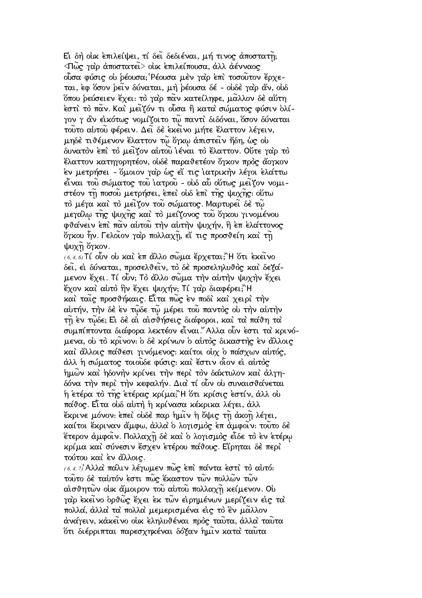Ει δη ούκ επιλείψει, τί δει δεδιέναι, μή τινος άποστατη; «Πὧς γαρ αποστατεί» ουκ επιλείπουσα, άλλ αένναος ούσα φύσις ου ρέουσα; Ρέουσα μεν γαρ επι τοσούτον έρχεται, εφ όσον ρείν δύναται, μη ρέουσα δέ - ουδε γαρ άν, ουδ δπου ρεύσειεν έχει: το γαρ παν κατείληφε, μαλλον δε αύτη έστι το παν. Και μειζόν τι ούσα ή κατα σώματος φύσιν ολίγον γ άν εικότως νομίζοιτο τω παντι διδόναι, όσον δύναται τούτο αύτου φέρειν. Δει δε εκείνο μήτε έλαττον λέγειν, μηδε τιθέμενον έλαττον τῷ ὄγκῳ ἀπιστεῖν ἤδη, ὡς οὐ δυνατον επι το μείζον αύτου ιέναι το έλαττον. Ούτε γαρ το έλαττον κατηγορητέον, ουδε παραθετέον όγκον προς άογκον έν μετρήσει - δμοιον γαρ ώς εί τις ιατρικην λέγοι ελαττω είναι του σώματος του ιατρού - ουδ αύ ούτως μειζον νομιστέον τη ποσού μετρήσει, επεί ουδ επί της ψυχης: ούτω τὸ μέγα και τὸ μείζον του σώματος. Μαρτυρεϊ δε τω μεγαλω της ψυχης και το μείζονος του όγκου γινομένου φθάνειν επι παν αύτου την αύτην ψυχήν, η επ ελάττονος όγκου ήν. Γελοίον γαρ πολλαχη, εί τις προσθείη και τη ψυχη ὄγκον.

 $(6, 4, 6)$  Τί οὖν ου και επ άλλο σὦμα έρχεται; Η ότι εκείνο δει, ει δύναται, προσελθειν, το δε προσεληλυθός και δεξάμενον έχει. Τί οὖν; Τὸ άλλο σὦμα την αὐτην ψυχην έχει έχον και αύτο ην έχει ψυχήν; Τί γαρ διαφέρει; Η και ταις προσθήκαις. Είτα πως έν ποδι και χειρι την αύτήν, την δε εν τώδε τω μέρει του παντός ου την αυτην τη έν τώδε; Ει δέ αι αισθήσεις διαφοροι, και τα πάθη τα συμπίπτοντα διάφορα λεκτέον είναι. Αλλα ούν εστι τα κρινόμενα, ού το κρίνον: ο δε κρίνων ο αυτός δικαστής εν άλλοις και άλλοις πάθεσι γινόμενος: καίτοι ούχ ο πάσχων αυτός, άλλ η σώματος τοιούδε φύσις: και έστιν οίον ει αυτός ημών και ηδονην κρίνει την περι τον δακτυλον και άλγηδόνα την περι την κεφαλήν. Δια τί ούν ου συναισθάνεται η ετέρα το της ετέρας κρίμα; Η ότι κρίσις εστίν, άλλ ου πάθος. Είτα ουδ αυτή η κρίνασα κέκρικα λέγει, άλλ έκρινε μόνον: επει ουδε παρ ημίν η όψις τη άκοη λέγει, καίτοι έκριναν άμφω, άλλα ο λογισμός επ άμφοιν: τουτο δε έτερον άμφοιν. Πολλαχη δε και ο λογισμος είδε το εν ετέρω κρίμα και σύνεσιν έσχεν ετέρου πάθους. Είρηται δε περι τούτου και έν άλλοις.

(6, 4, 7) Αλλα πάλιν λέγωμεν πώς επι πάντα εστι το αυτό: τούτο δε ταύτόν έστι πώς έκαστον των πολλών των αισθητών ούκ άμοιρον του αύτου πολλαχη κείμενον. Ου γαρ εκείνο ορθώς έχει εκ των ειρημένων μερίζειν εις τα πολλα, άλλα τα πολλα μεμερισμένα είς το εν μαλλον άναγειν, κάκεινο ούκ εληλυθέναι πρός ταυτα, άλλα ταυτα δτι διέρριπται παρεσχηκέναι δόξαν ημίν κατα ταύτα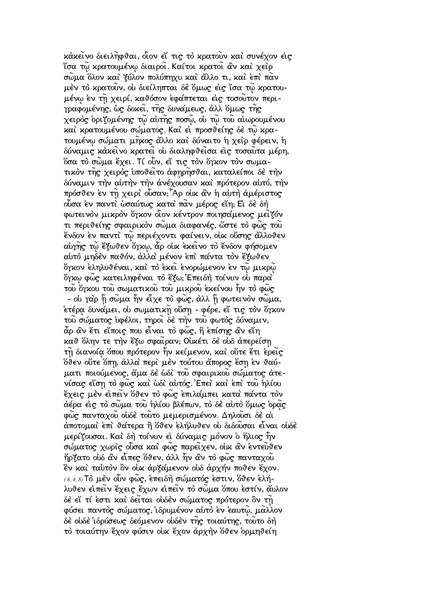κάκείνο διειλήφθαι, οίον εί τις το κρατούν και συνέχον είς ἴσα τῷ κρατουμένῳ διαιροῖ. Καίτοι κρατοῖ ἀν καὶ χεὶρ σώμα δλον και ζύλον πολύπηχυ και άλλο τι, και επι παν μέν τὸ κρατούν, οὐ διείληπται δὲ ὅμως εἰς ἴσα τῳ κρατουμένω έν τη χειρί, καθόσον εφαπτεται είς τοσούτον περιγραφομένης, ώς δοκεί, της δυναμεως, άλλ όμως της χειρός οριζομένης τω αύτης ποσώ, ου τω του αιωρουμένου και κρατουμένου σώματος. Και ει προσθείης δε τω κρατουμένω σώματι μήκος άλλο και δύναιτο η χειρ φέρειν, η δύναμις κάκεινο κρατει ου διαληφθείσα είς τοσαυτα μέρη, δσα τὸ σῶμα ἔχει. Τί οὖν, εἴ τις τὸν ὄγκον τὸν σωματικόν της χειρός υποθείτο άφηρησθαι, καταλείποι δέ την δύναμιν την αύτην την άνέχουσαν και πρότερον αυτό, την πρόσθεν έν τη χειρι ούσαν; Άρ ούκ άν η αύτη άμέριστος ούσα εν παντι ώσαύτως κατα παν μέρος είη; Ει δε δη φωτεινόν μικρόν όγκον οίον κέντρον ποιησάμενος μειζόν τι περιθείης σφαιρικόν σώμα διαφανές, ώστε το φώς του ένδον εν παντι τω περιέχοντι φαίνειν, ούκ ούσης άλλοθεν αύγης τω έξωθεν όγκω, ἆρ ούκ εκείνο το ένδον φήσομεν αύτο μηδέν παθόν, άλλα μένον επι παντα τον έξωθεν όγκον εληλυθέναι, και το εκει ενορώμενον εν τω μικρω όγκω φώς κατειληφέναι το έξω; Επειδη τοίνυν ου παρα του όγκου του σωματικού του μικρού εκείνου ήν το φώς - ου γαρ ἧ σῶμα ἦν ἐἶχε τὸ φῶς, ἀλλ ῇ φωτεινὸν σῶμα, ετέρα δυναμει, ου σωματική ούση - φέρε, εί τις τον όγκον του σώματος υφέλοι, τηροι δε την του φωτος δύναμιν, άρ άν έτι είποις που είναι το φως, ή επίσης άν είη καθ όλην τε την έξω σφαίραν; Ουκέτι δε ουδ άπερείση τη διανοία όπου πρότερον ήν κείμενον, και ούτε έτι έρεις δθεν ούτε όπη, άλλα περι μεν τούτου άπορος έση εν θαύματι ποιούμενος, άμα δε ωδι του σφαιρικού σώματος άτενίσας είση το φως και ώδι αυτός. Επει και επι του ηλίου έχεις μεν ειπειν όθεν το φως επιλαμπει κατα παντα τον άέρα εις τὸ σῶμα τοῦ ἡλίου βλέπων, τὸ δὲ αὐτὸ ὅμως ὁρας φώς πανταχού ουδέ τούτο μεμερισμένον. Δηλούσι δέ αι άποτομαί επι θάτερα ή όθεν ελήλυθεν ου διδουσαι είναι ουδέ μερίζουσαι. Και δη τοίνυν ει δύναμις μόνον ο ήλιος ήν σώματος χωρίς ούσα και φώς παρείχεν, ουκ άν εντεύθεν ήρ τατο ουδ άν είπες όθεν, άλλ ήν άν το φως πανταχου εν και ταυτον ον ουκ αρζαμενον ουδ αρχήν ποθεν έχον.  $(6, 4, 8)$  Το μεν ούν φως, επειδή σώματός εστιν, όθεν ελήλυθεν ειπείν έχεις έχων ειπείν το σώμα όπου εστίν, άυλον δε εί τί εστι και δειται ουδεν σώματος πρότερον ον τη φύσει παντός σώματος, ιδρυμένον αυτό εν εαυτώ, μαλλον δε ουδε ιδρύσεως δεόμενον ουδεν της τοιαύτης, τουτο δη το τοιαύτην έχον φύσιν ουκ έχον άρχην όθεν ορμηθείη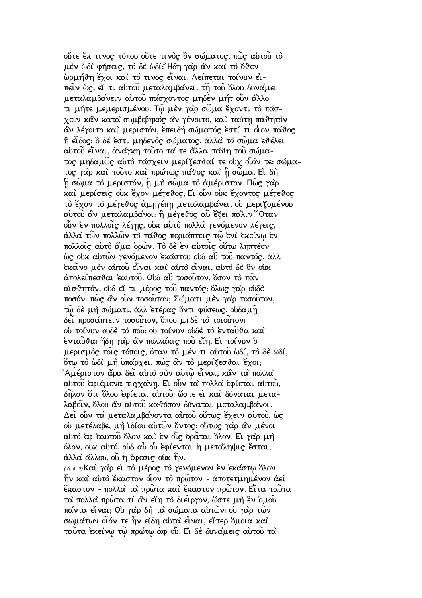ούτε έκ τινος τόπου ούτε τινός όν σώματος, πως αύτου τό μέν ώδι φήσεις, το δε ώδι; Ηδη γαρ άν και το όθεν ώρμήθη έχοι και τό τινος είναι. Λείπεται τοίνυν ειπείν ώς, εί τι αύτου μεταλαμβάνει, τη του όλου δυνάμει μεταλαμβάνειν αύτου πάσχοντος μηδεν μήτ ούν άλλο τι μήτε μεμερισμένου. Τῷ μεν γαρ σῶμα ἔχοντι τὸ πάσχειν κάν κατα συμβεβηκός άν γένοιτο, και ταύτη παθητόν άν λέγοιτο και μεριστόν, επειδή σώματός εστί τι οίον πάθος ή εἶδος: ὃ δέ 'εστι μηδενὸς σώματος, ἀλλα τὸ σὧμα 'εθέλει αύτου είναι, άναγκη τουτο τα τε άλλα παθη του σώματος μηδαμώς αυτό πάσχειν μερίζεσθαί τε ουχ οιόν τε: σώματος γαρ και τούτο και πρώτως πάθος και η σώμα. Ει δη ἧ σὦμα τὸ μεριστόν, ἧ μὴ σὧμα τὸ ἀμέριστον. Πὧς γαρ και μερίσεις ούκ έχον μέγεθος; Ει ούν ουκ έχοντος μέγεθος τὸ έχον τὸ μέγεθος ἀμηγέπη μεταλαμβανει, ου μεριζομένου αύτου άν μεταλαμβανοι: ή μέγεθος αύ έξει παλιν. Όταν ούν έν πολλοίς λέγης, ούκ αύτο πολλα γενόμενον λέγεις, άλλα των πολλών το πάθος περιάπτεις τω ενι εκείνω εν πολλοίς αυτό άμα δρών. Το δε εν αυτοίς ούτω ληπτέον ώς ούκ αυτών γενόμενον εκαστου ουδ αύ του παντός, άλλ εκείνο μεν αυτου είναι και αυτο είναι, αυτο δε όν ουκ άπολείπεσθαι εαυτού. Ουδ αύ τοσούτον, όσον το πάν αισθητόν, ουδ εί τι μέρος του παντός: όλως γαρ ουδε ποσόν: πως άν ούν τοσούτον; Σώματι μέν γαρ τοσούτον, τῷ δὲ μὴ σώματι, ἀλλ ἑτέρας ὄντι φύσεως, οὐδαμῆ δει προσάπτειν τοσούτον, όπου μηδέ τὸ τοιούτον: ου τοίνυν ουδέ το που: ου τοίνυν ουδέ το ενταυθα και ένταυθα: ήδη γαρ άν πολλακις που είη. Ει τοίνυν δ μερισμός τοις τόποις, όταν το μέν τι αυτου ωδί, το δε ωδί, δτω το ωδι μη υπαρχει, πως άν το μερίζεσθαι έχοι; 'Αμέριστον άρα δεῖ αὐτὸ σὺν αὐτῷ εἶναι, κἀν τα πολλα` αύτου εφιέμενα τυγχανη. Ει ούν τα πολλα εφίεται αύτου, δηλον ότι όλου εφίεται αυτου: ώστε εί και δύναται μεταλαβείν, δλου άν αύτου καθόσον δύναται μεταλαμβάνοι. Δει ούν τα μεταλαμβανοντα αυτου ούτως έχειν αυτου, ως ού μετέλαβε, μη ιδίου αυτών όντος: ούτως γαρ άν μένοι αύτο έφ εαυτου όλον και έν οις οράται όλον. Ει γαρ μή δλον, ουκ αυτό, ουδ αύ ου εφίενται η μεταληψις έσται, άλλα άλλου, οὗ η ἔφεσις οὐκ ἦν.

(6, 4, 9) Και γαρ ει το μέρος το γενόμενον εν εκαστω όλον ήν και αυτο έκαστον οίον το πρώτον - άποτετμημένον άει έκαστον - πολλα τα πρώτα και έκαστον πρώτον. Είτα ταυτα τα πολλα πρώτα τί άν είη το διείργον, ώστε μη εν όμου πάντα είναι; Ου γαρ δη τα σώματα αυτών: ου γαρ των σωμάτων οἷόν τε ἦν εἴδη αὐτα εἶναι, εἴπερ ὅμοια και ταυτα εκείνω τω πρώτω άφ ου. Ει δε δυναμεις αυτου τα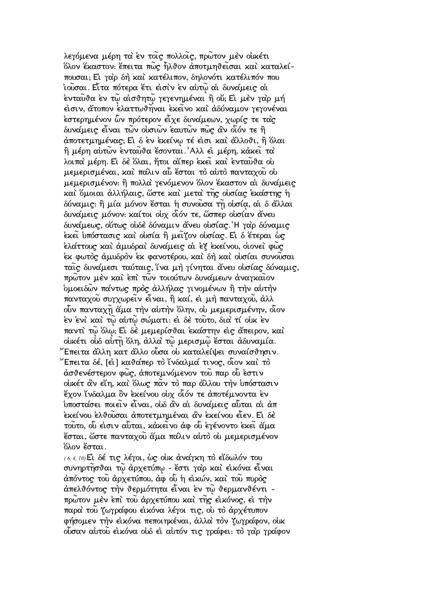λεγόμενα μέρη τα έν τοις πολλοις, πρώτον μέν ουκέτι δλον έκαστον: έπειτα πώς ήλθον αποτμηθείσαι και καταλείπουσαι; Ει γαρ δη και κατέλιπον, δηλονότι κατέλιπόν που ιουσαι. Είτα πότερα έτι εισιν εν αυτώ αι δυναμεις αι ένταυθα έν τω αισθητω γεγενημέναι ή ού; Ει μέν γαρ μή εισιν, άτοπον ελαττωθηναι εκείνο και αδύναμον γεγονέναι έστερημένον ὧν πρότερον εἶχε δυναμεων, χωρίς τε τας δυναμεις είναι των ουσιών εαυτών πως αν οιόν τε ή άποτετμημένας; Ει δ'εν 'εκείνω τέ είσι και άλλοθι, ή δλαι η μέρη αυτών ενταύθα έσονται. Αλλ ει μέρη, κάκει τα λοιπα μέρη. Ει δε όλαι, ήτοι αίπερ εκει και ενταυθα ου μεμερισμέναι, και πάλιν αὖ έσται το αυτο πανταχου ου μεμερισμένον: ή πολλα γενόμενον όλον έκαστον αι δυνάμεις και δμοιαι άλλήλαις, ώστε και μετα της ουσίας εκαστης η δύναμις: ή μία μόνον έσται η συνούσα τη ουσία, αι δ άλλαι δυναμεις μόνον: καίτοι ουγ οίον τε, ώσπερ ουσίαν άνευ δυνάμεως, ούτως ουδέ δύναμιν άνευ ουσίας. Η γαρ δύναμις εκει υπόστασις και ουσία ή μειζον ουσίας. Ει δ έτεραι ώς ελάττους και άμυδραι δυναμεις αι εξ εκείνου, οιονει φώς έκ φωτός άμυδρον έκ φανοτέρου, και δη και ουσίαι συνουσαι ταις δυναμεσι ταύταις, ίνα μή γίνηται άνευ ουσίας δύναμις, πρώτον μέν και επι των τοιούτων δυναμεων αναγκαιον δμοειδών παντως πρός αλλήλας γινομένων ή την αυτήν πανταχού συγχωρείν είναι, ή καί, εί μη πανταχού, άλλ οὖν πανταχη άμα την αυτην όλην, ου μεμερισμένην, οίον έν ενι και τῷ αὐτῷ σώματι: ἐι δὲ τοῦτο, δια τί οὐκ ἐν παντι τω δλω; Ει δε μεμερίσθαι εκαστην εις άπειρον, και ουκέτι ουδ αυτή όλη, άλλα τω μερισμώ έσται άδυναμία. "Επειτα άλλη κατ άλλο ούσα ου καταλείψει συναίσθησιν. "Επειτα δέ, [εί] καθάπερ τὸ ἴνδαλμά τινος, δίον καὶ τὸ άσθενέστερον φώς, άποτεμνόμενον του παρ ού έστιν ούκέτ άν είη, και δλως πάν το παρ άλλου την υπόστασιν έχον ἴνδαλμα ὂν ἐκείνου ουχ οίον τε αποτέμνοντα ἐν υποστάσει ποιείν είναι, ουδ άν αι δυναμεις αύται αι άπ εκείνου ελθούσαι αποτετμημέναι άν εκείνου είεν. Ει δε τούτο, ού είσιν αύται, κάκεινο άφ ού εγένοντο εκει άμα έσται, ὥστε πανταχοῦ ἄμα παλιν αὐτὸ ου μεμερισμένον δλον έσται.

 $(6, 4, 10)$ Ει δέ τις λέγοι, ως ούκ αναγκη το είδωλόν του συνηρτήσθαι τω άρχετύπω - έστι γαρ και εικόνα είναι άπόντος του άρχετύπου, άφ ου ή εικών, και του πυρός άπελθόντος την θερμότητα είναι εν τω θερμανθέντι πρώτον μέν επι του άρχετύπου και της εικόνος, ει την παρα του ζωγράφου εικόνα λέγοι τις, ου το άρχετυπον φήσομεν την εικόνα πεποιηκέναι, άλλα τον ζωγράφον, ούκ ούσαν αυτου εικόνα ουδ ει αυτόν τις γράφει: το γαρ γράφον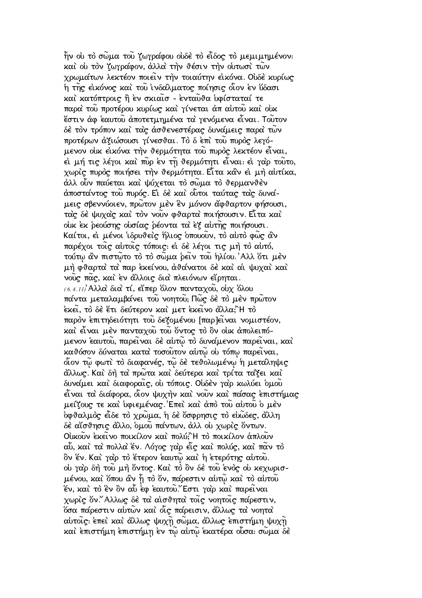ήν ου το σώμα του ζωγράφου ουδε το είδος το μεμιμημένον: και ου τον ζωγράφον, άλλα την θέσιν την ουτωσι των χρωμάτων λεκτέον ποιείν την τοιαύτην εικόνα. Ουδέ κυρίως η της εικόνος και του ινδαλματος ποίησις οίον εν ύδασι και κατόπτροις ή εν σκιαίσ - ενταύθα υφίσταταί τε παρα του προτέρου κυρίως και γίνεται άπ αυτου και ουκ έστιν άφ εαυτοῦ ἀποτετμημένα τα γενόμενα εἶναι. Τοῦτον δέ τον τρόπον και τας ασθενεστέρας δυναμεις παρα των προτέρων άξιώσουσι γίνεσθαι. Τὸ δ ἐπὶ τοῦ πυρὸς λεγόμενον ούκ εικόνα την θερμότητα του πυρος λεκτέον είναι, ει μή τις λέγοι και πυρ εν τη θερμότητι είναι: ει γαρ τουτο, γωρίς πυρός ποιήσει την θερμότητα. Είτα κάν εί μη αυτίκα, άλλ οὖν παύεται και ψύχεται το σὦμα το θερμανθεν άποστάντος του πυρός. Ει δε και ούτοι ταύτας τας δυνάμεις σβεννύοιεν, πρώτον μεν εν μόνον άφθαρτον φήσουσι, τας δε ψυχας και τον νουν φθαρτα ποιήσουσιν. Είτα και ούκ εκ ρεούσης ουσίας ρέοντα τα εξ αυτης ποιήσουσι. Καίτοι, ει μένοι ιδρυθείς ήλιος οπουούν, το αυτό φως άν παρέχοι τοις αυτοις τόποις: ει δε λέγοι τις μή το αυτό, τούτω άν πιστώτο το το σώμα ρείν του ηλίου. Αλλ ότι μεν μή φθαρτα τα παρ εκείνου, άθανατοι δε και αι ψυχαι και νους πάς, και έν άλλοις δια πλειόνων είρηται.  $(6, 4, 11)$  Αλλα δια τί, είπερ όλον πανταχου, ουχ όλου πάντα μεταλαμβάνει του νοητου; Πως δε το μεν πρώτον ,<br>'εκεῖ, τὸ δὲ ἔτι δεύτερον καὶ μετ ἐκεῖνο ἄλλα;`Η τὸ παρόν επιτηδειότητι του δεζομένου [παρ]είναι νομιστέον, και είναι μεν πανταχού του όντος το όν ούκ απολειπόμενον εαυτου, παρείναι δε αυτώ το δυναμενον παρείναι, και καθόσον δύναται κατα τοσούτον αυτώ ου τόπω παρείναι, οίον τω φωτι το διαφανές, τω δε τεθολωμένω η μεταληψις άλλως. Καὶ δὴ τα πρῶτα καὶ δεύτερα καὶ τρίτα ταξει καὶ δυναμει και διαφοραίς, ου τόποις. Ουδεν γαρ κωλύει δμου είναι τα διάφορα, δίον ψυχήν και νουν και πάσας επιστήμας μείζους τε και υφιεμένας. Επει και άπο του αυτου ο μεν οφθαλμὸς εἶδε τὸ χρῶμα, ἡ δὲ ὄσφρησις τὸ εὐῶδες, ἄλλη δε αΐσθησις άλλο, δμου παντων, άλλ ου χωρις όντων. Ούκουν εκείνο ποικίλον και πολύ; Η το ποικίλον άπλουν αὖ, και τα πολλα έν. Λόγος γαρ είς και πολύς, και πάν το ον έν. Και γαρ το έτερον εαυτώ και η ετερότης αυτου. ου γαρ δη του μη όντος. Και το όν δε του ενός ου κεχωρισμένου, και όπου άν ή το όν, πάρεστιν αυτώ και το αυτού έν, και το εν ον αὖ εφ εαυτοῦ."Εστι γαρ και παρεῖναι χωρίς ὄν. Αλλως δε τα αισθητα τοις νοητοις πάρεστιν, δσα πάρεστιν αυτών και δίς πάρεισιν, άλλως τα νοητα αύτοις: έπει και άλλως ψυχη σώμα, άλλως επιστήμη ψυχη και επιστήμη επιστήμη εν τω αυτώ εκατέρα ούσα: σωμα δε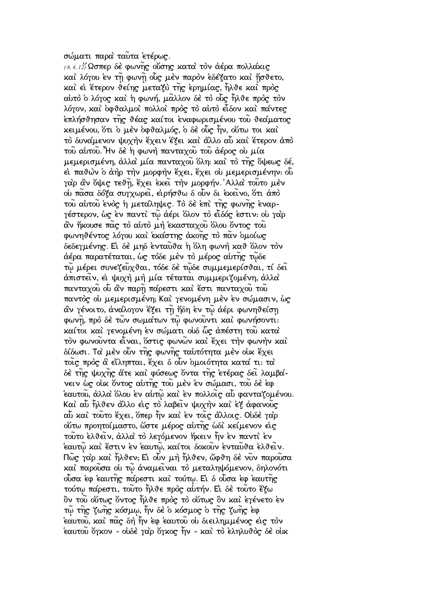σώματι παρα ταυτα ετέρως.

 $(6, 4, 12)$  Ωσπερ δε φωνης ούσης κατα τον άέρα πολλάκις και λόγου έν τη φωνη ούς μέν παρον εδέξατο και ήσθετο, και ει έτερον θείης μεταξύ της ερημίας, ήλθε και προς αύτο ο λόγος και η φωνή, μάλλον δε το ούς ήλθε προς τον λόγον, και όφθαλμοι πολλοι πρός το αυτό είδον και πάντες έπλήσθησαν της θέας καίτοι εναφωρισμένου του θεάματος κειμένου, ότι ο μεν οφθαλμός, ο δε ούς ήν, ούτω τοι και τὸ δυναμενον ψυχὴν ἔχειν ἕξει καὶ ἄλλο αὖ καὶ ἕτερον ἀπὸ του αυτου. Ήν δε η φωνη πανταχου του άέρος ου μία μεμερισμένη, άλλα μία πανταχού όλη: και το της όψεως δέ, ει παθων ο άηρ την μορφην έχει, έχει ου μεμερισμένην: ού γαρ άν ὄψις τεθη, έχει εκεί την μορφήν. Αλλα τούτο μεν ου πασα δόξα συγχωρεί, ειρήσθω δ ούν δι εκείνο, ότι άπό του αύτου ενός η μεταληψις. Το δε επι της φωνης εναργέστερον, ως έν παντι τω άέρι δλον το είδός εστιν: ου γαρ άν ήκουσε πας το αυτο μη εκασταχου όλου όντος του φωνηθέντος λόγου και εκάστης άκοης το παν ομοίως δεδεγμένης. Ει δε μηδ ενταύθα ή δλη φωνή καθ δλον τον άέρα παρατέταται, ώς τόδε μεν το μέρος αυτής τψδε τώ μέρει συνεζεύχθαι, τόδε δε τώδε συμμεμερίσθαι, τί δεϊ άπιστείν, ει ψυχή μή μία τέταται συμμεριζομένη, άλλα πανταχού ού άν παρή πάρεστι και έστι πανταχού του παντός ού μεμερισμένη; Και γενομένη μεν εν σώμασιν, ώς άν γένοιτο, αναλογον έξει τη ήδη εν τω αέρι φωνηθείση φωνη, πρό δε των σωμάτων τω φωνούντι και φωνήσοντι: καίτοι και γενομένη έν σώματι ουδ ὧς άπέστη του κατα τον φωνούντα είναι, όστις φωνών και έχει την φωνην και δίδωσι. Τα μεν ούν της φωνης ταυτότητα μεν ουκ έχει τοις πρός α είληπται, έχει δ ούν ομοιότητα κατά τι: τα δε της ψυχης άτε και φύσεως όντα της ετέρας δει λαμβάνειν ώς ούκ όντος αύτης του μέν εν σώμασι, του δέ έφ εαυτου, άλλα δλου εν αυτώ και εν πολλοις αυ φανταζομένου. Καὶ αὖ ἦλθεν άλλο είς τὸ λαβείν ψυχὴν καὶ εξ ἀφανους αὖ και τουτο έχει, όπερ ἦν και εν τοις άλλοις. Ουδε γαρ ούτω προητοίμαστο, ώστε μέρος αυτής ωδι κείμενον εις τούτο ελθείν, άλλα το λεγόμενον ήκειν ήν εν παντι εν εαυτώ και έστιν εν εαυτώ, καίτοι δοκούν ενταύθα ελθείν. Πὦς γαρ και ἦλθεν; Ει οὖν μη ἦλθεν, ὤφθη δε νὖν παροῦσα και παρουσα ου τω αναμείναι το μεταληψόμενον, δηλονότι ούσα έφ εαυτής πάρεστι και τούτω. Ει δ ούσα εφ εαυτής τούτω πάρεστι, τούτο ἦλθε πρός αυτήν. Ει δε τούτο έξω ὂν του οὕτως ὄντος ἤλθε πρὸς τὸ οὕτως ὂν καὶ ἐγένετο ἐν τώ της ζωής κόσμω, ήν δε ο κόσμος ο της ζωής εφ έαυτου, και πάς δη ήν έφ έαυτου ου διειλημμένος είς τον εαυτου όγκον - ουδε γαρ όγκος ήν - και το εληλυθος δε ουκ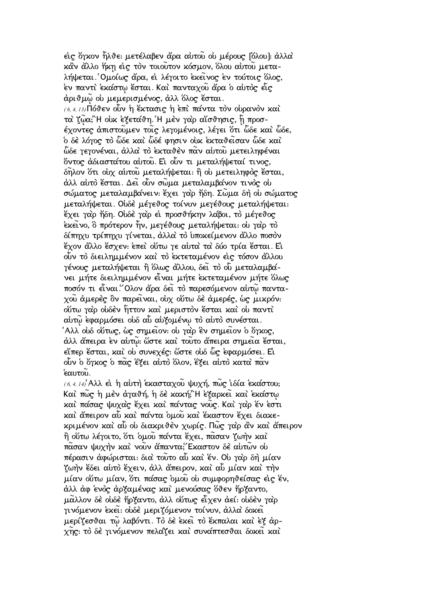εις ὄγκον ἡλθε: μετέλαβεν άρα αυτου ου μέρους [ὅλου]: ἀλλα` κάν άλλο ήκη είς τον τοιούτον κόσμον, όλου αύτου μεταλήψεται. Όμοίως άρα, ει λέγοιτο εκείνος εν τούτοις όλος, έν παντι` εκαστω έσται. Και πανταχου άρα ο αυτος είς άριθμώ ου μεμερισμένος, άλλ δλος έσται.  $(6, 4, 13)$ Πόθεν οὖν η έκτασις η επι πάντα τον ουρανον και τα ζώα; Η ούκ εξεταθη. Η μεν γαρ αίσθησις, η προσέχοντες άπιστούμεν τοις λεγομένοις, λέγει ότι ώδε και ώδε, δ δὲ λόγος τὸ ὧδε καὶ ὧδέ φησιν οὐκ ἐκταθεἶσαν ὧδε καὶ ὧδε γεγονέναι, άλλα το εκταθεν παν αυτου μετειληφέναι όντος άδιαστάτου αύτου. Ει ούν τι μεταλήψεταί τινος, δηλον ότι ούχ αυτού μεταλήψεται: ή ου μετειληφός έσται, άλλ αυτό έσται. Δεί ούν σώμα μεταλαμβάνον τινός ου σώματος μεταλαμβάνειν: έχει γαρ ήδη. Σώμα δη ου σώματος μεταλήψεται. Ουδέ μέγεθος τοίνυν μεγέθους μεταλήψεται: έχει γαρ ήδη. Ουδέ γαρ ει προσθήκην λαβοι, το μέγεθος εκείνο, δ πρότερον ήν, μεγέθους μεταλήψεται: ου γαρ το δίπηχυ τρίπηχυ γίνεται, άλλα το υποκείμενον άλλο ποσον έχον άλλο έσχεν: επει ούτω γε αυτα τα δύο τρία έσται. Ει οὖν τὸ διειλημμένον και τὸ ἐκτεταμένον ἐις τόσον ἄλλου γένους μεταλήψεται ή δλως άλλου, δει το ού μεταλαμβανει μήτε διειλημμένον εἶναι μήτε 'εκτεταμένον μήτε 'δλως ποσόν τι είναι. Όλον άρα δεί το παρεσόμενον αυτώ πανταχου άμερες όν παρείναι, ούχ ούτω δε άμερές, ως μικρόν: ούτω γαρ ουδέν ήττον και μεριστον έσται και ου παντι αύτω εφαρμόσει ουδ αύ αυξομένω το αυτο συνέσται. 'Αλλ οὐδ οὕτως, ὡς σημεῖον: οὐ γαρ ἓν σημεῖον ὁ ὄγκος, άλλ άπειρα έν αυτώ: ώστε και τουτο άπειρα σημεία έσται, είπερ έσται, και ου συνεχές: ώστε ουδ ὧς εφαρμόσει. Ει οὖν ο ὄγκος ο πας έξει αυτό όλον, έξει αυτό κατα παν  $\epsilon$   $\alpha$   $\alpha$   $\alpha$   $\alpha$   $\beta$   $\alpha$   $\beta$   $\alpha$   $\beta$   $\alpha$   $\beta$   $\alpha$   $\beta$   $\alpha$   $\beta$   $\alpha$   $\beta$   $\alpha$   $\beta$   $\alpha$   $\beta$   $\alpha$   $\beta$   $\alpha$   $\beta$   $\alpha$   $\beta$   $\alpha$   $\beta$   $\alpha$   $\beta$   $\alpha$   $\beta$   $\alpha$   $\beta$   $\alpha$   $\beta$   $\alpha$   $\beta$   $\alpha$   $\beta$   $\alpha$   $\beta$ 

 $(6, 4, 14)$  Αλλ εί η αύτη εκασταχού ψυχή, πώς 'ιδία εκαστου; Καὶ πὦς ἡ μεν ἀγαθή, ἡ δε κακή; Η εξαρκεῖ καὶ εκαστω και πάσας ψυχας έχει και πάντας νους. Και γαρ έν έστι και άπειρον αύ και πάντα δμού και έκαστον έχει διακεκριμένον και αύ ου διακριθεν χωρίς. Πως γαρ άν και άπειρον ή ούτω λέγοιτο, ότι δμου παντα έχει, πασαν ζωήν και πάσαν ψυχήν και νούν άπαντα; Εκαστον δε αυτών ου πέρασιν άφώρισται: δια τούτο αὖ καὶ ἕν. Οὐ γαρ δη μίαν ζωήν έδει αύτο έχειν, άλλ άπειρον, και αύ μίαν και την μίαν ούτω μίαν, ότι πάσας δμού ου συμφορηθείσας εις έν, άλλ άφ ενός αρξαμένας και μενούσας όθεν ήρξαντο, μαλλον δε ουδε ήρξαντο, άλλ ούτως είχεν άεί: ουδεν γαρ γινόμενον εκει: ουδε μεριζόμενον τοίνυν, άλλα δοκει μερίζεσθαι τὦ λαβόντι. Τὸ δὲ ἐκεῖ τὸ ἔκπαλαι καὶ ἐζ ἀργης: τὸ δὲ γινόμενον πελάζει και συνάπτεσθαι δοκεί και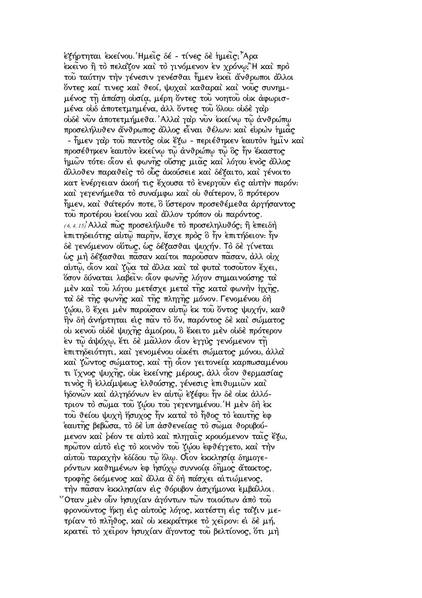εξήρτηται εκείνου. Ημείς δέ - τίνες δε ημείς; Άρα έκεινο ή τὸ πελα ζον και τὸ γινόμενον εν χρόνω; Η και πρὸ του ταύτην την γένεσιν γενέσθαι ήμεν εκει άνθρωποι άλλοι ὄντες καί τινες καὶ θεοί, ψυχαὶ καθαραὶ καὶ νους συνημμένος τη απάση ουσία, μέρη όντες του νοητου ουκ άφωρισμένα ουδ άποτετμημένα, άλλ όντες του όλου: ουδέ γαρ ούδε νυν αποτετμήμεθα. Αλλα γαρ νυν εκείνω τω ανθρώπω προσελήλυθεν άνθρωπος άλλος είναι θέλων: και ευρων ημάς - ήμεν γαρ του παντος ουκ έξω - περιέθηκεν εαυτον ημίν και προσέθηκεν εαυτον εκείνω τω ανθρώπω τω δς ήν έκαστος ημών τότε: δίον ει φωνης ούσης μιας και λόγου ενος άλλος άλλοθεν παραθείς το ούς άκούσειε και δέξαιτο, και γένοιτο κατ ενέργειαν άκοή τις έχουσα το ενεργούν εις αυτήν παρόν: και γεγενήμεθα το συνάμφω και ου θάτερον, δ πρότερον ήμεν, και θάτερόν ποτε, δ ύστερον προσεθέμεθα άργήσαντος του προτέρου εκείνου και άλλον τρόπον ου παρόντος.  $(6, 4, 15)$  Αλλα πώς προσελήλυθε το προσεληλυθός; η επειδη έπιτηδειότης αυτώ παρήν, έσχε προς δ ήν επιτήδειον: ήν δε γενόμενον ούτως, ώς δέξασθαι ψυχήν. Το δε γίνεται ώς μή δέξασθαι πάσαν καίτοι παρούσαν πάσαν, άλλ ούχ αυτώ, δίον και ζώα τα άλλα και τα φυτα τοσούτον έχει, δσον δύναται λαβείν: δίον φωνής λόγον σημαινούσης τα μέν και του λόγου μετέσχε μετα της κατα φωνην ήχης, τα δε της φωνής και της πληγής μόνον. Γενομένου δη ζώου, δ έχει μεν παρούσαν αυτώ εκ του όντος ψυχήν, καθ ην δη ανήρτηται είς παν το όν, παρόντος δε και σώματος ού κενου ούδε ψυχης άμοίρου, δ έκειτο μεν ούδε πρότερον έν τῷ ἀψύχῳ, ἔτι δὲ μᾶλλον οἷον ἐγγὺς γενόμενον τῆ έπιτηδειότητι, και γενομένου ουκέτι σώματος μόνου, άλλα και ζώντος σώματος, και τη οίον γειτονεία καρπωσαμένου τι ίχνος ψυχης, ουκ εκείνης μέρους, άλλ οίον θερμασίας τινός ή ελλαμψεως ελθούσης, γένεσις επιθυμιών και ηδονων και άλγηδόνων εν αυτώ εξέφυ: ήν δε ουκ άλλότριον τὸ σῶμα τοῦ ζώου τοῦ γεγενημένου. Η μὲν δὴ ἐκ του θείου ψυχη ήσυχος ήν κατα το ήθος το εαυτής έφ εαυτης βεβώσα, το δε υπ άσθενείας το σώμα θορυβούμενον και ρέον τε αυτό και πληγαίς κρουόμενον ταις έξω, πρώτον αύτὸ ἐις τὸ κοινὸν του ζώου 'εφθέγγετο, και την αύτου ταραχήν 'εδίδου τω 'δλω. Οίον 'εκκλησία δημογερόντων καθημένων 'εφ ησύχω συννοία δημος άτακτος, τροφής δεόμενος και άλλα α δη πασχει αιτιώμενος, την πασαν εκκλησίαν εις θόρυβον ασχήμονα εμβαλλοι. Όταν μεν ούν ησυχίαν άγόντων των τοιούτων άπο του φρονούντος ήκη είς αύτους λόγος, κατέστη είς ταξιν μετρίαν το πληθος, και ου κεκράτηκε το χείρον: εί δε μή, κρατεί το χείρον ησυχίαν άγοντος του βελτίονος, ότι μη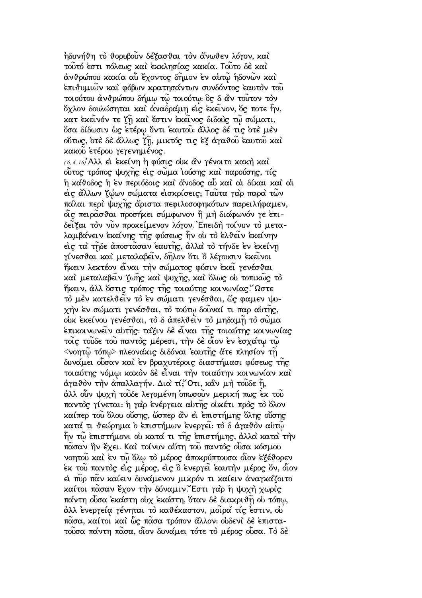ήδυνήθη τὸ θορυβουν δέξασθαι τὸν άνωθεν λόγον, και τουτό έστι πόλεως και εκκλησίας κακία. Τουτο δε και άνθρώπου κακία αὖ έχοντος δήμον εν αυτώ ηδονών και επιθυμιών και φόβων κρατησάντων συνδόντος εαυτον του τοιούτου άνθρώπου δήμω τω τοιούτω: δς δ άν τουτον τον όχλον δουλώσηται και άναδραμη εις εκεινον, ός ποτε ήν, κατ εκεινόν τε ζη και έστιν εκεινος διδούς τω σώματι, δσα δίδωσιν ως ετέρω όντι εαυτου: άλλος δέ τις οτε μεν ούτως, οτε δε άλλως ζη, μικτός τις εξ άγαθου εαυτου και κακού ετέρου γεγενημένος.

 $(6, 4, 16)$  Αλλ ει εκείνη ή φύσις ούκ άν γένοιτο κακή και ούτος τρόπος ψυχης εις σώμα ιούσης και παρούσης, τίς η καθοδος η έν περιόδοις και άνοδος αύ και αι δίκαι και αι εις άλλων ζώων σώματα εισκρίσεις; Ταύτα γαρ παρα των παλαι περί ψυχης άριστα πεφιλοσοφηκότων παρειλήφαμεν, δίς πειρασθαι προσήκει σύμφωνον ή μη διάφωνόν γε έπιδειξαι τον νυν προκείμενον λόγον. Επειδή τοίνυν το μεταλαμβάνειν εκείνης της φύσεως ήν ου το ελθείν εκείνην εις τα τηδε αποστάσαν εαυτής, άλλα το τήνδε εν εκείνη γίνεσθαι και μεταλαβείν, δηλον ότι δ λέγουσιν εκείνοι ήκειν λεκτέον είναι την σώματος φύσιν εκει γενέσθαι και μεταλαβείν ζωής και ψυχής, και όλως ου τοπικώς το ήκειν, άλλ δστις τρόπος της τοιαύτης κοινωνίας. Ώστε τὸ μέν κατελθείν τὸ 'εν σώματι γενέσθαι, ὥς φαμεν ψυχήν έν σώματι γενέσθαι, το τούτω δουναί τι παρ αύτης, ούκ εκείνου γενέσθαι, το δ άπελθείν το μηδαμή το σώμα έπικοινωνείν αύτης: ταξιν δε είναι της τοιαύτης κοινωνίας τοις τουδε του παντός μέρεσι, την δε οίον εν εσχατω τω <νοητώ τόπω> πλεονακις διδόναι εαυτης άτε πλησίον τη δυναμει ούσαν και εν βραχυτέροις διαστήμασι φύσεως της τοιαύτης νόμω: κακόν δε είναι την τοιαύτην κοινωνίαν και άγαθον την απαλλαγήν. Δια τί, Ότι, κάν μη τουδε ή, άλλ οὖν ψυχή τοῦδε λεγομένη δπωσοῦν μερική πως ἐκ τοῦ παντὸς γίνεται: ἡ γαρ ενέργεια αυτής ουκέτι πρὸς τὸ ὅλον καίπερ του δλου ούσης, ώσπερ άν ει επιστήμης δλης ούσης κατά τι θεώρημα ο επιστήμων ενεργει: το δ άγαθον αυτώ ήν τῷ ἐπιστήμονι οὐ κατά τι τῆς ἐπιστήμης, ἀλλα κατα τὴν πάσαν ην έχει. Και τοίνυν αύτη του παντος ούσα κόσμου νοητού και έν τῷ ὅλῳ τὸ μέρος ἀποκρύπτουσα οἶον εξέθορεν έκ του παντὸς ἐις μέρος, ἐις ὃ ἐνεργει ἑαυτὴν μέρος ὄν, οἶον ει πυρ παν καίειν δυνάμενον μικρόν τι καίειν αναγκάζοιτο καίτοι πάσαν έχον την δύναμιν. Έστι γαρ η ψυχη χωρίς πάντη ούσα εκαστη ουχ εκαστη, όταν δε διακριθη ου τόπω, άλλ ενεργεία γένηται τὸ καθέκαστον, μοιρά τίς εστιν, ου πάσα, καίτοι και ὧς πάσα τρόπον άλλον: ουδενι δε επιστατουσα πάντη πάσα, οίον δυνάμει τότε το μέρος ούσα. Το δε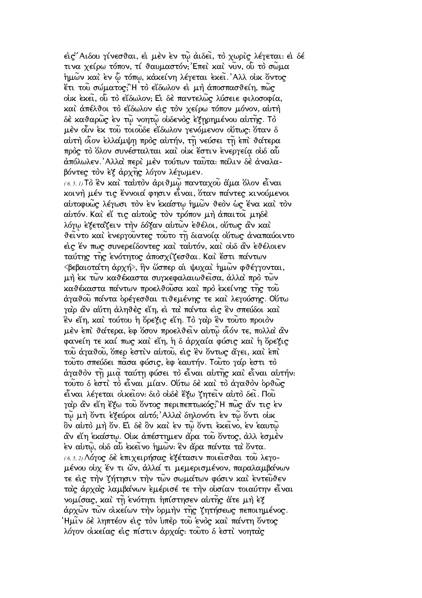εις Αιδου γίνεσθαι, ει μεν εν τω αιδει, το χωρις λέγεται: ει δέ τινα χείρω τόπον, τί θαυμαστόν; Επει και νύν, ού το σώμα ημών και έν ὧ τόπω, κάκείνη λέγεται εκει. Αλλ ουκ όντος έτι του σώματος;`Η τὸ ἐίδωλον ἐι μὴ ἀποσπασθείη, πως ούκ εκει, ού το είδωλον; Ει δε παντελώς λύσειε φιλοσοφία, και απέλθοι το είδωλον εις τον χείρω τόπον μόνον, αυτη δε καθαρώς εν τω νοητώ ουδενός εξηρημένου αυτής. Το μεν οὖν εκ τοῦ τοιοῦδε εἴδωλον γενόμενον οὕτως: ὅταν δ αύτη οίον ελλαμψη πρός αυτήν, τη νεύσει τη επι θατερα πρός το όλον συνέσταλται και ούκ έστιν ενεργεία ουδ αύ άπόλωλεν. Αλλα περι μεν τούτων ταυτα: πάλιν δε άναλαβόντες τον εξ άρχης λόγον λέγωμεν.

 $(6, 5, 1)$  Το εν και ταυτον αριθμώ πανταχου άμα όλον είναι κοινή μέν τις έννοια φησιν είναι, όταν παντες κινούμενοι αύτοφυώς λέγωσι τον εν εκαστω ημών θεον ώς ένα και τον αύτόν. Και εί τις αύτους τον τρόπον μη άπαιτοι μηδε λόγω εξεταζειν την δόξαν αυτων εθέλοι, ούτως αν και θείντο και ενεργούντες τούτο τη διανοία ούτως άναπαύοιντο εις έν πως συνερείδοντες και ταυτόν, και ουδ άν εθέλοιεν ταύτης της ενότητος άποσχίζεσθαι. Και έστι πάντων <βεβαιοτάτη άρχή>, ην ὥσπερ αι ψυχαι ημών φθέγγονται, μή έκ των καθέκαστα συγκεφαλαιωθείσα, άλλα πρό των καθέκαστα πάντων προελθούσα και προ εκείνης της του άγαθού πάντα ορέγεσθαι τιθεμένης τε και λεγούσης. Ούτω γαρ άν αύτη άληθές είη, ει τα πάντα εις έν σπεύδοι και εν είη, και τούτου η ὄρεξις είη. Το γαρ εν τουτο προιον μεν επι θάτερα, εφ όσον προελθείν αυτώ οιόν τε, πολλα άν φανείη τε καί πως και είη, η δ άρχαία φύσις και η όρεξις του άγαθου, όπερ έστιν αυτου, εις εν όντως άγει, και επι τουτο σπεύδει πάσα φύσις, εφ εαυτήν. Τουτο γάρ έστι το άγαθον τη μια ταύτη φύσει το είναι αύτης και είναι αυτήν: τούτο δ έστι το είναι μίαν. Ούτω δε και το άγαθον ορθώς εἶναι λέγεται οικεἶον: διὸ οὐδε 'έξω ζητεἶν αὐτὸ δεἶ. Που γαρ άν είη έξω του όντος περιπεπτωκός; Η πως άν τις έν τῷ μὴ ὄντι 'εξεύροι αυτό; Αλλα δηλονότι 'εν τῷ ὄντι ουκ ον αυτό μη όν. Ει δε ον και εν τω όντι εκείνο, εν εαυτώ άν είη εκαστω. Ουκ απέστημεν άρα του όντος, άλλ εσμεν έν αυτώ, ουδ αύ εκείνο ημών: εν άρα παντα τα όντα. (6, 5, 2) Λόγος δε επιχειρήσας εξέτασιν ποιείσθαι του λεγομένου ουχ έν τι ὤν, άλλα τι μεμερισμένον, παραλαμβανων τε έις την ζήτησιν την των σωμάτων φύσιν και έντευθεν τας άρχας λαμβανων εμέρισε τε την ουσίαν τοιαύτην είναι νομίσας, και τη ενότητι ηπίστησεν αυτης άτε μη εξ άρχων των οικείων την ορμήν της ζητήσεως πεποιημένος. Ήμἶν δὲ ληπτέον εἰς τὸν ὑπèρ τοῦ ἑνὸς καὶ πάντη ὄντος λόγον οικείας είς πίστιν άρχας: τούτο δ εστι νοητας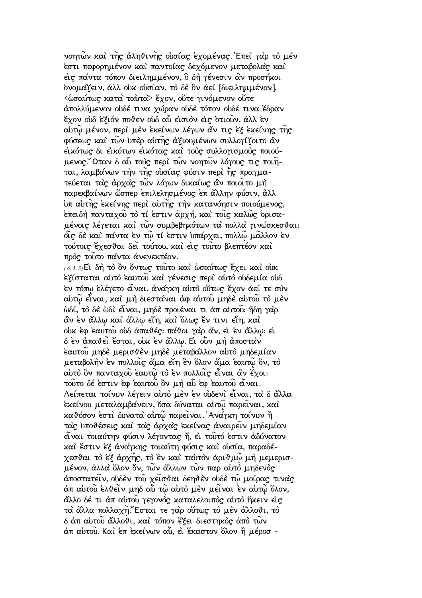νοητών και της άληθινης ουσίας εχομένας. Επει γαρ το μέν έστι πεφορημένον και παντοίας δεχόμενον μεταβολας και εις πάντα τόπον διειλημμένον, δ δη γένεσιν άν προσήκοι όνομαζειν, άλλ ουκ ουσίαν, τὸ δὲ ὂν ἀεί [διειλημμένον], < ώσαύτως κατα ταυτα> έχον, ούτε γινόμενον ούτε άπολλύμενον ουδέ τινα χώραν ουδέ τόπον ουδέ τινα έδραν έχον ουδ εξιόν ποθεν ουδ αύ εισιον εις οτιουν, άλλ εν αύτω μένον, περί μέν εκείνων λέγων άν τις εξ εκείνης της φύσεως και των υπέρ αυτής άξιουμένων συλλογίζοιτο άν εικότως δι εικότων εικότας και τους συλλογισμούς ποιούμενος. Όταν δ αὖ τους περι των νοητών λόγους τις ποιήται, λαμβάνων την της ουσίας φύσιν περι ης πραγματεύεται τας άρχας των λόγων δικαίως άν ποιοίτο μή παρεκβαίνων ὥσπερ 'επιλελησμένος 'επ άλλην φύσιν, άλλ υπ αυτής εκείνης περι αυτής την κατανόησιν ποιούμενος, έπειδή πανταχού το τί έστιν άρχή, και τοις καλώς δρισαμένοις λέγεται και των συμβεβηκότων τα πολλα γινώσκεσθαι: οις δε και πάντα εν τω τί εστιν υπάρχει, πολλω μαλλον εν τούτοις έχεσθαι δει τούτου, και είς τουτο βλεπτέον και πρὸς τουτο πάντα ἀνενεκτέον.

 $(6, 5, 3)$  Ει δή το όν όντως τουτο και ώσαύτως έχει και ούκ εξίσταται αυτό εαυτού και γένεσις περι αυτό ουδεμία ουδ έν τόπω ελέγετο είναι, άναγκη αυτὸ ούτως ἔχον ἀεί τε συν αύτω είναι, και μη διεστάναι άφ αύτου μηδε αύτου το μεν ώδί, τὸ δὲ ώδι εἶναι, μηδε προιέναι τι ἀπ αὐτοῦ: ἤδη γαρ ἀν ἐν ἀλλω καὶ ἄλλω ἐίη, καὶ ὅλως ἔν τινι ἐίη, καὶ ούκ έφ εαυτου ουδ άπαθές: παθοι γαρ άν, εί εν άλλω: εί δ εν άπαθει έσται, ούκ εν άλλω. Ει ούν μη άποσταν εαυτου μηδε μερισθεν μηδε μεταβαλλον αυτό μηδεμίαν μεταβολην εν πολλοις άμα είη εν όλον άμα εαυτώ όν, το αύτο όν πανταχου εαυτώ το εν πολλοις είναι άν έχοι: τουτο δέ 'εστιν 'εφ 'εαυτου 'όν μη αύ 'εφ 'εαυτου είναι. Λείπεται τοίνυν λέγειν αύτο μεν εν ούδενι είναι, τα δ άλλα εκείνου μεταλαμβάνειν, δσα δύναται αυτώ παρείναι, και καθόσον 'εστι' δυνατα' αυτώ παρείναι. Ανάγκη τοίνυν ή τας υποθέσεις και τας άρχας εκείνας αναιρείν μηδεμίαν είναι τοιαύτην φύσιν λέγοντας ή, ει τουτό εστιν αδύνατον και έστιν εξ ανάγκης τοιαύτη φύσις και ουσία, παραδέχεσθαι το έξ άρχης, το εν και ταυτον άριθμω μη μεμερισμένον, άλλα όλον όν, των άλλων των παρ αύτο μηδενός άποστατείν, ουδέν του χείσθαι δεηθέν ουδέ τω μοίρας τινας άπ αυτου ελθείν μηδ αύ τω αυτό μεν μείναι εν αυτώ όλον, άλλο δέ τι άπ αύτου γεγονός καταλελοιπός αύτο ήκειν είς τα άλλα πολλαχη. Έσται τε γαρ ούτως το μεν άλλοθι, το δ άπ αυτου άλλοθι, και τόπον έξει διεστηκός άπο των άπ αυτου. Και 'επ 'εκείνων αύ, ει 'έκαστον 'όλον ή μέροσ -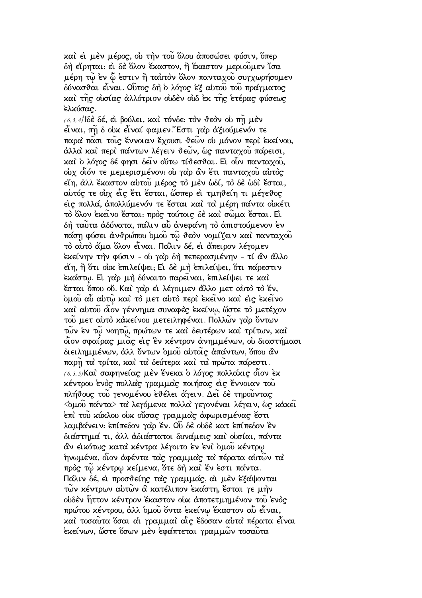και ει μεν μέρος, ου την του όλου αποσώσει φύσιν, όπερ δη είρηται: εί δε όλον έκαστον, ή έκαστον μεριούμεν ίσα μέρη τω έν ω έστιν ή ταυτον όλον πανταχού συγχωρήσομεν δύνασθαι είναι. Ούτος δη ο λόγος εξ αυτου του πράγματος και της ουσίας άλλότριον ουδεν ουδ εκ της ετέρας φύσεως ελκύσας.

 $(6, 5, 4)$  lδέ δέ, ει βούλει, και τόνδε: τον θεον ου πη μέν εἶναι, πη δ ουκ εἶναί φαμεν. Έστι γαρ άξιούμενόν τε παρα πάσι τοις έννοιαν έχουσι θεών ου μόνον περι εκείνου, άλλα και περι πάντων λέγειν θεών, ως πανταχού πάρεισι, και ο λόγος δέ φησι δείν ούτω τίθεσθαι. Ει ούν πανταχού, ούχ οι όν τε μεμερισμένον: ου γαρ άν έτι πανταχου αυτός είη, άλλ έκαστον αύτοῦ μέρος τὸ μὲν ὡδί, τὸ δὲ ὡδὶ ἔσται, αύτός τε ούχ είς έτι έσται, ώσπερ εί τμηθείη τι μέγεθος εις πολλα, απολλύμενόν τε έσται και τα μέρη παντα ουκέτι τὸ Όλον 'εκείνο 'έσται: πρὸς τούτοις δε και σώμα 'έσται. Ει δη ταυτα άδύνατα, πάλιν αύ άνεφανη το απιστούμενον εν πάση φύσει άνθρώπου δμού τω θεόν νομίζειν και πανταχού τὸ αὐτὸ ἄμα ὅλον εἶναι. Παλιν δέ, εἰ ἄπειρον λέγομεν έκείνην την φύσιν - ου γαρ δη πεπερασμένην - τί άν άλλο είη, ή ότι ούκ επιλείψει; Ει δε μη επιλείψει, ότι πάρεστιν εκάστω. Ει γαρ μή δύναιτο παρείναι, επιλείψει τε και ἔσται ὅπου οὔ. Καὶ γαρ εἰ λέγοιμεν ἄλλο μετ αὐτὸ τὸ ἕν, <u>δμού αύ αύτώ και το μετ αύτο περι εκείνο και είς εκείνο</u> και αυτου οίον γέννημα συναφές εκείνω, ώστε το μετέχον του μετ αυτό κάκείνου μετειληφέναι. Πολλών γαρ όντων των έν τω νοητώ, πρώτων τε και δευτέρων και τρίτων, και δίον σφαίρας μιας εις εν κέντρον ανημμένων, ου διαστήμασι διειλημμένων, άλλ όντων δμου αυτοις απάντων, όπου άν παρη τα τρίτα, και τα δεύτερα και τα πρώτα πάρεστι.  $(6, 5, 5)$ Και σαφηνείας μέν ένεκα ο λόγος πολλάκις οΐον εκ κέντρου ενός πολλας γραμμας ποιήσας εις έννοιαν του πλήθους του γενομένου εθέλει άγειν. Δεϊ δε τηρούντας < όμου παντα> τα λεγόμενα πολλα γεγονέναι λέγειν, ως κάκει έπι του κύκλου ουκ ούσας γραμμας αφωρισμένας έστι λαμβάνειν: επίπεδον γαρ έν. Οὗ δε ουδε κατ επίπεδον εν διάστημά τι, άλλ αδιάστατοι δυνάμεις και ουσίαι, πάντα άν εικότως κατα κέντρα λέγοιτο εν ενι δμού κέντρω ηνωμένα, δίον άφέντα τας γραμμας τα πέρατα αυτών τα πρὸς τῷ κέντρῳ κείμενα, ὅτε δὴ καὶ ἕν ἐστι πάντα. Παλιν δέ, ει προσθείης τας γραμμάς, αι μεν εξαψονται των κέντρων αυτών α κατέλιπον εκαστη, έσται γε μήν ούδεν ήττον κέντρον έκαστον ούκ αποτετμημένον του ενός πρώτου κέντρου, άλλ δμου όντα εκείνω έκαστον αύ είναι, και τοσαυτα δσαι αι γραμμαι αις έδοσαν αυτα πέρατα είναι έκείνων, ώστε όσων μέν εφάπτεται γραμμών τοσαυτα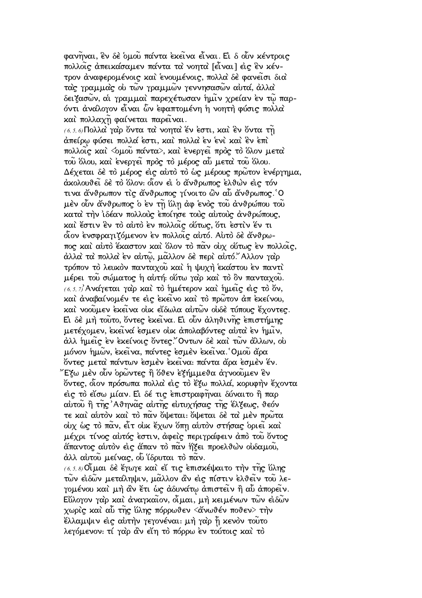φανηναι, εν δε όμου πάντα εκείνα είναι. Ει δ ούν κέντροις πολλοις άπεικασαμεν παντα τα νοητα [είναι] εις εν κέντρον άναφερομένοις και ενουμένοις, πολλα δε φανείσι δια τας γραμμας ου των γραμμών γεννησασών αυτά, άλλα δειζασών, αι γραμμαι παρεχέτωσαν ημίν χρείαν εν τώ παρόντι αναλογον είναι ὧν εφαπτομένη η νοητη φύσις πολλα και πολλαχη φαίνεται παρείναι.

 $(6, 5, 6)$ Πολλα γαρ όντα τα νοητα έν έστι, και εν όντα τη άπείρω φύσει πολλα έστι, και πολλα εν ενι και εν επι πολλοϊς και < όμου πάντα>, και ενεργει προς το όλον μετα του όλου, και ενεργει πρός το μέρος αύ μετα του όλου. Δέχεται δε το μέρος είς αύτο το ώς μέρους πρώτον ενέργημα, άκολουθεί δέ τὸ ὅλον: οἶον εἰ ὁ ἄνθρωπος ελθων εἰς τόν τινα άνθρωπον τις άνθρωπος γίνοιτο ών αὖ άνθρωπος. Ο μεν ούν άνθρωπος ο εν τη ύλη άφ ενος του ανθρώπου του κατα την ιδέαν πολλούς εποίησε τούς αύτους άνθρώπους, και έστιν εν το αυτο εν πολλοις ούτως, ότι εστιν εν τι δίον ενσφραγιζόμενον εν πολλοίς αυτό. Αυτό δε άνθρωπος και αυτό έκαστον και δλον το παν ουχ ούτως εν πολλοίς. άλλα τα πολλα έν αυτώ, μάλλον δε περι αυτό. Αλλον γαρ τρόπον τὸ λευκὸν πανταχοῦ καὶ ἡ ψυχὴ εκαστου εν παντὶ μέρει του σώματος η αύτή: ούτω γαρ και το όν πανταχου.  $(6, 5, 7)$  Ανάγεται γαρ και το ημέτερον και ημείς είς το όν, και αναβαίνομέν τε εις εκείνο και το πρώτον απ εκείνου, και νοούμεν εκείνα ούκ είδωλα αύτων ούδε τύπους έχοντες. Ει δέ μη τούτο, όντες εκείνα. Ει ούν άληθινης επιστήμης μετέχομεν, εκείνα εσμεν ουκ απολαβόντες αυτα εν ημίν, άλλ ημείς εν εκείνοις όντες. Όντων δε και των άλλων, ου μόνον ημών, εκείνα, πάντες εσμεν εκείνα. Όμου άρα όντες μετα παντων εσμεν εκείνα: παντα άρα εσμεν έν. "Εξω μεν οὖν δρῶντες ἢ ὅθεν ἐξήμμεθα ἀγνοοῦμεν ἓν όντες, οίον πρόσωπα πολλα είς το έξω πολλα, κορυφην έχοντα εις το είσω μίαν. Ει δε τις επιστραφηναι δύναιτο ή παρ αύτου ή της Αθηνάς αύτης εύτυχήσας της έλξεως, θεόν τε και αυτον και το παν όψεται: όψεται δε τα μεν πρώτα ούχ ώς τὸ παν, εἶτ ουκ ἔχων ὅπη αυτον στήσας ὁριεϊ και μέχρι τίνος αυτός έστιν, άφεις περιγράφειν άπό του όντος άπαντος αυτόν είς άπαν το παν ήξει προελθων ουδαμού, άλλ αυτου μείνας, ου ίδρυται το παν.

 $(6, 5, 8)$  Οίμαι δέ έγωγε και εί τις επισκέψαιτο την της ύλης τῶν ἐιδῶν μεταληψιν, μαλλον ἀν εις πίστιν ελθεῖν του λεγομένου και μη άν έτι ώς άδυνατω απιστείν ή αύ απορείν. Εύλογον γαρ και άναγκαιον, οίμαι, μη κειμένων των ειδών χωρίς και αύ της ύλης πόρρωθεν <άνωθεν ποθεν> την έλλαμψιν εις αύτην γεγονέναι: μη γαρ ή κενον τουτο λεγόμενον: τί γαρ άν είη το πόρρω εν τούτοις και το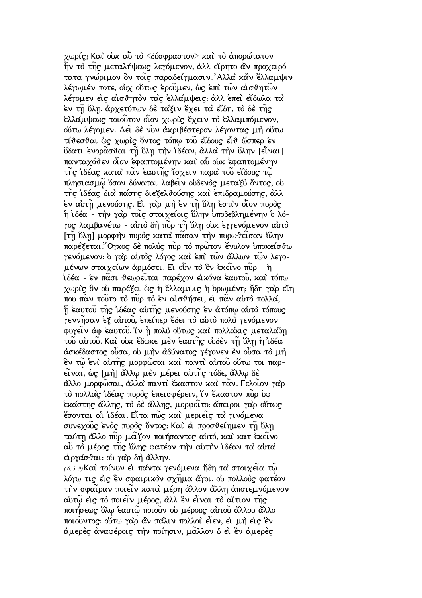γωρίς; Καὶ οὐκ αὖ τὸ <δύσφραστον> καὶ τὸ ἀπορώτατον ήν το της μεταλήψεως λεγόμενον, άλλ είρητο άν προχειρότατα γνώριμον όν τοις παραδείγμασιν. Αλλα κάν έλλαμψιν λέγωμέν ποτε, ουχ ούτως ερούμεν, ως επι των αισθητών λέγομεν εις αισθητον τας ελλαμψεις: άλλ επει είδωλα τα έν τη ύλη, άρχετύπων δε ταξιν έχει τα είδη, το δε της ελλαμψεως τοιούτον οίον χωρις έχειν το ελλαμπόμενον, ούτω λέγομεν. Δεί δε νύν άκριβέστερον λέγοντας μή ούτω τίθεσθαι ως χωρις όντος τόπω του είδους είθ ώσπερ εν Όδατι ενορασθαι τη Όλη την ιδέαν, άλλα την ύλην [εἶναι] πανταχόθεν οίον εφαπτομένην και αύ ούκ εφαπτομένην της ιδέας κατα παν εαυτης ίσχειν παρα του είδους τω πλησιασμώ όσον δύναται λαβείν ουδενός μεταξύ όντος, ου της ιδέας δια πάσης διεξελθούσης και επιδραμούσης, άλλ έν αυτή μενούσης. Ει γαρ μή έν τη ύλη εστιν οίον πυρός η ιδέα - την γαρ τοις στοιχείοις ύλην υποβεβλημένην ο λόγος λαμβανέτω - αυτό δη πυρ τη ύλη ουκ εγγενόμενον αυτό [τη ύλη] μορφήν πυρός κατα πάσαν την πυρωθείσαν ύλην παρέξεται. Όγκος δε πολύς πυρ το πρώτον ένυλον υποκείσθω γενόμενον: ο γαρ αύτος λόγος και επι των άλλων των λεγομένων στοιχείων άρμόσει. Ει οὖν τὸ ềν ἐκεἶνο πυρ - ἡ ιδέα - εν πασι θεωρειται παρέχον εικόνα εαυτου, και τόπω χωρις όν ου παρέξει ώς η έλλαμψις η δρωμένη: ήδη γαρ είη που πάν τουτο το πυρ το εν αισθήσει, ει παν αυτό πολλα, η εαυτού της ιδέας αυτης μενούσης εν ατόπω αυτό τόπους γεννησαν εξ αύτου, επείπερ έδει το αύτο πολύ γενόμενον φυγείν άφ εαυτου, ίν ή πολυ ούτως και πολλακις μεταλαβη του αύτου. Και ούκ έδωκε μεν εαυτης ούδεν τη ύλη η ιδέα άσκέδαστος ούσα, ου μήν άδύνατος γέγονεν εν ούσα το μή εν τω ενι αυτής μορφώσαι και παντι αυτού ούτω τοι παρείναι, ώς [μή] άλλω μέν μέρει αυτής τόδε, άλλω δέ άλλο μορφώσαι, άλλα παντι έκαστον και παν. Γελοίον γαρ το πολλας ιδέας πυρος επεισφέρειν, ίν έκαστον πυρ υφ εκαστης άλλης, τὸ δὲ άλλης, μορφοιτο: άπειροι γαρ ούτως έσονται αι ιδέαι. Είτα πώς και μεριείς τα γινόμενα συνεχους ενός πυρός όντος; Και εί προσθείημεν τη ύλη ταύτη άλλο πυρ μείζον ποιήσαντες αυτό, και κατ εκείνο αὖ τὸ μέρος της ΰλης φατέον την αυτην ιδέαν τα αυτα ειργάσθαι: ου γαρ δη άλλην.

(6, 5, 9) Και τοίνυν ει πάντα γενόμενα ήδη τα στοιχεία τω λόγω τις είς εν σφαιρικόν σχήμα άγοι, ου πολλούς φατέον την σφαιραν ποιείν κατα μέρη άλλον άλλη αποτεμνόμενον αύτω είς το ποιείν μέρος, άλλ εν είναι το αίτιον της ποιήσεως δλω εαυτώ ποιούν ου μέρους αύτου άλλου άλλο ποιούντος: ούτω γαρ άν παλιν πολλοι είεν, ει μη εις εν άμερες άναφέροις την ποίησιν, μαλλον δ ει εν άμερες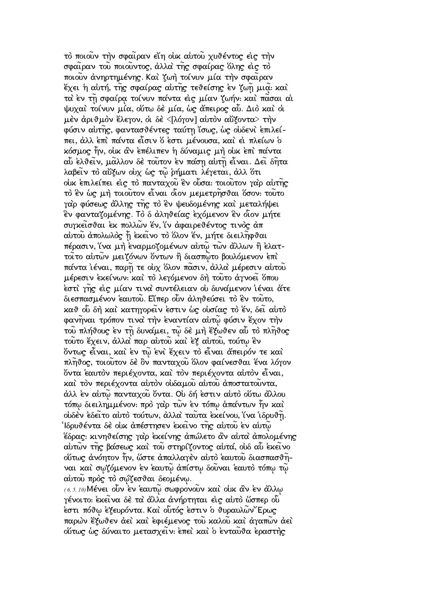τὸ ποιουν την σφαιραν είη ουκ αυτου χυθέντος εις την σφαίραν του ποιούντος, άλλα της σφαίρας όλης είς το ποιούν άνηρτημένης. Και ζωή τοίνυν μία την σφαίραν έχει η αυτή, της σφαίρας αυτης τεθείσης εν ζωη μια: και τα έν τη σφαίρα τοίνυν πάντα είς μίαν ζωήν: και πάσαι αι ψυχαὶ τοίνυν μία, οὕτω δὲ μία, ὡς ἄπειρος αὖ. Διὸ καὶ οἱ μεν άριθμον έλεγον, οι δε <[λόγον] αυτον αύξοντα> την φύσιν αυτής, φαντασθέντες ταύτη ίσως, ως ουδενι επιλείπει, άλλ επι πάντα είσιν δ εστι μένουσα, και εί πλείων δ κόσμος ήν, ούκ άν επέλιπεν η δύναμις μη ούκ επι πάντα αὖ ελθείν, μαλλον δε τουτον εν παση αυτη είναι. Δεί δήτα λαβείν το αύξων ουχ ως τω ρήματι λέγεται, άλλ ότι ούκ επιλείπει είς το πανταχου εν ούσα: τοιούτον γαρ αύτης το εν ώς μη τοιούτον είναι οίον μεμετρησθαι όσον: τούτο γαρ φύσεως άλλης της το εν ψευδομένης και μεταλήψει έν φανταζομένης. Τὸ δ ἀληθείας 'εχόμενον εν οίον μήτε συγκεισθαι εκ πολλων έν, ίν αφαιρεθέντος τινός απ αύτου απολωλός ή εκείνο το όλον έν, μήτε διειληφθαι πέρασιν, ίνα μη εναρμοζομένων αυτώ των άλλων ή ελαττοιτο αυτών μειζόνων όντων ή διασπώτο βουλόμενον επι πάντα ιέναι, παρη τε ουχ δλον πασιν, άλλα μέρεσιν αυτου μέρεσιν εκείνων: και το λεγόμενον δη τουτο άγνοει όπου έστι γης εις μίαν τινα συντέλειαν ου δυναμενον ιέναι άτε διεσπασμένον εαυτου. Είπερ ούν άληθεύσει το εν τουτο, καθ ού δη και κατηγορείν εστιν ως ουσίας το έν, δει αυτό φανήναι τρόπον τινα την εναντίαν αυτώ φύσιν έχον την του πλήθους έν τη δυναμει, τω δε μη έξωθεν αύ το πληθος τούτο έχειν, άλλα παρ αύτου και εξ αύτου, τούτω εν ὄντως εἶναι, και εν τῷ ενι ἔχειν τὸ εἶναι ἀπειρόν τε και πληθος, τοιούτον δε όν πανταχού όλον φαίνεσθαι ένα λόγον όντα εαυτον περιέχοντα, και τον περιέχοντα αυτον είναι, και τον περιέχοντα αυτον ουδαμού αυτου αποστατούντα, άλλ έν αυτώ πανταχού όντα. Ου δή εστιν αυτό ούτω άλλου τόπω διειλημμένον: πρὸ γαρ τῶν ἐν τόπω ἁπαντων ἦν καὶ ούδεν εδείτο αύτο τούτων, άλλα ταυτα εκείνου, ίνα ιδρυθη. ίδρυθέντα δè ουκ απέστησεν εκείνο της αυτού εν αυτώ έδρας: κινηθείσης γαρ εκείνης απώλετο άν αυτα απολομένης αύτων της βάσεως και του στηρίζοντος αυτά, ουδ αύ εκείνο ούτως ανόητον ήν, ώστε απαλλαγέν αυτό εαυτου διασπασθήναι και σωζόμενον εν εαυτώ απίστω δουναι εαυτό τόπω τω αύτου πρός το σώζεσθαι δεομένω.

 $(6, 5, 10)$  Μένει οὖν εν εαυτώ σωφρονοὖν και οὐκ ἀν εν ἀλλω γένοιτο: εκείνα δε τα άλλα ανήρτηται είς αύτο ώσπερ ού έστι πόθω εξευρόντα. Και οὗτός εστιν ο θυραυλων' Ερως παρων έξωθεν άει και εφιέμενος του καλού και άγαπών άει ούτως ως δύναιτο μετασχείν: επει και ο ενταύθα εραστής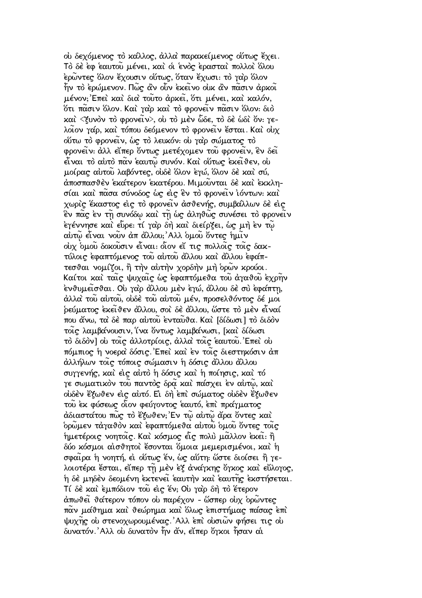ου δεχόμενος το καλλος, άλλα παρακείμενος ούτως έχει. Τὸ δὲ 'εφ 'εαυτου μένει, και οι ενός 'ερασται' πολλοι 'όλου έρῶντες δλον ἔχουσιν οὕτως, ὅταν ἔχωσι: τὸ γαρ δλον ήν το ερώμενον. Πώς άν ούν εκείνο ουκ άν πασιν άρκοι μένον; Επεί και δια τούτο άρκει, ότι μένει, και καλόν, δτι πασιν δλον. Και γαρ και το φρονεϊν πασιν δλον: διο και < τυνόν το φρονείν>, ου το μέν ὧδε, το δε ώδι όν: γελοίον γάρ, και τόπου δεόμενον το φρονείν έσται. Και ουχ ούτω το φρονείν, ώς το λευκόν: ου γαρ σώματος το φρονείν: άλλ είπερ όντως μετέχομεν του φρονείν, εν δεί είναι το αύτο παν εαυτώ συνόν. Και ούτως εκειθεν, ου μοίρας αύτου λαβόντες, ουδέ όλον έγω, όλον δέ και σύ, άποσπασθέν εκάτερον εκατέρου. Μιμούνται δέ και εκκλησίαι και πάσα σύνοδος ως είς εν το φρονειν ιόντων: και χωρις έκαστος είς το φρονείν ασθενής, συμβαλλων δε είς εν πάς εν τη συνόδω και τη ώς άληθώς συνέσει το φρονείν 'εγέννησε καὶ εὗρε: τί γαρ δὴ καὶ διείρξει, ὡς μὴ ἐν τῷ αυτώ είναι νουν άπ άλλου; Αλλ δμου όντες ημίν ούχ δμού δοκούσιν είναι: δίον εί τις πολλοίς τοις δακτύλοις εφαπτόμενος του αύτου άλλου και άλλου εφάπτεσθαι νομίζοι, ή την αυτην χορδην μη δρών κρούοι. Καίτοι και ταις ψυχαις ως εφαπτόμεθα του άγαθου εχρην ενθυμεισθαι. Ου γαρ άλλου μεν εγώ, άλλου δε συ εφαπτη, άλλα του αυτου, ουδέ του αυτου μέν, προσελθόντος δέ μοι ρεύματος εκείθεν άλλου, σοι δε άλλου, ώστε το μεν είναί που άνω, τα δέ παρ αύτου ενταύθα. Και [δίδωσι] το διδον τοις λαμβανουσιν, ίνα όντως λαμβανωσι, [και δίδωσι τὸ διδὸν] ου τοις άλλοτρίοις, άλλα τοις εαυτου. Επει ου πόμπιος η νοερα δόσις. Επει και έν τοις διεστηκόσιν άπ άλλήλων τοις τόποις σώμασιν η δόσις άλλου άλλου συγγενής, και είς αυτό η δόσις και η ποίησις, και τό γε σωματικόν του παντός δρα και πάσχει εν αυτώ, και ούδεν έξωθεν είς αύτό. Ει δη επι σώματος ούδεν έξωθεν του εκ φύσεως οίον φεύγοντος εαυτό, επι πράγματος άδιαστάτου πώς το έξωθεν; Έν τω αυτώ άρα όντες και δρώμεν τάγαθον και εφαπτόμεθα αυτου δμου όντες τοις ημετέροις νοητοις. Και κόσμος είς πολύ μαλλον εκει: ή δύο κόσμοι αισθητοι έσονται δμοια μεμερισμένοι, και η σφαίρα η νοητή, εί ούτως έν, ως αύτη: ώστε διοίσει ή γελοιοτέρα έσται, είπερ τη μεν εξ ανάγκης όγκος και εύλογος, η δε μηδεν δεομένη εκτενει εαυτην και εαυτης εκστήσεται. Τί δε και εμπόδιον του είς έν; Ου γαρ δη το έτερον άπωθεί θάτερον τόπον ου παρέχον - ὥσπερ ουχ δρώντες παν μαθημα και θεώρημα και δλως επιστήμας πάσας επι ψυχης ου στενοχωρουμένας. Αλλ επι ουσιών φήσει τις ου δυνατόν.'Αλλ ου δυνατον ἦν άν, είπερ ὄγκοι ἦσαν αι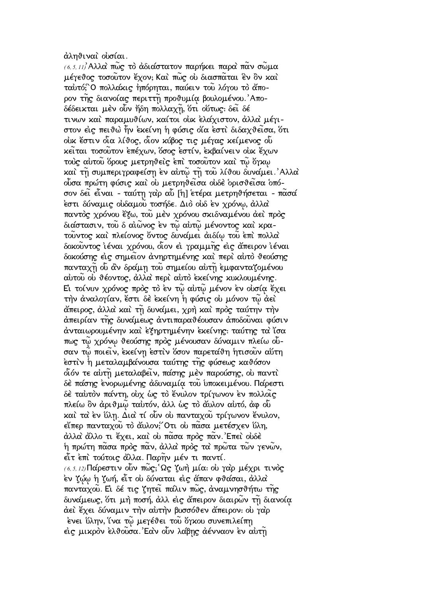## άληθιναὶ ουσίαι.

 $(6, 5, 11)$  Αλλα πώς το άδιαστατον παρήκει παρα παν σώμα μέγεθος τοσούτον έχον; Και πώς ου διασπάται εν όν και ταυτό; Ο πολλάκις ηπόρηται, παύειν του λόγου το άπορον της διανοίας περιττη προθυμία βουλομένου. Αποδέδεικται μεν ούν ήδη πολλαχη, ότι ούτως: δει δέ τινων και παραμυθίων, καίτοι ουκ ελάχιστον, άλλα μέγιστον είς πειθω ήν εκείνη η φύσις οΐα εστι διδαχθείσα, ότι ούκ έστιν οία λίθος, οίον κύβος τις μέγας κείμενος ού κείται τοσούτον επέχων, όσος εστίν, εκβαίνειν ουκ έχων τούς αυτού όρους μετρηθείς επί τοσούτον και τω όγκω και τη συμπεριγραφείση εν αυτώ τη του λίθου δυναμει. Αλλα ούσα πρώτη φύσις και ου μετρηθείσα ουδε δρισθείσα δπόσον δει είναι - ταύτη γαρ αύ [ή] ετέρα μετρηθήσεται - πασά εστι δύναμις ουδαμου τοσήδε. Διὸ ουδ εν χρόνω, άλλα παντός χρόνου έξω, του μέν χρόνου σκιδναμένου άει πρός διάστασιν, του δ αίωνος έν τω αύτω μένοντος και κρατουντος και πλείονος όντος δυναμει αιδίω του επι πολλα δοκούντος ιέναι χρόνου, οίον ει γραμμής εις άπειρον ιέναι δοκούσης είς σημείον άνηρτημένης και περι αυτό θεούσης πανταχη ού άν δραμη του σημείου αυτη εμφανταζομένου αύτου ου θέοντος, άλλα περί αυτό έκείνης κυκλουμένης. Ει τοίνυν χρόνος πρός το έν τω αυτώ μένον εν ουσία έχει την άναλογίαν, έστι δε εκείνη η φύσις ου μόνον τω άει άπειρος, άλλα και τη δυναμει, χρή και πρός ταύτην την άπειρίαν της δυναμεως αντιπαραθέουσαν αποδούναι φύσιν άνταιωρουμένην και εξηρτημένην εκείνης: ταύτης τα ίσα πως τω χρόνω θεούσης πρός μένουσαν δύναμιν πλείω ούσαν τῷ ποιεῖν, ἐκείνη ἐστιν ὅσον παρετάθη ἡτισοῦν αὕτη έστιν η μεταλαμβανουσα ταύτης της φύσεως καθόσον δίόν τε αυτή μεταλαβείν, πάσης μεν παρούσης, ου παντι δε πάσης ενορωμένης άδυναμία του υποκειμένου. Πάρεστι δε ταύτον πάντη, ούχ ώς το ένυλον τρίγωνον εν πολλοίς πλείω ὂν ἀριθμῷ ταὐτόν, ἀλλ ὡς τὸ ἄυλον αὐτό, ἀφ οὗ και τα έν ύλη. Δια τί ούν ου πανταχου τρίγωνον ένυλον, είπερ πανταχού το άυλον; Ότι ου πασα μετέσχεν ύλη, άλλα άλλο τι έχει, και ου πασα προς παν. Επει ουδε η πρώτη πάσα πρός πάν, άλλα πρός τα πρώτα τών γενών, είτ έπι τούτοις άλλα. Παρην μέν τι παντί. (6, 5, 12) Πάρεστιν οὖν πὦς; Ως ζωή μία: οὐ γαρ μέχρι τινὸς έν ζώω η ζωή, εἶτ οὐ δύναται εἰς ἄπαν φθάσαι, ἀλλα` πανταχου. Ει δέ τις ζητει παλιν πως, αναμνησθήτω της δυναμεως, ότι μή ποσή, άλλ εις άπειρον διαιρών τη διανοία άει έχει δύναμιν την αυτην βυσσόθεν άπειρον: ου γαρ ένει ύλην, ίνα τω μεγέθει του όγκου συνεπιλείπη εις μικρον ελθούσα. Εαν ούν λαβης αενναον εν αυτή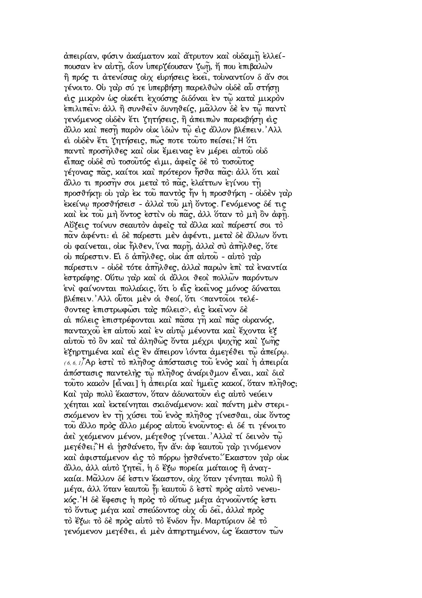άπειρίαν, φύσιν άκάματον και άτρυτον και ουδαμη ελλείπουσαν έν αυτη, οίον υπερζέουσαν ζωη, ή που επιβαλων ή πρός τι άτενίσας ουχ ευρήσεις εκει, τουναντίον δ άν σοι γένοιτο. Ου γαρ σύ γε υπερβήση παρελθων ουδε αύ στήση εις μικρόν ως ουκέτι εχούσης διδόναι εν τώ κατα μικρόν επιλιπείν: άλλ ή συνθείν δυνηθείς, μαλλον δε εν τω παντι γενόμενος ουδεν έτι ζητήσεις, ή άπειπων παρεκβήση είς άλλο και πεση παρον ουκ ιδων τω εις άλλον βλέπειν. Αλλ ει ουδεν έτι ζητήσεις, πως ποτε τουτο πείσει; Η ότι παντι προσηλθες και ουκ έμεινας εν μέρει αυτου ουδ είπας ούδε σύ τοσουτός είμι, άφεις δε το τοσούτος γέγονας πάς, καίτοι και πρότερον ήσθα πάς: άλλ ότι και άλλο τι προσην σοι μετα το πας, ελαττων εγίνου τη προσθήκη: ού γαρ έκ του παντός ήν η προσθήκη - ούδεν γαρ έκείνω προσθήσεισ - άλλα του μη ὄντος. Γενόμενος δέ τις και έκ του μη όντος έστιν ου πάς, άλλ όταν το μη όν άφη. Αΰξεις τοίνυν σεαυτον άφεις τα άλλα και πάρεστί σοι το παν άφέντι: εί δε πάρεστι μεν άφέντι, μετα δε άλλων όντι ου φαίνεται, ουκ ήλθεν, ίνα παρή, άλλα συ άπηλθες, ότε ου πάρεστιν. Ει δ άπηλθες, ουκ άπ αυτου - αυτό γαρ πάρεστιν - ουδέ τότε άπηλθες, άλλα παρων επι τα εναντία εστράφης. Ούτω γαρ και οι άλλοι θεοι πολλών παρόντων ενι φαίνονται πολλάκις, ότι ο είς εκείνος μόνος δύναται βλέπειν. Αλλ ούτοι μέν οι θεοί, ότι <παντοιοι τελέθοντες επιστρωφώσι τας πόλεισ>, εις εκείνον δε αι πόλεις επιστρέφονται και πάσα γη και πάς ουρανός, πανταχού επ αύτου και εν αύτω μένοντα και έχοντα εξ αύτου το όν και τα άληθως όντα μέχρι ψυχης και ζωης 'εξηρτημένα και εις εν άπειρον ιόντα άμεγέθει τῷ ἀπείρῳ. (6, 6, 1) Ap εστι το πλήθος απόστασις του ενος και η απειρία άπόστασις παντελής τω πλήθος άναριθμον είναι, και δια τούτο κακόν [είναι] η άπειρία και ημείς κακοί, όταν πληθος; Και γαρ πολυ έκαστον, όταν άδυνατουν εις αυτό νεύειν χέηται και εκτείνηται σκιδνάμενον: και πάντη μεν στερισκόμενον έν τη χύσει του ενός πληθος γίνεσθαι, ουκ όντος του άλλο πρός άλλο μέρος αύτου ενούντος: εί δέ τι γένοιτο άει χεόμενον μένον, μέγεθος γίνεται. Αλλα τί δεινον τώ μεγέθει; Η ει ησθανετο, ην άν: αφ εαυτού γαρ γινόμενον και άφιστάμενον είς το πόρρω ησθανετο. Εκαστον γαρ ούκ άλλο, άλλ αυτό ζητει, η δ έξω πορεία ματαιος ή άναγκαία. Μαλλον δέ έστιν έκαστον, ούχ όταν γένηται πολύ ή μέγα, άλλ όταν εαυτου ή: εαυτου δ έστι προς αυτο νενευκός. Η δε έφεσις η προς το ούτως μέγα αγνοούντός εστι τὸ ὄντως μέγα και σπεύδοντος ουχ ού δει, άλλα πρός τὸ ἔ (ω: τὸ δε πρὸς αυτὸ τὸ "ενδον ἦν. Μαρτύριον δε τὸ γενόμενον μεγέθει, ει μεν απηρτημένον, ως έκαστον των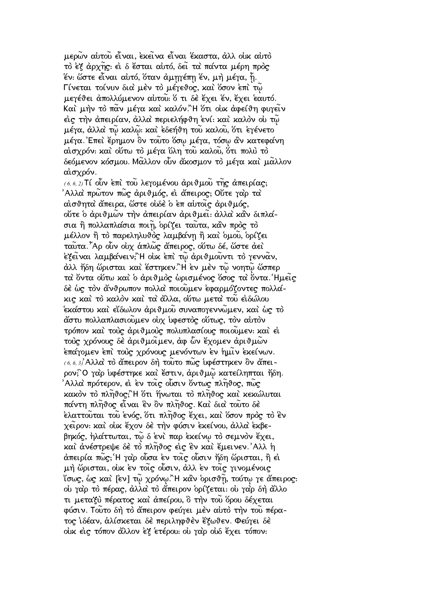μερών αύτου είναι, εκείνα είναι έκαστα, άλλ ουκ αυτό τὸ 'εξ άρχης: εί δ έσται αυτό, δει τα πάντα μέρη πρὸς έν: ὥστε ἐἶναι αὐτό, ὅταν ἀμηγέπη ἕν, μὴ μέγα, ἦ. Γίνεται τοίνυν δια μέν το μέγεθος, και όσον επι τω μεγέθει άπολλύμενον αυτου: δ τι δε έχει έν, έχει εαυτό. Καὶ μὴν τὸ πᾶν μέγα καὶ καλόν. Η ὅτι ουκ ἀφείθη φυγεἶν εις την απειρίαν, άλλα περιελήφθη ενί: και καλον ου τω μέγα, άλλα τω καλώ: και εδεήθη του καλου, ότι εγένετο μέγα. Επει έρημον ον τουτο όσω μέγα, τόσω άν κατεφάνη αισχρόν: και ούτω το μέγα ύλη του καλου, ότι πολυ το δεόμενον κόσμου. Μαλλον οὖν άκοσμον τὸ μέγα καὶ μαλλον αισχρόν.

 $(6, 6, 2)$  Τί οὖν επι του λεγομένου άριθμου της άπειρίας; 'Αλλα πρῶτον πῶς ἀριθμός, ἐι ἄπειρος; Οὔτε γαρ τα αισθητα άπειρα, ώστε ουδέ ο επ αυτοις αριθμός, ούτε ο άριθμων την άπειρίαν άριθμει: άλλα κάν διπλάσια ή πολλαπλασια ποιη, δρίζει ταυτα, κάν πρός το μέλλον ή το παρεληλυθος λαμβανη ή και δμου, δρίζει ταῦτα. Αρ οὖν οὐχ ἁπλῶς ἄπειρος, οὕτω δέ, ὥστε ἀεὶ έξειναι λαμβανειν; Η ουκ επι τω αριθμούντι το γενναν, άλλ ήδη ὥρισται καὶ ἕστηκεν. Η 'εν μεν τῷ νοητῷ ὥσπερ τα όντα ούτω και ο αριθμός ωρισμένος όσος τα όντα. Ημείς δε ως τον άνθρωπον πολλα ποιουμεν εφαρμόζοντες πολλάκις και το καλον και τα άλλα, ούτω μετα του ειδώλου εκάστου και είδωλον άριθμου συναπογεννώμεν, και ώς το άστυ πολλαπλασιούμεν ουχ υφεστός ούτως, τον αυτόν τρόπον και τους άριθμους πολυπλασίους ποιούμεν: και εί τούς χρόνους δε άριθμοιμεν, άφ ὧν έχομεν άριθμων επάγομεν επι τους χρόνους μενόντων εν ημίν εκείνων.  $(6, 6, 3)$  Αλλα το άπειρον δη τούτο πώς υφέστηκεν όν άπειρον; Ο γαρ υφέστηκε και έστιν, αριθμώ κατείληπται ήδη. 'Αλλα πρότερον, ει εν τοις ούσιν όντως πληθος, πως κακόν το πληθος; Η ότι ήνωται το πληθος και κεκώλυται πάντη πληθος είναι εν όν πληθος. Και δια τουτο δε έλαττούται του ενός, ότι πληθος έχει, και όσον προς το εν χείρον: και ούκ έχον δε την φύσιν εκείνου, άλλα εκβεβηκός, ηλαττωται, τω δ ενι παρ εκείνω το σεμνον έχει, και άνέστρεψε δε το πλήθος είς εν και έμεινεν. Αλλ η άπειρία πώς; Η γαρ οὖσα εν τοις οὖσιν ἤδη ὥρισται, ἢ εί μή ὥρισται, ουκ εν τοις ούσιν, άλλ εν τοις γινομένοις ἴσως, ὡς καὶ |ἐν] τῷ χρόνῳ.``Η κἀν ὁρισθῇ, τούτῳ γε ἀπειρος: ού γαρ το πέρας, άλλα το άπειρον δρίζεται: ου γαρ δη άλλο τι μεταξύ πέρατος και άπείρου, δ την του όρου δέχεται φύσιν. Τουτο δη το άπειρον φεύγει μέν αυτο την του πέρατος ιδέαν, άλίσκεται δε περιληφθεν έξωθεν. Φεύγει δε ούκ εις τόπον άλλον εξ ετέρου: ου γαρ ουδ έχει τόπον: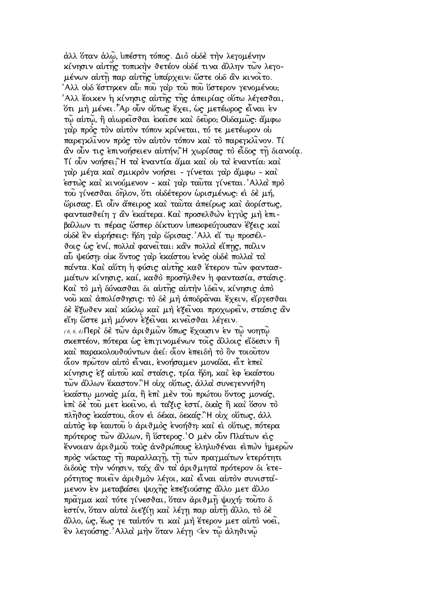άλλ ὅταν ἁλῷ, ὑπέστη τόπος. Διὸ οὐδὲ τὴν λεγομένην κίνησιν αυτής τοπικήν θετέον ουδέ τινα άλλην των λεγομένων αυτή παρ αυτής υπάρχειν: ώστε ουδ άν κινοίτο. Αλλ ουδ έστηκεν αὖ: ποῦ γαρ τοῦ ποῦ ὕστερον γενομένου; 'Αλλ ἔοικεν ἡ κίνησις αὐτῆς τῆς ἀπειρίας οὕτω λέγεσθαι, ότι μή μένει. Αρ οὖν οὕτως ἔχει, ὡς μετέωρος εἶναι 'εν τώ αυτώ, ή αιωρείσθαι εκείσε και δεύρο; Ουδαμώς: άμφω γαρ πρός τον αύτον τόπον κρίνεται, τό τε μετέωρον ου παρεγκλίνον πρός τον αύτον τόπον και το παρεγκλίνον. Τί άν ούν τις επινοήσειεν αυτήν; Η χωρίσας το είδος τη διανοία. Τί οὖν νοήσει; Η τα έναντία άμα και ου τα εναντία: και γαρ μέγα και σμικρον νοήσει - γίνεται γαρ άμφω - και έστως και κινούμενον - και γαρ ταυτα γίνεται. Αλλα προ του γίνεσθαι δηλον, ότι ουδέτερον ώρισμένως: ει δε μή, ώρισας. Ει ούν άπειρος και ταυτα άπείρως και αορίστως, φαντασθείη γ άν εκάτερα. Και προσελθων εγγύς μή επιβαλλων τι πέρας ώσπερ δίκτυον υπεκφεύγουσαν έξεις και ούδε εν ευρήσεις: ήδη γαρ ώρισας. Αλλ εί τω προσέλθοις ώς ενί, πολλα φανείται: κάν πολλα είπης, πάλιν αὖ ψεύση: ούκ ὄντος γαρ εκαστου ενος ουδε πολλα τα πάντα. Και αύτη η φύσις αυτής καθ έτερον των φαντασμάτων κίνησις, καί, καθό προσηλθεν ή φαντασία, στάσις. Και το μη δύνασθαι δι αυτής αυτήν ιδείν, κίνησις άπο νου και άπολίσθησις: το δε μη άποδραναι έχειν, είργεσθαι δε έξωθεν και κύκλω και μη εξείναι προχωρείν, στάσις άν είη: ώστε μη μόνον εξείναι κινείσθαι λέγειν. (6, 6, 4) Περι δε τών άριθμών όπως έχουσιν έν τώ νοητώ σκεπτέον, πότερα ώς επιγινομένων τοις άλλοις είδεσιν ή και παρακολουθούντων άεί: οίον επειδή το όν τοιούτον οίον πρώτον αυτό είναι, ενοήσαμεν μοναδα, είτ επει κίνησις έξ αυτού και στάσις, τρία ήδη, και έφ εκάστου τών άλλων έκαστον. Η ουχ ούτως, άλλα συνεγεννήθη εκάστω μονας μία, ή επι μεν του πρώτου όντος μονάς, έπι δέ του μετ εκείνο, ει τάζις εστί, δυας ή και δσον το πληθος εκαστου, οίον ει δέκα, δεκας. Η ούχ ούτως, άλλ αύτος έφ εαυτού ο άριθμος ενοήθη: και εί ούτως, πότερα πρότερος των άλλων, ή ύστερος. Ο μεν ούν Πλατων είς έννοιαν άριθμού τους άνθρώπους εληλυθέναι ειπων ημερών πρός νύκτας τη παραλλαγη, τη των πραγμάτων ετερότητι διδούς την νόησιν, τάχ άν τα άριθμητα πρότερον δι έτερότητος ποιείν άριθμον λέγοι, και είναι αυτον συνιστάμενον εν μεταβάσει ψυχης επεξιούσης άλλο μετ άλλο πραγμα και τότε γίνεσθαι, όταν αριθμή ψυχή: τουτο δ έστίν, όταν αυτα διεξίη και λέγη παρ αυτη άλλο, το δε άλλο, ως, έως γε ταυτόν τι και μη έτερον μετ αυτό νοεί, έν λεγούσης.'Αλλα` μην ὅταν λέγη <εν τῷ ἀληθινῷ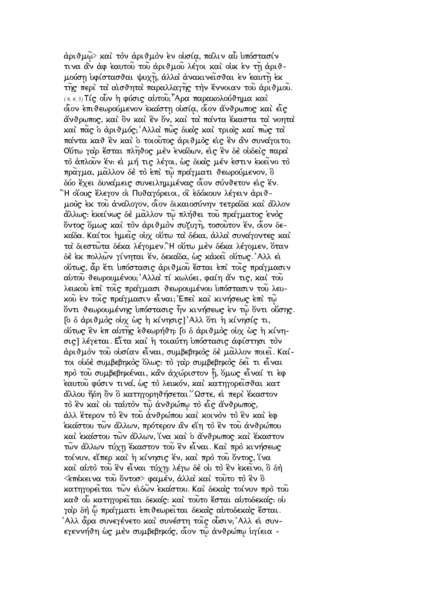άριθμω> και τον αριθμον εν ουσία, παλιν αυ υπόστασίν τινα άν άφ εαυτού του άριθμού λέγοι και ούκ εν τη άριθμούση υφίστασθαι ψυχη, άλλα άνακινεισθαι εν εαυτη εκ της περί τα αισθητα παραλλαγής την έννοιαν του άριθμου.  $(6, 6, 5)$  Τίς ούν η φύσις αυτου; Άρα παρακολούθημα και οίον επιθεωρούμενον εκαστη ουσία, οίον ανθρωπος και είς άνθρωπος, και όν και εν όν, και τα πάντα έκαστα τα νοητα και πάς ο άριθμός; Αλλα πώς δυας και τριας και πώς τα πάντα καθ εν και ο τοιούτος άριθμος εις εν άν συνάγοιτο; Ούτω γαρ έσται πληθος μεν εναδων, εις εν δε ουδείς παρα τὸ ἁπλοῦν ἕν: ἐι μή τις λέγοι, ὡς δυας μέν ἐστιν ἐκεἶνο τὸ πραγμα, μαλλον δέ το επι τω πραγματι θεωρούμενον, δ δύο έχει δυναμεις συνειλημμένας οίον σύνθετον εις έν. "Η σίους ἔλεγον οἱ Πυθαγόρειοι, οἳ ἐδόκουν λέγειν ἀριθμούς έκ του άναλογον, οίον δικαιοσύνην τετραδα και άλλον άλλως: εκείνως δε μαλλον τω πλήθει του πραγματος ενός όντος όμως και τον αριθμον συζυγή, τοσουτον έν, οίον δεκάδα. Καίτοι ημείς ούχ ούτω τα δέκα, άλλα συνάγοντες και τα διεστώτα δέκα λέγομεν. Η ούτω μεν δέκα λέγομεν, όταν δε εκ πολλών γίνηται έν, δεκαδα, ώς κάκει ούτως. Αλλ ει ούτως, ἆρ έτι υπόστασις άριθμου έσται επι τοις πράγμασιν αύτου θεωρουμένου; Αλλα τί κωλύει, φαίη άν τις, και του λευκού επι τοις πραγμασι θεωρουμένου υπόστασιν του λευκού έν τοις πράγμασιν είναι; Επει και κινήσεως επι τω όντι θεωρουμένης υπόστασις ήν κινήσεως εν τω όντι ούσης. [ο δ άριθμος ούχ ως η κίνησις] Αλλ ότι η κίνησίς τι, ούτως εν επ αυτής εθεωρήθη: [ο δ άριθμος ουχ ως η κίνησις] λέγεται. Είτα και η τοιαύτη υπόστασις άφίστησι τον άριθμον του ουσίαν είναι, συμβεβηκος δε μαλλον ποιει. Καίτοι ουδέ συμβεβηκός δλως: το γαρ συμβεβηκός δει τι είναι πρὸ του συμβεβηκέναι, κάν άχώριστον ή, δμως εἶναί τι έφ εαυτού φύσιν τινα, ώς το λευκόν, και κατηγορεισθαι κατ άλλου ήδη όν δ κατηγορηθήσεται. Ώστε, ει περι έκαστον τὸ ềν καὶ ου ταυτον τῷ ἀνθρώπῳ τὸ εἶς ἀνθρωπος, άλλ έτερον τὸ ềν τοῦ ἀνθρώπου καὶ κοινὸν τὸ ềν καὶ 'ἐφ εκάστου των άλλων, πρότερον άν είη το εν του άνθρώπου και εκάστου των άλλων, ίνα και ο άνθρωπος και εκαστον τών άλλων τύχη έκαστον του εν είναι. Και προ κινήσεως τοίνυν, είπερ και ή κίνησις έν, και προ του όντος, ίνα και αυτό του εν είναι τύχη: λέγω δε ου το εν εκείνο, δ δη <επέκεινα τοῦ ὄντοσ> φαμέν, ἀλλα καὶ τοῦτο τὸ ἓν ὃ κατηγορείται των ειδών εκαστου. Και δεκας τοίνυν πρό του καθ ού κατηγορείται δεκάς: και τούτο έσται αυτοδεκάς: ου γαρ δη ω πράγματι επιθεωρείται δεκας αυτοδεκας έσται. 'Αλλ ἆρα συνεγένετο καὶ συνέστη τοἶς οὖσιν;'Αλλ ἐι συνεγεννήθη ώς μεν συμβεβηκός, οίον τῷ ἀνθρώπῳ ὑγίεια -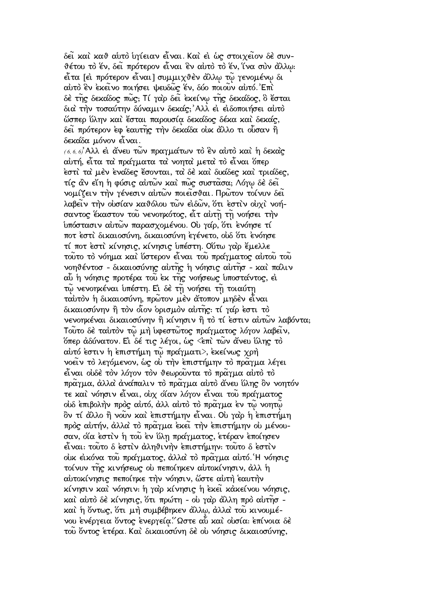δει και καθ αυτό υγίειαν είναι. Και εί ως στοιχείον δε συνθέτου τὸ ἕν, δεἶ πρότερον ἐἶναι ἓν αὐτὸ τὸ ἕν, ἵνα σὺν ἀλλῳ: είτα [ει πρότερον είναι] συμμιχθεν άλλω τω γενομένω δι αύτο εν εκείνο ποιήσει ψευδώς έν, δύο ποιούν αυτό. Επι δε της δεκαδος πώς; Τί γαρ δεϊ εκείνω της δεκαδος, δ έσται δια την τοσαύτην δύναμιν δεκάς; Αλλ ει ειδοποιήσει αυτό ώσπερ ύλην και έσται παρουσία δεκαδος δέκα και δεκας, δει πρότερον έφ εαυτής την δεκάδα ουκ άλλο τι ούσαν ή δεκαδα μόνον είναι.

 $(6, 6, 6)$  Αλλ εί άνευ τών πραγμάτων το εν αυτο και η δεκας αύτή, είτα τα πράγματα τα νοητα μετα το είναι όπερ έστι τα μέν ενάδες έσονται, τα δε και δυάδες και τριάδες, τίς άν είη η φύσις αυτών και πώς συστασα; Λόγω δε δει νομίζειν την γένεσιν αυτών ποιείσθαι. Πρώτον τοίνυν δεί λαβείν την ουσίαν καθόλου των ειδών, ότι εστιν ουχι νοήσαντος έκαστον του νενοηκότος, είτ αυτη τη νοήσει την υπόστασιν αυτών παρασχομένου. Ου γάρ, ότι ενόησε τί ποτ έστι δικαιοσύνη, δικαιοσύνη εγένετο, ουδ ότι ενόησε τί ποτ έστι κίνησις, κίνησις υπέστη. Ούτω γαρ έμελλε τούτο το νόημα και ύστερον είναι του πράγματος αυτού του νοηθέντοσ - δικαιοσύνης αύτης η νόησις αύτησ - και πάλιν αὖ η νόησις προτέρα του έκ της νοήσεως υποστάντος, ει τώ νενοηκέναι υπέστη. Ει δε τη νοήσει τη τοιαύτη ταύτον η δικαιοσύνη, πρώτον μεν άτοπον μηδεν είναι δικαιοσύνην ή τον οίον ορισμον αυτής: τί γαρ έστι το νενοηκέναι δικαιοσύνην ή κίνησιν ή το τί έστιν αυτών λαβόντα; Τούτο δε ταύτον τω μη υφεστώτος πραγματος λόγον λαβείν, δπερ ἀδύνατον. Ει δέ τις λέγοι, ὡς <επι των άνευ ΰλης το αύτό έστιν η επιστήμη τω πράγματι>, εκείνως χρη νοείν το λεγόμενον, ώς ου την επιστήμην το πραγμα λέγει είναι ούδε τον λόγον τον θεωρούντα το πραγμα αυτο το πραγμα, άλλα άναπαλιν το πραγμα αυτο άνευ ύλης όν νοητόν τε και νόησιν είναι, ουχ οίαν λόγον είναι του πράγματος ούδ επιβολήν πρός αύτό, άλλ αύτο το πράγμα έν τω νοητώ ὂν τί ἄλλο ἢ νοῦν καὶ ἐπιστήμην ἐἶναι. Οὐ γαρ ἡ ἐπιστήμη πρὸς αυτήν, άλλα τὸ πραγμα εκει την επιστήμην ου μένουσαν, οία 'εστιν ή του έν ύλη πράγματος, ετέραν 'εποίησεν εἶναι: τοῦτο δ 'εστιν άληθινην 'επιστήμην: τοῦτο δ 'εστιν ούκ εικόνα του πραγματος, άλλα το πραγμα αυτό. Η νόησις τοίνυν της κινήσεως ου πεποίηκεν αυτοκίνησιν, άλλ η αύτοκίνησις πεποίηκε την νόησιν, ὥστε αυτή εαυτήν κίνησιν και νόησιν: η γαρ κίνησις η εκει κάκείνου νόησις, καὶ αὐτὸ δὲ κίνησις, ὅτι πρώτη - οὐ γαρ ἀλλη πρὸ αὐτησ και η όντως, ότι μη συμβέβηκεν άλλω, άλλα του κινουμένου ενέργεια όντος ενεργεία. Ωστε αὖ και ουσία: επίνοια δε του όντος ετέρα. Και δικαιοσύνη δε ου νόησις δικαιοσύνης,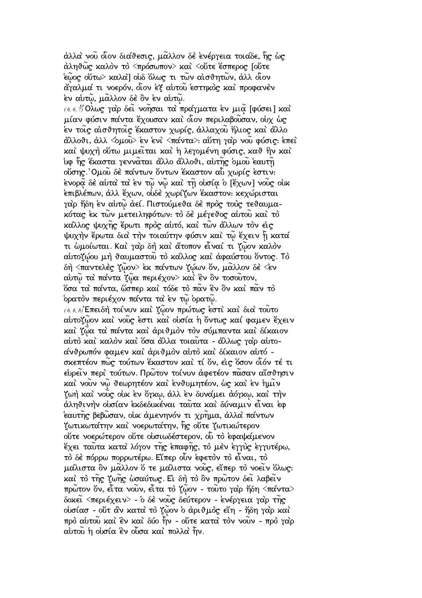άλλα` νου οΐον διαθεσις, μαλλον δε` ενέργεια τοιαδε, ης ώς άληθως καλόν το <πρόσωπον> και <ούτε έσπερος [ούτε έὦος ούτω> καλα'] ουδ όλως τι τὦν αισθητὦν, άλλ οἷον άγαλμά τι νοερόν, οίον εξ αυτου εστηκός και προφανεν εν αυτώ, μάλλον δε όν εν αυτώ.

(6, 6, ή Ολως γαρ δεί νοήσαι τα πράγματα εν μια [φύσει] και μίαν φύσιν πάντα έχουσαν και οίον περιλαβούσαν, ουχ ώς έν τοις αισθητοις έκαστον χωρίς, άλλαχου ήλιος και άλλο άλλοθι, άλλ < όμου εν ενι <παντα ει αύτη γαρ νου φύσις: επει και ψυχή ούτω μιμείται και η λεγομένη φύσις, καθ ην και υφ ής έκαστα γεννάται άλλο άλλοθι, αυτής ομού εαυτή ούσης. Ομού δε παντων όντων έκαστον αύ χωρίς έστιν: ένορα δε αυτα τα εν τω νω και τη ουσία ο Γέχων] νους ουκ ἐπιβλέπων, ἀλλ ἔχων, οὐδὲ χωρίζων ἕκαστον: κεχώρισται γαρ ήδη εν αυτώ άεί. Πιστούμεθα δε προς τους τεθαυμακότας έκ των μετειληφότων: τὸ δε μέγεθος αυτού και τὸ καλλος ψυχης έρωτι πρός αυτό, και των άλλων τον είς ψυχην έρωτα δια την τοιαύτην φύσιν και τῷ ἔχειν ῇ κατα τι ώμοίωται. Και γαρ δη και άτοπον είναί τι ζώον καλον αύτοζώου μή θαυμαστού το καλλος και αφαύστου όντος. Το δη <παντελές ζώον> εκ πάντων ζώων όν, μάλλον δε <εν αυτώ τα πάντα ζώα περιέχον> και εν όν τοσούτον, δσα τα πάντα, ώσπερ και τόδε το παν εν όν και παν το δρατον περιέχον πάντα τα εν τω δρατω.

 $(6, 6, 8)$  Επειδή τοίνυν και ζώον πρώτως έστι και δια τουτο αύτοζώον και νους έστι και ουσία η όντως καί φαμεν έχειν και ζώα τα πάντα και άριθμον τον σύμπαντα και δίκαιον αύτο και καλον και δσα άλλα τοιαύτα - άλλως γαρ αύτοάνθρωπόν φαμεν και άριθμον αυτό και δίκαιον αυτό σκεπτέον πώς τούτων έκαστον και τί όν, εις όσον οιόν τέ τι ευρείν περί τούτων. Πρώτον τοίνυν άφετέον πασαν αίσθησιν και νουν νω θεωρητέον και ενθυμητέον, ως και εν ημίν ζωή και νους ουκ εν όγκω, άλλ εν δυναμει αόγκω, και την άληθινήν ουσίαν εκδεδυκέναι ταυτα και δύναμιν είναι εφ εαυτής βεβώσαν, ούκ άμενηνόν τι χρήμα, άλλα πάντων ζωτικωτάτην και νοερωτάτην, ης ούτε ζωτικώτερον ούτε νοερώτερον ούτε ουσιωδέστερον, ου το εφαψάμενον έχει ταύτα κατα λόγον της επαφης, το μεν εγγύς εγγυτέρω, τὸ δὲ πόρρω πορρωτέρω. Είπερ οὖν 'εφετὸν τὸ εἶναι, τὸ μαλιστα δν μαλλον δ τε μαλιστα νους, είπερ το νοειν δλως: και το της ζωης ώσαύτως. Ει δη το όν πρώτον δει λαβείν πρώτον ὄν, εἶτα νοῦν, εἶτα τὸ ζῷον - τοῦτο γαρ ἤδη <πάντα> δοκει <περιέχειν> - ο δε νους δεύτερον - ενέργεια γαρ της ουσίασ - ούτ άν κατα το ζώον ο άριθμος είη - ήδη γαρ και πρὸ αυτοῦ και εν και δύο ἦν - ούτε κατα τον νοῦν - πρὸ γαρ αύτου η ουσία εν ούσα και πολλα ήν.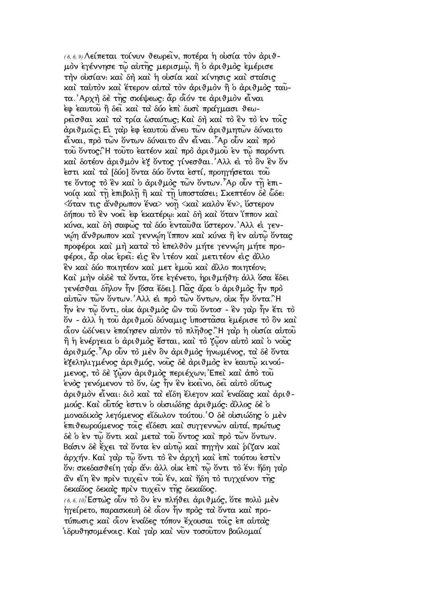$(6, 6, 9)$  Λείπεται τοίνυν θεωρείν, ποτέρα η ουσία τον άριθμον εγέννησε τω αυτής μερισμώ, ή ο αριθμός εμέρισε την ουσίαν: και δη και η ουσία και κίνησις και στάσις και ταυτον και έτερον αυτα τον αριθμον ή ο αριθμος ταυτα. Αρχή δέ της σκέψεως: ἆρ οἶόν τε ἀριθμον εἶναι έφ εαυτου ή δει και τα δύο επι δυσι πραγμασι θεωρείσθαι και τα τρία ώσαύτως; Και δη και το εν το εν τοις άριθμοις; Ει γαρ έφ εαυτού άνευ των αριθμητων δύναιτο εἶναι, πρὸ τῶν ὄντων δύναιτο ἀν εἶναι. Αρ οὖν καὶ πρὸ του όντος; Η τουτο εατέον και προ άριθμου εν τω παρόντι και δοτέον άριθμον εξ όντος γίνεσθαι. Αλλ εί το όν εν όν έστι και τα [δύο] όντα δύο όντα έστί, προηγήσεται του τε ὄντος τὸ ἓν και ὁ ἀριθμος των ὄντων. Αρ ούν τη έπινοία και τη επιβολη ή και τη υποστάσει; Σκεπτέον δε ὧδε: < σταν τις άνθρωπον ένα> νοη < και καλον εν>, ύστερον δήπου τὸ ềν νοεἶ ἐφ ἑκατέρω: και δη και ὅταν ἵππον και κύνα, και δη σαφώς τα δύο ενταύθα ύστερον. Αλλ ει γεννώη άνθρωπον και γεννώη ίππον και κύνα ή έν αυτώ όντας προφέροι και μή κατα το επελθον μήτε γεννώη μήτε προφέροι, ἆρ ούκ 'ερει: είς εν 'ιτέον και' μετιτέον είς άλλο εν και δύο ποιητέον και μετ εμου και άλλο ποιητέον; Και μην ουδέ τα όντα, ότε εγένετο, ηριθμήθη: άλλ όσα έδει γενέσθαι δήλον ἦν [όσα έδει]. Πας άρα ο άριθμος ἦν προ αύτων των ὄντων. Αλλ ει προ των ὄντων, ουκ ην ὄντα. Η ἦν ἐν τὧ ὄντι, οὐκ ἀριθμὸς ὢν τοῦ ὄντοσ - ἓν γαρ ἦν ἔτι τὸ όν - άλλ ή τοῦ ἀριθμοῦ δύναμις ὑποστᾶσα ἐμέρισε τὸ ὂν καὶ οίον ωδίνειν εποίησεν αυτον το πλήθος. Η γαρ η ουσία αυτού ή η ενέργεια ο άριθμος έσται, και το ζώον αυτο και ο νους άριθμός. Αρ ούν το μεν όν άριθμος ηνωμένος, τα δε όντα έξεληλιγμένος άριθμός, νους δε άριθμος εν εαυτώ κινούμενος, τὸ δε ζώον ἀριθμὸς περιέχων; Επει και ἀπό του ένος γενόμενον το όν, ως ήν εν εκείνο, δει αυτο ούτως άριθμον είναι: διο και τα είδη έλεγον και ενάδας και άριθμούς. Και ούτός εστιν ο ουσιώδης άριθμός: άλλος δε ο μοναδικός λεγόμενος είδωλον τούτου. Ο δε ουσιώδης ο μέν επιθεωρούμενος τοις είδεσι και συγγεννων αυτά, πρώτως δέ ο έν τω όντι και μετα του όντος και προ των όντων. Βάσιν δε έχει τα όντα εν αυτώ και πηγήν και ρίζαν και άρχήν. Καὶ γαρ τὦ ὄντι τὸ ὲν ἀρχὴ καὶ ἐπὶ τούτου ἐστιν όν: σκεδασθείη γαρ άν: άλλ ουκ 'επι' τῷ ὄντι τὸ ἕν: ἤδη γαρ άν είη εν πριν τυχείν του εν, και ήδη το τυγχανον της δεκαδος δεκας πριν τυχείν της δεκαδος.

(6, 6, 10) Εστώς ούν το όν εν πλήθει άριθμός, ότε πολύ μέν ήγείρετο, παρασκευή δε οίον ήν προς τα όντα και προτύπωσις και δίον εναδες τόπον έχουσαι τοις επ αυτας ιδρυθησομένοις. Και γαρ και νύν τοσούτον βούλομαί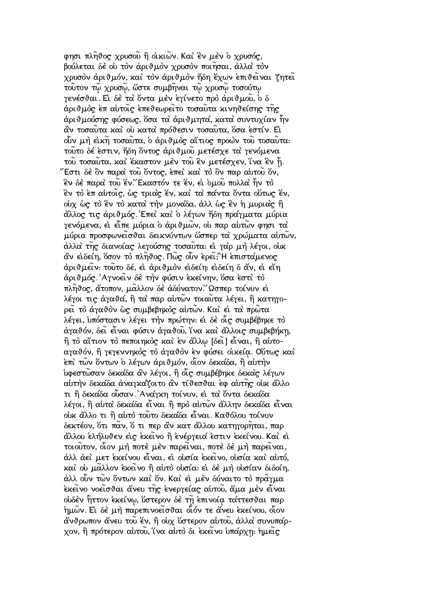φησι πληθος χρυσού ή οικιών. Και εν μεν ο χρυσός, βούλεται δέ ου τον άριθμον χρυσον ποιήσαι, άλλα τον χρυσον αριθμόν, και τον αριθμον ήδη έχων επιθείναι ζητεί τούτον τῷ χρυσῷ, ὥστε συμβῆναι τῷ χρυσῷ τοσούτῳ γενέσθαι. Ει δε τα όντα μεν εγίνετο προ άριθμου, ο δ άριθμός επ αυτοίς επεθεωρείτο τοσαυτα κινηθείσης της άριθμούσης φύσεως, όσα τα άριθμητα, κατα συντυχίαν ήν άν τοσαύτα και ου κατα πρόθεσιν τοσαύτα, όσα εστίν. Ει ούν μη είκη τοσαύτα, ο άριθμός αίτιος προών του τοσαύτα: τούτο δέ έστιν, ήδη όντος άριθμού μετέσχε τα γενόμενα του τοσαυτα, και έκαστον μεν του εν μετέσχεν, ίνα εν ή. "Εστι δέ ὂν παρα τοῦ ὄντος, ἐπει και τὸ ὂν παρ αυτοῦ ὄν, εν δε παρα του εν. Εκαστόν τε εν, ει δμου πολλα ήν το εν το επ αυτοίς, ως τριας εν, και τα παντα όντα ούτως εν, ούχ ως το εν το κατα την μοναδα, άλλ ως εν η μυριας ή άλλος τις αριθμός. Επεί και ο λέγων ήδη πραγματα μύρια γενόμενα, ει είπε μύρια ο αριθμών, ου παρ αυτών φησι τα μύρια προσφωνεισθαι δεικνύντων ώσπερ τα χρώματα αυτών, άλλα της διανοίας λεγούσης τοσαύτα: εί γαρ μη λέγοι, ούκ άν ειδείη, όσον το πληθος. Πώς ούν ερεϊ, Η επιστάμενος άριθμείν: τούτο δέ, ει άριθμον ειδείη: ειδείη δ άν, ει είη άριθμός. Αγνοείν δε την φύσιν εκείνην, όσα έστι το πληθος, άτοπον, μαλλον δε αδύνατον. Ωσπερ τοίνυν ει λέγοι τις άγαθα, ή τα παρ αυτών τοιαυτα λέγει, ή κατηγορεί το άγαθον ώς συμβεβηκός αυτών. Και ει τα πρώτα λέγει, υπόστασιν λέγει την πρώτην: ει δε δίς συμβέβηκε το άγαθόν, δει είναι φύσιν άγαθου, ίνα και άλλοις συμβεβήκη, ή το αίτιον το πεποιηκός και εν άλλω [δει ] είναι, ή αύτοαγαθόν, ή γεγεννηκός το άγαθον έν φύσει οικεία. Ούτως και έπι τῶν ὄντων ὁ λέγων ἀριθμόν, οἶον δεκαδα, ἢ αυτην υφεστώσαν δεκαδα άν λέγοι, ή οις συμβέβηκε δεκας λέγων αύτην δεκάδα άναγκάζοιτο άν τίθεσθαι έφ αυτής ούκ άλλο τι η δεκαδα ούσαν. Αναγκη τοίνυν, ει τα όντα δεκαδα λέγοι, ή αυτα δεκαδα είναι ή προ αυτών άλλην δεκαδα είναι ούκ άλλο τι ή αύτο τούτο δεκάδα είναι. Καθόλου τοίνυν δεκτέον, ότι παν, ό τι περ άν κατ άλλου κατηγορηται, παρ άλλου ελήλυθεν εις εκείνο ή ενέργεια εστιν εκείνου. Και ει τοιούτον, δίον μή ποτέ μέν παρείναι, ποτέ δέ μή παρείναι, άλλ άει μετ εκείνου είναι, ει ουσία εκείνο, ουσία και αυτό, και ου μάλλον εκείνο ή αυτό ουσία: εί δε μη ουσίαν διδοίη, άλλ οὖν τὦν ὄντων και ὄν. Και ει μεν δύναιτο το πραγμα έκεινο νοεισθαι άνευ της ενεργείας αυτου, άμα μεν είναι ούδεν ήττον εκείνω, ύστερον δε τη επινοία ταττεσθαι παρ ημών. Ει δέ μη παρεπινοείσθαι οίον τε άνευ εκείνου, οίον άνθρωπον άνευ του έν, ή ουχ ύστερον αυτου, άλλα συνυπάρχον, η πρότερον αυτου, ίνα αυτό δι εκείνο υπάρχη: ημείς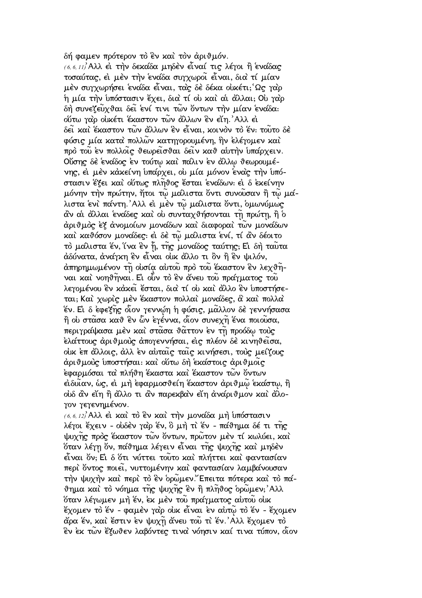δή φαμεν πρότερον τὸ ềν και τὸν ἀριθμόν.  $(6, 6, 11)$  Αλλ εί την δεκαδα μηδεν είναι τις λέγοι ή εναδας τοσαύτας, ει μεν την εναδα συγχωροι είναι, δια τί μίαν μεν συγχωρήσει εναδα είναι, τας δε δέκα ουκέτι; Ως γαρ η μία την υπόστασιν έχει, δια τί ου και αι άλλαι; Ου γαρ δη συνεζεύχθαι δεί ενί τινι των όντων την μίαν εναδα: ούτω γαρ ουκέτι έκαστον των άλλων εν είη. Αλλ ει δει και έκαστον τῶν ἄλλων εν εἶναι, κοινον το έν: τοῦτο δε φύσις μία κατα πολλών κατηγορουμένη, ην ελέγομεν και πρὸ του εν πολλοις θεωρεισθαι δείν καθ αυτήν υπάρχειν. Ούσης δε εναδος εν τούτω και παλιν εν άλλω θεωρουμένης, ει μέν κάκείνη υπάρχει, ου μία μόνον ενας την υπόστασιν έξει και ούτως πληθος έσται εναδων: ει δ εκείνην μόνην την πρώτην, ήτοι τῷ μαλιστα ὄντι συνούσαν ή τῷ μα λιστα ενι πάντη. Αλλ ει μεν τω μαλιστα όντι, δμωνύμως άν αι άλλαι εναδες και ου συνταχθήσονται τη πρώτη, ή δ άριθμός εξ άνομοίων μοναδων και διαφοραι των μοναδων και καθόσον μοναδες: ει δε τω μαλιστα ενί, τί αν δέοιτο το μαλιστα έν, ίνα εν ή, της μοναδος ταύτης; Ει δη ταυτα άδύνατα, άναγκη εν είναι ούκ άλλο τι ον ή εν ψιλόν, άπηρημωμένον τη ουσία αυτού προ του έκαστον εν λεχθηναι και νοηθηναι. Ει ούν το εν άνευ του πράγματος του λεγομένου εν κάκει έσται, δια τί ου και άλλο εν υποστήσεται; Και χωρις μεν έκαστον πολλαι μοναδες, α και πολλα έν. Ει δ έφεξης οίον γεννώη η φύσις, μαλλον δε γεννήσασα ή ου στάσα καθ εν ὧν εγέννα, οίον συνεχη ένα ποιούσα, περιγραψασα μέν και στάσα θάττον εν τη προόδω τους ελάττους άριθμούς άπογεννήσαι, εις πλέον δε κινηθείσα, ούκ επ άλλοις, άλλ εν αύταις ταις κινήσεσι, τους μείζους άριθμούς υποστήσαι: και ούτω δη εκαστοις άριθμοις έφαρμόσαι τα πλήθη έκαστα και έκαστον των όντων ειδυιαν, ως, ει μη εφαρμοσθείη έκαστον αριθμω εκαστω, ή ουδ άν είη ή άλλο τι άν παρεκβαν είη αναριθμον και άλογον γεγενημένον.

 $(6, 6, 12)$  Αλλ εί και το εν και την μονάδα μη υπόστασιν λέγοι έχειν - ουδεν γαρ έν, δ μη τι έν - πάθημα δέ τι της ψυχης προς έκαστον των όντων, πρώτον μεν τί κωλύει, και δταν λέγη ὄν, πάθημα λέγειν εἶναι τῆς ψυχῆς και μηδεν είναι όν; Ει δ ότι νύττει τουτο και πλήττει και φαντασίαν περί όντος ποιει, νυττομένην και φαντασίαν λαμβανουσαν την ψυχην και περι το εν δρώμεν. Επειτα πότερα και το πάθημα και το νόημα της ψυχης εν ή πληθος ορώμεν; Αλλ δταν λέγωμεν μη έν, εκ μεν του πράγματος αυτου ουκ έχομεν τὸ ἕν - φαμεν γαρ ουκ εἶναι ἐν αυτῷ τὸ ἕν - ἔχομεν άρα έν, και έστιν εν ψυχη άνευ του τι έν. Αλλ έχομεν το εν εκ των έξωθεν λαβόντες τινα νόησιν καί τινα τύπον, δίον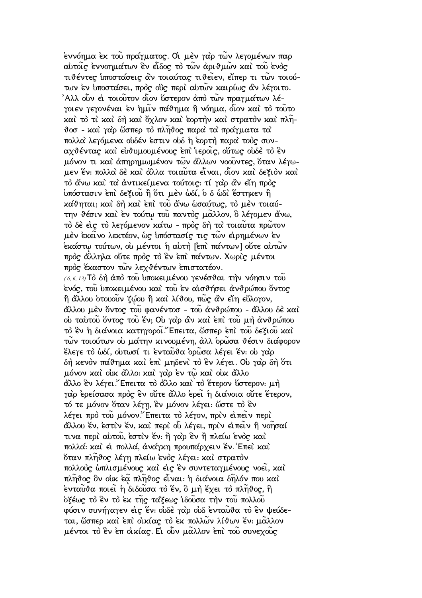έννόημα έκ του πράγματος. Οι μέν γαρ των λεγομένων παρ αύτοις εννοημάτων εν είδος το των αριθμών και του ενός τιθέντες υποστάσεις άν τοιαύτας τιθείεν, είπερ τι των τοιούτων έν υποστάσει, πρός ούς περί αυτών καιρίως άν λέγοιτο. 'Αλλ οὖν εἰ τοιοῦτον οἷον ὕστερον ἀπὸ τῶν πραγμάτων λέγοιεν γεγονέναι έν ημίν πάθημα ή νόημα, δίον και το τούτο και το τι και δη και όχλον και εορτήν και στρατον και πληθοσ - και γαρ ώσπερ το πλήθος παρα τα πράγματα τα πολλα λεγόμενα ουδέν έστιν ουδ η εορτή παρα τους συναχθέντας και εύθυμουμένους επι ιεροίς, ούτως ουδέ το εν μόνον τι και άπηρημωμένον τών άλλων νοούντες, όταν λέγωμεν έν: πολλα δέ και άλλα τοιαυτα είναι, δίον και δεξιον και τὸ ἄνω καὶ τα ἀντικείμενα τούτοις: τί γαρ ἀν είη πρὸς υπόστασιν επι δεξιου ή ότι μεν ωδί, ο δ ωδι έστηκεν ή κάθηται; και δη και επι του άνω ώσαύτως, το μεν τοιαύτην θέσιν και έν τούτω του παντός μαλλον, ο λέγομεν άνω, το δε είς το λεγόμενον κάτω - προς δη τα τοιαύτα πρώτον μέν έκεινο λεκτέον, ως υπόστασίς τις των ειρημένων εν έκαστω τούτων, ου μέντοι η αυτή βεπι παντων] ούτε αυτών πρὸς ἄλληλα ούτε πρὸς τὸ ềν ἐπι παντων. Χωρις μέντοι πρός έκαστον των λεχθέντων επιστατέον.

 $(6, 6, 13)$  Το δη άπο του υποκειμένου γενέσθαι την νόησιν του ένός, του υποκειμένου και του εν αισθήσει ανθρώπου όντος ή άλλου στουούν ζώου ή και λίθου, πως άν είη εύλογον, άλλου μέν όντος του φανέντοσ - του άνθρώπου - άλλου δέ και ου ταυτου όντος του έν; Ου γαρ άν και επι του μη άνθρώπου τὸ ềν ἡ διάνοια κατηγοροϊ. Επειτα, ὥσπερ 'επι του δε ξιου και των τοιούτων ου ματην κινουμένη, άλλ δρώσα θέσιν διαφορον έλεγε το ώδί, ούτωσί τι ενταυθα δρώσα λέγει έν: ου γαρ δη κενόν πάθημα και έπι μηδενι το εν λέγει. Ου γαρ δη ότι μόνον και ούκ άλλο: και γαρ εν τω και ούκ άλλο άλλο εν λέγει. Έπειτα το άλλο και το έτερον ύστερον: μή γαρ 'ερείσασα πρός έν ούτε άλλο 'ερει η διανοια ούτε έτερον, τό τε μόνον όταν λέγη, εν μόνον λέγει: ὥστε τὸ εν λέγει πρὸ του μόνον. Επειτα τὸ λέγον, πριν ειπείν περι άλλου έν, εστιν έν, και περι οὗ λέγει, πριν ειπεῖν ἢ νοησαί τινα περι αυτου, εστιν έν: ή γαρ εν ή πλείω ενος και πολλά: και εί πολλά, άνάγκη προυπάρχειν έν. Επει και δταν πληθος λέγη πλείω ενός λέγει: και στρατόν πολλούς ώπλισμένους και είς εν συντεταγμένους νοει, και πληθος όν ουκ εα πληθος είναι: η διανοια δηλόν που και ένταυθα ποιεί η διδούσα το έν, δ μη έχει το πληθος, η όξέως τὸ ềν τὸ ἐκ τῆς ταξεως ιδουσα τὴν του πολλου φύσιν συνήγαγεν είς έν: ουδε γαρ ουδ ενταύθα το εν ψεύδεται, ὥσπερ και 'επι οικίας το 'εκ πολλών λίθων 'εν: μαλλον μέντοι τὸ ềν ἐπ οικίας. Ει οὖν μαλλον ἐπι τοῦ συνεχοῦς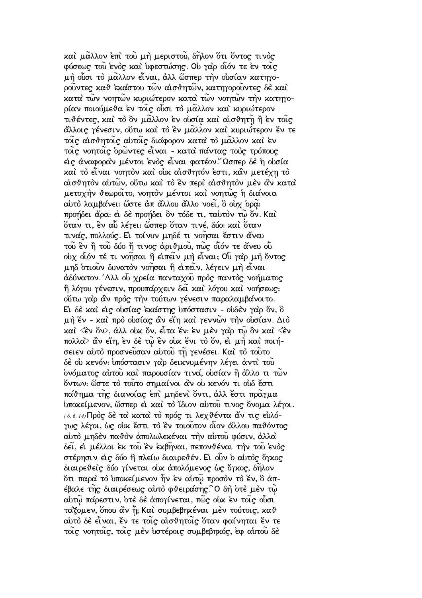και μαλλον επι του μη μεριστου, δηλον ότι όντος τινός φύσεως του ενός και υφεστώσης. Ου γαρ οι όν τε έν τοις μή ούσι τὸ μαλλον εἶναι, ἀλλ ὥσπερ την οὐσίαν κατηγορούντες καθ εκάστου των αισθητών, κατηγορούντες δε και κατα των νοητών κυριώτερον κατα των νοητών την κατηγορίαν ποιούμεθα έν τοις ούσι το μαλλον και κυριώτερον τιθέντες, και το όν μάλλον εν ουσία και αισθητη ή εν τοις άλλοις γένεσιν, ούτω και το εν μαλλον και κυριώτερον έν τε τοις αισθητοις αυτοις διάφορον κατα το μαλλον και έν τοις νοητοις δρώντες είναι - κατα πάντας τους τρόπους εις άναφοραν μέντοι ενός είναι φατέον. Ωσπερ δε η ουσία και το είναι νοητον και ούκ αισθητόν εστι, κάν μετέχη το αισθητον αυτών, ούτω και το εν περι αισθητον μεν αν κατα μετοχήν θεωροίτο, νοητόν μέντοι και νοητώς η διανοια αύτο λαμβάνει: ώστε άπ άλλου άλλο νοει, δ ουχ δρα: προήδει άρα: εί δε προήδει όν τόδε τι, ταύτον τω όν. Και δταν τι, ἓν αὖ λέγει: ὥσπερ ὅταν τινέ, δύο: καὶ ὅταν τινάς, πολλούς. Ει τοίνυν μηδέ τι νοήσαι έστιν άνευ του εν ή του δύο ή τινος αριθμου, πως οίον τε άνευ ού ούχ οίον τέ τι νοησαι ή ειπείν μη είναι; Ού γαρ μη όντος μηδ ότιουν δυνατον νοήσαι ή ειπείν, λέγειν μη είναι άδύνατον. Αλλ ού χρεία πανταχού πρός παντός νοήματος ή λόγου γένεσιν, προυπάρχειν δει και λόγου και νοήσεως: ούτω γαρ άν πρός την τούτων γένεσιν παραλαμβάνοιτο. Ει δέ και είς ουσίας εκάστης υπόστασιν - ουδέν γαρ όν, δ μή έν - και πρό ουσίας άν είη και γεννών την ουσίαν. Διό και <έν ὄν>, άλλ οὐκ ὄν, εἶτα ἕν: ἐν μεν γαρ τῷ ὂν και <έν πολλα> άν είη, εν δε τώ εν ούκ ένι το όν, ει μή και ποιήσειεν αύτο προσνεύσαν αύτου τη γενέσει. Και το τούτο δέ ου κενόν: υπόστασιν γαρ δεικνυμένην λέγει άντι του όνόματος αύτοῦ καὶ παρουσίαν τινά, οὐσίαν ἢ ἄλλο τι τῶν όντων: ὥστε τὸ τοῦτο σημαίνοι ἀν οὐ κενόν τι οὐδ ἔστι πάθημα της διανοίας επι μηδενι όντι, άλλ έστι πράγμα υποκείμενον, ώσπερ ει και το ίδιον αυτου τινος όνομα λέγοι. (6, 6, 14) Πρός δέ τα κατα το πρός τι λεχθέντα άν τις ευλόγως λέγοι, ώς ούκ έστι το εν τοιούτον οίον άλλου παθόντος αύτο μηδέν παθον άπολωλεκέναι την αύτου φύσιν, άλλα δει, ει μέλλοι εκ του εν εκβηναι, πεπονθέναι την του ενός στέρησιν είς δύο ή πλείω διαιρεθέν. Ει οὖν δ αυτὸς ὄγκος διαιρεθείς δύο γίνεται ούκ άπολόμενος ως όγκος, δηλον ότι παρα το υποκείμενον ήν εν αυτώ προσον το έν, ο άπέβαλε της διαιρέσεως αυτό φθειράσης. Ο δη ότε μεν τώ αυτώ πάρεστιν, ότε δε άπογίνεται, πώς ουκ εν τοις ούσι ταξομεν, όπου άν ή; Και συμβεβηκέναι μεν τούτοις, καθ αυτό δέ είναι, έν τε τοις αισθητοις όταν φαίνηται έν τε τοις νοητοις, τοις μεν υστέροις συμβεβηκός, εφ αυτου δε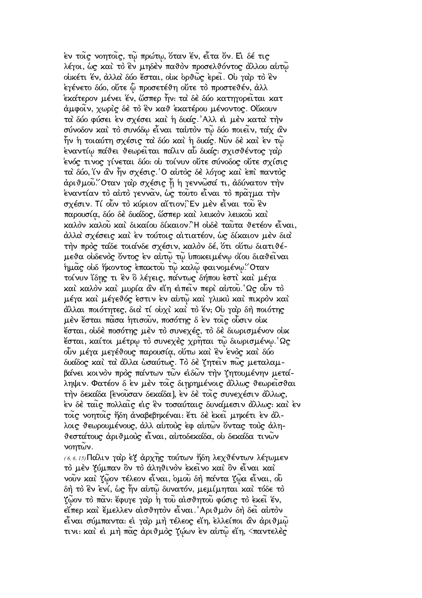έν τοις νοητοις, τω πρώτω, όταν έν, είτα όν. Ει δέ τις λέγοι, ώς και το εν μηδεν παθον προσελθόντος άλλου αυτώ ουκέτι έν, άλλα δύο έσται, ουκ ορθώς ερει. Ου γαρ το εν 'εγένετο δύο, ούτε ὧ προσετέθη ούτε τὸ προστεθέν, ἀλλ εκάτερον μένει έν, ὥσπερ ἦν: τα δε δύο κατηγορείται κατ άμφοιν, χωρίς δέ το εν καθ εκατέρου μένοντος. Ούκουν τα δύο φύσει έν σχέσει και ή δυάς. Αλλ ει μεν κατα την σύνοδον και το συνόδω είναι ταυτον τω δύο ποιείν, τάχ άν  $\tilde{m}$ ν ή τοιαύτη σχέσις τα δύο και ή δυάς. Νύν δε και έν τω έναντίω πάθει θεωρεϊται πάλιν αὖ δυάς: σχισθέντος γαρ ένός τινος γίνεται δύο: ου τοίνυν ούτε σύνοδος ούτε σχίσις τα δύο, ίν άν ήν σχέσις. Ο αυτός δε λόγος και έπι παντός άριθμού. Όταν γαρ σχέσις ή η γεννώσα τι, άδύνατον την έναντίαν τὸ αὐτὸ γεννᾶν, ὡς τοῦτο ἐἶναι τὸ πρᾶγμα τὴν σχέσιν. Τί ούν το κύριον αίτιον; Εν μεν είναι του εν παρουσία, δύο δε δυάδος, ώσπερ και λευκόν λευκού και καλόν καλού και δικαίου δίκαιον. Η ούδε ταυτα θετέον είναι, άλλα σχέσεις και έν τούτοις αιτιατέον, ως δίκαιον μεν δια την πρός τάδε τοιάνδε σχέσιν, καλόν δέ, ότι ούτω διατιθέμεθα ούδενος όντος εν αυτώ τω υποκειμένω οίου διαθείναι ημας ούδ ήκοντος επακτού τω καλώ φαινομένω. Όταν τοίνυν Ίδης τι εν δ λέγεις, παντως δήπου εστι και μέγα και καλον και μυρία άν είη ειπείν περι αυτου. Ώς ούν το μέγα και μέγεθός εστιν εν αυτώ και γλυκυ και πικρον και άλλαι ποιότητες, δια τί ούχι και το έν; Ου γαρ δη ποιότης μεν έσται πάσα ητισούν, ποσότης δ΄ εν τοις ούσιν ούκ έσται, ούδε ποσότης μεν το συνεχές, το δε διωρισμένον ούκ ἔσται, καίτοι μέτρω τὸ συνεχὲς χρῆται τῷ διωρισμένῳ. Ώς οὖν μέγα μεγέθους παρουσία, ούτω και εν ενός και δύο δυάδος και τα άλλα ώσαύτως. Το δε ζητείν πως μεταλαμβανει κοινόν πρός παντων των ειδών την ζητουμένην μεταληψιν. Φατέον δ'εν μεν τοις διηρημένοις άλλως θεωρεισθαι την δεκαδα Γενουσαν δεκαδα], εν δε τοις συνεχέσιν άλλως, ἐν δὲ ταῖς πολλαῖς ἐις ἓν τοσαύταις δυναμεσιν ἄλλως: καὶ ἐν τοις νοητοις ήδη αναβεβηκέναι: έτι δε εκει μηκέτι εν άλλοις θεωρουμένους, άλλ αύτους έφ αυτών όντας τους άληθεστάτους άριθμούς είναι, αυτοδεκάδα, ου δεκάδα τινών  $v$ οητών.

(6, 6, 15) Παλιν γαρ εξ αρχης τούτων ήδη λεχθέντων λέγωμεν τὸ μὲν ζύμπαν ὂν τὸ ἀληθινὸν ἐκείνο καὶ ὂν εἶναι καὶ νοῦν καὶ ζῷον τέλεον εἶναι, ὁμοῦ δὴ πάντα ζῷα εἶναι, οὗ δη το εν ενί, ως ήν αυτώ δυνατόν, μεμίμηται και τόδε το ζώον τὸ παν: ἔφυγε γαρ ἡ του αισθητου φύσις τὸ ἐκει ἕν, είπερ και έμελλεν αισθητον είναι. Αριθμον δη δει αυτον εἶναι σύμπαντα: εἰ γαρ μη τέλεος εἴη, ελλείποι ἀν ἀριθμῷ τινι: και εί μη πάς άριθμός ζώων εν αυτώ είη, <παντελές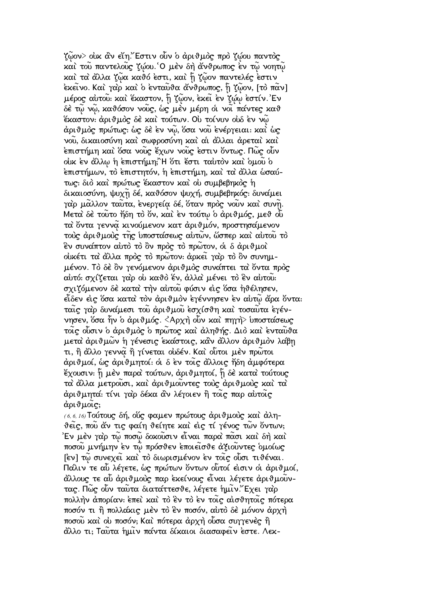ζώον> ουκ άν είη. Έστιν ούν ο αριθμος προ ζώου παντος και του παντελούς ζώου. Ο μεν δη άνθρωπος εν τω νοητώ και τα άλλα ζώα καθό εστι, και ή ζώον παντελές εστιν 'εκείνο. Και γαρ και ο ενταύθα άνθρωπος, η ζώον, [το παν] μέρος αυτου: και έκαστον, η ζώον, εκει εν ζώω εστίν. Εν δε τω νω, καθόσον νους, ώς μεν μέρη οι νοι πάντες καθ έκαστον: άριθμὸς δε και τούτων. Ου τοίνυν ουδ εν νῷ άριθμός πρώτως: ως δε εν νω, δσα νου ενέργειαι: και ως νου, δικαιοσύνη και σωφροσύνη και αι άλλαι άρεται και έπιστήμη καὶ ὅσα νους ἔχων νους ἐστιν ὄντως. Πως οὖν ούκ εν άλλω η επιστήμη, Η ότι έστι ταύτον και όμου ο 'επιστήμων, τὸ 'επιστητόν, ἡ 'επιστήμη, καὶ τα ἄλλα ὡσαύτως: διὸ και πρώτως έκαστον και ου συμβεβηκός η δικαιοσύνη, ψυχη δέ, καθόσον ψυχή, συμβεβηκός: δυναμει γαρ μαλλον ταύτα, ενεργεία δέ, όταν προς νούν και συνη. Μετα δε τουτο ήδη το όν, και εν τούτω ο αριθμός, μεθ ού τα όντα γεννα κινούμενον κατ άριθμόν, προστησάμενον τούς άριθμούς της υποστάσεως αυτών, ώσπερ και αυτού το εν συναπτον αύτο το όν πρός το πρώτον, οι δ άριθμοι ουκέτι τα άλλα πρός το πρώτον: άρκει γαρ το όν συνημμένον. Τὸ δὲ ὂν γενόμενον ἀριθμὸς συναπτει τα ὄντα πρὸς αύτό: σχίζεται γαρ ου καθό έν, άλλα μένει το εν αύτου: σχιζόμενον δε κατα την αύτου φύσιν εις όσα ηθέλησεν, εἶδεν εις δσα κατα τον αριθμον εγέννησεν εν αυτῷ άρα ὄντα: ταις γαρ δυναμεσι του αριθμου εσχίσθη και τοσαυτα εγέννησεν, όσα ἦν ο ἀριθμός. <Αρχη οὖν και πηγη> υποστάσεως τοις ούσιν ο άριθμος ο πρώτος και άληθής. Διο και ενταυθα μετα άριθμών η γένεσις εκαστοις, κάν άλλον αριθμον λαβη τι, ἢ άλλο γεννῷ ἢ γίνεται οὐδέν. Καὶ οὗτοι μὲν πρῶτοι άριθμοί, ως άριθμητοί: οι δέν τοις άλλοις ήδη άμφότερα έχουσιν: η μέν παρα τούτων, άριθμητοί, η δέ κατα τούτους τα άλλα μετρούσι, και αριθμούντες τους αριθμούς και τα άριθμητα: τίνι γαρ δέκα άν λέγοιεν ή τοις παρ αυτοις άριθμοις;

 $(6, 6, 16)$  Τούτους δή, ούς φαμεν πρώτους άριθμούς και άληθείς, που άν τις φαίη θείητε και είς τί γένος των όντων; 'Εν μεν γαρ τῷ ποσῷ δοκοῦσιν εἶναι παρα πασι και δη και ποσού μνήμην έν τώ πρόσθεν εποιείσθε άξιούντες δμοίως βεν] τω συνεχει και το διωρισμένον εν τοις ούσι τιθέναι. Παλιν τε αὖ λέγετε, ὡς πρώτων ὄντων οὗτοί εἰσιν οἱ ἀριθμοί, άλλους τε αὖ ἀριθμούς παρ εκείνους εἶναι λέγετε ἀριθμοῦντας. Πὦς οὖν ταΰτα διατάττεσθε, λέγετε ημίν. Έχει γαρ πολλήν άπορίαν: επεί και το εν το εν τοις αισθητοις πότερα ποσόν τι ή πολλακις μέν το έν ποσόν, αυτό δέ μόνον άρχη ποσού και ου ποσόν; Και πότερα άρχη ούσα συγγενές ή άλλο τι; Ταΰτα ἡμἶν πάντα δίκαιοι διασαφεἶν 'εστε. Λεκ-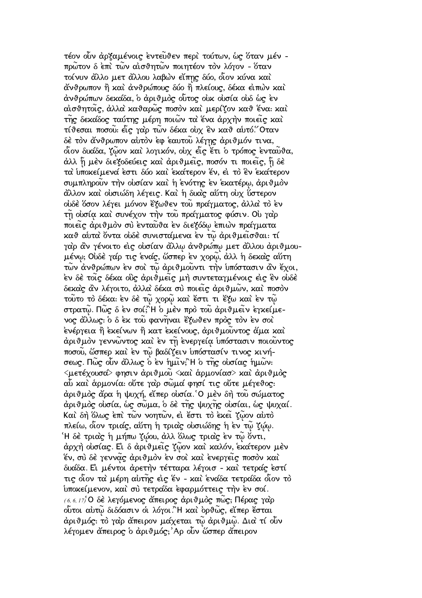τέον ούν αρξαμένοις εντευθεν περι τούτων, ως όταν μέν πρώτον δ έπι τών αισθητών ποιητέον τον λόγον - όταν τοίνυν άλλο μετ άλλου λαβων είπης δύο, οίον κύνα και άνθρωπον ή και άνθρώπους δύο ή πλείους, δέκα ειπων και άνθρώπων δεκαίδα, ο άριθμος ούτος ούκ ουσία ουδ ως εν αισθητοις, άλλα καθαρώς ποσον και μερίζον καθ ένα: και της δεκαδος ταύτης μέρη ποιών τα ένα άρχην ποιείς και τίθεσαι ποσού: είς γαρ των δέκα ουχ εν καθ αυτό. Όταν δε τον άνθρωπον αυτον έφ εαυτου λέγης αριθμόν τινα, δίον δυάδα, ζώον και λογικόν, ουχ είς έτι ο τρόπος ενταύθα, άλλ ή μεν διεξοδεύεις και άριθμείς, ποσόν τι ποιείς, ή δε τα υποκείμενα έστι δύο και εκατερον έν, ει το εν εκατερον συμπληρούν την ουσίαν και η ενότης εν εκατέρω, άριθμον άλλον και ουσιώδη λέγεις. Και η δυας αύτη ουχ ύστερον ούδε όσον λέγει μόνον έξωθεν του πράγματος, άλλα το έν τη ουσία και συνέχον την του πράγματος φύσιν. Ου γαρ ποιείς άριθμον σύ ενταύθα εν διεξόδω επιων πράγματα καθ αυτα όντα ουδέ συνιστάμενα έν τω άριθμείσθαι: τί γαρ άν γένοιτο είς ουσίαν άλλω ανθρώπω μετ άλλου άριθμουμένω; Ουδε γαρ τις ενας, ὥσπερ εν χορῳ, ἀλλ ἡ δεκας αὕτη των άνθρώπων έν σοι τω άριθμούντι την υπόστασιν άν έχοι, έν δε τοις δέκα ούς άριθμεις μή συντεταγμένοις εις εν ουδε δεκας άν λέγοιτο, άλλα δέκα σύ ποιείς άριθμών, και ποσον τουτο το δέκα: εν δε τω χορω και έστι τι έξω και εν τω στρατώ. Πώς δ'εν σοί; Η δ μέν πρό του άριθμείν εγκείμενος άλλως: ο δ εκ του φανηναι έξωθεν προς τον εν σοι ένέργεια ή εκείνων ή κατ εκείνους, άριθμούντος άμα και άριθμον γεννώντος και έν τη ενεργεία υπόστασιν ποιούντος ποσου, ώσπερ και έν τω βαδίζειν υπόστασίν τινος κινήσεως. Πώς οὖν άλλως ο εν ημίν; Η ο της ουσίας ημών: <μετέχουσα> φησιν αριθμού <και αρμονίασ> και αριθμος αύ και άρμονία: ούτε γαρ σωμά φησί τις ούτε μέγεθος: άριθμὸς ἄρα ἡ ψυχή, ἐίπερ οὐσία. Ὁ μὲν δὴ τοῦ σώματος άριθμός ουσία, ως σώμα, ο δε της ψυχης ουσίαι, ως ψυχαί. Και δη δλως επι των νοητών, ει έστι το εκει ζωον αυτο πλείω, οίον τριας, αύτη η τριας ουσιώδης η εν τω ζώω. Ή δὲ τριας ἡ μήπω ζώου, ἀλλ ὅλως τριας ἐν τῳ ὄντι, άρχη ουσίας. Ει δ άριθμείς ζώον και καλόν, εκάτερον μεν έν, σύ δε γεννάς άριθμον έν σοι και ένεργείς ποσον και δυάδα. Ει μέντοι άρετην τέτταρα λέγοισ - καὶ τετράς 'εστί τις οίον τα μέρη αυτής εις έν - και εναδα τετραδα οίον το υποκείμενον, και συ τετράδα εφαρμόττεις την εν σοί. (6, 6, 17) Ο δε λεγόμενος άπειρος αριθμός πως; Πέρας γαρ ούτοι αυτώ διδόασιν οι λόγοι. Η και ορθώς, είπερ έσται άριθμός: τὸ γαρ άπειρον μάχεται τῷ ἀριθμῷ. Δια τί οὖν λέγομεν άπειρος ο άριθμός; Αρ ούν ώσπερ άπειρον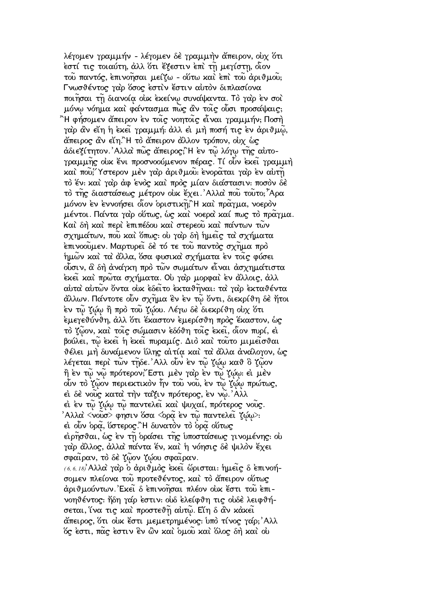λέγομεν γραμμήν - λέγομεν δὲ γραμμήν άπειρον, οὐχ ὅτι έστί τις τοιαύτη, άλλ ότι έξεστιν επι τη μεγίστη, οίον του παντός, επινοήσαι μείζω - ούτω και επι του άριθμου; Γνωσθέντος γαρ δσος εστιν έστιν αυτον διπλασίονα ποιήσαι τη διανοία ούκ εκείνω συναψαντα. Το γαρ εν σοι μόνω νόημα και φαντασμα πως άν τοις ούσι προσαψαις; "Η φήσομεν άπειρον εν τοις νοητοις είναι γραμμήν; Ποση γαρ άν είη η εκεί γραμμή: άλλ εί μη ποσή τις εν αριθμώ, άπειρος άν είη. Η το άπειρον άλλον τρόπον, ουχ ώς άδιεξίτητον. Αλλα πώς άπειρος, Η εν τω λόγω της αύτογραμμής ούκ ένι προσνοούμενον πέρας. Τι ούν εκεί γραμμή και που, Υστερον μεν γαρ άριθμου: ενοράται γαρ εν αυτή τὸ έν: και γαρ ἀφ ένος και προς μίαν διαστασιν: ποσον δέ τὸ της διαστάσεως μέτρον ουκ έχει. Αλλα που τουτο, Άρα μόνον εν εννοήσει οίον οριστικη, Η και πραγμα, νοερον μέντοι. Πάντα γαρ ούτως, ως και νοερα καί πως το πράγμα. Και δη και περι επιπέδου και στερεού και πάντων τών σχημάτων, που και όπως: ου γαρ δη ημείς τα σχήματα επινοούμεν. Μαρτυρεί δε τό τε του παντός σχημα πρό ημών και τα άλλα, όσα φυσικα σχήματα εν τοις φύσει ούσιν, & δη άναγκη πρό των σωματων είναι ασχηματιστα εκει και πρώτα σχήματα. Ου γαρ μορφαι εν άλλοις, άλλ αύτα αύτων όντα ουκ εδείτο εκταθηναι: τα γαρ εκταθέντα άλλων. Παντοτε οὖν σχῆμα εν εν τῷ ὄντι, διεκρίθη δε ἤτοι εν τω ζώω ή προ του ζώου. Λέγω δε διεκρίθη ουχ ότι έμεγεθύνθη, άλλ ότι έκαστον εμερίσθη πρὸς έκαστον, ως τὸ ζώον, καὶ τοις σώμασιν 'εδόθη τοις 'εκει, δίον πυρί, ει βούλει, τω έκει η έκει πυραμίς. Διὸ και τουτο μιμεισθαι θέλει μή δυναμενον ύλης αιτία και τα άλλα αναλογον, ώς λέγεται περι τῶν τῆδε. Αλλ οὖν εν τῷ ζώω καθ δ ζῷον ή εν τῷ νῷ πρότερον; Έστι μεν γαρ εν τῷ ζῳψ: ει μεν οὖν τὸ ζῷον περιεκτικὸν ἦν του νου, ἐν τῷ ζῷῳ πρώτως, ει δε νους κατα την ταξιν πρότερος, εν νω. Αλλ ει εν τω ζώω τω παντελει και ψυχαί, πρότερος νους. 'Αλλα` <νοῦσ> φησιν ὅσα < ορα ἐν τῷ παντελεῖ ζώω>: ει ούν ορα, ύστερος. Η δυνατον το ορα ούτως ειρησθαι, ως εν τη δράσει της υποστάσεως γινομένης: ου γαρ άλλος, άλλα πάντα έν, και η νόησις δε ψιλον έχει σφαίραν, τὸ δὲ ζώον ζώου σφαίραν.  $(6, 6, 18)$  Αλλα γαρ ο αριθμός εκει ώρισται: ημείς δ επινοήσομεν πλείονα του προτεθέντος, και το άπειρον ούτως άριθμούντων. Εκεί δ επινοήσαι πλέον ουκ έστι του επινοηθέντος: ἤδη γαρ 'εστιν: οὐδ 'ελείφθη τις οὐδε λειφθήσεται, ίνα τις και προστεθη αυτώ. Είη δ άν κάκει άπειρος, ότι ούκ έστι μεμετρημένος: υπό τίνος γάρ; Αλλ

ός εστι, πας εστιν εν ὢν και δμοῦ και δλος δη και ου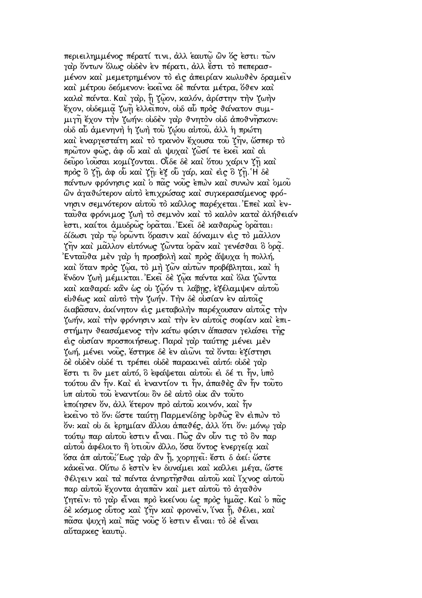περιειλημμένος πέρατί τινι, άλλ εαυτώ ών ός εστι: των γαρ ὄντων ὅλως ουδέν έν πέρατι, άλλ έστι το πεπερασμένον και μεμετρημένον το είς απειρίαν κωλυθεν δραμείν και μέτρου δεόμενον: εκείνα δε πάντα μέτρα, όθεν και καλα πάντα. Και γαρ, ή ζώον, καλόν, αρίστην την ζωήν έχον, ουδεμια ζωη ελλειπον, ουδ αύ προς θανατον συμμιγή έχον την ζωήν: ούδεν γαρ θνητον ουδ αποθνήσκον: ούδ αὖ ἀμενηνη ἡ ζωη τοῦ ζώου αὐτοῦ, ἀλλ ἡ πρώτη και εναργεστάτη και το τρανον έχουσα του ζην, ώσπερ το πρώτον φώς, άφ οὗ και αί ψυχαι ζώσί τε εκει και αί δεύρο ιουσαι κομίζονται. Οιδε δε και ότου χαριν ζη και πρὸς ὃ ζῆ, ἀφ οὗ καὶ ζῆ: ἐξ οὗ γαρ, καὶ ἐις ὃ ζῆ. Ἡ δὲ πάντων φρόνησις και ο πάς νους επων και συνων και ομού ών άγαθώτερον αυτό επιχρώσας και συγκερασάμενος φρόνησιν σεμνότερον αύτου το καλλος παρέχεται. Επει και ένταύθα φρόνιμος ζωή τὸ σεμνὸν και τὸ καλὸν κατα ἀλήθειαν εστι, καίτοι άμυδρώς δράται. Εκει δε καθαρώς δράται: δίδωσι γαρ τω δρώντι δρασιν και δύναμιν εις το μαλλον ζην και μάλλον ευτόνως ζώντα δράν και γενέσθαι δ δρά. Ενταυθα μέν γαρ ή προσβολή και προς άψυχα ή πολλή, και όταν προς ζώα, το μη ζών αυτών προβέβληται, και η ένδον ζωή μέμικται. Εκει δε ζωα πάντα και δλα ζωντα και καθαρα: κάν ως ου ζωόν τι λαβης, εξέλαμψεν αυτου εύθέως και αύτο την ζωήν. Την δε ουσίαν εν αυτοίς διαβάσαν, άκίνητον είς μεταβολήν παρέχουσαν αυτοίς την ζωήν, και την φρόνησιν και την εν αυτοις σοφίαν και επιστήμην θεασάμενος την κάτω φύσιν άπασαν γελάσει της εις ουσίαν προσποιήσεως. Παρα γαρ ταύτης μένει μέν ζωή, μένει νους, έστηκε δε έν αι ωνι τα όντα: εξίστησι δε ουδεν ουδέ τι τρέπει ουδε παρακινει αυτό: ουδε γαρ έστι τι ὂν μετ αὐτό, ὃ ἐφανψεται αὐτοῦ: ἐι δέ τι ἦν, ὑπὸ τούτου άν ήν. Και εί εναντίον τι ήν, άπαθες άν ήν τουτο υπ αυτου του εναντίου: όν δε αυτό ουκ άν τουτο εποίησεν ὄν, άλλ έτερον πρὸ αυτου κοινόν, και ἦν έκεινο το όν: ώστε ταύτη Παρμενίδης ορθώς εν ειπων το όν: και ου δι ερημίαν άλλου άπαθές, άλλ ότι όν: μόνω γαρ τούτω παρ αυτού έστιν είναι. Πώς άν ούν τις το όν παρ αύτου αφέλοιτο ή οτιούν άλλο, όσα όντος ενεργεία και δσα άπ αυτου; Εως γαρ άν ή, χορηγει: έστι δ άεί: ώστε κάκεινα. Ούτω δ εστιν εν δυνάμει και καλλει μέγα, ώστε θέλγειν και τα πάντα άνηρτησθαι αυτού και ίχνος αυτού παρ αύτου έχοντα άγαπαν και μετ αύτου το άγαθον ζητείν: τὸ γαρ εἶναι πρὸ ἐκείνου ως πρὸς ἡμας. Και ο πας δέ κόσμος ούτος και ζην και φρονείν, ίνα ή, θέλει, και πάσα ψυχή και πάς νους δ εστιν είναι: το δε είναι αύταρκες εαυτώ.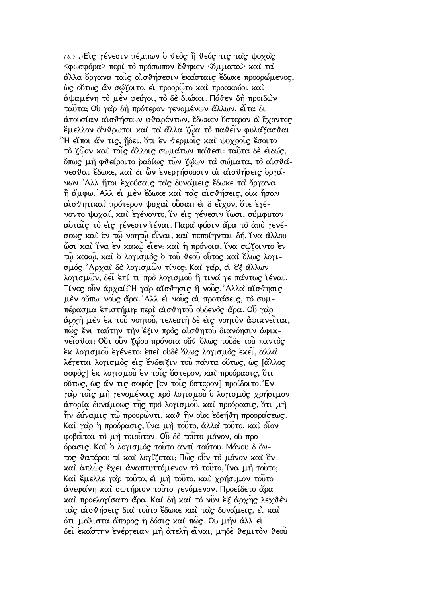(6, 7, 1) Εις γένεσιν πέμπων ο θεος ή θεός τις τας ψυχας <φωσφόρα> περὶ τὸ πρόσωπον ἔθηκεν <ὄμματα> καὶ τὰ άλλα όργανα ταις αισθήσεσιν εκασταις έδωκε προορώμενος, ώς ούτως άν σώζοιτο, ει προορώτο και προακούοι και άψαμένη το μεν φεύγοι, το δε διώκοι. Πόθεν δη προιδων ταυτα; Ου γαρ δη πρότερον γενομένων άλλων, είτα δι άπουσίαν αισθήσεων φθαρέντων, έδωκεν ύστερον α έχοντες έμελλον άνθρωποι και τα άλλα ζῷα το παθεῖν φυλάξασθαι. "Η είποι άν τις, ἤδει, ὅτι ἐν θερμοις και ψυχροις ἔσοιτο τὸ ζῷον και τοις άλλοις σωμάτων πάθεσι: ταυτα δε ειδώς, δπως μή φθείροιτο ραδίως των ζώων τα σώματα, το αισθανεσθαι έδωκε, και δι ὧν ενεργήσουσιν αι αισθήσεις όργανων. Αλλ ήτοι εχούσαις τας δυναμεις έδωκε τα όργανα ή άμφω. Αλλ ει μεν έδωκε και τας αισθήσεις, ουκ ήσαν αισθητικαι πρότερον ψυχαι ούσαι: ει δ είχον, ότε εγένοντο ψυχαί, και εγένοντο, ίν εις γένεσιν ίωσι, σύμφυτον αύταις το είς γένεσιν ιέναι. Παρα φύσιν άρα το άπο γενέσεως και εν τω νοητώ είναι, και πεποίηνται δή, ίνα άλλου ὦσι καὶ ἵνα ἐν κακῷ ἐἶεν: καὶ ἡ πρόνοια, ἵνα σώζοιντο ἐν τω κακώ, και ο λογισμός ο του θεού ούτος και όλως λογισμός. Αρχαί δε λογισμών τίνες; Και γάρ, ει εξ άλλων λογισμών, δει επί τι πρό λογισμού ή τινα γε παντως ιέναι. Τίνες ούν άρχαί; Η γαρ αίσθησις ή νους. Αλλα αίσθησις μέν ούπω: νους άρα. Αλλ ει νους αι προτάσεις, το συμπέρασμα επιστήμη: περι αισθητου ουδενός άρα. Ου γαρ άρχη μέν έκ του νοητου, τελευτή δέ είς νοητον άφικνειται, πώς ένι ταύτην την έξιν πρός αισθητού διανόησιν άφικνεισθαι; Ούτ ούν ζώου πρόνοια ούθ όλως τουδε του παντός εκ λογισμοῦ ἐγένετο: ἐπεὶ οὐδὲ ὅλως λογισμὸς ἐκεἶ, ἀλλὰ λέγεται λογισμός εις ένδειξιν του παντα ούτως, ως [άλλος σοφός] έκ λογισμού έν τοις ύστερον, και προόρασις, ότι ούτως, ως άν τις σοφός Γεν τοις ύστερον] προίδοιτο. Έν γαρ τοις μή γενομένοις προ λογισμού ο λογισμος χρήσιμον άπορία δυναμεως της πρό λογισμού, και προόρασις, ότι μή ήν δύναμις τώ προορώντι, καθ ήν ούκ έδεήθη προοράσεως. Και γαρ η προόρασις, ίνα μη τουτο, άλλα τουτο, και οίον φοβείται τὸ μή τοιούτον. Ο δε τούτο μόνον, ού προόρασις. Και ο λογισμός τουτο άντι τούτου. Μόνου δ όντος θατέρου τί και λογίζεται; Πὧς οὖν τὸ μόνον και εν και άπλως έχει άναπτυττόμενον το τουτο, ίνα μη τουτο; Και έμελλε γαρ τουτο, ει μή τουτο, και χρήσιμον τουτο άνεφάνη και σωτήριον τουτο γενόμενον. Προείδετο άρα και προελογίσατο άρα. Και δη και το νυν εξ άρχης λεχθεν τας αισθήσεις δια τουτο έδωκε και τας δυναμεις, ει και ότι μαλιστα άπορος η δόσις και πως. Ου μην άλλ ει δει εκαστην ενέργειαν μη άτελη είναι, μηδε θεμιτον θεου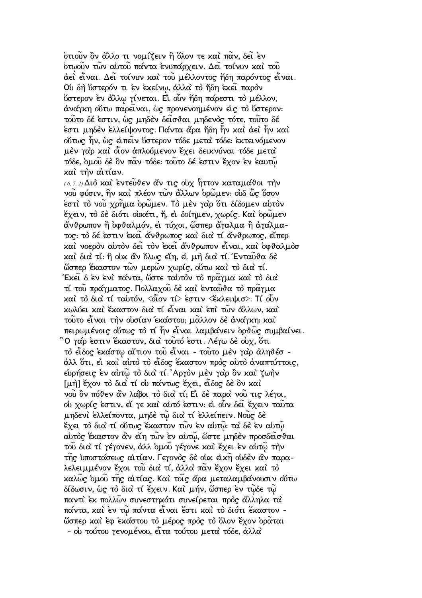<u>δτιούν δν άλλο τι νομίζειν ή δλον τε και παν, δεϊ εν</u> δτωούν των αύτου παντα ενυπαρχειν. Δει τοίνυν και του άει είναι. Δεί τοίνυν και του μέλλοντος ήδη παρόντος είναι. Ου δη ύστερόν τι εν εκείνω, άλλα το ήδη εκεί παρον ύστερον έν άλλω γίνεται. Ει ούν ήδη πάρεστι το μέλλον, άναγκη ούτω παρείναι, ώς προνενοημένον εις το ύστερον: τούτο δέ έστιν, ώς μηδέν δείσθαι μηδενός τότε, τούτο δέ έστι μηδέν ελλείψοντος. Παντα άρα ήδη ἦν καὶ ἀεὶ ἦν καὶ ούτως ήν, ως ειπείν ύστερον τόδε μετα τόδε: εκτεινόμενον μέν γαρ και δίον άπλούμενον έχει δεικνύναι τόδε μετα τόδε, όμου δε όν πάν τόδε: τουτο δέ εστιν έχον εν εαυτώ και την αιτίαν.

 $(6, 7, 2)$  Διό και εντεύθεν άν τις ούχ ήττον καταμάθοι την νου φύσιν, ην και πλέον των άλλων ορώμεν: ουδ ὧς δσον έστι το νου χρήμα δρώμεν. Το μεν γαρ ότι δίδομεν αυτον έχειν, το δε διότι ουχέτι, ή, ει δοίημεν, χωρίς. Και δρώμεν άνθρωπον ή οφθαλμόν, ει τύχοι, ώσπερ άγαλμα ή αγαλματος: τὸ δέ ἐστιν ἐκει ἀνθρωπος και δια τί ἀνθρωπος, είπερ και νοερόν αυτόν δει τον εκει άνθρωπον είναι, και οφθαλμόσ και δια τί: ή ούκ άν δλως είη, ει μη δια τί. Ενταυθα δε ώσπερ έκαστον των μερών χωρίς, ούτω και το δια τί. 'Exel δ εν ενι πάντα, ὥστε ταὐτὸν τὸ πραγμα και τὸ δια τί του πραγματος. Πολλαχού δε και ενταυθα το πραγμα και το δια τί ταυτόν, <δίον τί> εστιν <έκλειψισ>. Τί ούν κωλύει και έκαστον δια τί είναι και επι των άλλων, και τούτο είναι την ουσίαν εκάστου; μάλλον δε άναγκη: και πειρωμένοις ούτως το τί ήν είναι λαμβανειν ορθώς συμβαίνει. ``Ο γαρ 'εστιν 'έκαστον, δια` τοῦτό 'εστι. Λέγω δὲ οὐχ, ὅτι τὸ ἐἶδος εκαστω αίτιον του εἶναι - τουτο μεν γαρ αληθέσ άλλ ότι, ει και αυτό το είδος έκαστον πρός αυτό άναπτύττοις, ευρήσεις εν αυτώ το δια τί. Αργον μεν γαρ όν και ζωην [μή] έχον τὸ δια τί ου παντως έχει, εἶδος δὲ ὂν και νου όν πόθεν άν λαβοι το δια τί; Ει δε παρα νου τις λέγοι, ού χωρίς έστιν, εί γε και αυτό έστιν: ει ούν δει έχειν ταυτα μηδενι ελλείποντα, μηδε τώ δια τί ελλείπειν. Νούς δε έχει τὸ δια τί ούτως έκαστον τῶν ἐν αὐτῷ: τα δὲ ἐν αὐτῷ αυτός έκαστον άν είη των εν αυτώ, ώστε μηδεν προσδείσθαι του δια τί γέγονεν, άλλ δμου γέγονε και έχει εν αυτώ την της υποστάσεως αιτίαν. Γεγονός δε ουκ εικη ουδεν άν παραλελειμμένον έχοι του δια τί, άλλα παν έχον έχει και το καλώς δμού της αιτίας. Και τοις άρα μεταλαμβανουσιν ούτω δίδωσιν, ως το δια τί έχειν. Και μήν, ώσπερ εν τωδε τω παντι έκ πολλών συνεστηκότι συνείρεται προς άλληλα τα πάντα, και έν τώ πάντα είναι έστι και το διότι έκαστον ώσπερ και έφ εκάστου το μέρος προς το όλον έχον οραται - ου τούτου γενομένου, εἶτα τούτου μετα τόδε, άλλα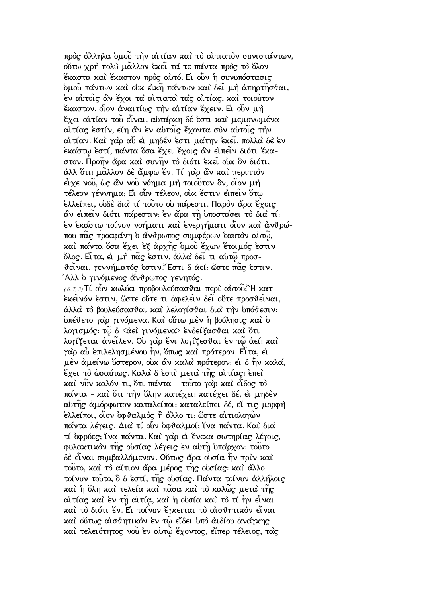πρὸς ἄλληλα δμου την αιτίαν και το αιτιατον συνισταντων, ούτω χρή πολύ μάλλον έκει τά τε πάντα πρός το όλον έκαστα και έκαστον προς αυτό. Ει ούν η συνυπόστασις δμού παντων και ούκ εική παντων και δεί μή απηρτήσθαι, έν αυτοίς άν έχοι τα αιτιατα τας αιτίας, και τοιούτον έκαστον, οίον άναιτίως την αιτίαν έχειν. Ει ούν μη έχει αιτίαν του είναι, αυτάρκη δέ εστι και μεμονωμένα αιτίας έστίν, είη άν έν αυτοις έχοντα συν αυτοις την αιτίαν. Και γαρ αύ ει μηδέν εστι ματην εκει, πολλα δε εν εκάστω εστί, πάντα δσα έχει έχοις άν ειπειν διότι έκαστον. Προήν άρα και συνήν το διότι εκει ούκ όν διότι, άλλ ότι: μαλλον δε άμφω έν. Τί γαρ άν και περιττον εἶχε νου, ὡς ἀν νου νόημα μη τοιούτον ὂν, οἷον μη τέλεον γέννημα; Ει ούν τέλεον, ούκ έστιν ειπειν ότω ελλείπει, ουδε δια τί τουτο ου πάρεστι. Παρον άρα έχοις άν ειπείν διότι πάρεστιν: εν άρα τη υποστάσει το δια τί: έν εκαστω τοίνυν νοήματι και ενεργήματι οίον και ανθρώπου πάς προεφανη ο άνθρωπος συμφέρων εαυτόν αυτώ, και πάντα όσα έχει εξ άρχης δμού έχων έτοιμός εστιν δλος. Είτα, εί μή πάς εστιν, άλλα δεί τι αυτώ προσθείναι, γεννήματός 'εστιν. Έστι δ άεί: ώστε πάς 'εστιν. 'Αλλ ο γινόμενος άνθρωπος γενητός.

 $(6, 7, 3)$  Τί ούν κωλύει προβουλεύσασθαι περί αυτου; Η κατ εκεινόν εστιν, ώστε ούτε τι άφελειν δει ούτε προσθειναι, άλλα το βουλεύσασθαι και λελογίσθαι δια την υπόθεσιν: υπέθετο γαρ γινόμενα. Και ούτω μεν η βούλησις και ο λογισμός: τω δ <άει γινόμενα> ενδεί ξασθαι και ότι λογίζεται άνειλεν. Ου γαρ ένι λογίζεσθαι εν τω άεί: και γαρ αὖ ἐπιλελησμένου ἦν, ὅπως και πρότερον. Εἶτα, ἐι μέν άμείνω ύστερον, ούκ άν καλα πρότερον: εί δ ήν καλα, έχει το ώσαύτως. Καλα δ έστι μετα της αιτίας: επει και νυν καλόν τι, ότι πάντα - τουτο γαρ και είδος το πάντα - και ότι την ύλην κατέχει: κατέχει δέ, ει μηδεν αύτης άμόρφωτον καταλείποι: καταλείπει δέ, εί τις μορφή ελλείποι, οίον οφθαλμος ή άλλο τι: ώστε αιτιολογων πάντα λέγεις. Δια τί ούν οφθαλμοί; ίνα πάντα. Και δια τί οφρύες; ίνα πάντα. Και γαρ ει ένεκα σωτηρίας λέγοις, φυλακτικόν της ουσίας λέγεις έν αυτη υπάρχον: τούτο δε είναι συμβαλλόμενον. Ούτως άρα ουσία ήν πριν και τούτο, καὶ τὸ αἴτιον ἄρα μέρος της οὐσίας: καὶ ἄλλο τοίνυν τούτο, δ δ εστί, της ουσίας. Παντα τοίνυν αλλήλοις και η όλη και τελεία και πάσα και το καλώς μετα της αιτίας και εν τη αιτία, και η ουσία και το τί ήν είναι και το διότι έν. Ει τοίνυν έγκειται το αισθητικον είναι και ούτως αισθητικόν έν τω είδει υπό αιδίου αναγκης και τελειότητος νου εν αυτώ έχοντος, είπερ τέλειος, τας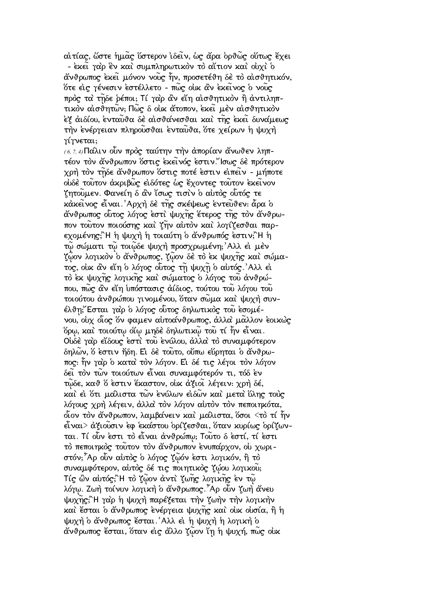αιτίας, ὥστε ημας ὕστερον ιδειν, ὡς ἄρα ὀρθως οὕτως ἔχει - 'εκει γαρ εν και συμπληρωτικον το αίτιον και ουχι δ άνθρωπος έκει μόνον νους ήν, προσετέθη δε το αισθητικόν, ότε εις γένεσιν εστέλλετο - πως ούκ άν εκεινος ο νους πρός τα τηδε ρέποι; Τί γαρ άν είη αισθητικον ή αντιληπτικόν αισθητών; Πώς δ ούκ άτοπον, εκει μεν αισθητικόν εξ αιδίου, ενταύθα δε αισθανεσθαι και της εκει δυναμεως την ενέργειαν πληρουσθαι ενταυθα, ότε χείρων η ψυχη γίγνεται;

(6, 7, 4) Παλιν ούν πρός ταύτην την απορίαν άνωθεν ληπτέον τον άνθρωπον όστις εκεινός εστιν. Ίσως δε πρότερον χρή τον τηδε άνθρωπον όστις ποτέ έστιν ειπείν - μήποτε ούδε τούτον άκριβώς ειδότες ως έχοντες τούτον εκείνον ζητούμεν. Φανείη δ άν Ίσως τισιν ο αυτός ούτός τε κάκεινος είναι. Αρχή δε της σκέψεως εντεύθεν: άρα δ άνθρωπος ούτος λόγος έστι ψυχης έτερος της τον άνθρωπον τουτον ποιούσης και ζην αυτον και λογίζεσθαι παρεχομένης; Η η ψυχη η τοιαύτη ο άνθρωπός εστιν; Η η τῷ σώματι τῷ τοιῷδε ψυχή προσχρωμένη; Αλλ ει μεν ζώον λογικόν ο άνθρωπος, ζώον δε το εκ ψυχης και σώματος, ούκ άν είη ο λόγος οὗτος τη ψυχη ο αυτός. Αλλ ει τὸ ἐκ ψυχης λογικης και σώματος ὁ λόγος του άνθρώπου, πως άν είη υπόστασις άίδιος, τούτου του λόγου του τοιούτου άνθρώπου γινομένου, όταν σώμα και ψυχή συνέλθη, Έσται γαρ ο λόγος ούτος δηλωτικός του εσομένου, ούχ οιος δν φαμεν αυτοανθρωπος, άλλα μαλλον εοικώς δρω, και τοιούτω οίω μηδε δηλωτικώ του τί ήν είναι. Ουδέ γαρ είδους έστι του ενύλου, άλλα το συναμφότερον δηλών, δ εστιν ήδη. Ει δε τουτο, ούπω εύρηται δ άνθρωπος: ἦν γαρ ο κατα τον λόγον. Ει δέ τις λέγοι τον λόγον δει τον των τοιούτων είναι συναμφότερόν τι, τόδ έν τώδε, καθ ό εστιν έκαστον, ουκ άξιοι λέγειν: χρη δέ, και ει ότι μαλιστα των ενύλων ειδών και μετα ύλης τους λόγους χρή λέγειν, άλλα τον λόγον αυτον τον πεποιηκότα, οίον τον άνθρωπον, λαμβάνειν και μάλιστα, όσοι <το τί ήν είναι> άζιουσιν εφ εκαστου δρίζεσθαι, δταν κυρίως δρίζωνται. Τί ούν 'εστι τὸ εἶναι ἀνθρώπῳ; Τουτο δ 'εστί, τί 'εστι τὸ πεποιηκὸς τούτον τὸν ἄνθρωπον 'ενυπάρχον, ου χωριστόν; Αρ οὖν αυτὸς ὁ λόγος ζῷόν 'εστι λογικόν, ἢ τὸ συναμφότερον, αύτος δέ τις ποιητικός ζώου λογικού; Τίς ὢν αυτός; Η το ζώον άντι ζωής λογικής έν τώ λόγω. Ζωή τοίνυν λογική ο άνθρωπος. Άρ οὖν ζωή άνευ ψυχης;`Η γαρ η ψυχη παρέξεται την ζωην την λογικην και έσται ο άνθρωπος ενέργεια ψυχης και ουκ ουσία, ή η ψυχή ο άνθρωπος έσται. Αλλ ει η ψυχή η λογική ο άνθρωπος έσται, όταν εις άλλο ζώον ίη η ψυχή, πώς ούκ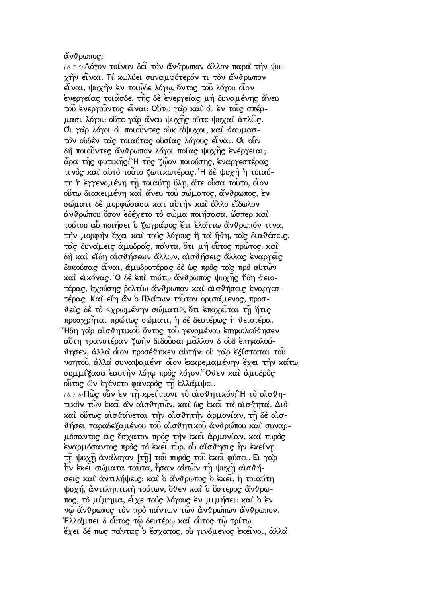## άνθρωπος;

(6, 7, 5) Λόγον τοίνυν δεϊ τον άνθρωπον άλλον παρα την ψυχην είναι. Τί κωλύει συναμφότερόν τι τον άνθρωπον είναι, ψυχήν εν τοιώδε λόγω, όντος του λόγου οίον ένεργείας τοιἆσδε, της δὲ ἐνεργείας μη δυναμένης ἄνευ του ενεργούντος είναι; Ούτω γαρ και οί εν τοις σπέρμασι λόγοι: ούτε γαρ άνευ ψυχης ούτε ψυχαι άπλως. Οι γαρ λόγοι οι ποιούντες ούκ άψυχοι, και θαυμαστον ουδεν τας τοιαύτας ουσίας λόγους είναι. Οι ούν δη ποιούντες άνθρωπον λόγοι ποίας ψυχης ενέργειαι; άρα της φυτικής; Η της ζώον ποιούσης, εναργεστέρας τινός και αυτό τουτο ζωτικωτέρας. Η δε ψυχη η τοιαύτη η εγγενομένη τη τοιαύτη ύλη, άτε ούσα τουτο, οίον ούτω διακειμένη και άνευ του σώματος, άνθρωπος, έν σώματι δέ μορφώσασα κατ αύτην και άλλο είδωλον άνθρώπου όσον 'εδέγετο το σώμα ποιήσασα, ώσπερ και' τούτου αύ ποιήσει ο ζωγράφος έτι ελάττω άνθρωπόν τινα, την μορφήν έχει και τους λόγους ή τα ήθη, τας διαθέσεις, τας δυναμεις αμυδρας, παντα, ότι μη ούτος πρώτος: και δη και είδη αισθήσεων άλλων, αισθήσεις άλλας εναργείς δοκούσας είναι, άμυδροτέρας δε ως προς τας προ αυτών και εικόνας. Ο δε επι τούτω άνθρωπος ψυχης ήδη θειοτέρας, εχούσης βελτίω άνθρωπον και αισθήσεις εναργεστέρας. Και είη άν ο Πλατων τουτον ορισαμενος, προσθείς δε το <χρωμένην σώματι>, ότι εποχείται τη ήτις προσχρηται πρώτως σώματι, η δε δευτέρως η θειοτέρα. "Ηδη γαρ αισθητικοῦ ὄντος τοῦ γενομένου ἐπηκολούθησεν αύτη τρανοτέραν ζωην διδούσα: μάλλον δ ουδ επηκολούθησεν, άλλα δίον προσέθηκεν αυτήν: ου γαρ εξίσταται του νοητου, άλλα συναψαμένη οίον εκκρεμαμένην έχει την κάτω συμμίζασα εαυτήν λόγω πρός λόγον. Όθεν και άμυδρός ούτος ών εγένετο φανερός τη ελλαμψει.

(6, 7, 6) Πώς ούν έν τη κρείττονι το αισθητικόν; Η το αισθητικόν των έκει άν αισθητών, και ως έκει τα αισθητά. Διό και ούτως αισθάνεται την αισθητην άρμονίαν, τη δε αισθήσει παραδεξαμένου του αισθητικου ανθρώπου και συναρμόσαντος εις έσχατον πρός την εκει άρμονίαν, και πυρός έναρμόσαντος πρὸς τὸ ἐκεἶ πυρ, οὗ αἴσθησις ἦν ἐκείνῃ τη ψυχη αναλογον [τη] του πυρός του εκει φύσει. Ει γαρ ήν εκεί σώματα ταύτα, ήσαν αυτών τη ψυχη αισθήσεις και άντιλήψεις: και ο άνθρωπος ο εκει, η τοιαύτη ψυχή, άντιληπτική τούτων, όθεν και ο ύστερος άνθρωπος, το μίμημα, είχε τους λόγους έν μιμήσει: και ο έν νω άνθρωπος τον προ παντων των ανθρώπων άνθρωπον. 'Ελλαμπει δ οὗτος τῷ δευτέρῳ καὶ οὗτος τῷ τρίτῳ: έχει δέ πως πάντας ο έσχατος, ου γινόμενος εκείνοι, άλλα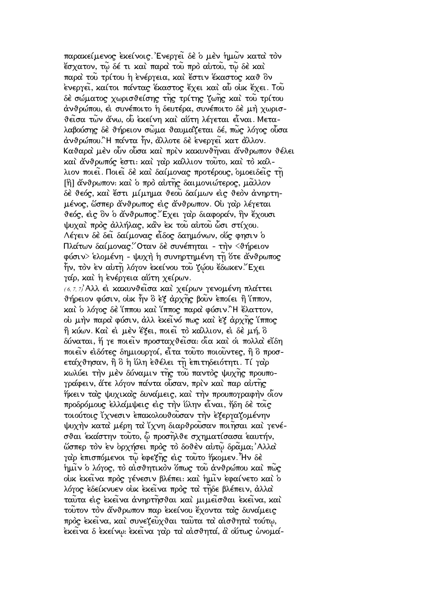παρακείμενος εκείνοις. Ενεργεί δε ο μεν ημών κατα τον ἔσχατον, τῷ δέ τι καὶ παρα τοῦ πρὸ αὐτοῦ, τῷ δὲ καὶ παρα του τρίτου η ενέργεια, και έστιν έκαστος καθ δν ένεργει, καίτοι πάντας έκαστος έχει και αύ ουκ έχει. Του δέ σώματος χωρισθείσης της τρίτης ζωης και του τρίτου άνθρώπου, εί συνέποιτο ή δευτέρα, συνέποιτο δε μή χωρισθεῖσα τῶν ἄνω, οὗ ἐκείνη καὶ αὕτη λέγεται εἶναι. Μεταλαβούσης δε θήρειον σώμα θαυμαζεται δέ, πώς λόγος ούσα άνθρώπου."Η πάντα ἦν, άλλοτε δε 'ενεργει κατ άλλον. Καθαρα μέν ούν ούσα και πριν κακυνθηναι άνθρωπον θέλει και άνθρωπός έστι: και γαρ καλλιον τουτο, και το καλλιον ποιεί. Ποιεί δε και δαίμονας προτέρους, δμοειδείς τη [ή] άνθρωπον: και ο προ αυτής δαιμονιώτερος, μάλλον δέ θεός, και έστι μίμημα θεου δαίμων εις θεον άνηρτημένος, ώσπερ άνθρωπος εις άνθρωπον. Ου γαρ λέγεται θεός, είς δν ο άνθρωπος. Έχει γαρ διαφοραν, ην έχουσι ψυχαί πρός άλλήλας, κάν έκ του αύτου ώσι στίχου. Λέγειν δε δει δαίμονας είδος δαημόνων, ούς φησιν δ Πλάτων δαίμονας. Όταν δε συνέπηται - την <θήρειον φύσιν> ελομένη - ψυχή η συνηρτημένη τη ότε άνθρωπος  $\tilde{\eta}$ ν, τον 'εν αύτ $\tilde{\eta}$  λόγον 'εκείνου του ζώου 'έδωκεν.' Έχει γάρ, και η ενέργεια αύτη χείρων.

(6, 7, 7) Αλλ ει κακυνθείσα και χείρων γενομένη πλάττει θήρειον φύσιν, ούκ ἦν ὃ 'εξ άρχης βουν 'εποίει ή Υππον, και ο λόγος δε ίππου και ίππος παρα φύσιν. Η έλαττον, ού μην παρα φύσιν, άλλ εκείνό πως και εξ άρχης ίππος ή κύων. Και εί μεν έξει, ποιεί το καλλιον, ει δε μή, δ δύναται, ή γε ποιείν προσταχθείσα: οία και οί πολλα είδη ποιείν ειδότες δημιουργοί, είτα τούτο ποιούντες, ή δ προσετάχθησαν, ή δ η ύλη εθέλει τη επιτηδειότητι. Τί γαρ κωλύει την μέν δύναμιν της του παντός ψυχης προυπογράφειν, άτε λόγον πάντα ούσαν, πριν και παρ αυτής ήκειν τας ψυχικας δυναμεις, και την προυπογραφην οίον προδρόμους ελλαμψεις είς την ύλην είναι, ήδη δε τοις τοιούτοις ίχνεσιν επακολουθούσαν την εξεργαζομένην ψυχην κατα μέρη τα ίχνη διαρθρούσαν ποιήσαι και γενέσθαι εκαστην τουτο, ω προσηλθε σχηματίσασα εαυτήν, ώσπερ τον έν ορχήσει προς το δοθεν αυτώ δράμα; Αλλα γαρ επισπόμενοι τω εφεξής είς τουτο ήκομεν. Ήν δε ημίν ο λόγος, το αισθητικόν όπως του ανθρώπου και πως ούκ εκείνα πρός γένεσιν βλέπει: και ημίν εφαίνετο και ο λόγος εδείκνυεν ούκ εκείνα πρός τα τηδε βλέπειν, άλλα ταυτα εις εκείνα άνηρτησθαι και μιμείσθαι εκείνα, και τούτον τον άνθρωπον παρ εκείνου έχοντα τας δυνάμεις πρός έκεινα, και συνεζευχθαι ταυτα τα αισθητα τούτω, εκείνα δ εκείνω: εκείνα γαρ τα αισθητά, α ούτως ώνομά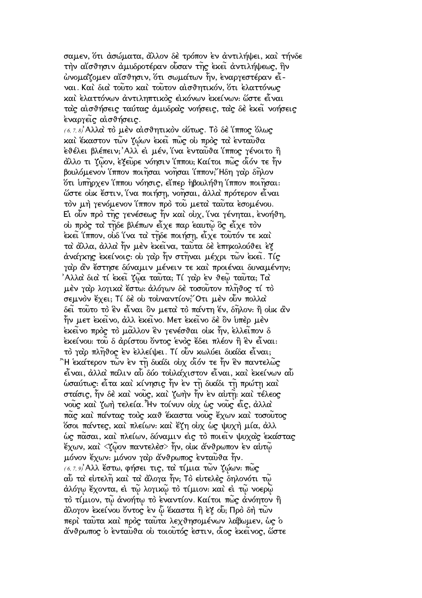σαμεν, ότι ἀσώματα, ἄλλον δὲ τρόπον 'εν ἀντιλήψει, καὶ τήνδε την αίσθησιν αμυδροτέραν ούσαν της εκει αντιλήψεως, ην ώνομάζομεν αίσθησιν, ότι σωμάτων ήν, εναργεστέραν είναι. Και δια τουτο και τουτον αισθητικόν, ότι ελαττόνως και ελαττόνων αντιληπτικός εικόνων εκείνων: ώστε είναι τας αισθήσεις ταύτας άμυδρας νοήσεις, τας δε εκει νοήσεις εναργείς αισθήσεις.

(6, 7, 8) Αλλα το μέν αισθητικόν ούτως. Το δε ίππος όλως και έκαστον των ζώων εκεί πως ου προς τα ενταυθα 'εθέλει βλέπειν; Αλλ ει μέν, ίνα ενταυθα ίππος γένοιτο ή άλλο τι ζώον, εξεύρε νόησιν ίππου; Καίτοι πώς οιόν τε ήν βουλόμενον ίππον ποιήσαι νοήσαι ίππον; Ήδη γαρ δήλον δτι υπηρχεν ίππου νόησις, είπερ ηβουλήθη ίππον ποιησαι: ώστε ουκ έστιν, ίνα ποιήση, νοήσαι, άλλα πρότερον είναι τον μή γενόμενον ίππον προ του μετα ταυτα εσομένου. Ει ούν πρό της γενέσεως ήν και ούχ, ίνα γένηται, ενοήθη, ου προς τα τηδε βλέπων είχε παρ εαυτώ δς είχε τον εκει ίππον, ουδ ίνα τα τηδε ποιήση, είχε τουτόν τε και τα άλλα, άλλα ήν μεν εκείνα, ταύτα δε επηκολούθει εξ άναγκης εκείνοις: ου γαρ ήν στηναι μέχρι των εκει. Τίς γαρ άν έστησε δύναμιν μένειν τε και προιέναι δυναμένην; 'Αλλα` δια` τί 'εκεῖ 'ζῶα ταῦτα; Τί γαρ 'εν θεῶ ταῦτα; Τα` μέν γαρ λογικα έστω: άλόγων δε τοσούτον πλήθος τί το σεμνόν έχει; Τί δέ ου τουναντίον; Ότι μεν ούν πολλα δεί τούτο το εν είναι όν μετα το παντη εν, δήλον: ή ούκ άν ήν μετ εκείνο, άλλ εκείνο. Μετ εκείνο δε όν υπερ μεν έκεινο πρὸς τὸ μᾶλλον ἓν γενέσθαι οὐκ ἦν, ἐλλειπον δ έκείνου: του δ άρίστου ὄντος ενὸς ἔδει πλέον ἢ εν εἶναι: τὸ γαρ πλῆθος εν ελλείψει. Τί οὖν κωλύει δυαδα εἶναι; "Η εκατερον τῶν ἐν τῇ δυαδι οὐχ οἶόν τε ἦν ἓν παντελῶς εἶναι, ἀλλα πάλιν αὖ δύο τοὺλάχιστον εἶναι, καὶ ἐκείνων αὖ ώσαύτως: είτα και κίνησις ήν εν τη δυαδι τη πρώτη και στάσις, ήν δέ και νους, και ζωην ήν εν αυτή: και τέλεος νους και ζωή τελεία. Ήν τοίνυν ουχ ως νους είς, άλλα πάς και πάντας τους καθ έκαστα νους έχων και τοσούτος δσοι πάντες, και πλείων: και έζη ουχ ως ψυχη μία, άλλ ώς πασαι, και πλείων, δύναμιν εις το ποιείν ψυχας εκαστας έχων, και <ζώον παντελεσ> ήν, ουκ άνθρωπον εν αυτώ μόνον έχων: μόνον γαρ άνθρωπος ενταυθα ήν.  $(6, 7, 9)$  Αλλ έστω, φήσει τις, τα τίμια των ζώων: πως αὖ τα ευτελη και τα άλογα ἦν; Το ευτελες δηλονότι τῷ άλόγω έχοντα, ει τω λογικώ το τίμιον: και ει τω νοερώ τὸ τίμιον, τῷ ἀνοήτῳ τὸ ἐναντίον. Καίτοι πως ἀνόητον ἢ άλογον εκείνου όντος εν ὧ έκαστα ή εξ οὗ; Πρὸ δη τῶν περι ταυτα και προς ταυτα λεχθησομένων λάβωμεν, ως δ άνθρωπος ο ενταύθα ου τοιούτός εστιν, οίος εκείνος, ώστε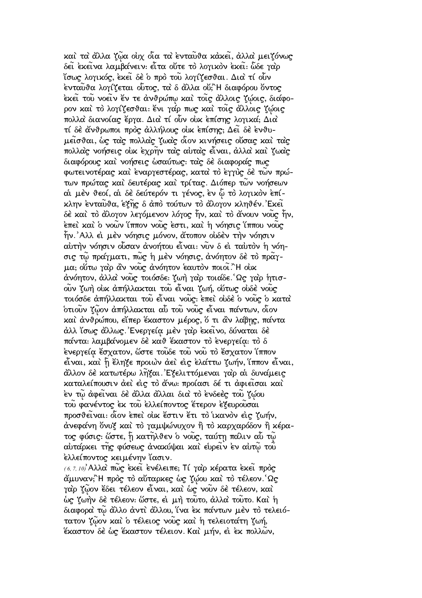και τα άλλα ζώα ουχ οία τα ενταύθα κάκει, άλλα μειζόνως δει εκείνα λαμβάνειν: είτα ούτε το λογικον εκει: ώδε γαρ ἴσως λογικός, ἐκεῖ δὲ ὁ πρὸ τοῦ λογίζεσθαι. Δια τί οὖν ένταυθα λογίζεται ούτος, τα δ άλλα ού; Η διαφόρου όντος έκει του νοειν έν τε άνθρώπω και τοις άλλοις ζώοις, διάφορον και το λογίζεσθαι: ένι γάρ πως και τοις άλλοις ζώοις πολλα διανοίας έργα. Δια τί ούν ουκ επίσης λογικα, Δια τί δε άνθρωποι πρός άλλήλους ούκ επίσης; Δεϊ δε ενθυμείσθαι, ώς τας πολλας ζωας οίον κινήσεις ούσας και τας πολλας νοήσεις ούκ εχρην τας αύτας είναι, άλλα και ζωας διαφόρους και νοήσεις ώσαύτως: τας δε διαφοράς πως φωτεινοτέρας και εναργεστέρας, κατα το εγγύς δε των πρώτων πρώτας και δευτέρας και τρίτας. Διόπερ των νοήσεων αι μεν θεοί, αι δε δεύτερόν τι γένος, εν ω το λογικον επίκλην ενταύθα, εξης δ άπο τούτων το άλογον κληθέν. Εκεί δέ και το άλογον λεγόμενον λόγος ήν, και το άνουν νους ήν, έπει και ο νοών ίππον νους έστι, και η νόησις ίππου νους ήν. Αλλ ει μεν νόησις μόνον, άτοπον ουδεν την νόησιν αύτην νόησιν ούσαν άνοήτου είναι: νύν δ εί ταύτον η νόησις τω πράγματι, πως η μέν νόησις, άνόητον δέ το πραγμα; ούτω γαρ άν νους άνόητον εαυτον ποιοι. Ή ουκ άνόητον, άλλα νους τοιόσδε: ζωή γαρ τοιάδε. Ώς γαρ ητισουν ζωή ούκ άπήλλακται του είναι ζωή, ούτως ουδέ νους τοιόσδε άπήλλακται του είναι νους: επει ουδε ο νους ο κατα **δτιούν ζώον απήλλακται αύ του νους είναι παντων**, οίον και άνθρώπου, είπερ έκαστον μέρος, ό τι άν λάβης, πάντα άλλ Ίσως άλλως. Ενεργεία μεν γαρ εκείνο, δύναται δε πάντα: λαμβάνομεν δέ καθ έκαστον τὸ ένεργεία: τὸ δ ένεργεία έσχατον, ὥστε τουδε του νου το έσχατον Υππον εἶναι, καὶ ῇ ἔληξε προιων ἀεὶ ἐις ἐλαττω ζωήν, ἵππον εἶναι, άλλον δε κατωτέρω ληζαι. Εξελιττόμεναι γαρ αι δυναμεις καταλείπουσιν άει είς το άνω: προίασι δέ τι άφιεισαι και έν τῷ ἀφεῖναι δὲ ἄλλα ἄλλαι δια τὸ ἐνδεὲς τοῦ ζώου του φανέντος εκ του ελλείποντος έτερον εξευρουσαι προσθείναι: δίον 'επει' ούκ 'έστιν 'έτι το 'ικανον είς ζωήν, άνεφάνη όνυξ και το γαμψώνυχον ή το καρχαρόδον ή κέρατος φύσις: ὥστε, ἣ κατῆλθεν ὁ νοῦς, ταύτῃ παλιν αὖ τῷ αυτάρκει της φύσεως άνακύψαι και ευρείν εν αυτώ του ελλείποντος κειμένην Ίασιν.

 $(6, 7, 10)$  Αλλα πώς εκει ενέλειπε; Τί γαρ κέρατα εκει πρός άμυναν; Η πρός το αύταρκες ως ζώου και το τέλεον. Ώς γαρ ζώον έδει τέλεον είναι, και ως νουν δε τέλεον, και ώς ζωήν δε τέλεον: ὥστε, εί μή τοῦτο, ἀλλα τοῦτο. Και ή διαφορα τώ άλλο άντι άλλου, ίνα έκ πάντων μέν το τελειότατον ζώον και ο τέλειος νους και η τελειοτάτη ζωή, έκαστον δε ως έκαστον τέλειον. Και μήν, ει εκ πολλών,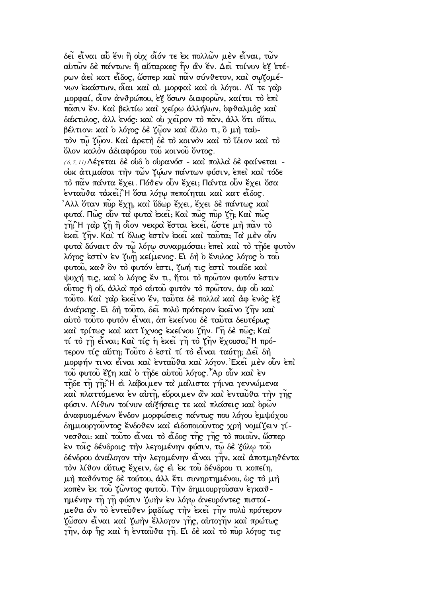δει είναι αύ έν: ή ουχ οιόν τε εκ πολλων μεν είναι, των αυτών δε παντων: ή αύταρκες ήν άν έν. Δει τοίνυν εξ ετέρων άει κατ είδος, ώσπερ και παν σύνθετον, και σωζομένων εκαστων, δίαι και αί μορφαι και οι λόγοι. Αί τε γαρ μορφαί, δίον άνθρώπου, εξ όσων διαφορών, καίτοι το επι πασιν έν. Και βελτίω και χείρω άλλήλων, οφθαλμος και δάκτυλος, άλλ ενός: και ου χείρον το παν, άλλ ότι ούτω, βέλτιον: και ο λόγος δε ζώον και άλλο τι, δ μη ταυτον τῷ ζῷον. Και ἀρετη δε το κοινον και το ἴδιον και το δλον καλόν άδιαφόρου του κοινου όντος.  $(6, 7, 11)$  Λέγεται δε ουδ ο ουρανόσ - και πολλα δε φαίνεται ούκ άτιμασαι την των ζώων παντων φύσιν, επεί και τόδε τὸ παν παντα ἔχει. Πόθεν οὖν ἔχει; Παντα οὖν ἔχει ὅσα 'ενταυθα τάκει;`Η δσα λόγω πεποίηται και` κατ εἶδος. 'Αλλ ὅταν πυρ ἔχη, και` ὕδωρ ἔχει, ἔχει δὲ παντως και` φυτά. Πώς ούν τα φυτα εκει; Και πως πυρ ζη; Και πως γη; Η γαρ ζη ή οίον νεκρα έσται εκει, ώστε μη παν το εκει ζην. Και τί δλως εστιν εκει και ταυτα; Τα μεν ούν φυτα δύναιτ άν τώ λόγω συναρμόσαι: επει και το τηδε φυτον λόγος εστιν εν ζωή κείμενος. Ει δη ο ένυλος λόγος ο του φυτου, καθ δν το φυτόν έστι, ζωή τις έστι τοιαδε και ψυχή τις, και ο λόγος έν τι, ήτοι το πρώτον φυτόν έστιν ούτος ή ού, άλλα πρό αύτου φυτόν το πρώτον, άφ ου και τούτο. Και γαρ εκείνο έν, ταύτα δε πολλα και άφ ενος εξ άναγκης. Ει δη τούτο, δεί πολύ πρότερον εκείνο ζην και αύτο τουτο φυτον είναι, άπ εκείνου δε ταυτα δευτέρως και τρίτως και κατ ίχνος εκείνου ζην. Γη δε πως, Και τί τὸ γỹ ἐἶναι; Καὶ τίς ἡ ἐκεἶ γῆ τὸ ζῆν ἔχουσα; Η πρότερον τίς αύτη; Τούτο δ έστι τί το είναι ταύτη; Δεϊ δη μορφήν τινα είναι και ενταύθα και λόγον. Εκει μεν ούν επι του φυτου έζη και ο τηδε αυτου λόγος. Άρ ούν και εν τηδε τη γη; Η ει λαβοιμεν τα μαλιστα γήινα γεννώμενα και πλαττόμενα εν αυτη, εύροιμεν άν και ενταυθα την γης φύσιν. Λίθων τοίνυν αυξήσεις τε και πλάσεις και όρων άναφυομένων ένδον μορφώσεις πάντως που λόγου εμψύχου δημιουργούντος ένδοθεν και ειδοποιούντος χρή νομίζειν γίνεσθαι: και τούτο είναι το είδος της γής το ποιούν, ώσπερ έν τοις δένδροις την λεγομένην φύσιν, τῷ δὲ ξύλῳ του δένδρου άναλογον την λεγομένην είναι γην, και άποτμηθέντα τον λίθον ούτως έχειν, ως εί εκ του δένδρου τι κοπείη, μή παθόντος δε τούτου, άλλ έτι συνηρτημένου, ως το μή κοπέν έκ του ζώντος φυτου. Την δημιουργούσαν έγκαθημένην τη γη φύσιν ζωήν εν λόγω άνευρόντες πιστοίμεθα άν το εντεύθεν ραδίως την εκεί γην πολύ πρότερον ζώσαν είναι και ζωήν έλλογον γης, αυτογην και πρώτως γην, άφ ης και η ενταύθα γη. Ει δε και το πυρ λόγος τις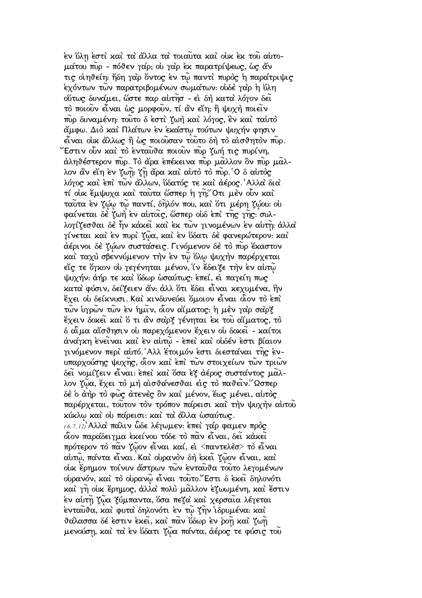εν ύλη εστι` και` τα` άλλα τα` τοιαυτα και` ουκ εκ του αυτομάτου πυρ - πόθεν γάρ; ου γαρ έκ παρατρίψεως, ως άν τις οιηθείη: ήδη γαρ όντος έν τω παντι πυρος η παρατριψις 'εχόντων των παρατριβομένων σωμάτων: οὐδὲ γαρ ἡ ὕλη ούτως δυναμει, ώστε παρ αύτησ - εί δη κατα λόγον δεί τὸ ποιοῦν ἐἶναι ὡς μορφοῦν, τί ἀν ἐίη; ἢ ψυχη ποιεἶν πυρ δυναμένη: τουτο δ έστι ζωή και λόγος, εν και ταυτό άμφω. Διὸ και Πλατων εν εκαστω τούτων ψυχήν φησιν είναι ούκ άλλως ή ώς ποιούσαν τούτο δη το αισθητον πύρ. "Εστιν ούν και το ενταυθα ποιουν πυρ ζωή τις πυρίνη, άληθέστερον πύρ. Τὸ ἄρα επέκεινα πύρ μαλλον ὂν πύρ μαλλον άν είη εν ζωή: ζη άρα και αυτό το πυρ. Ο δ αυτός λόγος και 'επι των άλλων, ύδατός τε και άέρος. Αλλα δια τί ουκ έμψυχα και ταυτα ώσπερ η γη; Ότι μεν ούν και ταυτα εν ζώω τω παντί, δηλόν που, και ότι μέρη ζώου: ου φαίνεται δε ζωη εν αύτοις, ώσπερ ουδ επι της γης: συλλογίζεσθαι δε ήν κάκει και εκ των γινομένων εν αυτή: άλλα γίνεται και έν πυρι ζώα, και έν ύδατι δε φανερώτερον: και άέρινοι δε ζώων συστάσεις. Γινόμενον δε το πυρ έκαστον και ταχυ σβεννύμενον την έν τω δλω ψυχην παρέρχεται είς τε όγκον ου γεγένηται μένον, ίν έδειζε την εν αυτώ ψυχήν: άήρ τε και ύδωρ ωσαύτως: επεί, ει παγείη πως κατα` φύσιν, δείζειεν άν: άλλ ότι έδει είναι κεχυμένα, ην έχει ου δείκνυσι. Και κινδυνεύει δμοιον είναι οίον το επι τῶν ὑγρῶν τῶν ἐν ἡμῖν, οἶον αἴματος: ἡ μεν γαρ σαρζ έχειν δοκει και δ τι άν σαρζ γένηται εκ του αίματος, το δ αίμα αίσθησιν ου παρεχόμενον έχειν ου δοκεί - καίτοι άναγκη ενείναι και εν αυτώ - επει και ουδέν εστι βίαιον γινόμενον περι αυτό. Αλλ έτοιμόν εστι διεστάναι της ενυπαρχούσης ψυχης, οίον και επι των στοιχείων των τριών δει νομίζειν είναι: επει και δσα εξ άέρος συστάντος μαλλον ζώα, έχει το μη αισθανεσθαι είς το παθείν. Ωσπερ δέ ο άηρ το φώς άτενες όν και μένον, έως μένει, αυτός παρέρχεται, τουτον τον τρόπον πάρεισι και την ψυχην αυτου κύκλω και ου πάρεισι: και τα άλλα ωσαύτως.  $(6, 7, 12)$  Αλλα πάλιν ὧδε λέγωμεν: επεί γάρ φαμεν πρός δίον παραδειγμα εκείνου τόδε το παν είναι, δει κάκει πρότερον τὸ παν ζώον εἶναι καί, ει <παντελεσ> τὸ εἶναι αύτω, παντα είναι. Και ουρανον δη εκει ζώον είναι, και ούκ έρημον τοίνυν άστρων των ενταυθα τουτο λεγομένων ουρανόν, και το ουρανώ είναι τουτο. Έστι δεκει δηλονότι και γη ούκ έρημος, άλλα πολύ μαλλον εζωωμένη, και έστιν εν αυτη ζωα ζύμπαντα, όσα πεζα και χερσαια λέγεται ένταυθα, και φυτα δηλονότι εν τω ζην ιδρυμένα: και θαλασσα δέ 'εστιν 'εκει, και παν ύδωρ 'εν ροη και ζωη μενούση, και τα έν ύδατι ζώα πάντα, άέρος τε φύσις του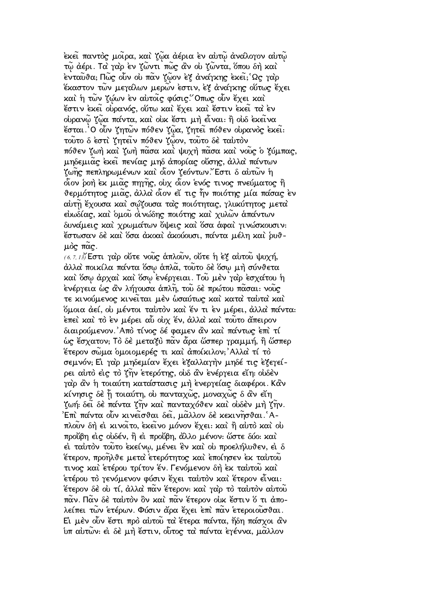εκει παντός μοιρα, και ζώα άέρια εν αυτώ αναλογον αυτώ τῷ ἀέρι. Τα γαρ εν ζῶντι πῶς ἀν ου ζῶντα, ὅπου δη και ένταῦθα; Πῶς οὖν οὐ πᾶν ζῷον ἐξ ἀναγκης ἐκεῖ; Ώς γαρ έκαστον των μεγάλων μερών εστιν, εξ ανάγκης ούτως έχει και η των ζώων εν αυτοις φύσις. Όπως ούν έχει και έστιν εκει ουρανός, ούτω και έχει και έστιν εκει τα εν ουρανώ ζώα πάντα, και ουκ έστι μη είναι: ή ουδ εκείνα έσται. Ο ούν ζητών πόθεν ζώα, ζητει πόθεν ουρανος εκει: τούτο δ έστι ζητείν πόθεν ζώον, τούτο δέ ταυτόν πόθεν ζωή και ζωή πασα και ψυχή πασα και νους ο ξύμπας, μηδεμιας εκει πενίας μηδ άπορίας ούσης, άλλα πάντων ζωης πεπληρωμένων και οίον ζεόντων. Έστι δ αυτών η δίον ροη έκ μιάς πηγής, ούχ οίον ενός τινος πνεύματος ή θερμότητος μιας, άλλα δίον εί τις ήν ποιότης μία πάσας εν αύτη έχουσα και σώζουσα τας ποιότητας, γλυκύτητος μετα εύωδίας, και δμού οινώδης ποιότης και χυλών άπάντων δυναμεις και χρωματων όψεις και όσα άφαι γινώσκουσιν: έστωσαν δε και όσα άκοαι άκούουσι, πάντα μέλη και όυθ- $\mu$ ός π $\alpha$ ς.

 $(6, 7, 13)$  Εστι γαρ ούτε νους άπλουν, ούτε η έξ αυτου ψυχή, άλλα ποικίλα πάντα δσω άπλα, τουτο δε δσω μη σύνθετα και δσω άρχαι και δσω ενέργειαι. Του μεν γαρ εσχάτου η ένέργεια ώς άν λήγουσα άπλη, του δε πρώτου πασαι: νους τε κινούμενος κινείται μέν ώσαύτως και κατα ταυτα και δμοια άεί, ου μέντοι ταύτον και έν τι εν μέρει, άλλα πάντα: έπει και το έν μέρει αὖ ουχ έν, άλλα και τουτο άπειρον διαιρούμενον. Από τίνος δέ φαμεν άν και πάντως επι τί ώς έσχατον; Τὸ δὲ μεταξὺ παν ἆρα ὥσπερ γραμμή, ἢ ὥσπερ έτερον σώμα δμοιομερές τι και άποίκιλον; Αλλα τί το σεμνόν; Ει γαρ μηδεμίαν έχει εξαλλαγήν μηδέ τις εξεγείρει αύτο είς το ζην ετερότης, ουδ άν ενέργεια είη: ουδεν γαρ άν η τοιαύτη κατάστασις μη ενεργείας διαφέροι. Κάν κίνησις δε ή τοιαύτη, ου πανταχώς, μοναχώς δ άν είη ζωή: δει δε πάντα ζην και πανταχόθεν και ουδεν μη ζην. 'Επι πάντα οὖν κινεῖσθαι δεῖ, μᾶλλον δὲ κεκινῆσθαι.'Απλούν δη εί κινοίτο, εκείνο μόνον έχει: και ή αυτό και ου προύβη είς ουδέν, ή ει προύβη, άλλο μένον: ώστε δύο: και ει ταυτον τούτο εκείνω, μένει εν και ου προελήλυθεν, ει δ έτερον, προηλθε μετα ετερότητος και εποίησεν εκ ταυτου τινος και ετέρου τρίτον έν. Γενόμενον δη έκ ταυτου και ετέρου τὸ γενόμενον φύσιν ἔχει ταὐτὸν και ἕτερον εἶναι: έτερον δέ ου τί, άλλα παν έτερον: και γαρ το ταυτον αυτου παν. Παν δε ταύτον όν και παν έτερον ουκ έστιν δ τι άπολείπει των ετέρων. Φύσιν άρα έχει επι παν ετεροιουσθαι. Ει μεν ούν έστι προ αύτου τα έτερα πάντα, ήδη πάσχοι άν υπ αυτών: εί δε μη έστιν, ούτος τα παντα εγέννα, μαλλον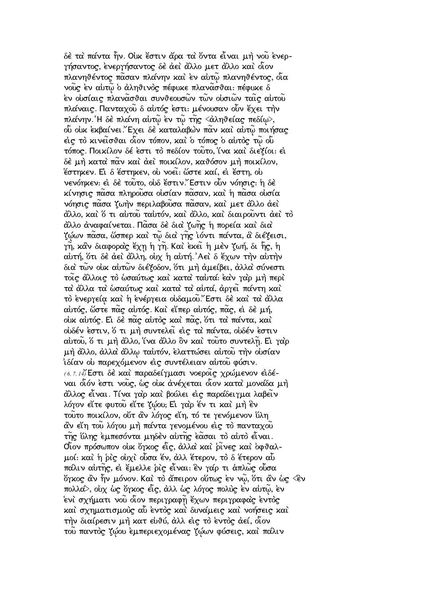δὲ τα πάντα ἦν. Οὐκ ἔστιν ἄρα τα ὄντα εἶναι μὴ νου ἐνεργήσαντος, ενεργήσαντος δε άει άλλο μετ άλλο και οίον πλανηθέντος πάσαν πλάνην και έν αυτώ πλανηθέντος, οία νους εν αυτώ ο άληθινός πέφυκε πλανασθαι: πέφυκε δ έν ουσίαις πλανασθαι συνθεουσων των ουσιων ταις αυτου πλαναις. Πανταχού δ αυτός 'εστι: μένουσαν ούν έχει την πλανην. Η δε πλανη αυτώ εν τω της <άληθείας πεδίω>, ού ουκ εκβαίνει. Έχει δε καταλαβων παν και αυτώ ποιήσας είς το κινείσθαι οίον τόπον, και ο τόπος ο αυτός τω ού τόπος. Ποικίλον δέ έστι τὸ πεδίον τοῦτο, ἵνα καὶ διεξίοι: εἰ δέ μή κατα παν και άει ποικίλον, καθόσον μή ποικίλον, έστηκεν. Ει δ έστηκεν, ου νοει: ὥστε καί, ει έστη, ου νενόηκεν: εί δε τουτο, ούδ έστιν. Έστιν ούν νόησις: η δε κίνησις πάσα πληρούσα ουσίαν πάσαν, και η πάσα ουσία νόησις πάσα ζωήν περιλαβούσα πάσαν, και μετ άλλο άει άλλο, και σ τι αυτου ταυτόν, και άλλο, και διαιρουντι άει το άλλο αναφαίνεται. Πασα δε δια ζωής η πορεία και δια ζώων πάσα, ώσπερ και τῷ δια γῆς ιόντι πάντα, ἁ διέξεισι, γη, κάν διαφορας έχη η γη. Και εκει η μεν ζωή, δι ης, η αύτή, ότι δε άει άλλη, ουχ η αυτή. Αει δ έχων την αυτην δια των ούκ αυτών διέξοδον, ότι μη άμείβει, άλλα σύνεστι τοις άλλοις το ώσαύτως και κατα ταυτά: εαν γαρ μη περι τα` άλλα τα` ώσαύτως και` κατα` τα` αὐτα, ἀργει παντη και` τὸ ενεργεία και η ενέργεια ουδαμου. Έστι δε και τα άλλα αύτός, ώστε πας αυτός. Και είπερ αυτός, πας, ει δε μή, ούκ αυτός. Ει δέ πας αυτός και πας, ότι τα παντα, και ούδέν έστιν, δ τι μή συντελεί είς τα παντα, ούδέν έστιν αύτου, δ τι μή άλλο, ίνα άλλο όν και τουτο συντελη. Ει γαρ μή άλλο, άλλα άλλω ταυτόν, ελαττώσει αυτου την ουσίαν ιδίαν ου παρεχόμενον εις συντέλειαν αυτου φύσιν. (6, 7, 14) Εστι δέ και παραδείγμασι νοεροΐς χρώμενον ειδέναι οιόν έστι νους, ως ουκ ανέχεται οιον κατα μοναδα μη άλλος είναι. Τίνα γαρ και βούλει εις παραδειγμα λαβείν λόγον είτε φυτου είτε ζώου; Ει γαρ έν τι και μη εν τούτο ποικίλον, ούτ άν λόγος είη, τό τε γενόμενον ύλη άν είη του λόγου μη παντα γενομένου εις το πανταχου της ύλης εμπεσόντα μηδεν αύτης εάσαι το αύτο είναι. Οίον πρόσωπον ούκ όγκος είς, άλλα και ρίνες και όφθαλμοί: καὶ ἡ ῥὶς οὐχὶ οὖσα ἕν, ἀλλ ἕτερον, τὸ δ ἕτερον αὖ πάλιν αυτής, ει έμελλε ρις είναι: εν γάρ τι άπλως ούσα ὄγκος ἀν ἦν μόνον. Καὶ τὸ ἄπειρον οὕτως ἐν νῷ, ὅτι ἀν ὡς <ὲν πολλα>, ούχ ως ὄγκος είς, άλλ ως λόγος πολύς εν αυτώ, εν ενι σχήματι νου οίον περιγραφη έχων περιγραφας εντος και σχηματισμούς αὖ έντος και δυνάμεις και νοήσεις και την διαίρεσιν μη κατ εύθύ, άλλ εις το εντος άεί, οίον του παντός ζώου εμπεριεχομένας ζώων φύσεις, και πάλιν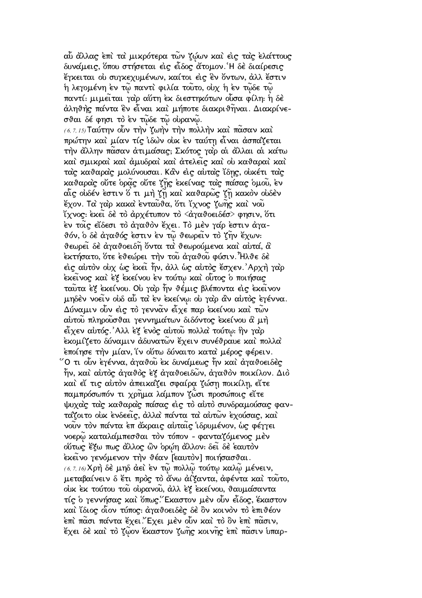αύ άλλας έπι τα μικρότερα των ζώων και είς τας ελαττους δυναμεις, όπου στήσεται είς είδος άτομον. Η δε διαίρεσις έγκειται ου συγκεχυμένων, καίτοι εις εν όντων, άλλ έστιν η λεγομένη έν τω παντι φιλία τουτο, ουχ η εν τωδε τω παντί: μιμείται γαρ αύτη έκ διεστηκότων ούσα φίλη: η δέ άληθής πάντα έν είναι και μήποτε διακριθηναι. Διακρίνεσθαι δέ φησι το έν τώδε τω ουρανώ.

 $(6, 7, 15)$  Ταύτην οὖν την ζωήν την πολλην και πασαν και πρώτην και μίαν τίς ιδων ουκ εν ταύτη είναι άσπάζεται την άλλην πασαν άτιμασας; Σκότος γαρ αι άλλαι αι κατω και σμικραι και άμυδραι και άτελείς και ου καθαραι και τας καθαρας μολύνουσαι. Κάν είς αύτας ίδης, ουκέτι τας καθαρας ούτε δράς ούτε ζης εκείνας τας πάσας δμού, εν αίς ουδέν εστιν δ τι μη ζη και καθαρώς ζη κακον ουδεν έχον. Τα γαρ κακα ενταύθα, ότι ίχνος ζωης και νου ίχνος: εκεί δε το άρχέτυπον το <άγαθοειδέσ> φησιν, ότι έν τοις είδεσι το άγαθον έχει. Το μεν γάρ εστιν άγαθόν, ο δε άγαθός εστιν εν τω θεωρείν το ζην έχων: θεωρεί δε άγαθοειδη όντα τα θεωρούμενα και αυτά, α εκτήσατο, ότε εθεώρει την του άγαθου φύσιν. Ήλθε δε εις αυτον ουχ ως εκει ήν, άλλ ως αυτος έσχεν. Αρχη γαρ έκεινος και εξ εκείνου εν τούτω και ούτος ο ποιήσας ταυτα εξ εκείνου. Ου γαρ ήν θέμις βλέποντα εις εκείνον μηδέν νοείν ουδ αύ τα έν εκείνω: ου γαρ άν αυτός εγέννα. Δύναμιν οὖν εις το γενναν εἶχε παρ εκείνου και των αύτου πληρουσθαι γεννημάτων διδόντος εκείνου α μή εἶχεν αὐτός. Αλλ 'εξ 'ενὸς αὐτοῦ πολλα τούτω: ἣν γαρ εκομίζετο δύναμιν άδυνατών έχειν συνέθραυε και πολλα έποίησε την μίαν, ίν ούτω δύναιτο κατα μέρος φέρειν. Ό τι οὖν ἐγέννα, ἀγαθοῦ ἐκ δυναμεως ἦν καὶ ἀγαθοειδὲς ήν, και αυτός άγαθός εξ άγαθοειδών, άγαθον ποικίλον. Διο και εί τις αυτον απεικαζει σφαίρα ζώση ποικίλη, είτε παμπρόσωπόν τι χρήμα λαμπον ζώσι προσώποις είτε ψυχας τας καθαρας πάσας είς το αύτο συνδραμούσας φανταζοιτο ουκ ενδεείς, άλλα παντα τα αυτών εχούσας, και νουν τον παντα επ άκραις αυταις ιδρυμένον, ως φέγγει νοερώ καταλαμπεσθαι τον τόπον - φανταζόμενος μέν ούτως έξω πως άλλος ών δρώη άλλον: δει δε εαυτόν έκεινο γενόμενον την θέαν [εαυτον] ποιήσασθαι. (6, 7, 16) Χρη δε μηδ άει εν τω πολλώ τούτω καλώ μένειν, μεταβαίνειν δ έτι πρός το άνω αίζαντα, αφέντα και τουτο, ούκ έκ τούτου του ουρανου, άλλ έξ εκείνου, θαυμασαντα τίς ο γεννήσας και δπως. Εκαστον μεν ούν είδος, έκαστον και ίδιος οίον τύπος: άγαθοειδές δε όν κοινον το επιθέον έπι πασι πάντα έχει."Εχει μεν οὖν και το ὂν επι πασιν, έχει δε και το ζώον έκαστον ζωής κοινής επι πασιν υπαρ-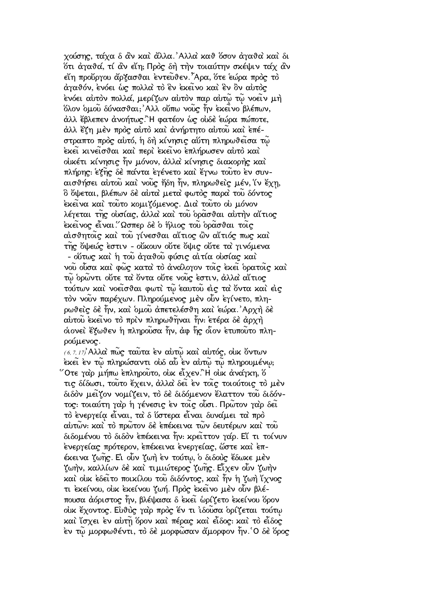χούσης, τάχα δ άν καὶ ἄλλα.'Αλλα καθ ὅσον ἀγαθα καὶ δι δτι άγαθα, τί άν είη; Πρός δη την τοιαύτην σκέψιν ταχ αν είη προύργου άρξασθαι εντεύθεν. Άρα, ότε εώρα πρός το άγαθόν, ενόει ώς πολλα το εν εκείνο και εν όν αυτος ςνόει αυτον πολλα, μερίζων αυτον παρ αυτὧ τῷ νοεἶν μὴ δλον δμού δύνασθαι; Αλλ ούπω νους ήν εκείνο βλέπων, άλλ έβλεπεν άνοήτως. Ή φατέον ως ουδε εώρα πώποτε, άλλ έζη μέν πρός αύτό και άνήρτητο αύτου και επέστραπτο πρός αύτό, η δη κίνησις αύτη πληρωθείσα τω εκει κινεισθαι και περι εκεινο επλήρωσεν αυτό και ούκέτι κίνησις ήν μόνον, άλλα κίνησις διακορής και πλήρης: έξης δε πάντα εγένετο και έγνω τουτο εν συναισθήσει αυτού και νους ήδη ήν, πληρωθείς μέν, ίν έχη, δ ὄψεται, βλέπων δε αύτα μετα φωτος παρα του δόντος εκείνα και τουτο κομιζόμενος. Δια τουτο ου μόνον λέγεται της ουσίας, άλλα και του δράσθαι αυτήν αίτιος έκεινος είναι. Ωσπερ δε ο ήλιος του ορασθαι τοις αισθητοις και του γίνεσθαι αίτιος ών αίτιός πως και της όψεώς 'εστιν - ούκουν ούτε όψις ούτε τα γινόμενα - ούτως και η του άγαθου φύσις αιτία ουσίας και νου ούσα και φώς κατα το άναλογον τοις εκει δρατοις και τώ δρώντι ούτε τα όντα ούτε νους έστιν, άλλα αίτιος τούτων και νοεισθαι φωτι τω εαυτού εις τα όντα και εις τον νουν παρέχων. Πληρούμενος μεν ούν εγίνετο, πληρωθείς δε ήν, και δμού απετελέσθη και εώρα. Αρχή δε αύτου εκείνο το πριν πληρωθηναι ήν: ετέρα δε άρχη οίονει έξωθεν η πληρούσα ήν, άφ ης οίον ετυπούτο πληρούμενος.

(6, 7, 17) Αλλα πώς ταυτα εν αυτώ και αυτός, ουκ όντων έκει εν τῷ πληρώσαντι ουδ αὖ εν αυτῷ τῷ πληρουμένῳ; **Ότε γαρ μήπω επληρούτο, ουκ είχεν. Η ουκ αναγκη, δ** τις δίδωσι, τουτο έχειν, άλλα δει εν τοις τοιούτοις το μεν διδόν μεϊζον νομίζειν, το δε διδόμενον έλαττον του διδόντος: τοιαύτη γαρ η γένεσις έν τοις ούσι. Πρωτον γαρ δει τὸ Ενεργεία εἶναι, τα δ ὕστερα εἶναι δυνάμει τα πρὸ αύτων: και το πρώτον δε επέκεινα των δευτέρων και του διδομένου το διδον επέκεινα ήν: κρείττον γάρ. Εί τι τοίνυν ένεργείας πρότερον, επέκεινα ενεργείας, ώστε και επέχεινα ζωής. Ει ούν ζωη έν τούτω, ο διδούς έδωχε μέν ζωήν, καλλίων δε και τιμιώτερος ζωής. Είχεν ούν ζωήν και ούκ εδείτο ποικίλου του διδόντος, και ήν η ζωη ίχνος τι εκείνου, ουκ εκείνου ζωή. Προς εκείνο μεν ούν βλέπουσα άόριστος ήν, βλέψασα δ εκει ωρίζετο εκείνου δρον ούκ έχοντος. Εύθυς γαρ προς έν τι ιδούσα δρίζεται τούτω και ίσχει εν αύτη όρον και πέρας και είδος: και το είδος έν τῷ μορφωθέντι, τὸ δὲ μορφῶσαν ἄμορφον ἦν. Ὁ δὲ ὅρος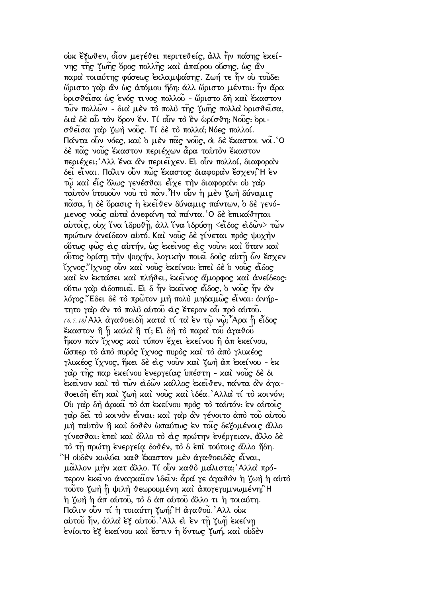ούκ έξωθεν, οίον μεγέθει περιτεθείς, άλλ ήν πάσης εκείνης της ζωής δρος πολλής και άπείρου ούσης, ως άν παρα τοιαύτης φύσεως εκλαμψάσης. Ζωή τε ήν ου τουδε: ὥριστο γαρ ἀν ὡς ἀτόμου ἤδη: ἀλλ ὥριστο μέντοι: ἦν ἄρα δρισθείσα ώς ενός τινος πολλού - ὥριστο δη και έκαστον τῶν πολλῶν - δια μεν το πολύ της ζωής πολλα δρισθείσα, δια δε αύ τον όρον έν. Τί ούν το εν ωρίσθη, Νους: δρισθείσα γαρ ζωή νους. Τί δε το πολλα; Νόες πολλοί. Πάντα οὖν νόες, και ο μεν πάς νους, οι δε έκαστοι νοι Ό δε πας νους έκαστον περιέχων άρα ταυτον έκαστον περιέχει; Αλλ ένα άν περιείχεν. Ει ούν πολλοί, διαφοραν δει είναι. Παλιν ούν πως έκαστος διαφοραν έσχεν; Η εν τω και είς δλως γενέσθαι είχε την διαφοραν: ου γαρ ταύτον ότουουν νου το παν. Ήν ούν η μεν ζωη δύναμις πάσα, η δε όρασις η εκείθεν δύναμις πάντων, ο δε γενόμενος νους αύτα άνεφανη τα παντα. Ο δε επικαθηται αύτοις, ουχ ίνα ίδρυθη, άλλ ίνα ίδρύση <είδος ειδών> των πρώτων άνείδεον αυτό. Και νους δε γίνεται προς ψυχην ούτως φώς είς αύτήν, ως εκείνος είς νουν: και όταν και ούτος δρίση την ψυχήν, λογικήν ποιεί δούς αυτή ὧν έσχεν ίχνος. Ίχνος οὖν καὶ νοῦς ἐκείνου: ἐπεὶ δὲ ὁ νοῦς ἐἶδος και εν εκτάσει και πλήθει, εκείνος άμορφος και άνείδεος: ούτω γαρ ειδοποιει. Ει δ ήν εκεινος είδος, ο νους ήν άν λόγος. Έδει δε το πρώτον μη πολύ μηδαμώς είναι: άνήρτητο γαρ άν το πολύ αύτου είς έτερον αύ προ αύτου.  $(6, 7, 18)$  Αλλ άγαθοειδη κατα τί τα εν τω νω; Άρα η είδος έκαστον ή η καλα ή τί; Ει δη το παρα του άγαθου ήκον παν ίχνος και τύπον έχει εκείνου ή άπ εκείνου, ώσπερ τὸ ἀπὸ πυρὸς ἴχνος πυρὸς και τὸ ἀπὸ γλυκέος γλυκέος ίχνος, ήκει δε είς νουν και ζωή άπ εκείνου - εκ γαρ της παρ εκείνου ενεργείας υπέστη - και νους δε δι εκείνον και το των ειδών καλλος εκείθεν, παντα άν άγαθοειδη είη και ζωη και νους και ιδέα. Αλλα τί το κοινόν; Ου γαρ δη άρκει το άπ εκείνου προς το ταυτόν: εν αυτοις γαρ δει το κοινον είναι: και γαρ άν γένοιτο άπο του αύτου μή ταυτόν ή και δοθεν ώσαυτως εν τοις δεξομένοις άλλο γίνεσθαι: επει και άλλο το εις πρώτην ενέργειαν, άλλο δε τὸ τη πρώτη ένεργεία δοθέν, τὸ δ ἐπι τούτοις ἄλλο ἤδη. "Η οὐδὲν κωλύει καθ ἕκαστον μὲν ἀγαθοειδὲς ἐἶναι, μαλλον μήν κατ άλλο. Τί ούν καθό μαλιστα; Αλλα πρότερον 'εκείνο άναγκαιον 'ιδείν: άρα γε άγαθον η ζωη η αυτο τούτο ζωή η ψιλή θεωρουμένη και άπογεγυμνωμένη; Η η ζωη η άπ αυτου, το δ άπ αυτου άλλο τι η τοιαύτη. Παλιν ούν τί η τοιαύτη ζωή; Η αγαθου. Αλλ ουκ αύτου ήν, άλλα εξ αύτου. Αλλ ει εν τη ζωη εκείνη ένίοιτο έξ έκείνου και έστιν η όντως ζωή, και ουδεν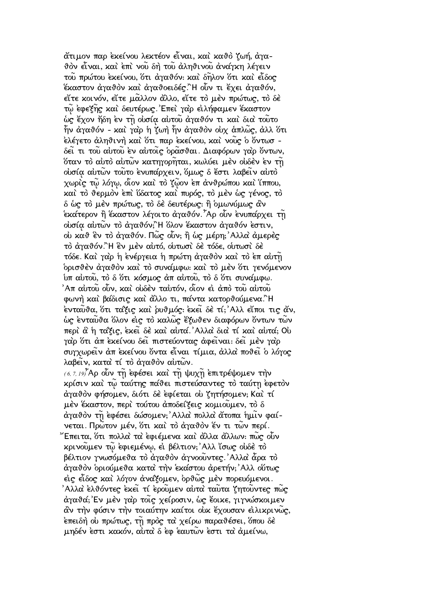άτιμον παρ εκείνου λεκτέον είναι, και καθο ζωή, άγαθὸν εἶναι, και 'επι νου δη του άληθινου άνάγκη λέγειν του πρώτου εκείνου, ότι άγαθόν: και δηλον ότι και είδος έκαστον άγαθον και άγαθοειδές. Η ούν τι έχει άγαθόν, είτε κοινόν, είτε μαλλον άλλο, είτε το μεν πρώτως, το δε τω εφείης και δευτέρως. Επει γαρ ειλήφαμεν έκαστον ώς έχον ήδη εν τη ουσία αυτου άγαθόν τι και δια τουτο  $\tilde{\eta}$ ν άγαθόν - και γαρ ή ζωη  $\tilde{\eta}$ ν άγαθον ουχ άπλως, άλλ ότι έλέγετο άληθινή και ότι παρ εκείνου, και νους ο όντωσ δει τι του αύτου εν αύτοις δρασθαι. Διαφόρων γαρ όντων, δταν τὸ αυτὸ αυτών κατηγορήται, κωλύει μεν ουδεν εν τη ουσία αυτών τούτο ενυπάρχειν, όμως δ έστι λαβείν αυτό γωρίς τω λόγω, οίον και το ζώον επ ανθρώπου και ίππου, και το θερμον επι ύδατος και πυρός, το μεν ως γένος, το δ ώς τὸ μèν πρώτως, τὸ δè δευτέρως: ἢ δμωνύμως ἀν εκάτερον ή έκαστον λέγοιτο άγαθόν. Αρ ούν ενυπάρχει τη ουσία αυτών το άγαθόν, Η όλον έκαστον άγαθόν εστιν, ού καθ εν το άγαθόν. Πως ούν; ή ως μέρη; Αλλα άμερες το άγαθόν. Η εν μεν αυτό, ουτωσι δε τόδε, ουτωσι δε τόδε. Και γαρ η ενέργεια η πρώτη άγαθον και το επ αυτή δρισθέν άγαθον και το συνάμφω: και το μεν ότι γενόμενον υπ αυτου, το δ ότι κόσμος άπ αυτου, το δ ότι συναμφω. 'Απ αυτου ούν, και ουδεν ταυτόν, οίον ει άπο του αυτου φωνή και βάδισις και άλλο τι, πάντα κατορθούμενα."Η ένταυθα, ότι τάξις και ρυθμός: εκει δε τί; Αλλ είποι τις άν, ώς ενταύθα όλον είς το καλώς έξωθεν διαφόρων όντων των περί α η τάζις, εκεί δε και αυτά. Αλλα δια τί και αυτά; Ου γαρ ότι απ εκείνου δει πιστεύοντας αφείναι: δει μεν γαρ συγχωρείν άπ εκείνου όντα είναι τίμια, άλλα ποθεί ο λόγος λαβείν, κατα τί το άγαθον αυτών.

 $(6, 7, 19)$  Αρ οὖν τη εφέσει και τη ψυχη επιτρέψομεν την κρίσιν και τω ταύτης πάθει πιστεύσαντες το ταύτη εφετον άγαθον φήσομεν, διότι δε εφίεται ου ζητήσομεν; Και τί μέν έκαστον, περί τούτου άποδείξεις κομιούμεν, τό δ άγαθον τη εφέσει δώσομεν; Αλλα πολλα άτοπα ημίν φαίνεται. Πρώτον μέν, ότι και το άγαθον έν τι τών περί. "Επειτα, ότι πολλα` τα` έφιέμενα και` άλλα άλλων: πῶς οὖν κρινούμεν τω εφιεμένω, ει βέλτιον; Αλλ Ίσως ούδε το βέλτιον γνωσόμεθα το άγαθον άγνοούντες. Αλλα άρα το άγαθὸν ὁριούμεθα κατα` τὴν ἑκαστου ἀρετήν; Ἀλλ οὕτως εις είδος και λόγον αναξομεν, ορθώς μεν πορευόμενοι. Αλλα ελθόντες εκει τι ερουμεν αυτα ταυτα ζητουντες πως άγαθα; Έν μέν γαρ τοις χείροσιν, ως έοικε, γιγνώσκοιμεν άν την φύσιν την τοιαύτην καίτοι ουκ έχουσαν ειλικρινώς, επειδή ου πρώτως, τη πρός τα χείρω παραθέσει, όπου δέ μηδέν 'εστι κακόν, αύτα δ 'εφ 'εαυτών 'εστι τα άμείνω,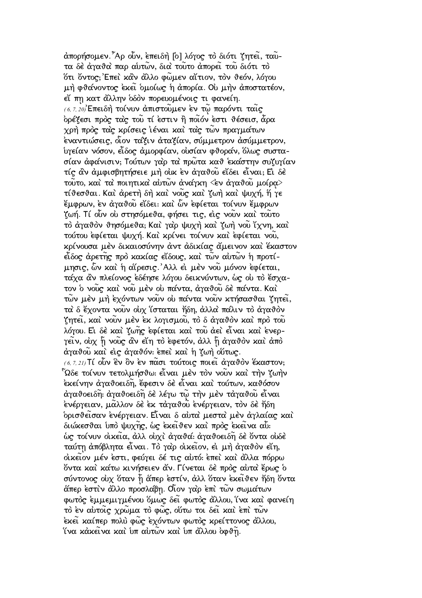άπορήσομεν. Άρ ούν, επειδή [ο ]λόγος το διότι ζητει, ταυτα δέ άγαθα παρ αυτών, δια τουτο άπορει του διότι το ότι όντος; Επει κάν άλλο φωμεν αίτιον, τον θεόν, λόγου μή φθανοντος εκει δμοίως η απορία. Ου μην αποστατέον, εί πη κατ άλλην δδον πορευομένοις τι φανείη.  $(6, 7, 20)$  Επειδή τοίνυν άπιστούμεν εν τω παρόντι ταις όρέξεσι πρός τας του τί έστιν ή ποιόν έστι θέσεισ, άρα γρή πρός τας κρίσεις ιέναι και τας των πραγμάτων έναντιώσεις, δίον τα είν ατα είαν, σύμμετρον ασύμμετρον, υγείαν νόσον, είδος άμορφίαν, ουσίαν φθοραν, όλως συστασίαν άφανισιν; Τούτων γαρ τα πρώτα καθ εκαστην συζυγίαν τίς άν άμφισβητήσειε μή ούκ έν άγαθού είδει είναι; Ει δέ τούτο, και τα ποιητικα αυτών ανάγκη <εν αγαθού μοίρα> τίθεσθαι. Καὶ ἀρετὴ δὴ καὶ νους καὶ ζωὴ καὶ ψυχή, ἥ γε έμφρων, εν άγαθου είδει: και ὧν εφίεται τοίνυν έμφρων ζωή. Τί ούν ου στησόμεθα, φήσει τις, εις νουν και τουτο τὸ ἀγαθὸν θησόμεθα; Καὶ γαρ ψυχή καὶ ζωή νου ἴχνη, καὶ τούτου έφίεται ψυχή. Και κρίνει τοίνυν και εφίεται νου, κρίνουσα μέν δικαιοσύνην άντ άδικίας άμεινον και έκαστον είδος άρετης πρὸ κακίας είδους, και των αυτων η προτίμησις, ὧν καὶ ἡ αἴρεσις. Αλλ ἐι μὲν νοῦ μόνον ἐφίεται, τάχα άν πλείονος 'εδέησε λόγου δεικνύντων, ως ου το έσχατον ο νους και νου μεν ου πάντα, άγαθου δε πάντα. Και τών μέν μή έχόντων νουν ου πάντα νουν κτήσασθαι ζητει, τα δ έχοντα νούν ουχ ίσταται ήδη, άλλα πάλιν το άγαθον ζητεί, και νούν μέν έκ λογισμού, το δ άγαθον και προ του λόγου. Ει δέ και ζωής εφίεται και του άει είναι και ενεργείν, ουχ ή νους άν είη το εφετόν, άλλ ή άγαθον και άπο άγαθού και είς άγαθόν: επει και η ζωη ούτως. (6, 7, 21) Τί οὖν εν όν εν πάσι τούτοις ποιεί άγαθον έκαστον; <sup>κ</sup>Ωδε τοίνυν τετολμήσθω: εἶναι μὲν τὸν νοῦν καὶ τὴν ζωὴν έκείνην άγαθοειδη, έφεσιν δε είναι και τούτων, καθόσον άγαθοειδη: άγαθοειδη δε λέγω τω την μεν τάγαθου είναι ένέργειαν, μαλλον δε εκ τάγαθου ενέργειαν, τον δε ήδη δρισθείσαν ενέργειαν. Είναι δ αύτα μεστα μεν αγλαίας και διώκεσθαι υπό ψυχης, ως εκείθεν και πρός εκείνα αύ: ώς τοίνυν οικεία, άλλ ουχι άγαθα: άγαθοειδη δε όντα ουδε ταύτη άπόβλητα είναι. Το γαρ οικείον, ει μη άγαθον είη, οικείον μέν έστι, φεύγει δέ τις αυτό: επει και άλλα πόρρω ὄντα καὶ κάτω κινήσειεν ἄν. Γίνεται δὲ πρὸς αὐτα ἔρως ὁ σύντονος ουχ όταν ή άπερ εστίν, άλλ όταν εκειθεν ήδη όντα άπερ εστιν άλλο προσλάβη. Οίον γαρ επι των σωμάτων φωτός εμμεμιγμένου όμως δει φωτός άλλου, ίνα και φανείη τὸ 'εν αυτοίς χρώμα τὸ φώς, ούτω τοι δει και 'επι των έκει καίπερ πολύ φως εχόντων φωτός κρείττονος άλλου, ίνα κάκεινα και υπ αυτών και υπ άλλου όφθη.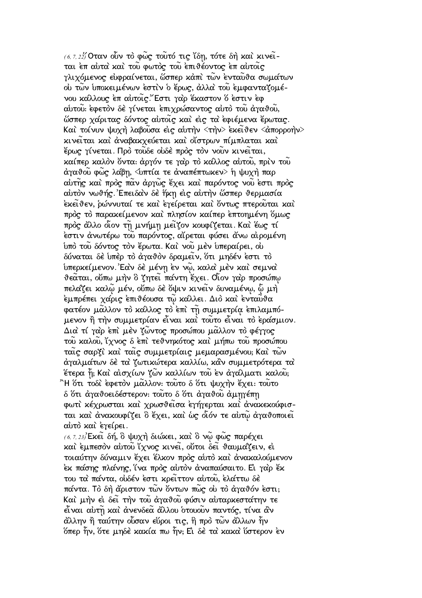$(6, 7, 22)$  Οταν ούν τὸ φῶς τουτό τις Ίδη, τότε δη και κινεϊται έπ αύτα και του φωτός του επιθέοντος έπ αυτοίς γλιχόμενος ευφραίνεται, ώσπερ κάπι των ενταυθα σωμάτων ού των υποκειμένων εστιν ο έρως, άλλα του εμφανταζομένου καλλους 'επ αύτοις." Εστι γαρ έκαστον δ' εστιν 'εφ αυτου: εφετον δε γίνεται επιχρώσαντος αυτό του άγαθου, ώσπερ χαριτας δόντος αυτοίς και είς τα εφιέμενα έρωτας. Και τοίνυν ψυχη λαβούσα είς αυτην <την> εκειθεν <άπορροην> κινείται και άναβακχεύεται και σίστρων πίμπλαται και έρως γίνεται. Πρὸ τουδε ουδε προς τον νουν κινειται, καίπερ καλον όντα: άργόν τε γαρ το καλλος αυτου, πριν του άγαθού φώς λαβη, <υπτία τε αναπέπτωκεν> η ψυχη παρ αύτης και πρός παν άργως έχει και παρόντος νου έστι πρός αύτον νωθής. Επειδαν δε ήκη είς αύτην ώσπερ θερμασία έκειθεν, ρώννυταί τε και εγείρεται και όντως πτερούται και πρός το παρακείμενον και πλησίον καίπερ επτοημένη δμως πρὸς ἄλλο οἷον τη μνήμη μείζον κουφίζεται. Καὶ ἕως τί έστιν άνωτέρω του παρόντος, αίρεται φύσει άνω αιρομένη υπό του δόντος τον έρωτα. Και νου μεν υπεραίρει, ου δύναται δέ υπέρ το άγαθον δραμείν, ότι μηδέν έστι το υπερκείμενον. Έαν δε μένη εν νώ, καλα μεν και σεμνα θεαται, ούπω μην δ ζητει παντη έχει. Οίον γαρ προσώπω πελαζει καλώ μέν, ούπω δε όψιν κινειν δυναμένω, ὥ μή 'εμπρέπει χαρις 'επιθέουσα τω καλλει. Διὸ και 'ενταυθα φατέον μαλλον το καλλος το επι τη συμμετρία επιλαμπόμενον ή την συμμετρίαν είναι και τουτο είναι το εράσμιον. Δια τί γαρ επι μεν ζώντος προσώπου μαλλον το φέγγος του καλου, ίχνος δ επι τεθνηκότος και μήπω του προσώπου ταις σαρζί και ταις συμμετρίαις μεμαρασμένου; Και των άγαλμάτων δε τα ζωτικώτερα καλλίω, κάν συμμετρότερα τα έτερα ή; Και αισχίων ζων καλλίων του εν αγαλματι καλου; "Η ότι τοδι εφετον μαλλον: τουτο δ ότι ψυχην έχει: τουτο δ ότι άγαθοειδέστερον: τούτο δ ότι άγαθού άμηγέπη φωτι κέχρωσται και χρωσθείσα εγήγερται και άνακεκούφισται και άνακουφίζει δ έχει, και ώς οίον τε αυτώ άγαθοποιεί αυτό και εγείρει.

 $(6, 7, 23)$  Εκεί δή, δ ψυχη διώκει, και δ νῷ φῶς παρέχει και εμπεσον αυτού ίχνος κινει, ούτοι δει θαυμάζειν, ει τοιαύτην δύναμιν έχει έλκον πρός αυτό και άνακαλούμενον έκ πάσης πλάνης, ίνα πρός αύτον άναπαύσαιτο. Ει γαρ έκ του τα πάντα, ουδέν έστι κρείττον αυτού, ελάττω δέ πάντα. Τὸ δη ἄριστον τῶν ὄντων πῶς ου τὸ ἀγαθόν ἐστι; Και μην ει δει την του άγαθου φύσιν αυταρκεστάτην τε είναι αύτη και άνενδεα άλλου ότουουν παντός, τίνα άν άλλην ἢ ταύτην οὖσαν εὕροι τις, ἣ πρὸ τῶν ἀλλων ἦν δπερ ἦν, δτε μηδὲ κακία πω ἦν; Ει δὲ τα κακα ὕστερον ἐν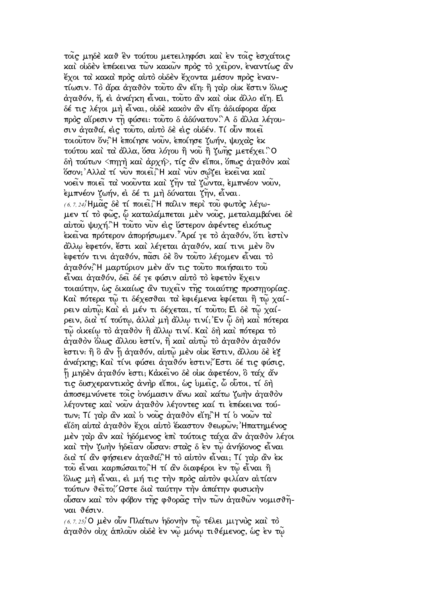τοις μηδέ καθ έν τούτου μετειληφόσι και έν τοις εσχάτοις και ουδέν επέκεινα τών κακών προς το χείρον, εναντίως άν έχοι τα κακα πρός αύτο ούδεν έχοντα μέσον πρός εναντίωσιν. Τὸ ἄρα ἀγαθὸν τουτο ἀν ἐίη: ἢ γαρ ουκ ἔστιν ὅλως άγαθόν, ή, ει άναγκη είναι, τουτο άν και ουκ άλλο είη. Ει δέ τις λέγοι μή εἶναι, οὐδε κακὸν ἀν εἴη: ἀδιαφορα ἄρα πρὸς αίρεσιν τη φύσει: τουτο δ αδύνατον. Α δ άλλα λέγουσιν άγαθα, είς τουτο, αυτό δε είς ουδέν. Τι ούν ποιεί τοιούτον ὄν; Η εποίησε νούν, εποίησε ζωήν, ψυχας εκ τούτου και τα άλλα, όσα λόγου ή νου ή ζωής μετέχει. Ο δη τούτων <πηγη και άρχή>, τίς άν είποι, όπως άγαθον και δσον; Αλλα τί νύν ποιεί; Η και νύν σώζει εκείνα και νοείν ποιεί τα νοούντα και ζην τα ζώντα, εμπνέον νούν, εμπνέον ζωήν, ει δέ τι μη δύναται ζην, είναι.  $(6, 7, 24)$  Ημάς δε τί ποιει; Η πάλιν περί του φωτός λέγωμεν τί τὸ φῶς, ὧ καταλαμπεται μὲν νους, μεταλαμβανει δὲ αύτου ψυχή. Η τούτο νυν εις ύστερον αφέντες εικότως έκεινα πρότερον άπορήσωμεν. Αρά γε τὸ ἀγαθόν, ὅτι 'εστιν άλλω εφετόν, έστι και λέγεται άγαθόν, καί τινι μεν όν έφετόν τινι άγαθόν, πασι δε ὂν τοῦτο λέγομεν εἶναι τὸ άγαθόν; Η μαρτύριον μέν άν τις τούτο ποιήσαιτο του εἶναι ἀγαθόν, δεἶ δέ γε φύσιν αὐτὸ τὸ ἐφετὸν ἔχειν τοιαύτην, ώς δικαίως άν τυχείν της τοιαύτης προσηγορίας. Και πότερα τῷ τι δέχεσθαι τα εφιέμενα εφίεται ή τῷ χαίρειν αυτώ; Και εί μέν τι δέχεται, τί τούτο; Ει δε τω χαίρειν, δια τί τούτω, άλλα μη άλλω τινί; Εν ὧ δη και πότερα τῷ οικείω τὸ ἀγαθὸν ἢ ἄλλω τινί. Και δη και πότερα τὸ άγαθον όλως άλλου έστίν, ή και αυτώ το άγαθον άγαθόν ἐστιν: ἢ ὃ ἀν ἦ ἀγαθόν, αὐτῷ μὲν οὐκ ἔστιν, ἄλλου δὲ ἐξ άναγκης; Και τίνι φύσει άγαθόν εστιν; Έστι δέ τις φύσις, η μηδεν άγαθόν 'εστι; Κάκεινο δε ούκ άφετέον, δ τάχ άν τις δυσχεραντικός άνηρ είποι, ως υμείς, ω ούτοι, τί δη άποσεμνύνετε τοις ονόμασιν άνω και κάτω ζωήν άγαθον λέγοντες και νούν άγαθον λέγοντες καί τι επέκεινα τούτων; Τί γαρ άν και ο νους άγαθον είη; Η τί ο νοων τα είδη αυτα άγαθον έχοι αυτο έκαστον θεωρών; Ηπατημένος μέν γαρ άν και ηδόμενος επι τούτοις τάχα άν άγαθον λέγοι και την ζωην ηδείαν ούσαν: στας δ εν τω άνηδονος είναι δια τί άν φήσειεν άγαθα; Η το αυτον είναι; Τί γαρ άν εκ του είναι καρπώσαιτο; Η τί άν διαφέροι εν τω είναι ή δλως μη είναι, εί μή τις την πρός αυτόν φιλίαν αιτίαν τούτων θείτο; Ωστε δια ταύτην την απάτην φυσικήν ούσαν και τον φόβον της φθοράς την των άγαθων νομισθηναι θέσιν.

 $(6, 7, 25)$  Ο μέν οὖν Πλάτων ηδονην τῷ τέλει μιγνὺς και τὸ άγαθον ουχ απλούν ουδε εν νω μόνω τιθέμενος, ως εν τω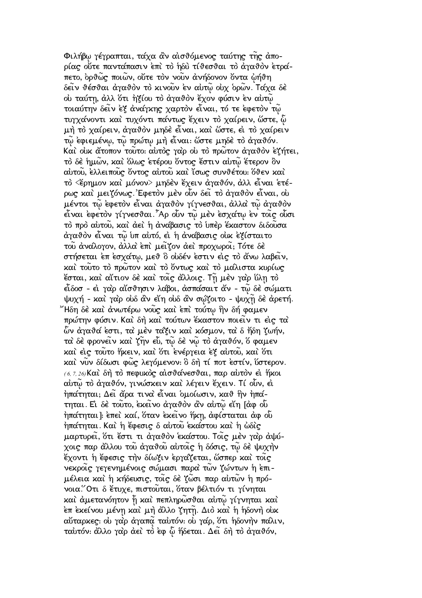Φιλήβω γέγραπται, τάχα ἀν αισθόμενος ταύτης της άπορίας ούτε παντάπασιν έπι το ήδυ τίθεσθαι το άγαθον έτραπετο, ορθώς ποιών, ούτε τον νουν ανήδονον όντα ωήθη δείν θέσθαι άγαθον το κινούν εν αύτω ούχ δρών. Τάχα δε ού ταύτη, άλλ ότι ήξίου το άγαθον έχον φύσιν έν αυτώ τοιαύτην δείν εξ άναγκης χαρτον είναι, τό τε εφετον τω τυγχανοντι και τυχόντι παντως έχειν το χαίρειν, ώστε, ω μή τὸ χαίρειν, ἀγαθὸν μηδὲ ἐἶναι, καὶ ὥστε, εἰ τὸ χαίρειν τῷ ἐφιεμένῳ, τῷ πρώτῳ μὴ ἐἶναι: ὥστε μηδὲ τὸ ἀγαθόν. Και ούκ άτοπον τουτο: αύτος γαρ ου το πρώτον άγαθον εζήτει, τὸ δὲ ἡμῶν, και ὅλως ετέρου ὄντος ἔστιν αυτῷ ἕτερον ὂν αύτου, ελλειπους όντος αύτου και ίσως συνθέτου: όθεν και τὸ <ἔρημον καὶ μόνον> μηδεν ἔχειν ἀγαθόν, ἀλλ εἶναι ετέρως και μειζόνως. Εφετον μεν ούν δει το άγαθον είναι, ου μέντοι τῷ ἐφετὸν ἐἶναι ἀγαθὸν γίγνεσθαι, ἀλλα τῷ ἀγαθὸν εἶναι 'εφετον γίγνεσθαι. Αρ οἶν τῷ μεν 'εσχα τῳ 'εν τοις οἶσι τὸ πρὸ αὐτου, καὶ ἀεὶ ἡ ἀναβασις τὸ ὑπὲρ ἕκαστον διδουσα άγαθον είναι τω υπ αυτό, ει η αναβασις ουκ εξίσταιτο του αναλογον, άλλα επι μείζον άει προχωροι; Τότε δέ στήσεται 'επ 'εσχατω, μεθ δ ουδέν 'εστιν εις το άνω λαβειν, και τούτο το πρώτον και το όντως και το μαλιστα κυρίως έσται, και αίτιον δε και τοις άλλοις. Τη μεν γαρ ύλη το εἶδοσ - εἰ γαρ αἴσθησιν λαβοι, ἀσπασαιτ ἄν - τῷ δὲ σώματι ψυχή - και γαρ ουδ άν είη ουδ άν σώζοιτο - ψυχη δε άρετή. "Ηδη δὲ καὶ ἀνωτέρω νους καὶ ἐπὶ τούτῳ ἣν δή φαμεν πρώτην φύσιν. Και δη και τούτων έκαστον ποιείν τι είς τα ὧν άγαθα 'εστι, τα μεν τα' ειν και κόσμον, τα δ ήδη ζωήν, τα δε φρονείν και ζην εὖ, τῷ δε νῷ τὸ ἀγαθόν, ὅ φαμεν και είς τουτο ήκειν, και ότι ενέργεια εξ αυτου, και ότι και νύν δίδωσι φώς λεγόμενον: δ δη τί ποτ εστίν, ύστερον.  $(6, 7, 26)$  Και δή το πεφυκός αισθανεσθαι, παρ αυτόν ει ήκοι αύτω το άγαθόν, γινώσκειν και λέγειν έχειν. Τί ούν, ει ήπατηται; Δει άρα τινα είναι δμοίωσιν, καθ ην ήπατηται. Ει δε τουτο, εκείνο άγαθον άν αυτώ είη [άφ ού ήπάτηται ]: 'επει' καί, 'όταν 'εκεινο ήκη, αφίσταται άφ ού ήπατηται. Και η έφεσις δ αύτου εκαστου και η ωδις μαρτυρεί, ότι έστι τι άγαθον εκαστου. Τοις μεν γαρ άψύχοις παρ άλλου του άγαθου αυτοις η δόσις, τω δε ψυχην έχοντι η έφεσις την δίωξιν εργαζεται, ώσπερ και τοις νεκροίς γεγενημένοις σώμασι παρα των ζώντων η επιμέλεια και η κήδευσις, τοις δε ζωσι παρ αυτών η πρόνοια. Ότι δ έτυχε, πιστούται, όταν βέλτιόν τι γίνηται και άμετανόητον ή και πεπληρώσθαι αυτώ γίγνηται και επ εκείνου μένη καὶ μὴ ἄλλο ζητη. Διὸ καὶ ἡ ἡδονὴ οὐκ αύταρκες: ου γαρ άγαπα ταυτόν: ου γαρ, ότι ηδονην παλιν, ταύτόν: άλλο γαρ άει το έφ ω ήδεται. Δει δη το άγαθόν,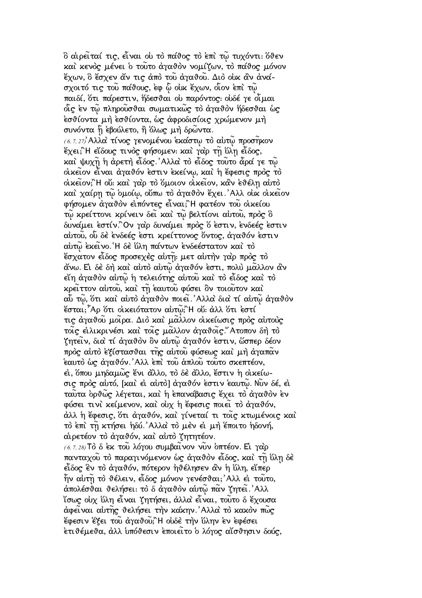δ αιρειταί τις, είναι ου το πάθος το επι τω τυχόντι: όθεν και κενός μένει ο τουτο άγαθον νομίζων, το πάθος μόνον έχων, δ έσχεν άν τις άπό του άγαθου. Διό ούκ άν άνάσχοιτό τις του πάθους, εφ ω ουκ έχων, οίον επι τω παιδί, ότι πάρεστιν, ήδεσθαι ου παρόντος: ουδέ γε οίμαι οις έν τω πληρουσθαι σωματικώς το άγαθον ήδεσθαι ώς εσθίοντα μη εσθίοντα, ώς αφροδισίοις χρώμενον μη συνόντα η εβούλετο, η δλως μη δρώντα. (6, 7, 27) Αλλα τίνος γενομένου εκαστω το αυτώ προσήκον έχει; Η είδους τινός φήσομεν: και γαρ τη ύλη είδος, και ψυχη η άρετη είδος. Αλλα το είδος τουτο άρα γε τω οικείον είναι άγαθόν εστιν εκείνω, και η έφεσις προς το οικείον, Η ού: και γαρ το δμοιον οικείον, κάν εθέλη αυτό και χαίρη τω δμοίω, ούπω το άγαθον έχει. Αλλ ουκ οικείον φήσομεν άγαθον ειπόντες είναι; Η φατέον του οικείου τῷ κρείττονι κρίνειν δει και τῷ βελτίονι αὐτου, πρὸς δ δυναμει 'εστίν.' Ον γαρ δυναμει πρός δ εστιν, ενδεές 'εστιν αύτου, ού δε ενδεές εστι κρείττονος όντος, άγαθόν εστιν αύτω εκείνο. Η δε ύλη παντων ενδεέστατον και το έσχατον είδος προσεχες αυτή: μετ αυτήν γαρ προς το άνω. Ει δε δη και αυτό αυτώ άγαθόν εστι, πολυ μάλλον άν είη άγαθον αυτώ η τελειότης αυτού και το είδος και το κρείττον αύτου, και τη εαυτού φύσει όν τοιούτον και αὖ τῷ, ὅτι καὶ αὐτὸ ἀγαθὸν ποιεἶ. Αλλα δια τί αὐτῷ ἀγαθὸν έσται; Αρ ότι οικειότατον αυτώ; Η ού: άλλ ότι έστί τις άγαθου μοιρα. Διὸ και μαλλον οικείωσις προς αυτους

τοις ειλικρινέσι και τοις μαλλον άγαθοις. Ατοπον δη το ζητείν, δια τί άγαθον ον αυτώ άγαθόν εστιν, ώσπερ δέον πρός αυτό εξίστασθαι της αυτου φύσεως και μη άγαπαν εαυτό ως άγαθόν. Αλλ επι του άπλου τουτο σκεπτέον, ει, όπου μηδαμώς ένι άλλο, το δε άλλο, έστιν η οικείωσις πρὸς αυτό, [και ει αυτό] αγαθόν εστιν εαυτώ. Νύν δέ, ει ταυτα όρθως λέγεται, και η επαναβασις έχει το άγαθον εν φύσει τινι κείμενον, και ουχ η έφεσις ποιει το άγαθόν, άλλ η έφεσις, ότι άγαθόν, και γίνεταί τι τοις κτωμένοις και τὸ ἐπὶ τη κτήσει ἡδύ. Αλλα τὸ μεν ει μη Εποιτο ἡδονή, αιρετέον το αγαθόν, και αυτο ζητητέον.  $(6, 7, 28)$  Το δ εκ του λόγου συμβαϊνον νυν οπτέον. Ει γαρ πανταχού τὸ παραγινόμενον ως ἀγαθὸν εἶδος, και τη ύλη δέ είδος εν το άγαθόν, πότερον ηθέλησεν άν η ύλη, είπερ ήν αυτή το θέλειν, είδος μόνον γενέσθαι; Αλλ ει τουτο, άπολέσθαι θελήσει: τὸ δ ἀγαθὸν αυτώ παν ζητει. Αλλ ἴσως οὐχ ὕλη ἐἶναι ζητήσει, ἀλλα ἐἶναι, τουτο δ ἔχουσα άφειναι αύτης θελήσει την κάκην. Αλλα το κακόν πώς ἔφεσιν ἕξει τοῦ ἀγαθοῦ;`Η οὐδὲ τὴν ὕλην ἐν ἐφέσει

ετιθέμεθα, άλλ υπόθεσιν εποιείτο ο λόγος αίσθησιν δούς,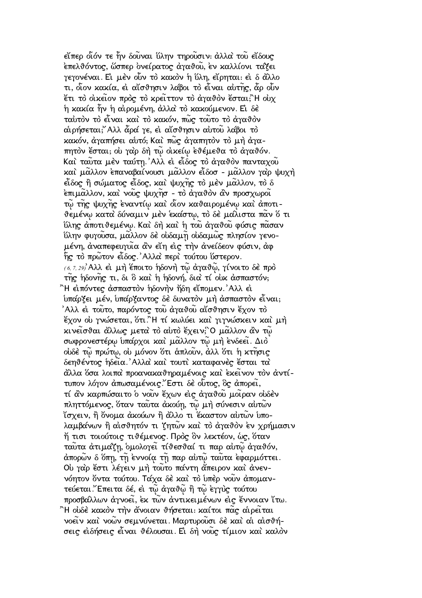είπερ οίόν τε ήν δούναι ύλην τηρούσιν: άλλα του είδους επελθόντος, ώσπερ ονείρατος άγαθου, εν καλλίονι ταξει γεγονέναι. Ει μεν οὖν τὸ κακὸν ἡ ὕλη, εἴρηται: εἰ δ άλλο τι, οίον κακία, εί αίσθησιν λαβοι το είναι αυτής, άρ ούν έτι το οικείον προς το κρείττον το άγαθον έσται; Η ούχ η κακία ήν η αιρομένη, άλλα το κακούμενον. Ει δε ταύτον το είναι και το κακόν, πως τουτο το άγαθον αιρήσεται; Αλλ ἆρά γε, ει αίσθησιν αυτου λαβοι το κακόν, άγαπήσει αυτό; Και πως άγαπητον το μη άγαπητον έσται; ου γαρ δη τω οικείω εθέμεθα το άγαθόν. Και ταυτα μεν ταύτη. Αλλ ει είδος το άγαθον πανταχου και μάλλον επαναβαίνουσι μάλλον είδοσ - μάλλον γαρ ψυχη εἶδος ἢ σώματος εἶδος, καὶ ψυχῆς τὸ μὲν μᾶλλον, τὸ δ έπιμαλλον, καὶ νοῦς ψυχῆσ - τὸ ἀγαθὸν ἀν προσχωροῖ τώ της ψυχης εναντίω και δίον καθαιρομένω και άποτιθεμένω κατα δύναμιν μεν εκαστω, το δε μαλιστα παν δ τι ύλης αποτιθεμένω. Και δη και η του αγαθού φύσις πασαν ύλην φυγούσα, μαλλον δε ουδαμη ουδαμώς πλησίον γενομένη, άναπεφευγυια άν είη εις την ανείδεον φύσιν, άφ ης το πρώτον είδος. Αλλα περι τούτου ύστερον.  $(6, 7, 29)$  Αλλ εί μη έποιτο ηδονη τω άγαθω, γίνοιτο δε πρό της ηδονής τι, δι δ και η ηδονή, δια τί ούκ άσπαστόν; "Η ειπόντες άσπαστον ηδονην ήδη είπομεν. Αλλ ει υπάρξει μέν, υπάρξαντος δε δυνατον μη ασπαστον είναι; 'Αλλ ει τοῦτο, παρόντος τοῦ ἀγαθοῦ αἴσθησιν ἔχον τὸ έχον ου γνώσεται, ότι."Η τί κωλύει και γιγνώσκειν και μη κινείσθαι άλλως μετα το αύτο έχειν; Ο μαλλον άν τω σωφρονεστέρω υπάρχοι και μάλλον τω μή ενδεεί. Διό ούδε τώ πρώτω, ου μόνον ότι άπλουν, άλλ ότι η κτήσις δεηθέντος ηδεία. Αλλα και τουτι καταφανές έσται τα άλλα όσα λοιπα προανακαθηραμένοις και εκείνον τον αντίτυπον λόγον άπωσαμένοις. Έστι δε ούτος, δς άπορει, τί άν καρπώσαιτο ο νούν έχων είς άγαθού μοιραν ουδεν πληττόμενος, όταν ταυτα άκούη, τω μη σύνεσιν αυτών ἴσχειν, ἢ ὄνομα ἀκούων ἢ ἄλλο τι ἕκαστον αὐτῶν ὑπολαμβανων ή αισθητόν τι ζητών και το αγαθον εν χρήμασιν ή τισι τοιούτοις τιθέμενος. Πρὸς ὃν λεκτέον, ὡς, ὅταν ταυτα άτιμαζη, ομολογει τίθεσθαί τι παρ αυτώ άγαθόν, άπορων δ όπη, τη εννοία τη παρ αυτώ ταυτα εφαρμόττει. Ου γαρ έστι λέγειν μη τουτο παντη άπειρον και άνεννόητον όντα τούτου. Τάχα δε και το υπέρ νουν άπομαντεύεται. Επειτα δέ, ει τω άγαθω ή τω εγγύς τούτου προσβαλλων ἀγνοει, εκ των αντικειμένων εις έννοιαν ἴτω. ``Η οὐδὲ κακὸν τὴν ἄνοιαν θήσεται: καίτοι πας αἱρειται νοείν και νοών σεμνύνεται. Μαρτυρούσι δε και αι αισθήσεις ειδήσεις είναι θέλουσαι. Ει δη νους τίμιον και καλον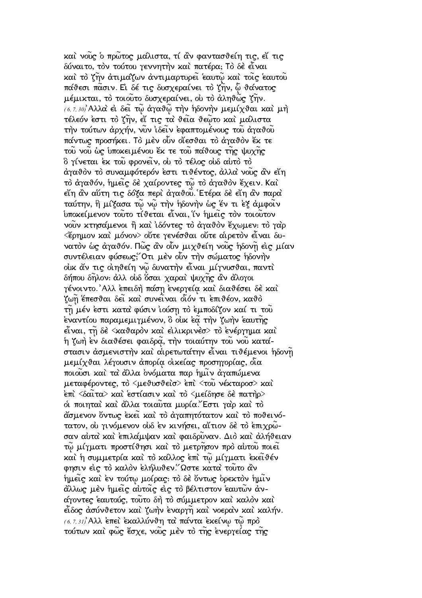και νους ο πρώτος μάλιστα, τί άν φαντασθείη τις, εί τις δύναιτο, τον τούτου γεννητήν και πατέρα; Το δε είναι και το ζην ατιμαζων αντιμαρτυρει εαυτώ και τοις εαυτού πάθεσι πασιν. Ει δέ τις δυσχεραίνει το ζην, ω θάνατος μέμικται, το τοιούτο δυσχεραίνει, ου το άληθως ζην.  $(6, 7, 30)$  Αλλα εί δεί τω άγαθω την ηδονην μεμίχθαι και μη τέλεόν έστι το ζην, εί τις τα θεία θεώτο και μάλιστα την τούτων άρχήν, νύν ιδείν εφαπτομένους του άγαθου πάντως προσήκει. Τὸ μèν οἶν οἴεσθαι τὸ ἀγαθὸν ἔκ τε του νου ώς υποκειμένου έκ τε του παθους της ψυχης δ γίνεται εκ του φρονειν, ου το τέλος ουδ αυτό το άγαθον το συναμφότερόν έστι τιθέντος, άλλα νους άν είη τὸ ἀγαθόν, ἡμείς δε χαίροντες τω τὸ ἀγαθὸν ἔχειν. Και είη άν αύτη τις δόξα περι άγαθου. Ετέρα δε είη άν παρα ταύτην, ή μίζασα τῷ νῷ τὴν ἡδονὴν ὡς ἕν τι ἐζ ἀμφοἶν υποκείμενον τούτο τίθεται είναι, ίν ημείς τον τοιούτον νουν κτησάμενοι ή και ιδόντες το άγαθον έχωμεν: το γαρ <ἔρημον καὶ μόνον> οὔτε γενέσθαι οὔτε αἱρετὸν εἶναι δυνατον ως αγαθόν. Πως αν ούν μιχθείη νους ηδονη είς μίαν συντέλειαν φύσεως; Ότι μεν ούν την σώματος ηδονην ούκ άν τις οιηθείη νω δυνατήν είναι μίγνυσθαι, παντι δήπου δηλον: άλλ ουδ όσαι χαραι ψυχης άν άλογοι γένοιντο.'Αλλ επειδή πάση ενεργεία καὶ διαθέσει δὲ καὶ ζωη έπεσθαι δεί και συνείναι οίόν τι επιθέον, καθο τη μέν έστι κατα φύσιν ιούση το εμποδίζον καί τι του έναντίου παραμεμιγμένον, δ ουκ εα την ζωην εαυτης εἶναι, τη δε <καθαρον και ειλικρινεσ> το ενέργημα και η ζωη εν διαθέσει φαιδρα, την τοιαύτην του νου κατάστασιν άσμενιστην και αιρετωτάτην είναι τιθέμενοι ηδονη μεμίχθαι λέγουσιν άπορία οικείας προσηγορίας, οια ποιούσι και τα άλλα ονόματα παρ ημίν αγαπώμενα μεταφέροντες, το <μεθυσθείσ> επι <του νέκταροσ> και 'επι <δαϊτα> και εστίασιν και το <μείδησε δε πατήρ> οί ποιηται και άλλα τοιαύτα μυρία. Έστι γαρ και το άσμενον όντως εκει και το άγαπητότατον και το ποθεινότατον, ου γινόμενον ουδ εν κινήσει, αίτιον δε το επιχρώσαν αυτα και επιλαμψαν και φαιδρυναν. Διο και αλήθειαν τώ μίγματι προστίθησι και το μετρήσον προ αυτού ποιεί και η συμμετρία και το καλλος επι τω μίγματι εκειθέν φησιν είς τὸ καλὸν ελήλυθεν. Ωστε κατα τουτο ἀν ημείς και εν τούτω μοίρας: το δε όντως ορεκτον ημίν άλλως μέν ημείς αυτοίς εις το βέλτιστον εαυτών άναγοντες εαυτούς, τουτο δη το σύμμετρον και καλον και είδος ασύνθετον και ζωην εναργή και νοεραν και καλήν.  $(6, 7, 31)$  Αλλ επεί εκαλλύνθη τα πάντα εκείνω τω πρό τούτων και φώς έσχε, νους μεν το της ενεργείας της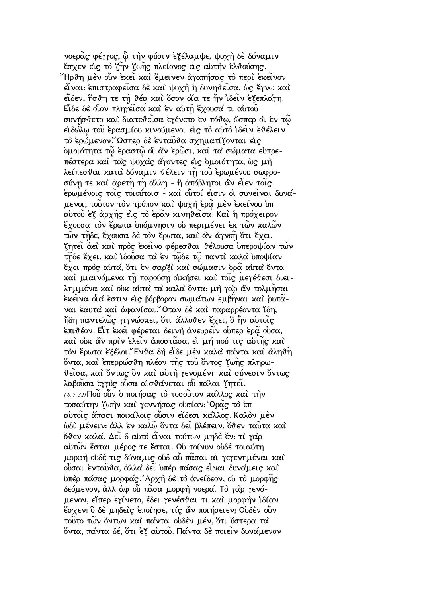νοερας φέγγος, ω την φύσιν εξέλαμψε, ψυχη δε δύναμιν έσχεν εις το ζην ζωής πλείονος εις αυτην ελθούσης. "Ηρθη μέν ούν εκει και έμεινεν άγαπήσας το περι εκεινον είναι: επιστραφείσα δε και ψυχή ή δυνηθείσα, ως έγνω και εἶδεν, ήσθη τε τη θέα και δσον οία τε ἦν ιδεῖν ἐξεπλάγη. Είδε δε οίον πληγείσα και εν αυτή έχουσα τι αυτού συνήσθετο και διατεθείσα εγένετο έν πόθω, ώσπερ οι εν τω ειδώλω του ερασμίου κινούμενοι εις το αυτο ιδείν εθέλειν τὸ 'ερώμενον. Ώσπερ δε 'ενταυνα σχηματίζονται είς δμοιότητα τῷ 'εραστῷ οἳ ἀν 'ερῶσι, καὶ τα σώματα εὐπρεπέστερα και τας ψυχας άγοντες εις ομοιότητα, ως μη λείπεσθαι κατα δύναμιν θέλειν τη του ερωμένου σωφροσύνη τε και άρετη τη άλλη - ή απόβλητοι άν είεν τοις έρωμένοις τοις τοιούτοισ - και ούτοί εισιν οι συνειναι δυνάμενοι, τούτον τον τρόπον και ψυχη έρα μεν εκείνου υπ αύτου έξ άρχης είς το εράν κινηθείσα. Και η πρόχειρον έχουσα τον έρωτα υπόμνησιν ου περιμένει εκ των καλων τῶν τῆδε, ἔχουσα δὲ τὸν ἔρωτα, καὶ ἀν ἀγνοῆ ὅτι ἔχει, ζητει άει και προς εκείνο φέρεσθαι θέλουσα υπεροψίαν των τηδε έχει, και ιδουσα τα εν τώδε τω παντι καλα υποψίαν έχει προς αυτά, ότι εν σαρζί και σώμασιν ορα αυτα όντα και μιαινόμενα τη παρούση οικήσει και τοις μεγέθεσι διειλημμένα και ούκ αυτα τα καλα όντα: μη γαρ άν τολμησαι έκεινα δια έστιν εις βόρβορον σωματων εμβηναι και ρυπαναι εαυτα και άφανίσαι. Όταν δε και παραρρέοντα ίδη, ήδη παντελώς γιγνώσκει, ότι άλλοθεν έχει, δ ήν αυτοίς επιθέον. Είτ εκει φέρεται δεινή άνευρειν ούπερ ερα ούσα, και ούκ άν πριν ελείν άποστάσα, ει μή πού τις αυτής και τον έρωτα εξέλοι. Ένθα δη είδε μεν καλα πάντα και άληθη όντα, και επερρώσθη πλέον της του όντος ζωης πληρωθείσα, και όντως όν και αυτή γενομένη και σύνεσιν όντως λαβούσα εγγύς ούσα αισθανεται ού παλαι ζητεί.  $(6, 7, 32)$ Που ούν ο ποιήσας το τοσούτον καλλος και την τοσαύτην ζωήν και γεννήσας ουσίαν; Όρας το έπ αύτοις άπασι ποικίλοις ούσιν είδεσι καλλος. Καλόν μέν ώδι μένειν: άλλ εν καλώ όντα δεί βλέπειν, όθεν ταυτα και δθεν καλά. Δεί δ αύτὸ εἶναι τούτων μηδὲ ἕν: τὶ γαρ αύτων έσται μέρος τε έσται. Ου τοίνυν ουδέ τοιαύτη μορφή ουδέ τις δύναμις ουδ αύ πάσαι αι γεγενημέναι και ούσαι ενταύθα, άλλα δει υπέρ πάσας είναι δυνάμεις και υπέρ πάσας μορφάς. Αρχή δέ το άνείδεον, ου το μορφής δεόμενον, άλλ άφ ού πάσα μορφή νοερά. Τὸ γαρ γενόμενον, είπερ εγίνετο, έδει γενέσθαι τι και μορφήν ιδίαν έσχεν: ὃ δὲ μηδείς ἐποίησε, τίς ἀν ποιήσειεν; Οὐδεν οὖν τούτο των όντων και πάντα: ουδεν μέν, ότι ύστερα τα όντα, πάντα δέ, ότι 'εξ αυτου. Πάντα δε ποιείν δυνάμενον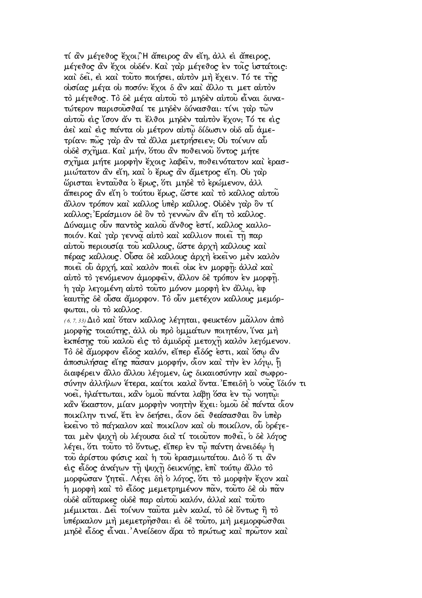τί άν μέγεθος έχοι; Η άπειρος άν είη, άλλ ει άπειρος, μέγεθος άν έχοι ουδέν. Και γαρ μέγεθος εν τοις υστάτοις: και δεί, εί και τούτο ποιήσει, αυτόν μη έχειν. Τό τε της ουσίας μέγα ου ποσόν: έχοι δ άν και άλλο τι μετ αυτον τὸ μέγεθος. Τὸ δὲ μέγα αὐτοῦ τὸ μηδεν αὐτοῦ εἶναι δυνατώτερον παρισουσθαί τε μηδέν δύνασθαι: τίνι γαρ των αύτου είς ίσον άν τι έλθοι μηδεν ταύτον έχον; Τό τε είς άει και είς πάντα ου μέτρον αυτω δίδωσιν ουδ αύ άμετρίαν: πώς γαρ άν τα άλλα μετρήσειεν; Ου τοίνυν αύ ούδε σχημα. Και μήν, ότου άν ποθεινου όντος μήτε σχημα μήτε μορφην έχοις λαβείν, ποθεινότατον και έρασμιώτατον άν είη, και ο έρως άν άμετρος είη. Ου γαρ ώρισται ενταύθα ο έρως, ότι μηδε το ερώμενον, άλλ άπειρος άν είη ο τούτου έρως, ώστε και το καλλος αυτου άλλον τρόπον και κάλλος υπέρ καλλος. Ουδέν γαρ όν τί κάλλος: Εράσμιον δέ όν το γεννών άν είη το κάλλος. Δύναμις ούν παντός καλού άνθος εστί, καλλος καλλοποιόν. Και γαρ γεννα αυτό και καλλιον ποιεί τη παρ αύτου περιουσία του καλλους, ώστε άρχη καλλους και πέρας καλλους. Ούσα δε καλλους άρχη εκείνο μεν καλον ποιεί ού άρχή, και καλον ποιεί ούκ εν μορφη: άλλα και αύτο το γενόμενον άμορφείν, άλλον δε τρόπον εν μορφή. η γαρ λεγομένη αυτό τουτο μόνον μορφη εν άλλω, εφ εαυτης δε ούσα άμορφον. Το ούν μετέχον καλλους μεμόρφωται, ού το καλλος.

 $(6, 7, 33)$  Διὸ και ὅταν καλλος λέγηται, φευκτέον μαλλον ἀπο μορφής τοιαύτης, άλλ ου πρό ομματων ποιητέον, ίνα μή έκπέσης του καλού είς το άμυδρα μετοχη καλον λεγόμενον. Τὸ δὲ ἄμορφον εἶδος καλόν, εἴπερ εἶδός 'εστι, και 'όσω άν άποσυλήσας είης πάσαν μορφήν, δίον και την εν λόγω, η διαφέρειν άλλο άλλου λέγομεν, ως δικαιοσύνην και σωφροσύνην άλλήλων έτερα, καίτοι καλα όντα. Επειδή ο νους ίδιόν τι νοει, ηλαττωται, κάν δμου παντα λαβη δσα εν τω νοητώ: κάν έκαστον, μίαν μορφήν νοητήν έχει: δμού δε πάντα οίον ποικίλην τινα, έτι εν δεήσει, δίον δει θεασασθαι όν υπέρ εκείνο τὸ πάγκαλον καὶ ποικίλον καὶ οὐ ποικίλον, οὗ ὀρέγεται μέν ψυχή ου λέγουσα δια τί τοιούτον ποθεί, ο δέ λόγος λέγει, ότι τούτο το όντως, είπερ εν τω παντη ανειδέω η του άρίστου φύσις και η του ερασμιωτάτου. Διο δ τι άν εις είδος αναγων τη ψυχη δεικνύης, επι τούτω άλλο το μορφώσαν ζητει. Λέγει δη ο λόγος, ότι το μορφην έχον και η μορφή και το είδος μεμετρημένον πάν, τουτο δε ου παν ούδε αύταρκες ούδε παρ αύτου καλόν, άλλα και τουτο μέμικται. Δεί τοίνυν ταύτα μέν καλά, το δέ όντως ή το υπέρκαλον μή μεμετρησθαι: εί δε τούτο, μή μεμορφώσθαι μηδέ εἶδος εἶναι. Ανείδεον άρα τὸ πρώτως και πρώτον και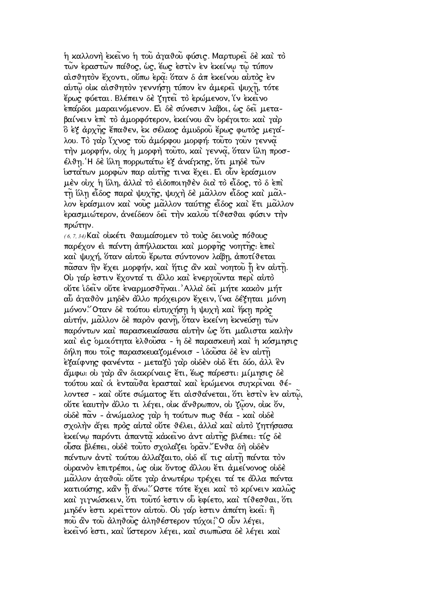η καλλονη εκείνο η του άγαθου φύσις. Μαρτυρεί δε και το των έραστων πάθος, ως, έως έστιν εν εκείνω τω τύπον αισθητον έχοντι, ούπω έρα: όταν δ απ εκείνου αυτός έν αυτώ ουκ αισθητον γεννήση τύπον εν άμερει ψυχη, τότε έρως φύεται. Βλέπειν δὲ ζητεῖ τὸ ἐρώμενον, ἵν ἐκεῖνο επαρδοι μαραινόμενον. Ει δε σύνεσιν λαβοι, ως δει μεταβαίνειν επι το άμορφότερον, εκείνου άν ορέγοιτο: και γαρ δ εξ άρχης έπαθεν, εκ σέλαος άμυδρου έρως φωτός μεγάλου. Τὸ γαρ ἴχνος του ἀμόρφου μορφή: τουτο γουν γεννα την μορφήν, ούχ η μορφη τουτο, και γεννα, όταν ύλη προσέλθη. Η δε ύλη πορρωτάτω εξ αναγκης, ότι μηδε των υστάτων μορφών παρ αυτής τινα έχει. Ει ούν εράσμιον μέν ουχ η ύλη, άλλα το ειδοποιηθεν δια το είδος, το δ επι τη ύλη είδος παρα ψυχης, ψυχη δε μαλλον είδος και μαλλον ερασμιον και νους μαλλον ταύτης είδος και έτι μαλλον έρασμιώτερον, άνείδεον δει την καλού τίθεσθαι φύσιν την πρώτην.

(6, 7, 34) Και ούκέτι θαυμάσομεν το τους δεινούς πόθους παρέχον ει πάντη απήλλακται και μορφής νοητής: επει και ψυχή, όταν αυτου έρωτα σύντονον λαβη, αποτίθεται πασαν ην έχει μορφήν, και ήτις άν και νοητού ή εν αυτή. Ου γάρ έστιν έχοντά τι άλλο και ένεργουντα περι αυτό ούτε ιδείν ούτε εναρμοσθήναι. Αλλα δει μήτε κακόν μήτ αὖ άγαθὸν μηδεν άλλο πρόχειρον έχειν, ίνα δέξηται μόνη μόνον. Όταν δε τούτου εύτυχήση η ψυχη και ήκη πρός αύτήν, μαλλον δε παρόν φανη, όταν εκείνη εκνεύση των παρόντων και παρασκευάσασα αυτήν ως ότι μαλιστα καλήν και είς δμοιότητα ελθούσα - η δε παρασκευη και η κόσμησις δήλη που τοις παρασκευαζομένοισ - ιδουσα δε εν αυτη έξαίφνης φανέντα - μεταξύ γαρ ούδεν ουδ έτι δύο, άλλ εν άμφω: ου γαρ άν διακρίναις έτι, έως πάρεστι: μίμησις δε τούτου και οι ενταυθα ερασται και ερώμενοι συγκριναι θέλοντεσ - και ούτε σώματος έτι αισθάνεται, ότι εστιν εν αυτώ, ούτε εαυτήν άλλο τι λέγει, ούκ άνθρωπον, ου ζώον, ουκ όν, ούδε παν - άνώμαλος γαρ η τούτων πως θέα - και ούδε σχολην άγει πρός αύτα ούτε θέλει, άλλα και αυτό ζητήσασα ζεκείνω παρόντι άπαντα κάκεινο άντ αυτης βλέπει: τίς δε ούσα βλέπει, ουδέ τουτο σχολαζει δραν. Ένθα δη ουδέν πάντων άντι τούτου άλλα ξαιτο, ουδ εί τις αυτη πάντα τον ουρανον επιτρέποι, ώς ουκ όντος άλλου έτι αμείνονος ουδε μαλλον άγαθου: ούτε γαρ άνωτέρω τρέχει τα τε άλλα παντα κατιούσης, κάν ή άνω. Ώστε τότε έχει και το κρίνειν καλώς και γιγνώσκειν, ότι τουτό έστιν ού εφίετο, και τίθεσθαι, ότι μηδέν εστι κρείττον αύτου. Ου γάρ εστιν άπάτη εκεί: ή που άν του άληθους άληθέστερον τύχοι; Ο ούν λέγει, έκεινό έστι, και ύστερον λέγει, και σιωπωσα δε λέγει και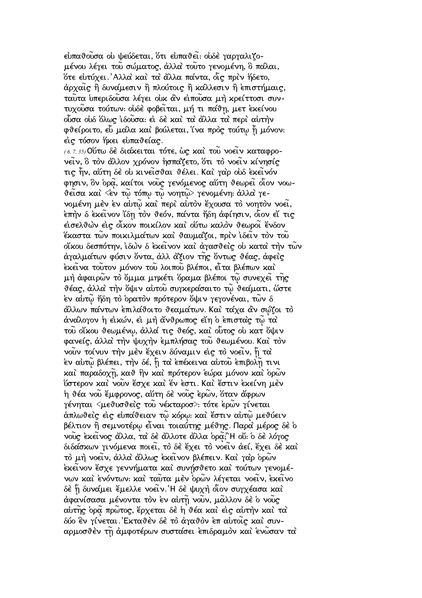ευπαθουσα ου ψεύδεται, ότι ευπαθει: ουδέ γαργαλιζομένου λέγει του σώματος, άλλα τουτο γενομένη, δ πάλαι, δτε ευτύχει. Αλλα και τα άλλα παντα, δις πριν ήδετο, άρχαις ή δυναμεσιν ή πλούτοις ή καλλεσιν ή επιστήμαις, ταυτα υπεριδούσα λέγει ούκ άν ειπούσα μή κρείττοσι συντυχουσα τούτων: ουδέ φοβειται, μή τι πάθη, μετ εκείνου ούσα ουδ όλως ιδούσα: ει δε και τα άλλα τα περι αυτήν φθείροιτο, εὖ μαλα και βούλεται, ίνα προς τούτω ή μόνον: εις τόσον ήκει ευπαθείας.

 $(6, 7, 35)$  Ούτω δέ διακειται τότε, ως και του νοείν καταφρονεϊν, δ τον άλλον χρόνον ησπάζετο, ότι το νοεϊν κίνησίς τις ήν, αύτη δέ ου κινεισθαι θέλει. Και γαρ ουδ εκεινόν φησιν, δν δρα, καίτοι νους γενόμενος αύτη θεωρει οίον νοωθείσα και <εν τώ τόπω τώ νοητώ> γενομένη: άλλα γενομένη μέν έν αύτώ και περι αύτον έχουσα το νοητον νοεί, έπην δ εκείνον ίδη τον θεόν, παντα ήδη αφίησιν, οίον εί τις εισελθων εις οίκον ποικίλον και ούτω καλον θεωροι ένδον έκαστα των ποικιλματων και θαυμαζοι, πριν ιδείν τον του σίκου δεσπότην, ιδων δ εκείνον και άγασθεις ου κατα την των άγαλμάτων φύσιν όντα, άλλ άξιον της όντως θέας, άφεις έκεινα τουτον μόνον του λοιπου βλέποι, είτα βλέπων και μη άφαιρών το όμμα μηκέτι δραμα βλέποι τώ συνεχεί της θέας, άλλα την όψιν αυτου συγκεράσαιτο τω θεάματι, ὥστε έν αυτώ ήδη το δρατον πρότερον όψιν γεγονέναι, των δ άλλων παντων επιλαθοιτο θεαματων. Και ταχα άν σώζοι το άναλογον η εικών, ει μη άνθρωπος είη ο επιστας τω τα του σίκου θεωμένω, άλλα τις θεός, και ούτος ου κατ όψιν φανείς, άλλα την ψυχην εμπλήσας του θεωμένου. Και τον νουν τοίνυν την μεν έχειν δύναμιν εις το νοείν, η τα έν αυτῷ βλέπει, την δέ, ῇ τα 'επέκεινα αυτοῦ 'επιβολῇ τινι και παραδοχη, καθ ην και πρότερον εώρα μόνον και δρών ύστερον και νουν έσχε και έν εστι. Και έστιν εκείνη μεν η θέα νου έμφρονος, αύτη δε νους ερών, όταν άφρων γένηται <μεθυσθείς του νέκταροσ>: τότε έρων γίνεται άπλωθείς είς ευπάθειαν τω κόρω: και έστιν αυτώ μεθύειν βέλτιον ή σεμνοτέρω είναι τοιαύτης μέθης. Παρα μέρος δε ο νους 'εκείνος άλλα, τα δε άλλοτε άλλα δρα; Η ού: δ δε λόγος διδάσκων γινόμενα ποιεί, το δε έχει το νοείν άεί, έχει δε και τὸ μὴ νοεῖν, ἀλλα ἄλλως ἐκεῖνον βλέπειν. Και γαρ δρῶν εκεινον έσχε γεννήματα και συνήσθετο και τούτων γενομένων και ενόντων: και ταυτα μεν δρών λέγεται νοείν, εκείνο δε η δυναμει έμελλε νοείν. Η δε ψυχη οίον συγχέασα και άφανίσασα μένοντα τον εν αύτη νουν, μαλλον δε ο νους αύτης δρα πρώτος, έρχεται δε η θέα και είς αύτην και τα δύο εν γίνεται. Εκταθεν δε το άγαθον επ αυτοίς και συναρμοσθέν τη άμφοτέρων συστάσει επιδραμον και ενώσαν τα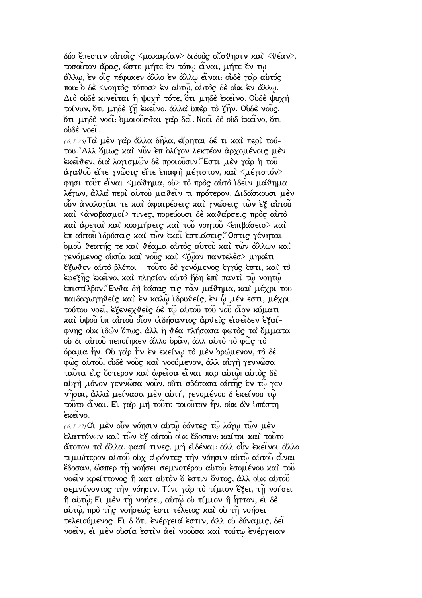δύο έπεστιν αυτοις <μακαρίαν> διδούς αίσθησιν και <θέαν>, τοσούτον άρας, ώστε μήτε έν τόπω είναι, μήτε έν τω άλλω, εν οίς πέφυκεν άλλο εν άλλω είναι: ούδε γαρ αυτός που: ο δε <νοητός τόποσ> εν αυτώ, αυτός δε ουκ εν άλλω. Διὸ ουδε κινείται η ψυχη τότε, ότι μηδε εκείνο. Ουδε ψυχη τοίνυν, ότι μηδε ζη εκείνο, άλλα υπερ το ζην. Ουδε νους, δτι μηδέ νοει: δμοιουσθαι γαρ δει. Νοει δε ουδ εκεινο, ότι  $\alpha$ ιλδέ νοει.

 $(6, 7, 36)$  Τα μέν γαρ άλλα δηλα, είρηται δέ τι και περι τούτου. Αλλ όμως και νύν επ ολίγον λεκτέον αρχομένοις μεν εκείθεν, δια λογισμών δε προιούσιν. Έστι μεν γαρ ή του άγαθού είτε γνώσις είτε επαφή μέγιστον, και <μέγιστόν> φησι τουτ είναι <μαθημα, ου το προς αυτο ιδείν μαθημα λέγων, άλλα περί αύτου μαθείν τι πρότερον. Διδασκουσι μέν ούν άναλογίαι τε και άφαιρέσεις και γνώσεις των εξ αυτου και <άναβασμοί> τινες, πορεύουσι δε καθάρσεις πρός αυτό και άρεται και κοσμήσεις και του νοητου <επιβάσεισ> και έπ αυτου ιδρύσεις και των εκει εστιασεις. Όστις γένηται <u>δμού θεατής τε και θέαμα αυτος αυτού και τών άλλων και</u> γενόμενος ουσία και νους και < ζωον παντελεσ> μηκέτι έξωθεν αυτό βλέποι - τουτο δε γενόμενος εγγύς εστι, και το έφεζης εκείνο, και πλησίον αυτο ήδη επι παντι τω νοητω 'επιστίλβον.''Ενθα δη 'εάσας τις παν μάθημα, και μέχρι του παιδαγωγηθείς και έν καλώ ιδρυθείς, εν ὧ μέν εστι, μέχρι τούτου νοεί, εξενεχθείς δε τώ αυτού του νου οίον κύματι και υψού υπ αυτού οίον οιδήσαντος άρθεις εισείδεν εξαίφνης ούκ ιδων όπως, άλλ η θέα πλήσασα φωτός τα όμματα ού δι αύτου πεποίηκεν άλλο δράν, άλλ αύτο το φως το δραμα ἦν. Ου γαρ ἦν εν εκείνω το μεν δρώμενον, το δε φώς αύτου, ούδε νους και νοούμενον, άλλ αύγη γεννώσα ταυτα εις ύστερον και άφεισα είναι παρ αυτώ: αυτός δε αύγη μόνον γεννώσα νουν, ούτι σβέσασα αύτης έν τω γεννησαι, άλλα μείνασα μεν αυτή, γενομένου δ εκείνου τω τούτο είναι. Ει γαρ μη τούτο τοιούτον ήν, ούκ άν υπέστη  $\mathcal{E}$   $\mathcal{E}$   $\mathcal{E}$   $\mathcal{E}$   $\mathcal{E}$   $\mathcal{E}$   $\mathcal{E}$   $\mathcal{E}$   $\mathcal{E}$   $\mathcal{E}$   $\mathcal{E}$   $\mathcal{E}$   $\mathcal{E}$   $\mathcal{E}$   $\mathcal{E}$   $\mathcal{E}$   $\mathcal{E}$   $\mathcal{E}$   $\mathcal{E}$   $\mathcal{E}$   $\mathcal{E}$   $\mathcal{E}$   $\mathcal{E}$   $\mathcal{E}$   $\mathcal{$ 

 $(6, 7, 37)$  Οι μέν ούν νόησιν αυτώ δόντες τω λόγω των μέν ελαττόνων και των εξ αυτου ουκ έδοσαν: καίτοι και τουτο άτοπον τα άλλα, φασί τινες, μη ειδέναι: άλλ ούν εκείνοι άλλο τιμιώτερον αυτού ουχ ευρόντες την νόησιν αυτώ αυτού είναι έδοσαν, ώσπερ τη νοήσει σεμνοτέρου αυτου εσομένου και του νοείν κρείττονος ή κατ αύτον δ εστιν όντος, άλλ ούκ αύτου σεμνύνοντος την νόησιν. Τίνι γαρ το τίμιον έξει, τη νοήσει η αυτώ; Ει μεν τη νοήσει, αυτώ ου τίμιον η ήττον, ει δε αύτω, πρό της νοήσεώς έστι τέλειος και ου τη νοήσει τελειούμενος. Ει δ ότι 'ενέργεια' εστιν, άλλ ου δύναμις, δεϊ νοείν, ει μεν ουσία εστιν άει νοουσα και τούτω ενέργειαν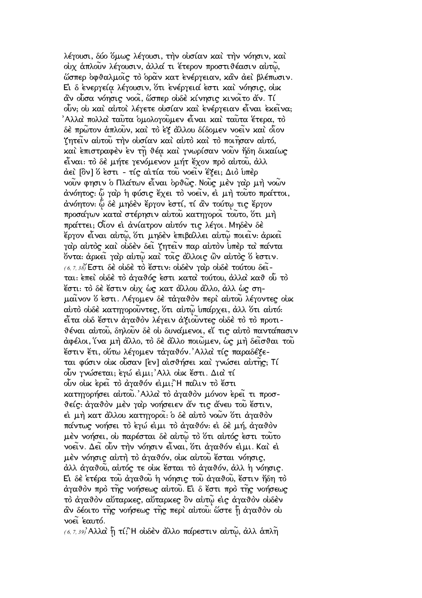λέγουσι, δύο δμως λέγουσι, την ουσίαν και την νόησιν, και ούχ άπλουν λέγουσιν, άλλα τι έτερον προστιθέασιν αυτώ, ώσπερ οφθαλμοις το οράν κατ ενέργειαν, κάν άει βλέπωσιν. Ει δ ενεργεία λέγουσιν, ότι ενέργεια εστι και νόησις, ούκ άν ούσα νόησις νοοι, ώσπερ ουδέ κίνησις κινοιτο άν. Τί οὖν; ου και αυτοι λέγετε ουσίαν και ενέργειαν εἶναι εκεἶνα; 'Αλλα` πολλα` ταῦτα ὁμολογοῦμεν ἐἶναι και` ταῦτα ἕτερα, τὸ δε πρώτον άπλουν, και το εξ άλλου δίδομεν νοείν και οίον ζητείν αύτου την ουσίαν και αύτο και το ποιήσαν αυτό, και επιστραφέν έν τη θέα και γνωρίσαν νουν ήδη δικαίως εἶναι: τὸ δὲ μήτε γενόμενον μήτ ἔχον πρὸ αὐτοῦ, ἀλλ άει [ον] σ έστι - τίς αιτία του νοειν έξει; Διο υπέρ νούν φησιν ο Πλατων είναι ορθώς. Νούς μέν γαρ μή νοών άνόητος: ὧ γαρ η φύσις έχει το νοείν, ει μη τουτο πράττοι, άνόητον: ὧ δε μηδεν έργον εστί, τί ἀν τούτω τις έργον προσάγων κατα στέρησιν αυτού κατηγοροί τούτο, ότι μή πράττει; Οίον ει ανίατρον αυτόν τις λέγοι. Μηδεν δε έργον είναι αυτώ, ότι μηδεν επιβαλλει αυτώ ποιείν: άρκει γαρ αυτός και ουδέν δει ζητείν παρ αυτόν υπέρ τα πάντα όντα: άρκει γαρ αυτώ και τοις άλλοις ών αυτος δ'εστιν.  $(6, 7, 38)$  Εστι δέ ουδέ το έστιν: ουδέν γαρ ουδέ τούτου δείται: επει ουδέ το άγαθός εστι κατα τούτου, άλλα καθ ού το <del>ἔστ</del>ι: τὸ δὲ ἔστιν οὐχ ὡς κατ ἄλλου ἄλλο, ἀλλ ὡς σημαϊνον δ'εστι. Λέγομεν δε τάγαθον περι αυτου λέγοντες ουκ αύτο ουδέ κατηγορούντες, ότι αυτώ υπάρχει, άλλ ότι αυτό: είτα ουδ έστιν άγαθον λέγειν άζιουντες ουδε το το προτιθέναι αυτου, δηλούν δέ ου δυναμενοι, εί τις αυτό παντάπασιν άφέλοι, ίνα μή άλλο, τὸ δὲ άλλο ποιὧμεν, ὡς μή δεἶσθαι τοῦ έστιν έτι, ούτω λέγομεν τάγαθόν. Αλλα τίς παραδέζεται φύσιν ούκ ούσαν [εν] αισθήσει και γνώσει αυτής; Τί οὖν γνώσεται; 'εγώ είμι;' Αλλ οὐκ 'έστι. Δια τί ούν ουκ έρει το άγαθόν ειμι; Η παλιν το έστι κατηγορήσει αύτου. Αλλα το άγαθον μόνον ερεί τι προσθείς: άγαθον μεν γαρ νοήσειεν άν τις άνευ του έστιν, εί μή κατ άλλου κατηγοροϊ: δ δε αύτο νοών ότι άγαθον πάντως νοήσει το έγώ ειμι το άγαθόν: εί δε μή, άγαθον μέν νοήσει, ου παρέσται δε αυτώ το ότι αυτός έστι τουτο νοείν. Δεί οὖν την νόησιν εἶναι, ὅτι ἀγαθόν εἰμι. Καὶ εἰ μέν νόησις αύτη το άγαθόν, ούκ αύτου έσται νόησις, άλλ άγαθου, αύτός τε ούκ έσται το άγαθόν, άλλ η νόησις. Ει δε ετέρα του άγαθου η νόησις του άγαθου, έστιν ήδη το άγαθον προ της νοήσεως αύτου. Ει δ έστι προ της νοήσεως τὸ ἀγαθὸν αύταρκες, αύταρκες ὂν αυτῷ εις ἀγαθὸν ουδεν άν δέοιτο της νοήσεως της περί αύτου: ώστε η άγαθον ου νοει εαυτό.

 $(6, 7, 39)$  Αλλα η τί; Η ουδεν άλλο πάρεστιν αυτώ, άλλ άπλη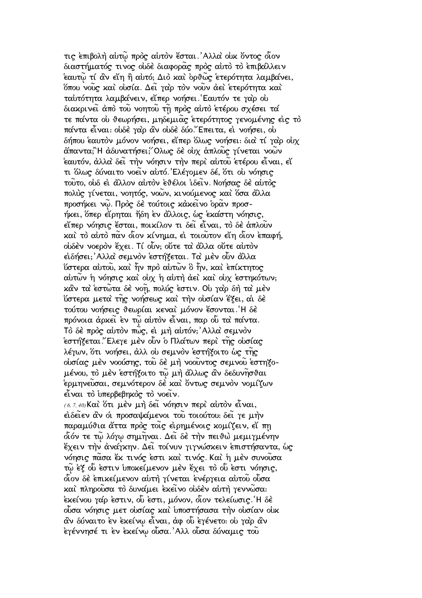τις επιβολή αυτώ πρός αυτόν έσται. Αλλα ουκ όντος οίον διαστήματός τινος ούδε διαφοράς προς αύτο το επιβάλλειν εαυτώ τί άν είη ή αυτό; Διὸ και ορθώς ετερότητα λαμβανει, δπου νους και ουσία. Δει γαρ τον νουν άει ετερότητα και ταυτότητα λαμβάνειν, είπερ νοήσει. Εαυτόν τε γαρ ου διακρινει άπό του νοητου τη πρός αύτο ετέρου σχέσει τα τε πάντα ου θεωρήσει, μηδεμιας ετερότητος γενομένης είς το πάντα είναι: σύδε γαρ άν σύδε δύο. Έπειτα, εί νοήσει, σύ δήπου εαυτόν μόνον νοήσει, είπερ όλως νοήσει: δια τί γαρ ούχ άπαντα; Η αδυνατήσει; Ολως δε ουχ απλους γίνεται νοων εαυτόν, άλλα δει την νόησιν την περι αυτου ετέρου είναι, εί τι δλως δύναιτο νοείν αυτό. Ελέγομεν δέ, ότι ου νόησις τούτο, ουδ ει άλλον αυτόν εθέλοι ιδείν. Νοήσας δε αυτός πολύς γίνεται, νοητός, νοών, κινούμενος και όσα άλλα προσήκει νὦ. Πρὸς δε τούτοις κάκεινο δράν προσήκει, όπερ είρηται ήδη εν άλλοις, ως εκάστη νόησις, είπερ νόησις έσται, ποικίλον τι δει είναι, το δε άπλουν και το αυτο παν οίον κίνημα, ει τοιούτον είη οίον επαφή, ούδεν νοερον έχει. Τί ούν; ούτε τα άλλα ούτε αυτον ειδήσει; Αλλα σεμνον εστήξεται. Τα μεν ούν άλλα ύστερα αυτου, και ήν προ αυτών δ ήν, και επίκτητος αύτων η νόησις και ουχ η αυτή άει και ουχ εστηκότων; κάν τα έστωτα δε νοη, πολύς έστιν. Ου γαρ δη τα μεν ύστερα μετα της νοήσεως και την ουσίαν έξει, αι δέ τούτου νοήσεις θεωρίαι κεναι μόνον έσονται. Η δέ πρόνοια άρκει εν τώ αύτον είναι, παρ ού τα πάντα. Τὸ δε πρὸς αυτὸν πώς, ει μή αυτόν; Αλλα σεμνον εστήξεται. Έλεγε μεν ούν ο Πλάτων περι της ουσίας λέγων, ότι νοήσει, άλλ ου σεμνον εστήξοιτο ως της ούσίας μέν νοούσης, του δέ μη νοούντος σεμνού έστηξομένου, το μεν εστήξοιτο τω μη άλλως άν δεδυνησθαι έρμηνεύσαι, σεμνότερον δε και όντως σεμνον νομίζων είναι το υπερβεβηκός το νοείν.

 $(6, 7, 40)$  Και ότι μέν μή δεϊ νόησιν περι αυτόν είναι, ειδείεν άν οι προσαψαμενοι του τοιούτου: δεί γε μήν παραμύθια άττα πρός τοις ειρημένοις κομίζειν, εί πη οίον τε τῷ λόγῳ σημῆναι. Δει δε την πειθω μεμιγμένην έχειν την αναγκην. Δεί τοίνυν γιγνώσκειν επιστήσαντα, ώς νόησις πάσα έκ τινός έστι και τινός. Και η μέν συνουσα τῷ ἐξ οὗ ἐστιν ὑποκείμενον μὲν ἔχει τὸ οὗ ἐστι νόησις, οίον δε επικείμενον αύτη γίνεται ενέργεια αύτου ούσα και πληρούσα το δυναμει εκείνο ουδεν αυτή γεννώσα: εκείνου γαρ εστιν, οὗ εστι, μόνον, οἷον τελείωσις. Ή δε ούσα νόησις μετ ουσίας και υποστήσασα την ουσίαν ουκ άν δύναιτο έν εκείνω είναι, άφ ού εγένετο: ου γαρ άν εγέννησέ τι 'εν 'εκείνω οὖσα.' Αλλ οὖσα δύναμις τοῦ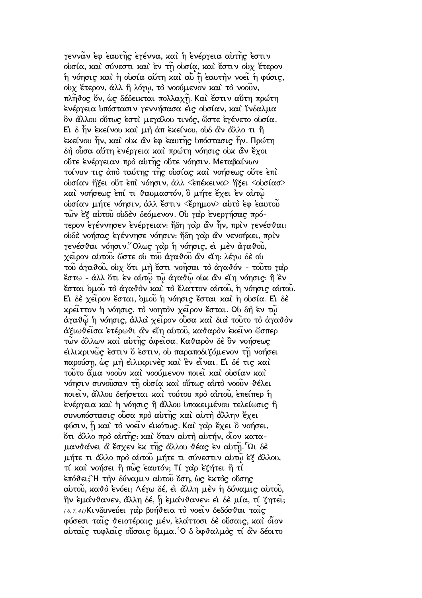γενναν έφ εαυτής εγέννα, και η ενέργεια αυτής εστιν ούσία, και σύνεστι και έν τη ούσία, και έστιν ουχ έτερον ἡ νόησις καὶ ἡ οὐσία αὕτη καὶ αὗ ῇ ἑαυτὴν νοεἶ ἡ φύσις, ούχ έτερον, άλλ ή λόγω, το νοούμενον και το νοούν, πληθος όν, ως δέδεικται πολλαχη. Και έστιν αύτη πρώτη ένέργεια υπόστασιν γεννήσασα εις ουσίαν, και ζνδαλμα ὂν ἄλλου οὕτως ἐστὶ μεγαλου τινός, ὥστε ἐγένετο οὐσία. Ει δ ήν εκείνου και μη άπ εκείνου, ουδ άν άλλο τι ή εκείνου ἦν, και ούκ ἀν εφ εαυτης υπόστασις ἦν. Πρώτη δη ούσα αύτη ενέργεια και πρώτη νόησις ουκ άν έχοι ούτε ενέργειαν προ αυτής ούτε νόησιν. Μεταβαίνων τοίνυν τις άπό ταύτης της ουσίας και νοήσεως ούτε έπι ουσίαν ήζει ούτ επι νόησιν, άλλ <επέκεινα> ήζει <ουσίασ> και νοήσεως επί τι θαυμαστόν, δ μήτε έχει εν αυτώ ουσίαν μήτε νόησιν, άλλ έστιν <έρημον> αυτό εφ εαυτου τών έξ αυτου ουδέν δεόμενον. Ου γαρ ένεργήσας πρότερον εγέννησεν ενέργειαν: ήδη γαρ άν ήν, πριν γενέσθαι: ούδε νοήσας εγέννησε νόησιν: ήδη γαρ άν νενοήκει, πριν γενέσθαι νόησιν. Όλως γαρ η νόησις, ει μεν άγαθού, χείρον αυτου: ώστε ου του άγαθου άν είη: λέγω δε ου του άγαθου, ούχ ότι μή έστι νοήσαι το άγαθόν - τουτο γαρ έστω - άλλ ότι εν αυτῷ τῷ ἀγαθῷ ουκ ἀν είη νόησις: ἢ εν έσται όμου τὸ ἀγαθὸν καὶ τὸ ἔλαττον αὐτου, ἡ νόησις αὐτου. Ει δε χείρον έσται, όμου η νόησις έσται και η ουσία. Ει δε κρείττον η νόησις, το νοητον χείρον έσται. Ου δη εν τώ άγαθὦ η νόησις, άλλα χείρον οὖσα και δια τοῦτο τὸ ἀγαθὸν άζιωθείσα ετέρωθι άν είη αυτου, καθαρον εκείνο ώσπερ των άλλων και αυτής άφεισα. Καθαρον δε όν νοήσεως ειλικρινώς εστιν δ εστιν, ου παραποδιζόμενον τη νοήσει παρούση, ως μή είλικρινές και εν είναι. Ει δέ τις και τουτο άμα νοουν και νοούμενον ποιεί και ουσίαν και νόησιν συνουσαν τη ουσία και ούτως αυτό νοουν θέλει ποιείν, άλλου δεήσεται και τούτου προ αυτου, επείπερ η ἐνέργεια καὶ ἡ νόησις ἢ ἄλλου ὑποκειμένου τελείωσις ἢ συνυπόστασις ούσα πρό αυτής και αυτή άλλην έχει φύσιν, η και το νοείν εικότως. Και γαρ έχει δ νοήσει, δτι άλλο πρὸ αὐτῆς: καὶ ὅταν αὐτὴ αὐτήν, δίον καταμανθάνει α έσχεν εκ της άλλου θέας εν αυτη. Ώι δε μήτε τι άλλο πρὸ αὐτοῦ μήτε τι σύνεστιν αὐτῷ ἐξ άλλου, τί και νοήσει ή πως εαυτόν; Τί γαρ εζήτει ή τί επόθει; Η την δύναμιν αύτου όση, ως εκτός ούσης αύτου, καθό ένόει; Λέγω δέ, ει άλλη μεν η δύναμις αυτου, ην εμανθανεν, άλλη δέ, η εμανθανεν: ει δε μία, τί ζητει;  $(6, 7, 41)$  Κινδυνεύει γαρ βοήθεια το νοείν δεδόσθαι ταις φύσεσι ταις θειοτέραις μέν, ελάττοσι δε ούσαις, και οίον αύταις τυφλαις ούσαις όμμα. Ο δ οφθαλμός τί άν δέοιτο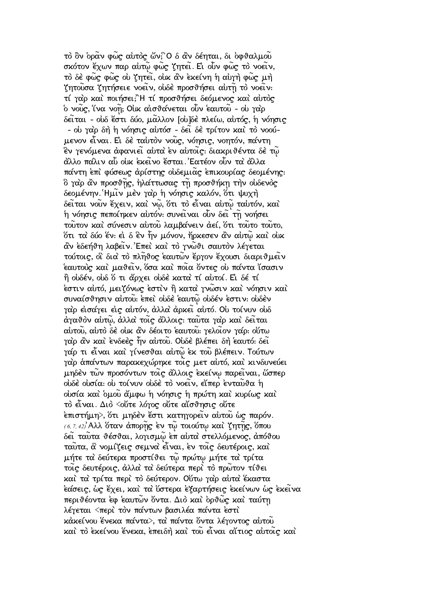τὸ ὂν ὁραν φως αυτός ὤν; Ο δ ἀν δέηται, δι ὀφθαλμου σκότον έχων παρ αυτώ φώς ζητεί. Ει ούν φώς το νοείν, τὸ δὲ φῶς φῶς οὐ ζητεῖ, οὐκ ἀν ἐκείνη ἡ αὐγὴ φῶς μὴ ζητουσα ζητήσειε νοείν, ουδέ προσθήσει αυτη το νοείν: τί γαρ και ποιήσει; Η τί προσθήσει δεόμενος και αυτός δ νους, ίνα νοη; Ούκ αισθανεται ούν εαυτου - ου γαρ δείται - ουδ έστι δύο, μαλλον [ου δε πλείω, αυτός, η νόησις - ου γαρ δη η νόησις αυτόσ - δει δε τρίτον και το νοούμενον είναι. Ει δε ταύτον νους, νόησις, νοητόν, πάντη εν γενόμενα άφανιει αύτα εν αύτοις: διακριθέντα δε τω άλλο πάλιν αὖ οὐκ ἐκεῖνο ἔσται. Ἐατέον οὖν τα ἄλλα πάντη επι φύσεως άρίστης ουδεμιας επικουρίας δεομένης: δ γαρ άν προσθης, ηλαττωσας τη προσθήκη την ουδενός δεομένην. Ημίν μεν γαρ η νόησις καλόν, ότι ψυχη δείται νούν έχειν, και νώ, ότι το είναι αυτώ ταυτόν, και η νόησις πεποίηκεν αυτόν: συνείναι ούν δεί τη νοήσει τουτον και σύνεσιν αυτου λαμβάνειν αεί, ότι τουτο τουτο, ότι τα δύο έν: εί δ εν ἦν μόνον, ἤρκεσεν ἀν αυτῷ και ουκ άν έδεήθη λαβείν. Επεί και το γνώθι σαυτον λέγεται τούτοις, οι δια το πληθος εαυτών έργον έχουσι διαριθμείν εαυτούς και μαθείν, όσα και ποια όντες ου παντα ίσασιν ή ουδέν, ουδ δ τι άρχει ουδε κατα τί αυτοί. Ει δέ τί 'εστιν αυτό, μειζόνως 'εστι`ν ή κατα` γνωσιν και` νόησιν και` συναίσθησιν αύτου: επει ούδε εαυτώ ούδεν εστιν: ούδεν γαρ εισαγει εις αυτόν, άλλα άρκει αυτό. Ου τοίνυν ουδ άγαθον αυτώ, άλλα τοις άλλοις: ταυτα γαρ και δειται αύτου, αύτο δέ ούκ άν δέοιτο εαυτού: γελοίον γάρ: ούτω γαρ άν και ενδεες ήν αυτου. Ουδε βλέπει δη εαυτό: δει γάρ τι εἶναι και γίνεσθαι αυτῷ ἐκ τοῦ βλέπειν. Τούτων γαρ απάντων παρακεχώρηκε τοις μετ αυτό, και κινδυνεύει μηδέν των προσόντων τοις άλλοις εκείνω παρειναι, ώσπερ ουδέ ουσία: ου τοίνυν ουδέ το νοείν, είπερ ενταυθα η ουσία και όμου άμφω η νόησις η πρώτη και κυρίως και τὸ ἐίναι. Διὸ <ούτε λόγος ούτε αίσθησις ούτε έπιστήμη>, ότι μηδέν έστι κατηγορείν αυτου ως παρόν.  $(6, 7, 42)$  Αλλ όταν άπορης εν τ $\tilde{\boldsymbol{\psi}}$  τοιούτ $\boldsymbol{\psi}$  και ζητης, όπου δει ταυτα θέσθαι, λογισμώ επ αυτα στελλόμενος, άπόθου ταύτα, α νομίζεις σεμνα είναι, εν τοις δευτέροις, και μήτε τα δεύτερα προστίθει τω πρώτω μήτε τα τρίτα τοις δευτέροις, άλλα τα δεύτερα περι το πρώτον τίθει και τα τρίτα περι το δεύτερον. Ούτω γαρ αυτα έκαστα εασεις, ως έχει, και τα ύστερα εξαρτήσεις εκείνων ως εκεινα περιθέοντα εφ εαυτών όντα. Διὸ και ορθώς και ταύτη λέγεται <περι τον πάντων βασιλέα πάντα εστι κάκείνου ένεκα πάντα>, τα πάντα όντα λέγοντος αύτου και το εκείνου ένεκα, επειδη και του είναι αίτιος αυτοίς και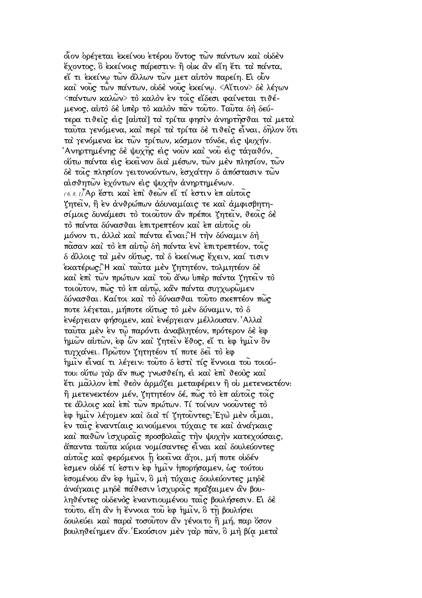οίον ορέγεται εκείνου ετέρου όντος των πάντων και ουδεν έχοντος, δ εκείνοις πάρεστιν: ή ούκ άν είη έτι τα πάντα, εί τι εκείνω τών άλλων τών μετ αυτον παρείη. Ει ούν και νους των πάντων, ουδε νους εκείνω. <Αίτιον> δε λέγων <πάντων καλὦν> τὸ καλὸν ἐν τοις εἴδεσι φαίνεται τιθέμενος, αύτο δε υπέρ το καλον παν τουτο. Ταυτα δη δεύτερα τιθείς είς [αύτα] τα τρίτα φησιν άνηρτησθαι τα μετα ταύτα γενόμενα, και περι τα τρίτα δε τιθεις είναι, δηλον ότι τα γενόμενα έκ των τρίτων, κόσμον τόνδε, εις ψυχήν. 'Ανηρτημένης δὲ ψυχῆς ἐις νοῦν καὶ νοῦ ἐις τἀγαθόν, ούτω παντα εις εκείνον δια μέσων, των μεν πλησίον, των δέ τοις πλησίον γειτονούντων, εσχάτην δ άπόστασιν των αισθητών εχόντων είς ψυχην ανηρτημένων.  $(6, 8, 1)$  Άρ έστι και επι θεών εί τί εστιν επ αυτοίς ζητείν, ή εν άνθρώπων άδυναμίαις τε και άμφισβητησίμοις δυναμεσι το τοιούτον άν πρέποι ζητεϊν, θεοϊς δέ τὸ πάντα δύνασθαι 'επιτρεπτέον και' 'επ αυτοις ου μόνον τι, άλλα και πάντα είναι; Η την δύναμιν δη πάσαν και το έπ αυτώ δη παντα ενι επιτρεπτέον, τοις δ άλλοις τα μέν ούτως, τα δ εκείνως έχειν, καί τισιν εκατέρως; Η και ταυτα μεν ζητητέον, τολμητέον δε και επι των πρώτων και του άνω υπερ πάντα ζητείν το τοιούτον, πώς το έπ αύτω, κάν πάντα συγχωρώμεν δύνασθαι. Καίτοι και το δύνασθαι τουτο σκεπτέον πως ποτε λέγεται, μήποτε ούτως το μεν δύναμιν, το δ ένέργειαν φήσομεν, και ενέργειαν μέλλουσαν. Αλλα ταύτα μέν έν τώ παρόντι άναβλητέον, πρότερον δε έφ ημών αυτών, έφ ὧν και ζητεῖν έθος, εἴ τι εφ ημῖν ον τυγχάνει. Πρώτον ζητητέον τί ποτε δεί τὸ έφ ημίν είναί τι λέγειν: τούτο δ εστι τίς έννοια του τοιούτου: ούτω γαρ άν πως γνωσθείη, ει και επι θεούς και έτι μαλλον επι θεον αρμόζει μεταφέρειν ή ου μετενεκτέον: ή μετενεκτέον μέν, ζητητέον δέ, πως το έπ αυτοις τοις τε άλλοις και επι των πρώτων. Τί τοίνυν νοουντες το έφ ημίν λέγομεν και δια τί ζητούντες; Έγω μεν οίμαι, έν ταις έναντίαις κινούμενοι τύχαις τε και άνάγκαις και παθών ισχυραίς προσβολαίς την ψυχην κατεχούσαις, άπαντα ταύτα κύρια νομίσαντες είναι και δουλεύοντες αύτοις και φερόμενοι η εκείνα άγοι, μή ποτε ουδέν 'εσμεν ουδέ τί 'εστιν 'εφ ήμιν ήπορήσαμεν, ως τούτου έσομένου άν έφ ημίν, δ μη τύχαις δουλεύοντες μηδέ άναγκαις μηδέ παθεσιν ισχυροίς πραξαιμεν άν βουληθέντες ουδενός εναντιουμένου ταις βουλήσεσιν. Ει δε τούτο, είη άν η έννοια του εφ ημίν, δ τη βουλήσει δουλεύει και παρα τοσούτον άν γένοιτο ή μή, παρ όσον βουληθείημεν άν. Εκούσιον μεν γαρ παν, δ μη βία μετα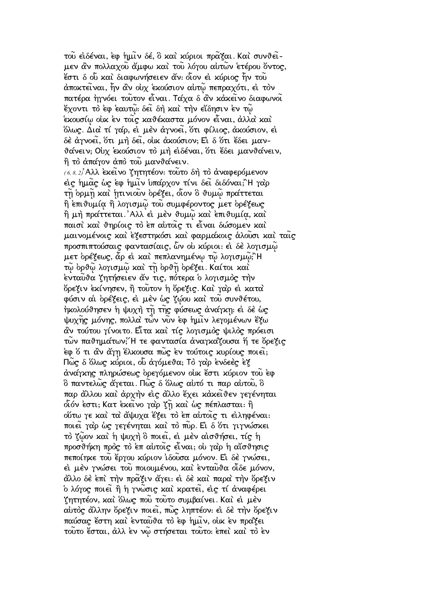του ειδέναι, εφ ημίν δέ, δ και κύριοι πράξαι. Και συνθείμεν άν πολλαχού άμφω και του λόγου αυτών ετέρου όντος, έστι δ οὗ καὶ διαφωνήσειεν άν: οἶον εἰ κύριος ἦν τοῦ άποκτείναι, ήν άν ουχ εκούσιον αυτώ πεπραχότι, ει τον πατέρα ηγνόει τούτον είναι. Τάχα δ άν κάκεινο διαφωνοι έχοντι τὸ 'εφ 'εαυτῷ: δει δή και την είδησιν 'εν τῷ εκουσίω ούκ εν τοις καθέκαστα μόνον είναι, άλλα και δλως. Δια τί γάρ, εί μεν άγνοει, ότι φίλιος, άκούσιον, εί δε άγνοει, ότι μή δει, ούκ άκούσιον; Ει δ ότι έδει μανθάνειν; Ούχ εκούσιον το μη ειδέναι, ότι έδει μανθάνειν, η το απάγον από του μανθανειν.

(6, 8, 2) Αλλ εκείνο ζητητέον: τούτο δη το άναφερόμενον εις ημάς ως εφ ημίν υπάρχον τίνι δει διδόναι; Η γαο τη δρμή και ητινιούν ορέξει, οίον δ θυμώ πραττεται ή επιθυμία ή λογισμώ του συμφέροντος μετ ορέξεως ή μη πράττεται. Αλλ εί μεν θυμώ και επιθυμία, και παισί και θηρίοις το επ αυτοίς τι είναι δώσομεν και μαινομένοις και εξεστηκόσι και φαρμάκοις άλουσι και ταις προσπιπτούσαις φαντασίαις, ὧν ου κύριοι: εί δε λογισμώ μετ ορέξεως, άρ ει και πεπλανημένω τω λογισμω; Η τώ ορθώ λογισμώ και τη ορθη ορέξει. Καίτοι και ένταυθα ζητήσειεν άν τις, πότερα ο λογισμος την όρεξιν εκίνησεν, ή τουτον η όρεξις. Και γαρ ει κατα φύσιν αι ορέξεις, ει μεν ως ζώου και του συνθέτου, ήκολούθησεν η ψυχη τη της φύσεως αναγκη: ει δε ώς ψυχης μόνης, πολλα των νύν έφ ημίν λεγομένων έξω άν τούτου γίνοιτο. Εἶτα και τίς λογισμος ψιλος πρόεισι των παθημάτων; Η τε φαντασία άναγκάζουσα ή τε ὄρεξις έφ δ τι άν άγη έλκουσα πώς έν τούτοις κυρίους ποιεί; Πώς δ όλως κύριοι, ού άγόμεθα; Το γαρ ενδεες εξ άναγκης πληρώσεως ορεγόμενον ούκ έστι κύριον του έφ δ παντελώς άγεται. Πώς δ όλως αυτό τι παρ αυτου, δ παρ άλλου και άρχην εις άλλο έχει κάκειθεν γεγένηται οιόν έστι; Κατ έκεινο γαρ ζη και ως πέπλασται: ή ούτω γε και τα άψυχα έξει το έπ αυτοις τι ειληφέναι: ποιεί γαρ ως γεγένηται και το πύρ. Ει δ ότι γιγνώσκει τὸ ζῷον καὶ ἡ ψυχὴ ὃ ποιεἶ, ἐι μὲν αισθήσει, τίς ἡ προσθήκη πρός το επ αυτοίς είναι; ου γαρ η αίσθησις πεποίηκε του έργου κύριον ιδουσα μόνον. Ει δε γνώσει, ει μεν γνώσει του ποιουμένου, και ενταυθα οίδε μόνον, άλλο δε επι την πραζιν άγει: ει δε και παρα την όρεξιν δ λόγος ποιει ή ή γνωσις και κρατει, εις τι αναφέρει ζητητέον, και όλως που τουτο συμβαίνει. Και εί μέν αύτος άλλην όρεξιν ποιεί, πως ληπτέον: ει δε την όρεξιν παύσας έστη και ενταύθα το έφ ημίν, ουκ εν πράξει τουτο έσται, άλλ έν νω στήσεται τουτο: επει και το εν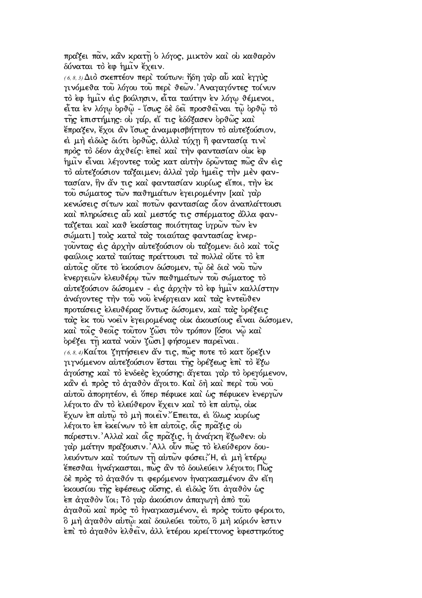πράξει παν, κάν κρατη ο λόγος, μικτον και ου καθαρον δύναται τὸ 'εφ τμίν 'έχειν.

 $(6, 8, 3)$  Διὸ σκεπτέον περὶ τούτων: ἤδη γαρ αὖ καὶ εγγύς γινόμεθα του λόγου του περι θεών. Αναγαγόντες τοίνυν τὸ ἐφ ἡμἶν ἐις βούλησιν, ἐἶτα ταύτην ἐν λόγω θέμενοι, είτα έν λόγω όρθω - ίσως δε δεί προσθείναι τω όρθω το της επιστήμης: ου γάρ, εί τις εδόξασεν ορθώς και έπραξεν, έχοι άν ίσως άναμφισβήτητον το αυτεξούσιον, ει μή ειδως διότι ορθώς, άλλα τύχη ή φαντασία τινι πρὸς τὸ δέον ἀχθείς: ἐπει και την φαντασίαν ουκ 'εφ ημίν είναι λέγοντες τούς κατ αύτην δρώντας πως άν είς το αυτεξούσιον ταξαιμεν; άλλα γαρ ημείς την μεν φαντασίαν, ην άν τις και φαντασίαν κυρίως είποι, την έκ του σώματος των παθηματων εγειρομένην [και γαρ κενώσεις σίτων και ποτών φαντασίας οίον αναπλαττουσι και πληρώσεις αύ και μεστός τις σπέρματος άλλα φανταζεται και καθ εκαστας ποιότητας υγρών των εν σώματι] τούς κατα τας τοιαύτας φαντασίας ένεργούντας είς άρχην αυτεξούσιον ου ταξομεν: διό και τοις φαύλοις κατα ταύτας πράττουσι τα πολλα ούτε το έπ αύτοις ούτε το εκούσιον δώσομεν, τω δε δια νου των ένεργειων ελευθέρω των παθηματων του σώματος το αυτεξούσιον δώσομεν - εις άρχην το εφ ημίν καλλίστην άναγοντες την του νου ενέργειαν και τας εντευθεν προτάσεις έλευθέρας όντως δώσομεν, και τας ορέξεις τας εκ του νοειν εγειρομένας ουκ ακουσίους είναι δώσομεν, και τοις θεοις τουτον ζώσι τον τρόπον Γόσοι νω και όρέξει τη κατα νουν ζώσι] φήσομεν παρείναι.  $(6, 8, 4)$ Καίτοι ζητήσειεν άν τις, πως ποτε το κατ όρεξιν γιγνόμενον αυτεξούσιον έσται της ορέξεως επι το έξω άγούσης και το ενδεές εχούσης: άγεται γαρ το ορεγόμενον, κάν ει πρός το άγαθον άγοιτο. Και δη και περι του νου αύτου άπορητέον, ει όπερ πέφυκε και ως πέφυκεν ενεργών λέγοιτο άν το ελεύθερον έχειν και το επ αυτώ, ουκ έχων επ αύτώ το μη ποιείν. Επειτα, ει όλως κυρίως λέγοιτο επ εκείνων το επ αύτοις, οις πραξις ου πάρεστιν. Αλλα και δίς πράξις, η ανάγκη έξωθεν: ου γαρ ματην πραξουσιν. Αλλ ούν πώς το ελεύθερον δουλευόντων και τούτων τη αυτών φύσει; Η, ει μη ετέρω έπεσθαι ηναγκασται, πώς άν το δουλεύειν λέγοιτο; Πώς δέ πρός το άγαθόν τι φερόμενον ηναγκασμένον άν είη εκουσίου της εφέσεως ούσης, ει ειδως ότι άγαθον ως 'επ άγαθον 'ίοι; Το γαρ ακούσιον απαγωγή απο του άγαθού και πρός το ηναγκασμένον, ει πρός τουτο φέροιτο, δ μή άγαθον αυτώ: και δουλεύει τουτο, δ μή κύριόν έστιν έπι το άγαθον ελθείν, άλλ ετέρου κρείττονος εφεστηκότος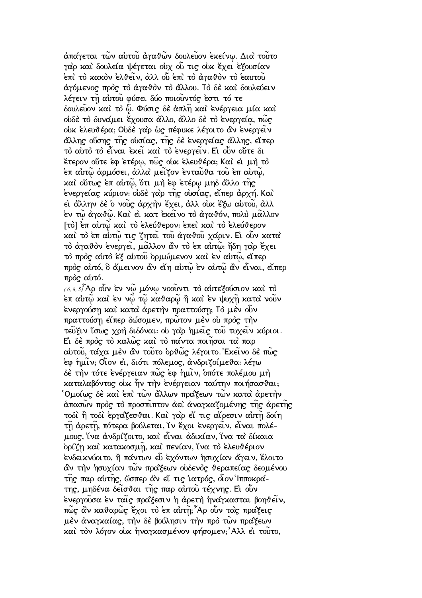άπάγεται των αύτου άγαθων δουλευον εκείνω. Δια τουτο γαρ και δουλεία ψέγεται ουχ ού τις ουκ έχει εξουσίαν έπι το κακον ελθείν, άλλ οὗ επι το άγαθον το εαυτοῦ άγόμενος πρὸς τὸ ἀγαθὸν τὸ ἄλλου. Τὸ δὲ καὶ δουλεύειν λέγειν τη αύτου φύσει δύο ποιουντός έστι τό τε δουλεύον και το ὧ. Φύσις δε άπλη και ενέργεια μία και ουδέ το δυναμει έχουσα άλλο, άλλο δε το ενεργεία, πως ούκ ελευθέρα; Ουδε γαρ ως πέφυκε λέγοιτο άν ενεργείν άλλης ούσης της ουσίας, της δε ενεργείας άλλης, είπερ τὸ αυτὸ τὸ εἶναι ἐκει και τὸ ἐνεργειν. Ει ούν ούτε δι έτερον ούτε έφ ετέρω, πως ούκ ελευθέρα; Και ει μη το επ αυτώ άρμόσει, άλλα μείζον ενταύθα του επ αυτώ, και ούτως επ αυτώ, ότι μη εφ ετέρω μηδ άλλο της ένεργείας κύριον: ουδε γαρ της ουσίας, είπερ άρχή. Και ει άλλην δε ο νους άρχην έχει, άλλ ουκ έξω αυτου, άλλ έν τῶ ἀγαθῶ. Καὶ ἐι κατ ἐκεῖνο τὸ ἀγαθόν, πολὺ μᾶλλον [το] επ αυτώ και το ελεύθερον: επει και το ελεύθερον και το επ αυτώ τις ζητεί του άγαθου χαριν. Ει ούν κατα τὸ ἀγαθὸν ἐνεργει, μαλλον ἀν τὸ ἐπ αυτώ: ἤδη γαρ ἔχει τὸ πρὸς αὐτὸ ἐξ αὐτου δρμώμενον καὶ ἐν αὐτῳ, εἶπερ πρὸς αυτό, ὃ άμεινον ἀν είη αυτώ εν αυτώ ἀν είναι, είπερ πρὸς αυτό.

(6, 8, 5) Αρ ούν εν νω μόνω νοούντι το αυτεξούσιον και το έπ αυτῷ και εν νῷ τῷ καθαρῷ ἢ και εν ψυχῆ κατα νοῦν ένεργούση και κατα άρετην πραττούση; Το μεν ούν πραττούση είπερ δώσομεν, πρώτον μέν ου πρός την τευξιν Ίσως χρη διδόναι: ου γαρ ημείς του τυχείν κύριοι. Ει δέ πρός το καλώς και το πάντα ποιήσαι τα παρ αύτου, ταχα μέν άν τουτο όρθως λέγοιτο. Εκείνο δέ πως έφ ημίν; Οίον ει, διότι πόλεμος, ανδριζοίμεθα: λέγω δε την τότε ενέργειαν πως έφ ημιν, οπότε πολέμου μη καταλαβόντος ούκ ήν την ενέργειαν ταύτην ποιήσασθαι; Όμοίως δὲ καὶ ἐπὶ τῶν ἄλλων πράξεων τῶν κατὰ ἀρετὴν άπασων πρός το προσπιπτον άει άναγκαζομένης της άρετης τοδι ή τοδι εργαζεσθαι. Και γαρ εί τις αίρεσιν αυτη δοίη τη άρετη, πότερα βούλεται, γν έχοι ενεργείν, είναι πολέμους, ίνα ανδρίζοιτο, και είναι αδικίαν, ίνα τα δίκαια δρίζη και κατακοσμή, και πενίαν, ίνα το ελευθέριον ένδεικνύοιτο, ή πάντων εὖ εγόντων ησυγίαν ἄγειν, έλοιτο άν την ησυχίαν των πράξεων ουδενός θεραπείας δεομένου της παρ αύτης, ώσπερ άν εί τις ιατρός, οιον Ιπποκράτης, μηδένα δείσθαι της παρ αύτου τέχνης. Ει ούν ένεργούσα έν ταις πραξεσιν ή άρετη ηναγκασται βοηθείν, πώς άν καθαρώς έχοι το έπ αυτη; Άρ ούν τας πράξεις μέν άναγκαίας, την δέ βούλησιν την πρό των πραξεων και τον λόγον ούκ ηναγκασμένον φήσομεν; Αλλ ει τούτο,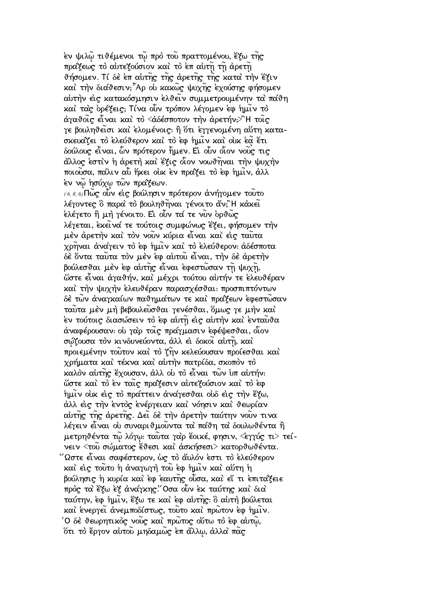εν ψιλώ τιθέμενοι τω πρό του πραττομένου, έξω της πραξεως το αυτεξούσιον και το επ αυτη τη άρετη θήσομεν. Τί δε έπ αυτής της άρετης της κατα την έξιν και την διάθεσιν; Αρ ου κακώς ψυχης εχούσης φήσομεν αύτην εις κατακόσμησιν ελθείν συμμετρουμένην τα πάθη και τας ορέξεις; Τίνα ούν τρόπον λέγομεν έφ ημίν το άγαθοις είναι και το <άδέσποτον την άρετήν;>"Η τοις γε βουληθείσι και ελομένοις: ή ότι εγγενομένη αύτη κατασκευάζει το ελεύθερον και το εφ ημίν και ουκ εα έτι δούλους είναι, ὧν πρότερον ήμεν. Ει οὖν οἷον νους τις άλλος εστιν η άρετη και έξις οίον νοωθηναι την ψυχην ποιούσα, παλιν αύ ήκει ούκ εν πραξει το έφ ημίν, άλλ έν νω ησύχω των πράξεων.

(6, 8, 6) Πώς ούν είς βούλησιν πρότερον ανήγομεν τουτο λέγοντες δ παρα το βουληθήναι γένοιτο άν; Η κάκει ελέγετο ή μη γένοιτο. Ει οὖν τα τε νῦν ὀρθῶς λέγεται, εκείνα τε τούτοις συμφώνως έξει, φήσομεν την μέν άρετην και τον νουν κύρια είναι και είς ταυτα γρηναι αναγειν το έφ ημίν και το ελεύθερον: αδέσποτα δε όντα ταυτα τον μεν εφ αυτου είναι, την δε άρετην βούλεσθαι μεν έφ αυτής είναι εφεστώσαν τη ψυχη, ώστε είναι άγαθήν, και μέχρι τούτου αυτήν τε ελευθέραν και την ψυχην ελευθέραν παρασχέσθαι: προσπιπτόντων δέ των αναγκαίων παθηματων τε και πραξεων εφεστωσαν ταύτα μέν μή βεβουλεύσθαι γενέσθαι, δμως γε μήν και έν τούτοις διασώσειν το έφ αύτη είς αύτην και ενταυθα άναφέρουσαν: ου γαρ τοις πράγμασιν εφέψεσθαι, οιον σώζουσα τον κινδυνεύοντα, άλλ ει δοκοι αυτη, και προιεμένην τουτον και το ζην κελεύουσαν προίεσθαι και χρήματα και τέκνα και αυτήν πατρίδα, σκοπον το καλόν αύτης έχουσαν, άλλ ου το είναι των υπ αυτήν: ώστε και το έν ταις πραξεσιν αυτεξούσιον και το έφ ημίν ούκ είς το πραττειν αναγεσθαι ουδ είς την έξω, άλλ εις την εντός ενέργειαν και νόησιν και θεωρίαν αύτης της άρετης. Δεί δέ την άρετην ταύτην νούν τινα λέγειν είναι ου συναριθμούντα τα πάθη τα δουλωθέντα ή μετρηθέντα τῷ λόγω: ταῦτα γαρ ἔοικέ, φησιν, <εγγύς τι> τείνειν <του σώματος έθεσι και άσκήσεσι> κατορθωθέντα. <u>ΎΩστε εἶναι σαφέστερον, ὡς τὸ ἄυλόν ἐστι τὸ ἐλεύθερον</u> και είς τουτο η άναγωγη του έφ ημίν και αύτη η βούλησις η κυρία και έφ εαυτής ούσα, και εί τι επιτάξειε πρὸς τα έξω εξ αναγκης. Όσα ούν εκ ταύτης και δια ταύτην, έφ ημίν, έζω τε και έφ αυτής: δ αυτή βούλεται και ενεργει άνεμποδίστως, τουτο και πρώτον έφ ημίν. Ο δε θεωρητικός νους και πρώτος ούτω το έφ αυτώ, ότι τὸ ἔργον αὐτοῦ μηδαμὦς ἐπ άλλω, ἀλλα πας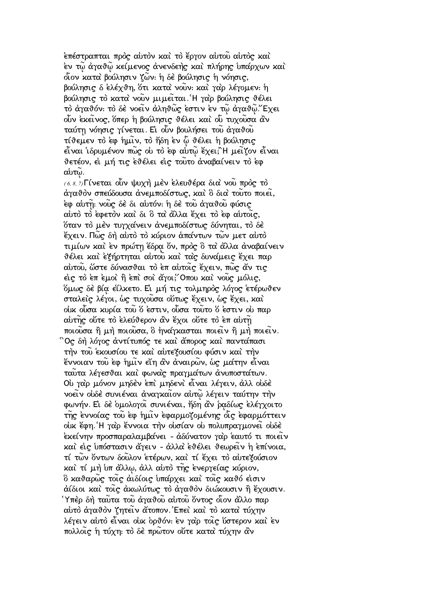επέστραπται πρὸς αὐτὸν καὶ τὸ ἔργον αὐτου αὐτὸς καὶ έν τώ άγαθώ κείμενος άνενδεής και πλήρης υπάρχων και δίον κατα βούλησιν ζών: η δε βούλησις η νόησις, βούλησις δ ελέχθη, ότι κατα νουν: και γαρ λέγομεν: η βούλησις τὸ κατα νουν μιμεϊται. Η γαρ βούλησις θέλει τὸ ἀγαθόν: τὸ δε νοείν ἀληθως 'εστιν 'εν τω ἀγαθω." Εχει ούν εκείνος, όπερ η βούλησις θέλει και ού τυχούσα άν ταύτη νόησις γίνεται. Ει ούν βουλήσει του άγαθου τίθεμεν τὸ 'εφ ἡμἶν, τὸ ἤδη 'εν ὧ θέλει ἡ βούλησις εἶναι ιδρυμένον πως ου το εφ αυτω έχει, Η μεϊζον εἶναι θετέον, ει μή τις εθέλει εις τουτο αναβαίνειν το έφ αυτώ.

 $(6, 8, 7)$  Γίνεται οὖν ψυχή μέν ελευθέρα δια νοῦ πρὸς τὸ άγαθον σπεύδουσα άνεμποδίστως, και δ δια τουτο ποιεί, έφ αυτη: νους δε δι αυτόν: η δε του άγαθου φύσις αύτο το έφετον και δι δ τα άλλα έχει το έφ αυτοίς, δταν τὸ μèν τυγχανειν ἀνεμποδίστως δύνηται, τὸ δè έχειν. Πως δη αύτο το κύριον άπαντων των μετ αύτο τιμίων και έν πρώτη έδρα όν, προς δ τα άλλα αναβαίνειν θέλει και εξήρτηται αυτου και τας δυναμεις έχει παρ αύτου, ώστε δύνασθαι το έπ αύτοις έχειν, πως άν τις είς το επέμοι ή επι σοι άγοι, Όπου και νους μόλις, δμως δε βία είλκετο. Ει μή τις τολμηρὸς λόγος ετέρωθεν σταλείς λέγοι, ως τυχούσα ούτως έχειν, ως έχει, καί ούκ ούσα κυρία του δ'εστιν, ούσα τουτο δ'εστιν ου παρ αύτης ούτε το ελεύθερον άν έχοι ούτε το επ αύτη ποιούσα ή μή ποιούσα, δ ήναγκασται ποιείν ή μή ποιείν. <u>Ός δη λόγος άντίτυπός τε και άπορος και παντάπασι</u> την του εκουσίου τε και αυτεξουσίου φύσιν και την έννοιαν του έφ ημιν είη άν άναιρων, ως μάτην είναι ταυτα λέγεσθαι και φωνας πραγμάτων ανυποστάτων. Ου γαρ μόνον μηδεν επι μηδενι είναι λέγειν, άλλ ουδε νοείν ουδέ συνιέναι άναγκαίον αυτώ λέγειν ταύτην την φωνήν. Ει δε δμολογοι συνιέναι, ήδη άν ραδίως ελέγχοιτο της εννοίας του έφ ημιν εφαρμοζομένης δις εφαρμόττειν ούκ έφη. Η γαρ έννοια την ούσίαν ου πολυπραγμονει ούδε εκείνην προσπαραλαμβάνει - άδύνατον γαρ εαυτό τι ποιείν και εις υπόστασιν άγειν - άλλα εθέλει θεωρεϊν η επίνοια, τί των όντων δουλον ετέρων, και τί έχει το αυτεξούσιον και τί μη υπ άλλω, άλλ αυτό της ενεργείας κύριον, δ καθαρώς τοις αιδίοις υπάρχει και τοις καθό εισιν άίδιοι και τοις άκωλύτως το άγαθον διώκουσιν ή έχουσιν. Υπέρ δη ταυτα του άγαθου αυτου όντος οίον άλλο παρ αύτὸ ἀγαθὸν ζητείν ἄτοπον. Επεί και τὸ κατα τύχην λέγειν αυτό είναι ουκ ορθόν: εν γαρ τοις ύστερον και εν πολλοίς η τύχη: το δέ πρώτον ούτε κατα τύχην άν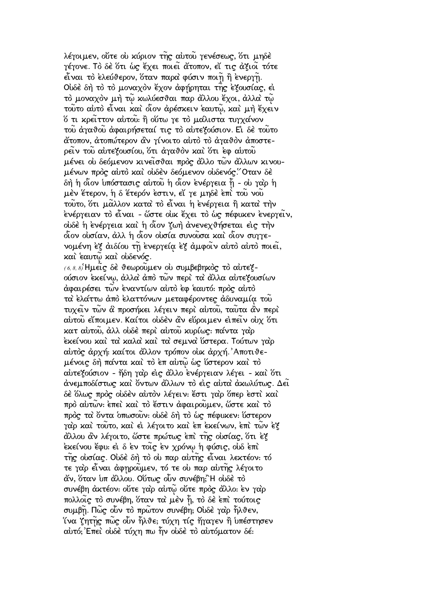λέγοιμεν, ούτε ου κύριον της αυτου γενέσεως, ότι μηδέ γέγονε. Τὸ δὲ ὅτι ὡς ἔχει ποιει ἄτοπον, εί τις ἀξιοι τότε είναι το ελεύθερον, όταν παρα φύσιν ποιη ή ενεργη. Ουδε δη το το μοναχον έχον αφήρηται της εξουσίας, ει τὸ μοναχὸν μὴ τῷ κωλύεσθαι παρ ἄλλου ἔχοι, ἀλλα τῷ τούτο αυτό είναι και οίον αρέσκειν εαυτώ, και μη έχειν δ τι κρείττον αύτου: ἢ ούτω γε τὸ μαλιστα τυγχανον του άγαθου άφαιρήσεταί τις το αύτεξούσιον. Ει δε τουτο άτοπον, άτοπώτερον άν γίνοιτο αυτό το άγαθον άποστερείν του αυτεξουσίου, ότι άγαθον και ότι έφ αυτου μένει ου δεόμενον κινεισθαι προς άλλο των άλλων κινουμένων πρὸς αυτό και ουδεν δεόμενον ουδενός. Όταν δε δη η δίον υπόστασις αυτου η δίον ενέργεια ή - ου γαρ η μέν έτερον, η δ έτερόν έστιν, εί γε μηδέ έπι του νου τούτο, ότι μάλλον κατα το είναι η ενέργεια ή κατα την ένέργειαν τὸ ἐἶναι - ὥστε οὐκ ἔχει τὸ ὡς πέφυκεν ἐνεργεἶν, ούδε η ενέργεια και η οίον ζωη άνενεχθήσεται είς την οίον ουσίαν, άλλ ή οίον ουσία συνούσα και οίον συγγενομένη έξ αιδίου τη ενεργεία εξ αμφοίν αυτό αυτό ποιεί, και εαυτώ και ουδενός.

(6, 8, 8) Ημείς δε θεωρούμεν ου συμβεβηκός το αυτεξούσιον εκείνω, άλλα άπό των περι τα άλλα αυτεξουσίων άφαιρέσει των εναντίων αυτὸ ἐφ ἑαυτό: πρὸς αυτὸ τα ελαττω από ελαττόνων μεταφέροντες αδυναμία του τυχείν των α προσήκει λέγειν περι αυτου, ταυτα άν περι αύτου είποιμεν. Καίτοι ουδεν άν εύροιμεν ειπείν ουχ ότι κατ αυτου. άλλ ουδέ περι αυτου κυρίως: πάντα γαρ έκείνου και τα καλα και τα σεμνα ύστερα. Τούτων γαρ αύτος άρχή: καίτοι άλλον τρόπον ουκ άρχή. Αποτιθεμένοις δη παντα και το επ αυτώ ως ύστερον και το αύτεξούσιον - ήδη γαρ εις άλλο ενέργειαν λέγει - και ότι άνεμποδίστως και όντων άλλων το είς αυτα άκωλύτως. Δει δέ όλως πρός ουδέν αυτόν λέγειν: έστι γαρ όπερ έστι και πρὸ αυτών: επεί και τὸ έστιν ἀφαιρουμεν, ὥστε και τὸ πρός τα όντα οπωσούν: ουδέ δη το ώς πέφυκεν: ύστερον γαρ και τουτο, και ει λέγοιτο και επ εκείνων, επι των εξ άλλου άν λέγοιτο, ώστε πρώτως 'επι' της ουσίας, ότι 'εξ έκείνου έφυ: εί δ εν τοις εν χρόνω ή φύσις, ουδ επι της ουσίας. Ουδέ δη το ου παρ αυτης είναι λεκτέον: τό τε γαρ είναι άφηρουμεν, τό τε ου παρ αυτης λέγοιτο άν, όταν υπ άλλου. Ούτως ούν συνέβη; Η ουδέ το συνέβη άκτέον: ούτε γαρ αυτώ ούτε προς άλλο: έν γαρ πολλοις τὸ συνέβη, ὅταν τα μèν ἦ, τὸ δè ἐπι τούτοις συμβη. Πώς οὖν τὸ πρῶτον συνέβη; Οὐδε γαρ ἦλθεν, **Ύνα ζητης πῶς οἶν ἦλθε, τύχη τίς ἤγαγεν ἢ ὑπέστησεν** αύτό; Επει ούδε τύχη πω ήν ούδε το αυτόματον δέ: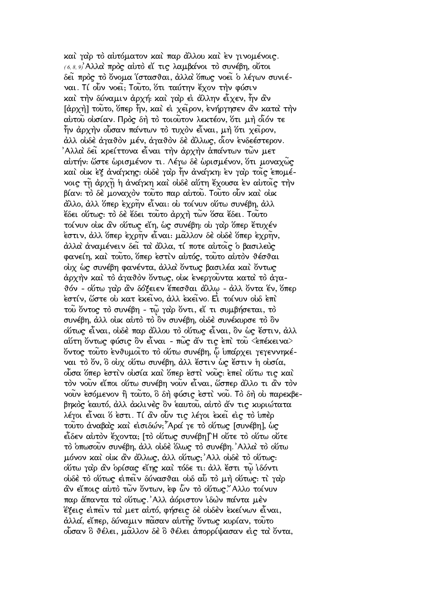καὶ γαρ τὸ αὐτόματον καὶ παρ ἄλλου καὶ 'εν γινομένοις.  $(6, 8, 9)$  Αλλα πρός αύτο εί τις λαμβάνοι το συνέβη, ούτοι δει πρός το όνομα ίστασθαι, άλλα όπως νοει ο λέγων συνιέναι. Τί ούν νοεί; Τούτο, ότι ταύτην έχον την φύσιν και την δύναμιν άρχή: και γαρ ει άλλην είχεν, ην άν [άρχη] τουτο, όπερ ἦν, και ει χείρον, ενήργησεν άν κατα την αύτου ουσίαν. Πρός δη το τοιούτον λεκτέον, ότι μη οιόν τε  $\tilde{\eta}$ ν άρχην οὖσαν πάντων τὸ τυχὸν εἶναι, μη ὅτι χεἶρον, άλλ ουδέ άγαθον μέν, άγαθον δε άλλως, οίον ενδεέστερον. 'Αλλα` δεῖ κρείττονα εἶναι τὴν ἀρχὴν ἁπάντων τῶν μετ αυτήν: ώστε ωρισμένον τι. Λέγω δε ωρισμένον, ότι μοναχως και ούκ εξ αναγκης: ούδε γαρ ήν αναγκη: εν γαρ τοις επομένοις τη άρχη η άναγκη και ουδέ αύτη έχουσα εν αυτοίς την βίαν: τὸ δὲ μοναχὸν τουτο παρ αυτου. Τουτο ούν και ουκ άλλο, άλλ όπερ εχρην είναι: ου τοίνυν ούτω συνέβη, άλλ έδει ούτως: τὸ δε έδει τουτο άρχη των όσα έδει. Τουτο τοίνυν ουκ άν ούτως είη, ως συνέβη: ου γαρ όπερ έτυχέν εστιν, άλλ όπερ εχρην είναι: μαλλον δε ουδε όπερ εχρην, άλλα άναμένειν δει τα άλλα, τί ποτε αυτοις δ βασιλευς φανείη, και τουτο, όπερ έστιν αυτός, τουτο αυτον θέσθαι ούχ ως συνέβη φανέντα, άλλα όντως βασιλέα και όντως άρχην και το άγαθον όντως, ούκ ενεργούντα κατα το άγαθόν - ούτω γαρ άν δόξειεν έπεσθαι άλλω - άλλ όντα έν, όπερ έστίν, ὥστε ου κατ έκεινο, άλλ έκεινο. Ει τοίνυν ουδ έπι του όντος το συνέβη - τω γαρ όντι, εί τι συμβήσεται, το συνέβη, άλλ ούκ αύτο το όν συνέβη, ούδε συνέκυρσε το όν ούτως είναι, ουδέ παρ άλλου το ούτως είναι, ον ως έστιν, άλλ αύτη όντως φύσις ον είναι - πως άν τις επι του <επέκεινα> όντος τουτο ενθυμοιτο το ούτω συνέβη, ω υπάρχει γεγεννηκέναι το όν, ο ούχ ούτω συνέβη, άλλ έστιν ως έστιν η ουσία, ούσα όπερ εστιν ουσία και όπερ εστι νους: επει ούτω τις και τον νούν είποι ούτω συνέβη νουν είναι, ώσπερ άλλο τι άν τον νουν εσόμενον ή τουτο, δ δη φύσις εστι νου. Το δη ου παρεκβεβηκός εαυτό, άλλ άκλινες όν εαυτού, αυτό άν τις κυριώτατα λέγοι είναι δ'εστι. Τί άν ούν τις λέγοι εκει είς το υπέρ τούτο άναβας και εισιδών; Άρα γε το ούτως [συνέβη], ως εἶδεν αὐτὸν ἔχοντα; [τὸ οὕτως συνέβη] Η οὔτε τὸ οὕτω οὔτε τὸ δπωσούν συνέβη, ἀλλ οὐδε ὅλως τὸ συνέβη. Αλλα τὸ ούτω μόνον και ούκ άν άλλως, άλλ ούτως; Αλλ ουδέ το ούτως: οὕτω γαρ ἀν δρίσας εἴης καὶ τόδε τι: ἀλλ ἔστι τῳ ἰδόντι ούδε το ούτως ειπείν δύνασθαι ουδ αύ το μη ούτως: τι γαρ άν είποις αυτό των όντων, εφ ων το ούτως." Αλλο τοίνυν παρ άπαντα τα ούτως. Αλλ αόριστον ιδων παντα μέν έξεις ειπείν τα μετ αύτό, φήσεις δε ουδεν εκείνων είναι, άλλα, είπερ, δύναμιν πάσαν αυτής όντως κυρίαν, τουτο οὖσαν ὃ θέλει, μαλλον δὲ ὃ θέλει ἀπορρίψασαν ἐις τα ὄντα,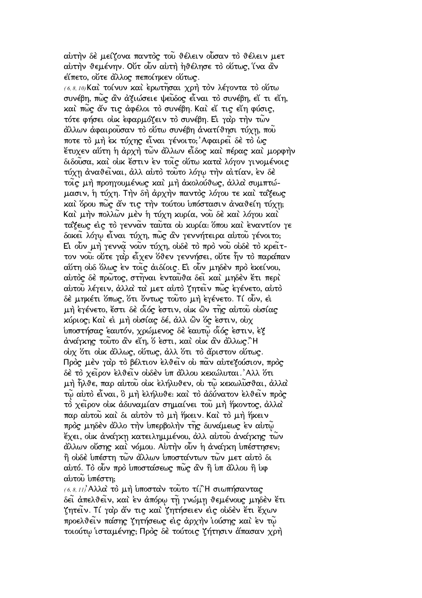αύτην δε μείζονα παντός του θέλειν ούσαν το θέλειν μετ αύτην θεμένην. Ούτ ούν αύτη ηθέλησε το ούτως, ίνα άν είπετο, ούτε άλλος πεποίηκεν ούτως.

(6, 8, 10) Και τοίνυν και ερωτήσαι χρή τον λέγοντα το ούτω συνέβη, πώς άν άξιώσειε ψεύδος είναι το συνέβη, εί τι είη, και πώς άν τις αφέλοι το συνέβη. Και εί τις είη φύσις, τότε φήσει ουκ εφαρμόζειν το συνέβη. Ει γαρ την των άλλων άφαιρουσαν το ούτω συνέβη ανατίθησι τύχη, που ποτε τὸ μὴ ἐκ τύχης ἐἶναι γένοιτο; Ἀφαιρεἶ δὲ τὸ ὡς έτυχεν αύτη η άρχη των άλλων είδος και πέρας και μορφην διδούσα, και ούκ έστιν έν τοις ούτω κατα λόγον γινομένοις τύχη άναθείναι, άλλ αυτό τουτο λόγω την αιτίαν, εν δέ τοις μή προηγουμένως και μή άκολούθως, άλλα συμπτώμασιν, η τύχη. Την δη άρχην παντός λόγου τε και τάξεως και όρου πώς άν τις την τούτου υπόστασιν άναθείη τύχη; Καὶ μην πολλὦν μέν η τύχη κυρία, νοῦ δὲ καὶ λόγου καὶ ταξεως εις το γενναν ταυτα ου κυρία: όπου και εναντίον γε δοκει λόγω είναι τύχη, πως άν γεννήτειρα αυτου γένοιτο; Ει οὖν μη γεννα νοῦν τύχη, οὐδε τὸ πρὸ νοῦ οὐδε τὸ κρεἶττον νου: ούτε γαρ είχεν όθεν γεννήσει, ούτε ήν το παραπαν αύτη ουδ όλως έν τοις αιδίοις. Ει ούν μηδεν προ εκείνου, αύτος δέ πρώτος, στηναι ενταύθα δεί και μηδέν έτι περι αύτου λέγειν, άλλα τα μετ αύτο ζητείν πως εγένετο, αύτο δε μηκέτι δπως, ότι όντως τουτο μη εγένετο. Τί ούν, εί μή έγένετο, έστι δε οίος έστιν, ούκ ών της αυτού ουσίας κύριος; Και εί μη ουσίας δέ, άλλ ών ός εστιν, ούχ υποστήσας εαυτόν, χρώμενος δε εαυτώ οιός εστιν, εξ άναγκης τουτο άν είη, δ εστι, και ουκ άν άλλως. Η ούχ ότι ούκ άλλως, ούτως, άλλ ότι το άριστον ούτως. Πρός μέν γαρ το βέλτιον ελθείν ου παν αυτεξούσιον, πρός δε το χείρον ελθείν ουδεν υπ άλλου κεκώλυται. Αλλ ότι μή ήλθε, παρ αύτου ούκ ελήλυθεν, ου τω κεκωλύσθαι, άλλα τώ αυτό είναι, δ μή ελήλυθε: και το αδύνατον ελθείν πρός τὸ χείρον ουκ ἀδυναμίαν σημαίνει του μή ἥκοντος, ἀλλα παρ αύτου και δι αύτον το μη ήκειν. Και το μη ήκειν πρὸς μηδεν άλλο την υπερβολην της δυναμεως εν αυτώ έχει, ούκ άναγκη κατειλημμένου, άλλ αυτου άναγκης των άλλων ούσης και νόμου. Αυτήν ούν η αναγκη υπέστησεν; ή ουδέ υπέστη των άλλων υποστάντων των μετ αυτό δι αύτό. Τὸ οὖν πρὸ ὑποστασεως πως ἀν ἢ ὑπ άλλου ἢ ὑφ αυτου υπέστη;

 $(6, 8, 11)$  Αλλα το μη υποσταν τούτο τί; Η σιωπήσαντας δει απελθείν, και εν απόρω τη γνώμη θεμένους μηδεν έτι ζητείν. Τί γαρ άν τις και ζητήσειεν εις ουδεν έτι έχων προελθείν πάσης ζητήσεως είς άρχην ιούσης και εν τω τοιούτω ισταμένης; Πρός δε τούτοις ζήτησιν άπασαν χρή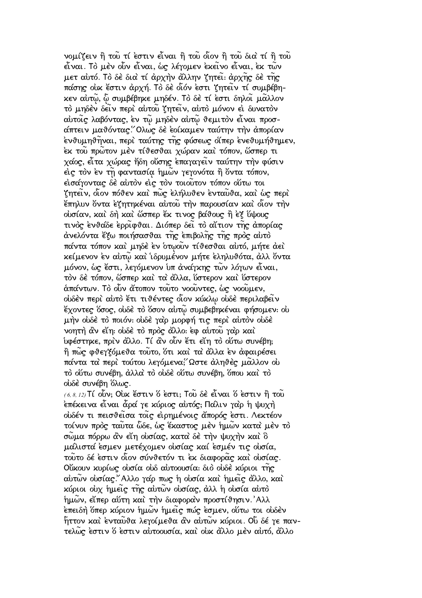νομίζειν ή του τί έστιν είναι ή του οίον ή του δια τί ή του είναι. Το μεν ούν είναι, ως λέγομεν εκείνο είναι, εκ των μετ αυτό. Τὸ δὲ δια τί ἀρχὴν ἄλλην ζητει: ἀρχῆς δὲ τῆς πάσης ουκ έστιν άρχή. Τὸ δὲ οἶόν ἐστι ζητειν τί συμβέβηκεν αύτω, ω συμβέβηκε μηδέν. Το δε τί εστι δηλοί μαλλον τὸ μηδέν δείν περί αύτου ζητείν, αύτὸ μόνον εί δυνατὸν αύτοις λαβόντας, έν τω μηδέν αύτω θεμιτον είναι προσαπτειν μαθόντας. Όλως δε εοίκαμεν ταύτην την απορίαν ένθυμηθηναι, περί ταύτης της φύσεως οίπερ ενεθυμήθημεν, έκ του πρώτον μέν τίθεσθαι χώραν και τόπον, ώσπερ τι χάος, είτα χώρας ήδη ούσης επαγαγείν ταύτην την φύσιν εις τον εν τη φαντασία ημών γεγονότα ή όντα τόπον, εισάγοντας δε αυτον εις τον τοιούτον τόπον ούτω τοι ζητείν, δίον πόθεν και πώς ελήλυθεν ενταυθα, και ώς περι έπηλυν όντα εζητηκέναι αυτου την παρουσίαν και οίον την ουσίαν, και δη και ώσπερ έκ τινος βάθους ή έξ ύψους τινός ενθάδε ερρίφθαι. Διόπερ δεί το αίτιον της άπορίας άνελόντα έξω ποιήσασθαι της επιβολης της προς αυτο πάντα τόπον και μηδε εν οτωούν τίθεσθαι αυτό, μήτε άει κείμενον εν αυτώ και ιδρυμένον μήτε εληλυθότα, άλλ όντα μόνον, ως έστι, λεγόμενον υπ αναγκης των λόγων είναι, τον δε τόπον, ώσπερ και τα άλλα, ύστερον και ύστερον άπάντων. Τὸ ούν άτοπον τούτο νοούντες, ως νοούμεν, ουδέν περι αυτό έτι τιθέντες δίον κύκλω ουδέ περιλαβείν έχοντες όσος, ουδέ το όσον αυτώ συμβεβηκέναι φήσομεν: ου μήν ουδέ το ποιόν: ουδέ γαρ μορφή τις περι αυτον ουδέ νοητή άν είη: ούδε το προς άλλο: εφ αυτου γαρ και υφέστηκε, πριν άλλο. Τί άν ούν έτι είη το ούτω συνέβη; ή πῶς φθεγζόμεθα τοῦτο, ὅτι και τα ἄλλα εν ἀφαιρέσει πάντα τα περί τούτου λεγόμενα; Ωστε άληθές μαλλον ου τὸ ούτω συνέβη, ἀλλα τὸ ουδε ούτω συνέβη, ὅπου και τὸ ουδε συνέβη δλως.

 $(6, 8, 12)$  Τί ούν; Ούκ έστιν δ έστι; Του δε είναι δ έστιν ή του επέκεινα είναι ἆρά γε κύριος αυτός; Παλιν γαρ η ψυχη ούδέν τι πεισθείσα τοις ειρημένοις άπορός εστι. Λεκτέον τοίνυν πρός ταῦτα ὧδε, ώς Έκαστος μεν ημών κατα μεν το σώμα πόρρω άν είη ουσίας, κατα δε την ψυχην και δ μαλιστα εσμεν μετέχομεν ουσίας και εσμέν τις ουσία, τούτο δέ έστιν οίον σύνθετόν τι έκ διαφοράς και ουσίας. Ούκουν κυρίως ουσία ουδ αυτοουσία: διο ουδέ κύριοι της αύτων ουσίας. Αλλο γάρ πως η ουσία και ημείς άλλο, και κύριοι ουχ ημείς της αυτών ουσίας, άλλ η ουσία αυτό ημών, είπερ αύτη και την διαφοραν προστίθησιν. Αλλ έπειδη όπερ κύριον ημών ημείς πώς έσμεν, ούτω τοι ουδέν ἧττον καὶ ἐνταὖθα λεγοίμεθα ἀν αὐτὧν κύριοι. Οὗ δέ γε παντελώς 'εστιν δ' έστιν αύτοουσία, και ούκ άλλο μεν αυτό, άλλο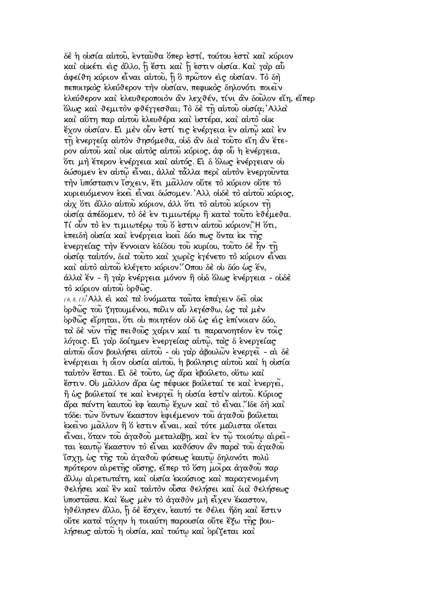δε η ουσία αυτου, ενταυθα όπερ εστί, τούτου εστι και κύριον και ουκέτι εις άλλο, η έστι και η εστιν ουσία. Και γαρ αύ άφείθη κύριον είναι αυτου, ή δ πρώτον εις ουσίαν. Το δη πεποιηκός ελεύθερον την ουσίαν, πεφυκός δηλονότι ποιείν έλεύθερον και ελευθεροποιον άν λεχθέν, τίνι άν δούλον είη, είπερ δλως και θεμιτον φθέγγεσθαι; Το δε τη αυτου ουσία; Αλλα και αύτη παρ αυτου ελευθέρα και υστέρα, και αυτό ουκ ἔχον οὐσίαν. Ει μèν οὖν ἐστί τις ἐνέργεια ἐν αὐτῶ καὶ ἐν τη ενεργεία αυτον θησόμεθα, ουδ άν δια τουτο είη αν έτερον αυτού και ουκ αυτός αυτού κύριος, άφ ου η ενέργεια, ότι μή έτερον ενέργεια και αυτός. Ει δ όλως ενέργειαν ου δώσομεν έν αυτώ είναι, άλλα τάλλα περι αυτον ενεργούντα την υπόστασιν ίσχειν, έτι μάλλον ούτε το κύριον ούτε το κυριευόμενον εκει είναι δώσομεν. Αλλ ουδέ το αυτου κύριος, ούχ ότι άλλο αύτου κύριον, άλλ ότι το αύτου κύριον τη ουσία απέδομεν, το δε έν τιμιωτέρω ή κατα τουτο εθέμεθα. Τί ούν τὸ 'εν τιμιωτέρω του ' εστιν αυτου κύριον; Η 'ότι, επειδή ουσία και ενέργεια εκει δύο πως όντα εκ της ένεργείας την έννοιαν εδίδου του κυρίου, τουτο δε ήν τη ούσία ταύτόν, δια τούτο και χωρις εγένετο το κύριον είναι και αυτό αυτου ελέγετο κύριον. Όπου δε ου δύο ως έν, άλλα έν - ή γαρ ενέργεια μόνον ή ουδ όλως ενέργεια - ουδέ τὸ κύριον αυτου ορθώς.

 $(6, 8, 13)$  Αλλ εί και τα σνόματα ταυτα επάγειν δει ούκ ορθώς του ζητουμένου, παλιν αὖ λεγέσθω, ώς τα μέν όρθως είρηται, ότι ου ποιητέον ουδ ως εις επίνοιαν δύο, τα δε νύν της πειθούς χαριν καί τι παρανοητέον έν τοις λόγοις. Ει γαρ δοίημεν ενεργείας αυτώ, τας δενεργείας αύτου οίον βουλήσει αύτου - ου γαρ άβουλων ενεργει - αι δέ ένέργειαι ή οἷον οὐσία αὐτοῦ, ἡ βούλησις αὐτοῦ καὶ ἡ οὐσία ταύτον έσται. Ει δε τουτο, ως άρα εβούλετο, ούτω και έστιν. Ου μαλλον άρα ως πέφυκε βούλεταί τε και ενεργει, ή ως βούλεταί τε και ενεργεί η ουσία εστιν αυτου. Κύριος άρα πάντη εαυτου έφ εαυτω έχων και το είναι. Ίδε δη και τόδε: των όντων έκαστον 'εφιέμενον του άγαθου βούλεται έκεινο μαλλον ή δ΄ έστιν είναι, και τότε μαλιστα σίεται εἶναι, ὅταν τοῦ ἀγαθοῦ μεταλαβη, και 'εν τῷ τοιούτῳ αίρεἶται εαυτώ έκαστον το είναι καθόσον άν παρα του άγαθου ζσχη, ως της του άγαθου φύσεως εαυτώ δηλονότι πολυ πρότερον αίρετης ούσης, είπερ το όση μοιρα άγαθου παρ άλλω αιρετωτατη, και ουσία εκούσιος και παραγενομένη θελήσει και εν και ταύτον ούσα θελήσει και δια θελήσεως υποστάσα. Και έως μέν το άγαθον μη είχεν έκαστον, ήθέλησεν άλλο, η δε έσχεν, εαυτό τε θέλει ήδη και έστιν ούτε κατα τύχην η τοιαύτη παρουσία ούτε έξω της βουλήσεως αύτου η ουσία, και τούτω και ορίζεται και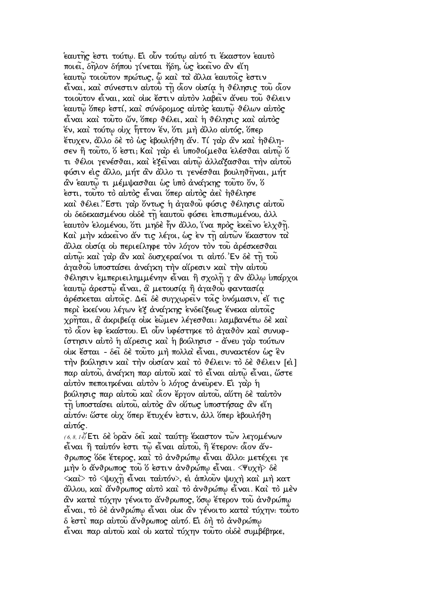εαυτης εστι τούτω. Ει ούν τούτω αυτό τι έκαστον εαυτό ποιεί, δηλον δήπου γίνεται ήδη, ως εκείνο άν είη εαυτώ τοιούτον πρώτως, ώ και τα άλλα εαυτοίς εστιν είναι, και σύνεστιν αυτου τη οίον ουσία η θέλησις του οίον τοιούτον είναι, και ούκ έστιν αυτον λαβείν άνευ του θέλειν εαυτώ όπερ εστί, και σύνδρομος αυτός εαυτώ θέλων αυτός είναι και τουτο ών, όπερ θέλει, και η θέλησις και αυτός έν, και τούτω ουχ ήττον έν, ότι μη άλλο αυτός, όπερ "έτυχεν, άλλο δὲ τὸ ὡς 'εβουλήθη ἀν. Τί γαρ ἀν καὶ ἠθέλησεν ή τουτο, δ' εστι; Και γαρ ει υποθοίμεθα ελέσθαι αυτώ δ τι θέλοι γενέσθαι, και εξείναι αυτώ άλλαξασθαι την αυτού φύσιν εις άλλο, μήτ άν άλλο τι γενέσθαι βουληθηναι, μήτ άν εαυτώ τι μέμψασθαι ώς υπό αναγκης τουτο όν, δ έστι, τουτο το αυτος είναι όπερ αυτος άει ηθέλησε και θέλει. Έστι γαρ όντως η άγαθου φύσις θέλησις αυτου ου δεδεκασμένου ουδε τη εαυτού φύσει επισπωμένου, άλλ εαυτον ελομένου, ότι μηδε ήν άλλο, ίνα προς εκείνο ελχθη. Και μην κάκεινο άν τις λέγοι, ως εν τη αυτών έκαστον τα άλλα ουσία ου περιείληφε τον λόγον τον του αρέσκεσθαι αύτω: και γαρ άν και δυσχεραίνοι τι αυτό. Έν δε τη του άγαθού υποστάσει άναγκη την αίρεσιν και την αυτού θέλησιν εμπεριειλημμένην εἶναι ἢ σχολῇ γ ἀν άλλω ὑπάρχοι εαυτώ άρεστώ είναι, δ μετουσία ή άγαθου φαντασία άρέσκεται αυτοίς. Δεί δε συγχωρείν τοις ονόμασιν, εί τις περι εκείνου λέγων εξ αναγκης ενδείξεως ένεκα αυτοίς χρηται, δ' άκριβεία ουκ 'εώμεν λέγεσθαι: λαμβανέτω δε και' τὸ οἶον 'εφ 'εκαστου. Ε'ι οἶν υφέστηκε τὸ ἀγαθὸν και συνυφίστησιν αύτο η αίρεσις και η βούλησισ - άνευ γαρ τούτων ούκ έσται - δει δε τούτο μή πολλα είναι, συνακτέον ώς εν την βούλησιν καὶ την οὐσίαν καὶ τὸ θέλειν: τὸ δὲ θέλειν [εἰ] παρ αυτου, άναγκη παρ αυτου και το είναι αυτω είναι, ώστε αύτον πεποιηκέναι αύτον ο λόγος άνευρεν. Ει γαρ η βούλησις παρ αύτου και οΐον έργον αύτου, αύτη δε ταυτον τη υποστάσει αυτου, αυτός άν ούτως υποστήσας άν είη αύτόν: ώστε ουχ όπερ έτυχέν εστιν, άλλ όπερ εβουλήθη αύτός.

(6, 8, 14) Ετι δε δράν δει και ταύτη: έκαστον των λεγομένων είναι ή ταυτόν έστι τῷ εἶναι αυτοῦ, ή έτερον: οἷον άνθρωπος δδε έτερος, και το άνθρώπω είναι άλλο: μετέχει γε μήν ο άνθρωπος του δ εστιν ανθρώπω είναι. < Ψυχή> δε <και> τὸ <ψυχῆ ἐἶναι ταὐτόν>, ἐι ἁπλοῦν ψυχὴ και μὴ κατ άλλου, και άνθρωπος αύτο και το ανθρώπω είναι. Και το μεν άν κατα τύχην γένοιτο άνθρωπος, όσω έτερον του άνθρώπω είναι, τὸ δὲ ἀνθρώπω είναι οὐκ ἀν γένοιτο κατα τύχην: τουτο δ έστι παρ αυτου άνθρωπος αυτό. Ει δη το ανθρώπω είναι παρ αύτου και ου κατα τύχην τουτο ουδε συμβέβηκε,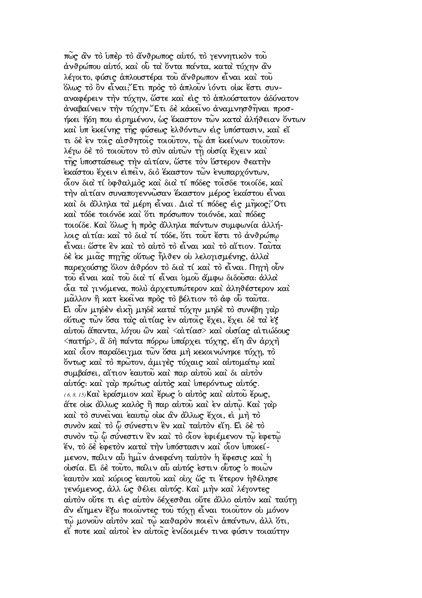πως άν τὸ υπερ τὸ ἄνθρωπος αυτό, τὸ γεννητικὸν του άνθρώπου αυτό, και ού τα όντα πάντα, κατα τύχην άν λέγοιτο, φύσις άπλουστέρα του άνθρωπον είναι και του δλως τὸ ὂν εἶναι; Ετι πρὸς τὸ ἁπλουν ι όντι ουκ ἔστι συναναφέρειν την τύχην, ώστε και είς το απλούστατον αδύνατον άναβαίνειν την τύχην. Έτι δε κάκεινο άναμνησθηναι προσήκει ήδη που ειρημένον, ώς έκαστον των κατα αλήθειαν όντων και υπ εκείνης της φύσεως ελθόντων εις υπόστασιν, και εί τι δε έν τοις αισθητοις τοιούτον, τω άπ εκείνων τοιούτον: λέγω δε το τοιούτον το σύν αύτών τη ουσία έχειν και της υποστάσεως την αιτίαν, ώστε τον ύστερον θεατην εκάστου έχειν ειπείν, διο έκαστον των ενυπαρχόντων, δίον δια τί οφθαλμός και δια τί πόδες τοισδε τοιοίδε, και την αιτίαν συναπογεννώσαν έκαστον μέρος εκάστου είναι και δι άλληλα τα μέρη είναι. Δια τί πόδες είς μηκος; Ότι και τόδε τοιόνδε και ότι πρόσωπον τοιόνδε, και πόδες τοιοίδε. Καὶ ὅλως ἡ πρὸς ἄλληλα πάντων συμφωνία ἀλλήλοις αιτία: και το δια τί τόδε, ότι τουτ έστι το ανθρώπω εἶναι: ὥστε ἓν καὶ τὸ αὐτὸ τὸ εἶναι καὶ τὸ αἴτιον. Ταῦτα δέ έκ μιας πηγής ούτως ήλθεν ου λελογισμένης, άλλα παρεχούσης όλον άθρόον τὸ δια τί και τὸ εἶναι. Πηγή οὖν του είναι και του δια τί είναι δμου άμφω διδουσα: άλλα δία τα γινόμενα, πολύ άρχετυπώτερον και άληθέστερον και μαλλον ή κατ εκείνα πρός το βέλτιον το άφ ού ταυτα. Ει ούν μηδέν εική μηδέ κατα τύχην μηδέ το συνέβη γαρ ούτως των όσα τας αιτίας εν αυτοις έχει, έχει δε τα έξ αύτου άπαντα, λόγου ών και <αιτίασ> και ουσίας αιτιώδους <πατήρ>, α δη παντα πόρρω υπαρχει τύχης, είη αν αρχη και δίον παράδειγμα των όσα μη κεκοινώνηκε τύχη, το όντως και το πρώτον, άμιγες τύχαις και αυτομάτω και συμβάσει, αίτιον εαυτού και παρ αυτού και δι αυτον αύτός: και γαρ πρώτως αύτος και υπερόντως αυτός.  $(6, 8, 15)$  Και 'ερασμιον και 'έρως ο αυτός και αυτου έρως, άτε ούκ άλλως καλός ή παρ αύτου και έν αύτω. Και γαρ και το συνείναι εαυτώ ούκ άν άλλως έχοι, εί μή το συνόν και το ώ σύνεστιν εν και ταύτον είη. Ει δε το συνον τῷ ῷ σύνεστιν εν και το οίον εφιέμενον τῷ εφετῷ έν, τὸ δε 'εφετον κατα' την υπόστασιν και οίον υποκείμενον, παλιν αὖ ημίν ανεφανη ταυτον η έφεσις και η ουσία. Ει δέ τουτο, πάλιν αὐ αὐτός 'εστιν ούτος ο ποιών εαυτον και κύριος εαυτου και ουχ ώς τι έτερον ηθέλησε γενόμενος, άλλ ώς θέλει αύτός. Και μην και λέγοντες αύτον ούτε τι εις αυτον δέχεσθαι ούτε άλλο αυτον και ταύτη άν είημεν έξω ποιούντες του τύχη είναι τοιούτον ου μόνον τώ μονούν αύτον και τώ καθαρον ποιείν απάντων, άλλ ότι, εί ποτε και αύτοι εν αύτοις ενίδοιμέν τινα φύσιν τοιαύτην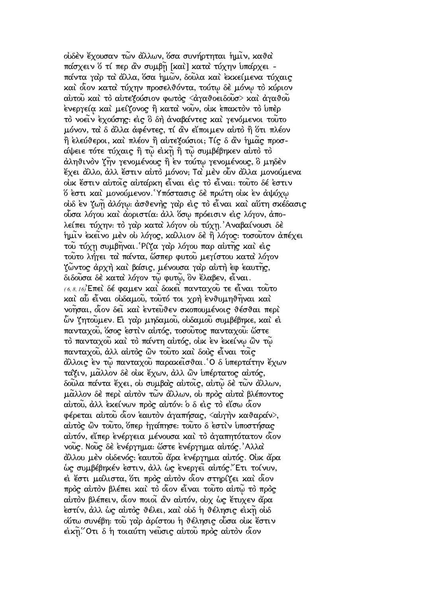ούδεν έχουσαν των άλλων, όσα συνήρτηται ημίν, καθα πάσχειν δ τί περ άν συμβη [και ] κατα τύχην υπάρχει πάντα γαρ τα άλλα, όσα ημών, δούλα και εκκείμενα τύχαις και δίον κατα τύχην προσελθόντα, τούτω δε μόνω το κύριον αύτου και το αυτεξούσιον φωτός <άγαθοειδουσ> και άγαθου ένεργεία και μεί (ονος ή κατα νουν, ουκ επακτον το υπέρ το νοείν εχούσης: είς δ δη άναβαντες και γενόμενοι τουτο μόνον, τα δ άλλα άφέντες, τί άν είποιμεν αυτό ή ότι πλέον ή ελεύθεροι, και πλέον ή αυτεξούσιοι; Τίς δ άν ημάς προσαψειε τότε τύχαις ή τω εικη ή τω συμβέβηκεν αυτό το άληθινον ζην γενομένους ή έν τούτω γενομένους, δ μηδεν έχει άλλο, άλλ έστιν αύτο μόνον; Τα μεν οὖν άλλα μονούμενα ούκ έστιν αυτοίς αυτάρκη είναι είς το είναι: τούτο δέ εστιν δ έστι και μονούμενον. Υπόστασις δε πρώτη ουκ εν άψύχω ούδ έν ζωη άλόγω: άσθενης γαρ είς το είναι και αύτη σκέδασις ούσα λόγου και άοριστία: άλλ όσω πρόεισιν εις λόγον, άπολείπει τύχην: το γαρ κατα λόγον ου τύχη. Αναβαίνουσι δε ημίν εκείνο μέν ου λόγος, καλλιον δε ή λόγος: τοσούτον απέχει του τύχη συμβηναι. Ρίζα γαρ λόγου παρ αυτής και είς τούτο λήγει τα πάντα, ώσπερ φυτού μεγίστου κατα λόγον ζώντος άρχη και βάσις, μένουσα γαρ αυτή έφ εαυτής, διδούσα δέ κατα λόγον τω φυτω, δν έλαβεν, είναι.  $(6, 8, 16)$  Επεί δέ φαμεν καί δοκεί πανταχού τε είναι τούτο και αύ είναι ουδαμού, τουτό τοι χρή ενθυμηθηναι και νοησαι, οίον δει και εντεύθεν σκοπουμένοις θέσθαι περι ὧν ζητούμεν. Ει γαρ μηδαμού, ουδαμού συμβέβηκε, και εί πανταχού, όσος έστιν αυτός, τοσούτος πανταχού: ώστε τὸ πανταχοῦ καὶ τὸ πάντη αὐτός, οὐκ ἐν ἐκείνω ὢν τῶ πανταχου, άλλ αύτος ών τουτο και δους είναι τοις άλλοις εν τω πανταχου παρακείσθαι. Ο δ υπερτάτην έχων τα ειν, μαλλον δε ούκ έχων, άλλ ών υπέρτατος αυτός, δουλα παντα έχει, ου συμβας αυτοίς, αυτώ δε των άλλων, μαλλον δε περί αυτόν των άλλων, ου πρός αυτα βλέποντος αύτου, άλλ εκείνων πρός αύτόν: ο δ είς το είσω οίον φέρεται αυτού οίον εαυτον αγαπήσας, <αυγήν καθαράν>, αύτος ών τούτο, όπερ ηγάπησε: τούτο δ έστιν υποστήσας αύτόν, είπερ ενέργεια μένουσα και το άγαπητότατον οίον νους. Νους δέ ενέργημα: ώστε ενέργημα αυτός. Αλλα άλλου μέν ουδενός: εαυτου άρα ενέργημα αυτός. Ουκ άρα ώς συμβέβηκέν 'εστιν, άλλ ώς 'ενεργει αυτός." Ετι τοίνυν, ει έστι μαλιστα, ότι προς αυτον οίον στηρίζει και οίον πρὸς αυτον βλέπει και το οίον είναι τουτο αυτώ το προς αύτον βλέπειν, οίον ποιοι άν αύτόν, ούχ ως έτυχεν άρα έστίν, άλλ ώς αύτος θέλει, και ούδ η θέλησις εικη ουδ ούτω συνέβη: του γαρ αρίστου η θέλησις ούσα ουκ έστιν εικη. Ότι δ η τοιαύτη νεύσις αυτού προς αυτον οίον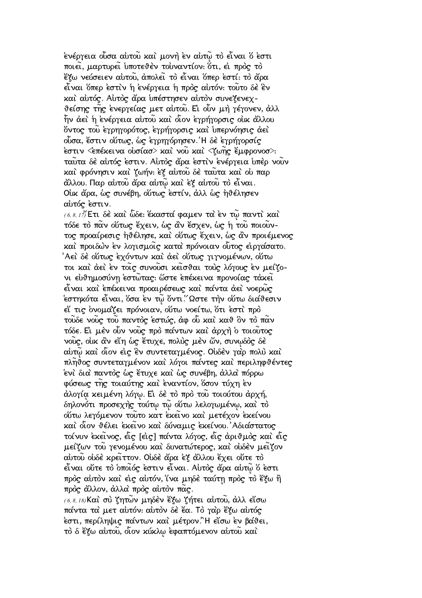ένέργεια ούσα αυτου και μονη εν αυτώ το είναι δ εστι ποιεί, μαρτυρεί υποτεθέν τουναντίον: ότι, εί προς το έζω νεύσειεν αυτου, άπολει το είναι όπερ εστί: το άρα είναι όπερ εστιν η ενέργεια ή προς αυτόν: τουτο δε εν και αυτός. Αυτός άρα υπέστησεν αυτόν συνεξενεχθείσης της ένεργείας μετ αύτου. Ει ούν μη γέγονεν, άλλ ήν άει η ενέργεια αυτου και οίον εγρήγορσις ουκ άλλου όντος του εγρηγορότος, εγρήγορσις και υπερνόησις άει ούσα, έστιν ούτως, ως εγρηγόρησεν. Η δε εγρήγορσίς 'εστιν < επέκεινα ουσίασ> και νου και < ζωής έμφρονοσ>: ταυτα δε αυτός εστιν. Αυτός άρα εστιν ενέργεια υπέρ νουν και φρόνησιν και ζωήν: εξ αύτου δε ταυτα και ου παρ άλλου. Παρ αυτού άρα αυτώ και εξ αυτού το είναι. Ούκ άρα, ως συνέβη, ούτως έστίν, άλλ ως ηθέλησεν αυτός 'εστιν.

(6, 8, 17) Ετι δέ και ὧδε: έκαστά φαμεν τα εν τω παντι και τόδε τὸ παν ούτως ἔχειν, ὡς ἀν ἔσχεν, ὡς ἡ του ποιουντος προαίρεσις ηθέλησε, και ούτως έχειν, ως άν προιέμενος και προιδων έν λογισμοίς κατα πρόνοιαν ούτος ειργάσατο. 'Αεὶ δὲ οὕτως 'εχόντων καὶ ἀεὶ οὕτως γιγνομένων, οὕτω τοι και άει έν τοις συνουσι κεισθαι τους λόγους έν μείζονι ευθημοσύνη εστώτας: ώστε επέκεινα προνοίας τάκει είναι και επέκεινα προαιρέσεως και πάντα άει νοερώς έστηκότα είναι, όσα εν τω όντι. Ώστε την ούτω διάθεσιν εί τις ονομαζει πρόνοιαν, ούτω νοείτω, ότι εστι πρό τουδε νους του παντός εστώς, άφ ου και καθ δν το παν τόδε. Ει μέν ούν νους πρό παντων και άρχη ο τοιούτος νους, ουκ άν είη ως έτυχε, πολύς μεν ών, συνωδός δε αύτω και οίον εις εν συντεταγμένος. Ουδεν γαρ πολύ και πληθος συντεταγμένον και λόγοι παντες και περιληφθέντες ένι δια παντός ως έτυχε και ως συνέβη, άλλα πόρρω φύσεως της τοιαύτης και εναντίον, όσον τύχη έν άλογία κειμένη λόγω. Ει δε το προ του τοιούτου άρχή, δηλονότι προσεχής τούτω τω ούτω λελογωμένω, και το ούτω λεγόμενον τουτο κατ εκείνο και μετέχον εκείνου και δίον θέλει εκείνο και δύναμις εκείνου. Αδιαστατος τοίνυν εκείνος, είς [είς] πάντα λόγος, είς άριθμος και είς μείζων του γενομένου και δυνατώτερος, και ουδεν μειζον αύτου ουδέ κρείττον. Ουδέ άρα εξ άλλου έχει ούτε το είναι ούτε τὸ ὁποιός ἐστιν είναι. Αυτὸς ἄρα αυτῳ ὅ ἐστι πρός αυτόν και είς αυτόν, ίνα μηδέ ταύτη πρός το έξω ή πρός άλλον, άλλα πρός αυτόν πάς.

 $(6, 8, 18)$ Και συ ζητών μηδεν έξω ζήτει αυτου, άλλ είσω πάντα τα μετ αυτόν: αυτόν δε έα. Το γαρ έζω αυτός ,<br>'εστι, περίληψις πάντων καὶ μέτρον.'`Η εἴσω 'εν βάθει, τὸ δ έξω αυτου, οίον κύκλω εφαπτόμενον αυτου και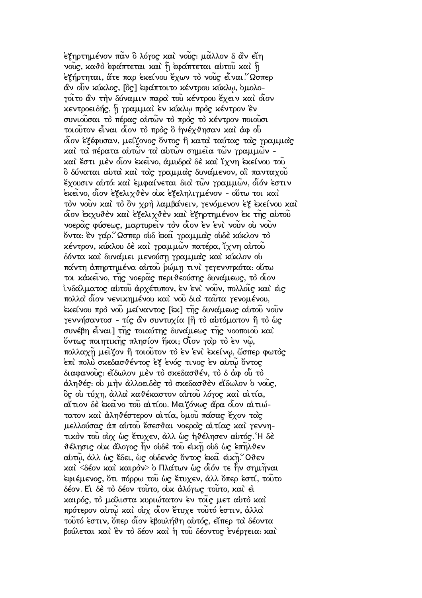εξηρτημένον παν δ λόγος και νους: μαλλον δ άν είη νους, καθό έφαπτεται και ή εφαπτεται αυτου και ή ετήρτηται, άτε παρ εκείνου έχων το νους είναι. Ωσπερ άν ούν κύκλος, [δς] εφάπτοιτο κέντρου κύκλω, δμολογοίτο άν την δύναμιν παρα του κέντρου έχειν και δίον κεντροειδής, η γραμμαί έν κύκλω πρός κέντρον έν συνιούσαι το πέρας αύτων το προς το κέντρον ποιούσι τοιούτον είναι οίον το προς ο ηνέχθησαν και άφ ού δίον εξέφυσαν, μείζονος όντος ή κατα ταύτας τας γραμμας και τα πέρατα αυτών τα αυτών σημεία των γραμμών και έστι μεν οίον εκείνο, άμυδρα δε και ίχνη εκείνου του δ δύναται αυτα και τας γραμμας δυναμενον, αι πανταχού έχουσιν αυτό: και εμφαίνεται δια των γραμμων, διόν εστιν έκεινο, δίον εξελιχθέν ουκ εξεληλιγμένον - ούτω τοι και τον νούν και το όν χρη λαμβάνειν, γενόμενον εξ εκείνου και οίον εκχυθεν και εξελιχθεν και εξηρτημένον εκ της αυτού νοεράς φύσεως, μαρτυρείν τον οίον εν ενι νούν ου νούν όντα: εν γάρ. Ωσπερ ουδ εκεί γραμμας ουδε κύκλον το κέντρον, κύκλου δέ και γραμμών πατέρα, ίχνη αυτου δόντα και δυναμει μενούση γραμμας και κύκλον ου πάντη άπηρτημένα αυτου ρώμη τινι γεγεννηκότα: ούτω τοι κάκεινο, της νοεράς περιθεούσης δυναμεως, το οίον ινδαλματος αυτου αρχέτυπον, εν ενι νουν, πολλοις και εις πολλα δίον νενικημένου και νου δια ταυτα γενομένου, εκείνου πρό νου μείναντος [εκ] της δυναμεως αυτου νουν γεννήσαντοσ - τίς άν συντυχία [ή το αυτόματον ή το ώς συνέβη είναι 7 της τοιαύτης δυνάμεως της νοοποιού και όντως ποιητικής πλησίον ήκοι; Οίον γαρ το έν νώ, πολλαχη μείζον ή τοιούτον το εν ενι εκείνω, ώσπερ φωτός έπι πολύ σκεδασθέντος έξ ενός τινος έν αυτώ όντος διαφανούς: είδωλον μέν το σκεδασθέν, το δ άφ ού το άληθές: ου μήν άλλοειδές το σκεδασθεν είδωλον ο νους, δς ου τύχη, άλλα καθέκαστον αυτού λόγος και αιτία, αίτιον δε εκείνο του αιτίου. Μειζόνως άρα οίον αιτιώτατον και άληθέστερον αιτία, όμου πάσας έχον τας μελλούσας άπ αυτου έσεσθαι νοερας αιτίας και γεννητικόν του ούχ ως έτυχεν, άλλ ως ηθέλησεν αυτός. Η δέ θέλησις ούκ άλογος ήν ουδε του εική ουδ ως επηλθεν αυτώ, άλλ ως έδει, ως ουδενός όντος εκει εικη. Οθεν και <δέον και καιρον> ο Πλατων ώς οιδν τε ήν σημηναι έφιέμενος, ότι πόρρω του ως έτυχεν, άλλ όπερ εστί, τουτο δέον. Ει δε το δέον τουτο, ούκ άλόγως τουτο, και ει καιρός, το μαλιστα κυριώτατον έν τοις μετ αυτό και πρότερον αυτώ και ουχ οίον έτυχε τουτό εστιν, άλλα τουτό 'εστιν, όπερ οίον 'εβουλήθη αυτός, είπερ τα δέοντα βούλεται και εν το δέον και η του δέοντος ενέργεια: και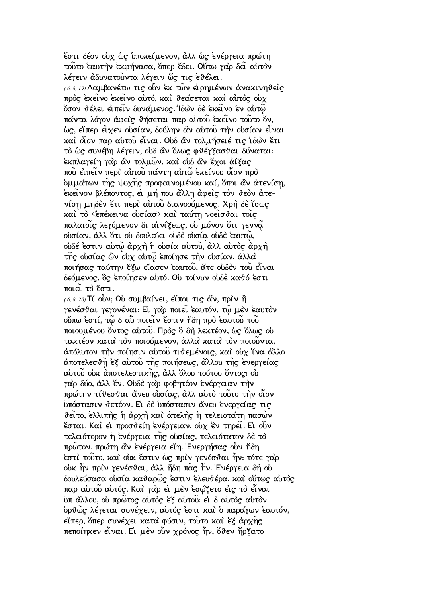ἔστι δέον οὐχ ὡς ὑποκείμενον, ἀλλ ὡς ἐνέργεια πρώτη τούτο εαυτην εκφήνασα, όπερ έδει. Ούτω γαρ δει αυτόν λέγειν άδυνατούντα λέγειν ώς τις εθέλει.

(6, 8, 19) Λαμβανέτω τις ούν εκ των ειρημένων ανακινηθείς πρός εκείνο εκείνο αύτό, και θεάσεται και αύτος ούχ δσον θέλει ειπείν δυναμενος. Ιδων δε εκείνο εν αυτώ πάντα λόγον άφεις θήσεται παρ αυτού έκεινο τουτο όν, ώς, είπερ είχεν ουσίαν, δούλην άν αυτου την ουσίαν είναι και οίον παρ αυτου είναι. Ουδ άν τολμήσειε τις ιδων έτι τὸ ως συνέβη λέγειν, ουδ ἀν ὅλως φθέγξασθαι δύναται: εκπλαγείη γαρ άν τολμών, και ουδ άν έχοι αίξας που ειπείν περι αυτου παντη αυτω εκείνου οίον προ όμματων της ψυχης προφαινομένου καί, όποι αν ατενίση, εκείνον βλέποντος, ει μή που άλλη άφεις τον θεον άτενίση μηδεν έτι περι αύτου διανοούμενος. Χρη δε ίσως και το ζεπέκεινα ουσίασ> και ταύτη νοεισθαι τοις παλαιοίς λεγόμενον δι αινίζεως, ου μόνον ότι γεννα ουσίαν, άλλ ότι ου δουλεύει ουδε ουσία ουδε εαυτώ, ούδέ έστιν αυτώ άρχη η ουσία αυτού, άλλ αυτός άρχη της ουσίας ών ουχ αυτώ εποίησε την ουσίαν, άλλα ποιήσας ταύτην έξω είασεν εαυτου, άτε ουδεν του είναι δεόμενος, δς εποίησεν αυτό. Ου τοίνυν ουδέ καθό έστι ποιεί τὸ ἔστι.

 $(6, 8, 20)$  Τί ούν; Ου συμβαίνει, είποι τις άν, πρινή γενέσθαι γεγονέναι; Ει γαρ ποιεί εαυτόν, τω μεν εαυτον ούπω εστί, τω δ αὖ ποιείν έστιν ήδη πρὸ εαυτοῦ τοῦ ποιουμένου όντος αύτου. Πρός δ δη λεκτέον, ως δλως ου τακτέον κατα τον ποιούμενον, άλλα κατα τον ποιούντα, άπόλυτον την ποίησιν αύτου τιθεμένοις, και ουχ ίνα άλλο άποτελεσθη εξ αύτου της ποιήσεως, άλλου της ενεργείας αύτου ούκ άποτελεστικής, άλλ όλου τούτου όντος: ου γαρ δύο, άλλ έν. Ουδέ γαρ φοβητέον ενέργειαν την πρώτην τίθεσθαι άνευ ουσίας, άλλ αυτό τουτο την οίον υπόστασιν θετέον. Ει δε υπόστασιν άνευ ενεργείας τις θείτο, ελλιπής η άρχη και άτελης η τελειοτάτη πασών έσται. Και εί προσθείη ενέργειαν, ουχ εν τηρει. Ει ούν τελειότερον η ενέργεια της ουσίας, τελειότατον δε το πρώτον, πρώτη άν ενέργεια είη. Ενεργήσας ούν ήδη έστι τοῦτο, και οὐκ ἔστιν ὡς πριν γενέσθαι ἦν: τότε γαρ ούκ ήν πριν γενέσθαι, άλλ ήδη πας ήν. Ενέργεια δη ου δουλεύσασα ουσία καθαρώς έστιν έλευθέρα, και ούτως αυτός παρ αυτου αυτός. Και γαρ ει μεν εσώζετο εις το είναι υπ άλλου, ου πρώτος αυτός έξ αυτου: ει δ αυτός αυτόν ορθώς λέγεται συνέχειν, αυτός εστι και ο παράγων εαυτόν, είπερ, όπερ συνέχει κατα φύσιν, τουτο και εξ άρχης πεποίηκεν είναι. Ει μεν ούν χρόνος ήν, όθεν ήρξατο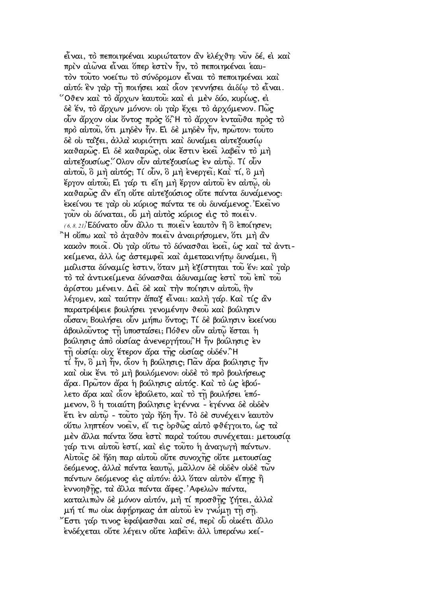εἶναι, τὸ πεποιηκέναι κυριώτατον ἀν ἐλέχθη: νῦν δέ, ἐι καὶ πριν αιώνα είναι όπερ εστιν ήν, το πεποιηκέναι εαυτον τούτο νοείτω το σύνδρομον είναι το πεποιηκέναι και αύτό: εν γαρ τη ποιήσει και δίον γεννήσει αιδίω το είναι. Όθεν και το άρχων εαυτου: και ει μεν δύο, κυρίως, ει δέ έν, το άρχων μόνον: ου γαρ έχει το άρχόμενον. Πώς οὖν άρχον οὐκ ὄντος πρὸς ὅ; Η τὸ άρχον 'ενταῦθα πρὸς τὸ πρὸ αυτου, ὅτι μηδεν ἦν. Ει δε μηδεν ἦν, πρώτον: τουτο δέ ου ταΐει, άλλα κυριότητι και δυναμει αυτεξουσίω καθαρώς. Ει δέ καθαρώς, ούκ έστιν εκει λαβείν το μή αύτεξουσίως. Όλον ούν αυτεξουσίως εν αυτώ. Τί ούν αύτου, δ μη αύτός; Τί ούν, δ μη ενεργει; Και τί, δ μη έργον αυτού; Ει γαρ τι είη μη έργον αυτού εν αυτώ, ου καθαρώς άν είη ούτε αυτεξούσιος ούτε πάντα δυνάμενος: έκείνου τε γαρ ου κύριος παντα τε ου δυναμενος. Εκείνο γούν ου δύναται, ού μη αυτός κύριος είς το ποιείν.  $(6, 8, 21)$  Εδύνατο ούν άλλο τι ποιείν εαυτον ή δ εποίησεν; "Η οὔπω καὶ τὸ ἀγαθὸν ποιεἶν ἀναιρήσομεν, ὅτι μὴ ἀν κακόν ποιοί. Ου γαρ ούτω το δύνασθαι εκεί, ως και τα άντικείμενα, άλλ ως άστεμφει και άμετακινήτω δυνάμει, η μαλιστα δύναμίς έστιν, όταν μή έξίστηται του έν: και γαρ το τα αντικείμενα δύνασθαι άδυναμίας έστι του επι του άρίστου μένειν. Δεί δε και την ποίησιν αυτου, ην λέγομεν, και ταύτην άπαξ είναι: καλή γάρ. Και τίς άν παρατρέψειε βουλήσει γενομένην θεού και βούλησιν ούσαν; Βουλήσει ούν μήπω όντος; Τί δε βούλησιν εκείνου άβουλούντος τη υποστάσει; Πόθεν ούν αυτώ έσται η βούλησις άπο ουσίας άνενεργήτου; Η ήν βούλησις έν τη ουσία: ουχ έτερον άρα της ουσίας ουδέν."Η τί ἦν, ὃ μὴ ἦν, οἷον ἡ βούλησις; Πᾶν ἄρα βούλησις ἦν και ούκ ένι το μη βουλόμενον: ούδε το προ βουλήσεως άρα. Πρώτον άρα η βούλησις αυτός. Και το ως εβούλετο άρα και οίον εβούλετο, και το τη βουλήσει επόμενον, δ η τοιαύτη βούλησις εγέννα - εγέννα δε ούδεν έτι έν αυτώ - τούτο γαρ ήδη ήν. Το δέ συνέχειν εαυτον ούτω ληπτέον νοείν, εί τις ορθώς αυτό φθέγγοιτο, ως τα μέν άλλα πάντα όσα έστι παρα τούτου συνέχεται: μετουσία γάρ τινι αύτου έστί, και είς τουτο η άναγωγη πάντων. Αύτοις δε ήδη παρ αύτου ούτε συνοχης ούτε μετουσίας δεόμενος, άλλα πάντα εαυτώ, μαλλον δε ουδεν ουδε των πάντων δεόμενος είς αυτόν: άλλ όταν αυτον είπης ή έννοηθης, τα άλλα πάντα άφες. Αφελων πάντα, καταλιπών δε μόνον αυτόν, μη τί προσθης ζήτει, άλλα μή τί πω ούκ άφήρηκας άπ αύτου εν γνώμη τη ση. "Εστι γάρ τινος 'εφάψασθαι και σέ, περι οὗ οὐκέτι άλλο ένδέχεται ούτε λέγειν ούτε λαβειν: άλλ υπερανω κεί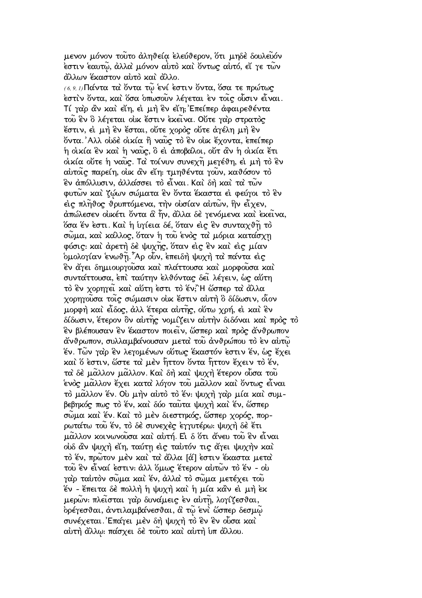μενον μόνον τουτο άληθεία ελεύθερον, ότι μηδε δουλευόν έστιν εαυτὧ, άλλα μόνον αυτό και ὄντως αυτό, εί γε τῶν άλλων έκαστον αυτό και άλλο.

(6, 9, 1) Πάντα τα όντα τω ενί εστιν όντα, όσα τε πρώτως έστιν ὄντα, και ὅσα ὁπωσοῦν λέγεται ἐν τοις οὖσιν εἶναι. Τί γαρ άν και είη, ει μη εν είη; Επείπερ αφαιρεθέντα του εν δ λέγεται ούκ έστιν εκείνα. Ούτε γαρ στρατός ἔστιν, εἰ μὴ ἓν ἔσται, οὔτε χορὸς οὔτε ἀγέλη μὴ ἓν όντα. Αλλ ουδέ οικία ή ναυς το εν ουκ έχοντα, επείπερ η οικία εν και η ναύς, δ ει αποβαλοι, ούτ αν η οικία έτι οικία ούτε η ναυς. Τα τοίνυν συνεχη μεγέθη, ει μη το εν αύτοις παρείη, ούκ άν είη: τμηθέντα γούν, καθόσον το εν άπόλλυσιν, άλλασσει το είναι. Και δη και τα των φυτών και ζώων σώματα εν όντα έκαστα ει φεύγοι το εν εις πληθος θρυπτόμενα, την ουσίαν αυτών, ην είχεν, άπώλεσεν ουκέτι όντα δ' ήν, άλλα δε γενόμενα και 'εκείνα, δσα έν 'εστι. Καὶ ἡ ὑγίεια δέ, ὅταν εἰς ἓν συνταχθη τὸ σώμα, και καλλος, όταν η του ενός τα μόρια κατάσχη φύσις: και άρετη δε ψυχης, όταν εις εν και εις μίαν δμολογίαν ενωθη. Αρ οὖν, επειδη ψυχη τα παντα εις εν άγει δημιουργούσα και πλαττουσα και μορφούσα και συντάττουσα, επι ταύτην ελθόντας δει λέγειν, ως αύτη τὸ ἓν χορηγεἶ καὶ αὕτη ἐστι τὸ ἕν; Η ὥσπερ τα ἀλλα γορηγούσα τοις σώμασιν ούκ έστιν αυτή δ δίδωσιν, οίον μορφή και είδος, άλλ έτερα αύτης, ούτω χρή, ει και εν δίδωσιν, έτερον όν αύτης νομίζειν αύτην διδόναι και πρός το εν βλέπουσαν εν έκαστον ποιείν, ώσπερ και προς άνθρωπον άνθρωπον, συλλαμβανουσαν μετα του ανθρώπου το έν αυτω έν. Τῶν γαρ ἓν λεγομένων οὕτως ἕκαστόν ἐστιν ἕν, ὡς ἔχει και σε έστιν, ώστε τα μεν ήττον όντα ήττον έχειν το έν, τα δε μαλλον μαλλον. Και δη και ψυχη έτερον ούσα του ένὸς μαλλον έχει κατα λόγον του μαλλον και όντως εἶναι τὸ μαλλον ἕν. Ου μὴν αυτὸ τὸ ἕν: ψυχὴ γαρ μία και συμβεβηκός πως τὸ ἕν, καὶ δύο ταῦτα ψυχή καὶ ἕν, ὥσπερ σώμα και έν. Και το μεν διεστηκός, ώσπερ χορός, πορρωτάτω του έν, το δε συνεχες εγγυτέρω: ψυχη δε έτι μαλλον κοινωνούσα και αυτή. Ει δ ότι άνευ του εν είναι ουδ άν ψυχή είη, ταύτη είς ταυτόν τις άγει ψυχήν και τὸ ἕν, πρῶτον μὲν καὶ τὰ ἄλλα [ἅ] ἐστιν ἕκαστα μετὰ του εν είναι εστιν: άλλ όμως έτερον αυτών το έν - ου γαρ ταύτον σώμα και έν, άλλα το σώμα μετέχει του έν - έπειτα δε πολλη η ψυχη και η μία κάν ει μη εκ μερων: πλεισται γαρ δυναμεις εν αυτη, λογίζεσθαι, όρέγεσθαι, άντιλαμβάνεσθαι, & τῷ ενι ὥσπερ δεσμῷ συνέχεται. Επάγει μεν δη ψυχη το εν εν ούσα και αύτη άλλω: πάσχει δε τουτο και αύτη υπ άλλου.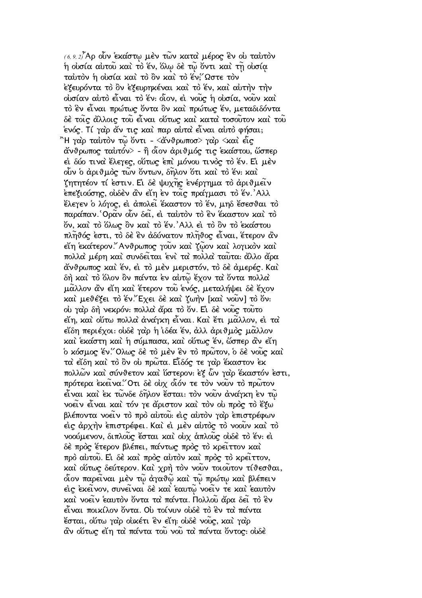$(6, 9, 2)$  Αρ ούν εκαστω μέν των κατα μέρος εν ου ταυτον η ουσία αυτου και το έν, όλω δε τω όντι και τη ουσία ταύτον η ουσία και το όν και το έν, Ωστε τον εξευρόντα τὸ ὂν ἐξευρηκέναι καὶ τὸ ἕν, καὶ αὐτὴν τὴν ουσίαν αυτό είναι το έν: οίον, ει νους η ουσία, νουν και τὸ ềν εἶναι πρώτως ὄντα ὂν και πρώτως ἕν, μεταδιδόντα δέ τοις άλλοις του είναι ούτως και κατα τοσούτον και του ένός. Τί γαρ άν τις και παρ αύτα είναι αυτό φήσαι; "Η γαρ ταυτον τω όντι - <άνθρωποσ> γαρ <και είς άνθρωπος ταυτόν> - ή οίον αριθμός τις εκαστου, ώσπερ ει δύο τινα έλεγες, ούτως επι μόνου τινός το έν. Ει μεν οὖν ο άριθμος των ὄντων, δηλον δτι και το έν: και ζητητέον τί έστιν. Ει δε ψυχης ενέργημα το άριθμείν έπεξιούσης, ουδέν άν είη έν τοις πράγμασι το έν. Αλλ έλεγεν ο λόγος, ει άπολει έκαστον το έν, μηδ έσεσθαι το παράπαν. Οράν ούν δει, ει ταύτον το εν έκαστον και το ὄν, καὶ τὸ ὅλως ὂν καὶ τὸ ἕν. Ἀλλ ἐι τὸ ὂν τὸ ἑκαστου πληθός έστι, το δε εν άδύνατον πληθος είναι, έτερον άν είη εκατερον. Ανθρωπος γούν και ζώον και λογικόν και πολλα μέρη και συνδείται ενι τα πολλα ταυτα: άλλο άρα άνθρωπος και έν, ει το μεν μεριστόν, το δε άμερές. Και δη και το όλον όν πάντα έν αυτώ έχον τα όντα πολλα μαλλον άν είη και έτερον του ενός, μεταλήψει δε έχον και μεθέξει το έν. Έχει δε και ζωην [και νουν] το όν: ού γαρ δη νεκρόν: πολλα άρα το όν. Ει δε νους τουτο είη, και ούτω πολλα αναγκη είναι. Και έτι μαλλον, ει τα είδη περιέχοι: ουδε γαρ η ιδέα έν, άλλ άριθμος μαλλον και εκάστη και η σύμπασα, και ούτως έν, ώσπερ άν είη δ κόσμος έν. Όλως δε το μεν εν το πρώτον, ο δε νους και τα είδη και το όν ου πρώτα. Ειδός τε γαρ έκαστον εκ πολλών και σύνθετον και ύστερον: εξ ὧν γαρ έκαστόν εστι, πρότερα εκείνα. Ότι δε ούχ οι όν τε τον νουν το πρώτον εἶναι και εκ τῶνδε δηλον ἔσται: τον νοῦν ἀναγκη εν τῷ νοείν είναι και τόν γε άριστον και τον ου προς το έξω βλέποντα νοείν τὸ πρὸ αὐτου: είς αὐτὸν γαρ επιστρέφων εις άρχην επιστρέφει. Και εί μεν αυτός το νοούν και το νοούμενον, διπλους έσται και ούχ άπλους ουδε το έν: ει δέ πρὸς έτερον βλέπει, πάντως πρὸς τὸ κρεῖττον και πρὸ αυτου. Ει δε και πρὸς αυτον και πρὸς το κρειττον, και ούτως δεύτερον. Και χρη τον νουν τοιούτον τίθεσθαι, οίον παρείναι μεν τω άγαθω και τω πρώτω και βλέπειν εις εκείνον, συνείναι δε και εαυτώ νοείν τε και εαυτον και νοειν εαυτον όντα τα πάντα. Πολλου άρα δει το εν είναι ποικίλον όντα. Ου τοίνυν ουδέ τὸ εν τα πάντα ἔσται, οὕτω γαρ οὐκέτι ἓν εἴη: οὐδὲ νοῦς, καὶ γαρ άν ούτως είη τα παντα του νου τα παντα όντος: ουδέ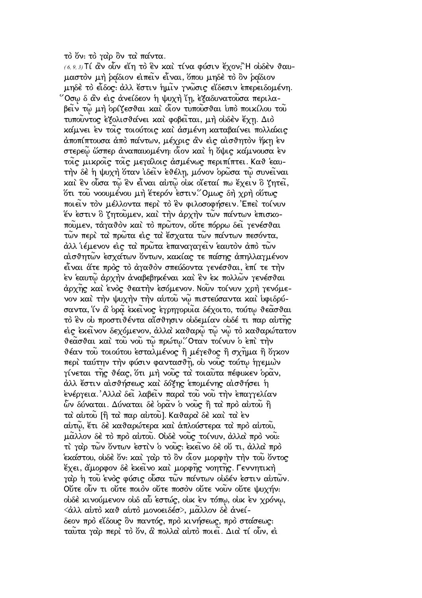τὸ ὄν: τὸ γαρ ὂν τα παντα.

 $(6, 9, 3)$  Τί άν οὖν είη το εν και τίνα φύσιν έχον; Η ουδεν θαυμαστον μη ραδιον ειπείν είναι, όπου μηδε το όν ραδιον μηδέ τὸ εἶδος: άλλ ἔστιν ἡμιν γνωσις εἴδεσιν επερειδομένη. "Οσω δ άν εις άνείδεον η ψυχη ίη, εξαδυνατούσα περιλαβείν τω μή δρίζεσθαι και δίον τυπουσθαι υπό ποικίλου του τυπούντος εξολισθανει και φοβείται, μή ουδεν έχη. Διο κάμνει έν τοις τοιούτοις και άσμένη καταβαίνει πολλάκις άποπίπτουσα άπό παντων, μέχρις άν εις αισθητον ήκη εν στερεώ ώσπερ άναπαυομένη: δίον και η όψις καμνουσα εν τοις μικροις τοις μεγαλοις ασμένως περιπίπτει. Καθ εαυτην δε η ψυχη δταν ιδείν εθέλη, μόνον δρώσα τω συνείναι και εν ούσα τω εν είναι αυτω ουκ οίεται πω έχειν δ ζητει. ότι του νοουμένου μη έτερόν εστιν. Όμως δη χρη ούτως ποιείν τον μέλλοντα περί το εν φιλοσοφήσειν. Επεί τοίνυν έν έστιν δ ζητούμεν, και την άρχην των πάντων επισκοπουμεν, τάγαθον και το πρώτον, ούτε πόρρω δει γενέσθαι των περι τα πρώτα είς τα έσχατα των πάντων πεσόντα, άλλ ιέμενον είς τα πρώτα επαναγαγείν εαυτον άπο των αισθητών έσχατων όντων, κακίας τε πάσης απηλλαγμένον είναι άτε πρός το άγαθον σπεύδοντα γενέσθαι, επί τε την έν εαυτώ άρχην άναβεβηκέναι και εν εκ πολλών γενέσθαι άρχης και ενός θεατήν εσόμενον. Νουν τοίνυν χρη γενόμενον και την ψυχην την αύτου νω πιστεύσαντα και υφιδρύσαντα, ίν α δρα εκείνος εγρηγορυια δέχοι το, τούτω θεάσθαι το εν ου προστιθέντα αίσθησιν ουδεμίαν ουδέ τι παρ αυτής εις εκείνον δεχόμενον, άλλα καθαρώ τω νώ το καθαρώτατον θεασθαι και του νου τω πρώτω. Όταν τοίνυν ο επι την θέαν του τοιούτου εσταλμένος ή μέγεθος ή σχημα ή όγκον περι ταύτην την φύσιν φαντασθη, ου νους τούτω ηγεμών γίνεται της θέας, ότι μή νους τα τοιαυτα πέφυκεν δράν, άλλ έστιν αισθήσεως και δόξης επομένης αισθήσει η ένέργεια. Αλλα δει λαβειν παρα του νου την επαγγελίαν ὧν δύναται. Δύναται δε δραν δ νους ή τα προ αυτου ή τα αύτου [ή τα παρ αύτου]. Καθαρα δε και τα έν αύτω, έτι δε καθαρώτερα και άπλούστερα τα πρό αύτου, μαλλον δέ τὸ πρὸ αὐτου. Ουδέ νους τοίνυν, άλλα πρὸ νου: τι γαρ τῶν ὄντων ἐστιν ὁ νοῦς: ἐκεἶνο δὲ οὔ τι, ἀλλα πρὸ έκαστου, ουδέ όν: και γαρ το όν οίον μορφην την του όντος έχει, άμορφον δε εκείνο και μορφής νοητής. Γεννητική γαρ η του ενός φύσις ούσα των παντων ουδέν εστιν αυτων. Ούτε ούν τι ούτε ποιον ούτε ποσον ούτε νουν ούτε ψυχήν: ουδέ κινούμενον ουδ αύ έστώς, ουκ εν τόπω, ουκ εν χρόνω, <άλλ αυτό καθ αυτό μονοειδέσ>, μαλλον δε άνείδεον πρὸ ἐίδους ὂν παντός, πρὸ κινήσεως, πρὸ στάσεως: ταύτα γαρ περί το όν, α πολλα αύτο ποιεί. Δια τί ούν, εί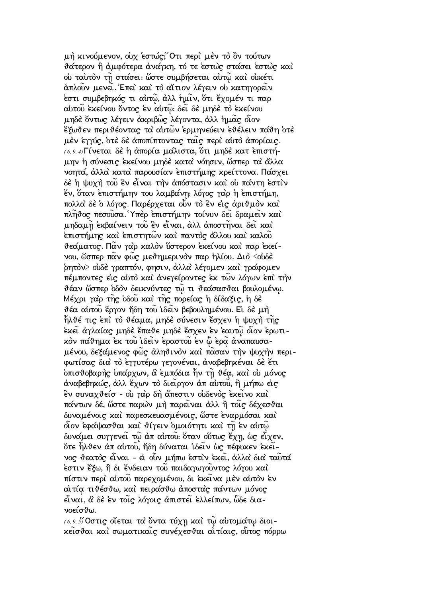μή κινούμενον, ουχ εστώς; Ότι περί μεν το όν τούτων θάτερον ή άμφότερα άναγκη, τό τε εστως στάσει εστως και ου ταυτον τη στάσει: ώστε συμβήσεται αυτώ και ουκέτι άπλουν μενει. Επεί και το αίτιον λέγειν ου κατηγορείν ς τι συμβεβηκός τι αὐτὧ, ἀλλ ἡμἶν, ὅτι ἔχομέν τι παρ αύτου εκείνου όντος εν αύτω: δει δε μηδε το εκείνου μηδέ όντως λέγειν άκριβώς λέγοντα, άλλ ημάς οίον έζωθεν περιθέοντας τα αυτών ερμηνεύειν εθέλειν πάθη στε μέν έγγύς, ότε δε άποπίπτοντας ταις περί αυτό άπορίαις. (6, 9, 4) Γίνεται δε η απορία μαλιστα, ότι μηδε κατ επιστήμην η σύνεσις εκείνου μηδέ κατα νόησιν, ὥσπερ τα ἀλλα νοητά, άλλα κατα παρουσίαν επιστήμης κρείττονα. Πάσχει δὲ ἡ ψυχὴ τοῦ ἓν ἐἶναι τὴν ἀπόστασιν καὶ οὐ πάντη ἐστὶν έν, όταν ἐπιστήμην του λαμβάνη: λόγος γαρ ἡ ἐπιστήμη, πολλα δέ ο λόγος. Παρέρχεται οὖν τὸ ἓν εἰς ἀριθμὸν καὶ πληθος πεσούσα. Υπέρ επιστήμην τοίνυν δει δραμείν και μηδαμη εκβαίνειν του εν είναι, άλλ άποστηναι δει και επιστήμης καὶ επιστητῶν καὶ παντὸς ἄλλου καὶ καλοῦ θεάματος. Πάν γαρ καλον ύστερον εκείνου και παρ εκείνου, ώσπερ παν φώς μεθημερινόν παρ ηλίου. Διό <ουδέ ρητον> ουδέ γραπτόν, φησιν, άλλα λέγομεν και γράφομεν πέμποντες είς αύτὸ και άνεγείροντες εκ των λόγων επι την θέαν ὥσπερ δδον δεικνύντες τω τι θεάσασθαι βουλομένω. Μέχρι γαρ της δδού και της πορείας η δίδαξις, η δε θέα αύτου έργον ήδη του ιδείν βεβουλημένου. Ει δε μή ἧλθέ τις ἐπὶ τὸ θέαμα, μηδὲ σύνεσιν ἔσχεν ἡ ψυχὴ τῆς έκει άγλαίας μηδε έπαθε μηδε έσχεν εν εαυτώ οίον ερωτικον πάθημα εκ του ιδείν εραστου εν ψ ερα αναπαυσαμένου, δεξάμενος φως άληθινον και πασαν την ψυχην περιφωτίσας δια το εγγυτέρω γεγονέναι, άναβεβηκέναι δε έτι όπισθοβαρής υπάρχων, δ' εμπόδια ήν τη θέα, και ου μόνος άναβεβηκώς, άλλ έχων το διείργον άπ αυτου, ή μήπω είς εν συναχθείσ - ου γαρ δη άπεστιν ουδενος εκείνο και πάντων δέ, ώστε παρων μη παρείναι άλλ ή τοις δέχεσθαι δυναμένοις και παρεσκευασμένοις, ώστε εναρμόσαι και οίον εφαίψασθαι και θίγειν ομοιότητι και τη εν αυτώ δυνάμει συγγενει τω άπ αύτου: όταν ούτως έχη, ως είχεν, ότε ήλθεν απ αυτου, ήδη δύναται ιδείν ως πέφυκεν εκεινος θεατός είναι - ει ούν μήπω εστιν εκει, άλλα δια ταυτά εστιν έξω, ή δι ένδειαν του παιδαγωγουντος λόγου και πίστιν περί αύτου παρεχομένου, δι εκείνα μέν αύτον εν αιτία τιθέσθω, και πειράσθω άποστας πάντων μόνος είναι, α δε εν τοις λόγοις απιστει ελλείπων, ώδε δια- $\alpha$ είσθω.

(6, 9, 5) Οστις οίεται τα όντα τύχη και τω αυτομάτω διοικεισθαι και σωματικαις συνέχεσθαι αιτίαις, ούτος πόρρω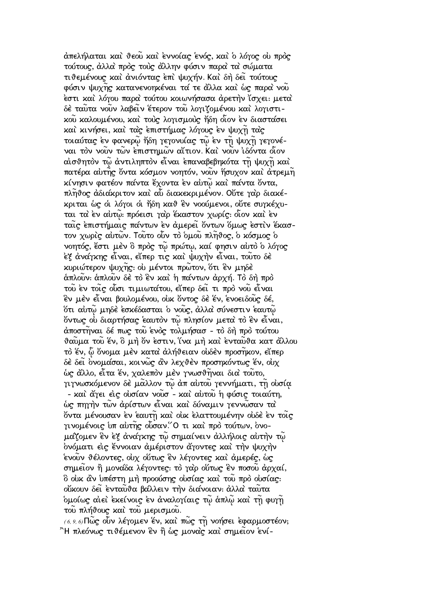άπελήλαται και θεου και εννοίας ενός, και ο λόγος ου προς τούτους, άλλα πρός τους άλλην φύσιν παρα τα σώματα τιθεμένους και ανιόντας επι ψυχήν. Και δη δει τούτους φύσιν ψυχής κατανενοηκέναι τα τε άλλα και ώς παρα νου ἐστι καὶ λόγου παρα τούτου κοιωνήσασα ἀρετὴν ἴσχει: μετὰ δέ ταυτα νουν λαβείν έτερον του λογιζομένου και λογιστικου καλουμένου, και τους λογισμούς ήδη οίον εν διαστάσει και κινήσει, και τας επιστήμας λόγους εν ψυχη τας τοιαύτας έν φανερώ ήδη γεγονυίας τω έν τη ψυχη γεγονέναι τον νούν των επιστημών αίτιον. Και νούν ιδόντα οίον αισθητον τω αντιληπτον είναι επαναβεβηκότα τη ψυχη και πατέρα αύτης όντα κόσμον νοητόν, νουν ήσυχον και άτρεμη κίνησιν φατέον πάντα έχοντα εν αυτώ και πάντα όντα, πλήθος αδιακριτον και αύ διακεκριμένον. Ούτε γαρ διακέκριται ώς οι λόγοι οι ήδη καθ εν νοούμενοι, ούτε συγκέχυται τα έν αυτώ: πρόεισι γαρ έκαστον χωρίς: δίον και έν ταις επιστήμαις πάντων εν άμερει όντων όμως εστιν έκαστον χωρίς αυτών. Τουτο ούν το όμου πλήθος, ο κόσμος ο νοητός, έστι μέν δ πρός τω πρώτω, καί φησιν αυτό ο λόγος έξ άναγκης είναι, είπερ τις και ψυχην είναι, τουτο δε κυριώτερον ψυχής: ού μέντοι πρώτον, ότι εν μηδέ άπλουν: άπλουν δέ το εν και η παντων άρχη. Το δη προ του εν τοις ούσι τιμιωτάτου, είπερ δει τι πρό νου είναι εν μεν είναι βουλομένου, ουκ όντος δε έν, ενοειδους δέ, δτι αυτώ μηδε εσκέδασται ο νους, άλλα σύνεστιν εαυτώ όντως ου διαρτήσας εαυτον τω πλησίον μετα το εν είναι, άποστηναι δέ πως του ενός τολμήσασ - το δη προ τούτου θαῦμα τοῦ ἕν, ὃ μὴ ὄν ἐστιν, ἵνα μὴ καὶ ἐνταῦθα κατ ἀλλου τὸ ἕν, ῷ ὄνομα μὲν κατα ἀλήθειαν οὐδὲν προσηκον, είπερ δε δει ονομασαι, κοινώς αν λεχθεν προσηκόντως έν, ουχ ώς άλλο, είτα έν, χαλεπόν μεν γνωσθηναι δια τουτο, γιγνωσκόμενον δε μαλλον τω άπ αύτου γεννήματι, τη ουσία - και άγει εις ουσίαν νουσ - και αυτου η φύσις τοιαύτη, ώς πηγήν των άρίστων είναι και δύναμιν γεννώσαν τα όντα μένουσαν εν εαυτη και ουκ ελαττουμένην ουδε εν τοις γινομένοις υπ αυτής ούσαν. Ο τι και προ τούτων, όνομα ζομεν εν εξ αναγκης τω σημαίνειν αλλήλοις αυτην τω όνόματι εις έννοιαν αμέριστον άγοντες και την ψυχην ένουν θέλοντες, ουχ ούτως εν λέγοντες και άμερές, ως σημείον ή μοναδα λέγοντες: το γαρ ούτως εν ποσου αρχαί, δ ούκ άν υπέστη μη προούσης ουσίας και του προ ουσίας: ούκουν δει ενταυθα βαλλειν την διανοιαν: άλλα ταυτα δμοίως αιεί εκείνοις εν αναλογίαις τω απλώ και τη φυγη του πλήθους και του μερισμού.

 $(6, 9, 6)$ Πώς ούν λέγομεν έν, και πώς τη νοήσει εφαρμοστέον; "Η πλεόνως τιθέμενον εν ἢ ώς μονας και σημείον ενί-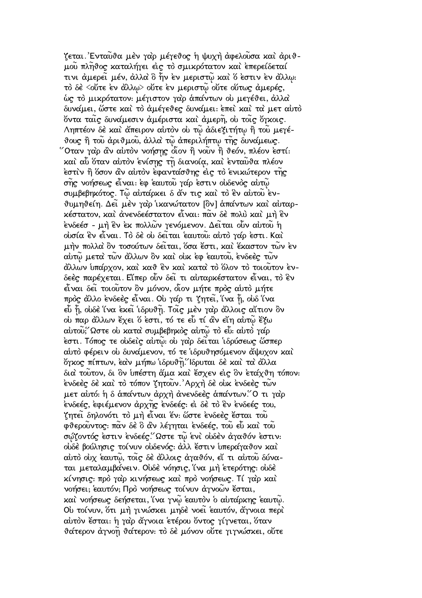ζεται. Ενταυθα μεν γαρ μέγεθος η ψυχη αφελουσα και αριθμού πληθος καταλήγει είς το σμικρότατον και επερείδεταί τινι άμερει μέν, άλλα δ ήν εν μεριστώ και δ εστιν εν άλλω: τὸ δὲ <οὔτε ἐν ἀλλῳ> οὔτε ἐν μεριστῳ οὔτε οὕτως ἀμερές, ώς τὸ μικρότατον: μέγιστον γαρ απάντων ου μεγέθει, άλλα δυνάμει, ώστε και το άμέγεθες δυνάμει: επει και τα μετ αυτο όντα ταις δυνάμεσιν αμέριστα και άμερη, ου τοις όγκοις. Ληπτέον δε και άπειρον αυτον ου τω αδιεξιτήτω ή του μεγέθους ή του άριθμου, άλλα τω απεριλήπτω της δυναμεως. Όταν γαρ άν αυτον νοήσης οίον ή νουν ή θεόν, πλέον εστί: και αύ όταν αυτον ενίσης τη διανοία, και ενταυθα πλέον έστιν ή όσον άν αυτον εφαντάσθης είς το ενικώτερον της σης νοήσεως είναι: εφ εαυτού γαρ εστιν ουδενός αυτώ συμβεβηκότος. Τώ αυτάρκει δ άν τις και το εν αυτού ενθυμηθείη. Δεί μέν γαρ ικανώτατον [ον] απάντων και αυταρκέστατον, και άνενδεέστατον είναι: παν δε πολυ και μη εν ένδεέσ - μη εν εκ πολλών γενόμενον. Δείται ούν αυτού η ουσία εν είναι. Το δε ου δείται εαυτού: αυτο γαρ εστι. Και μήν πολλα όν τοσούτων δείται, όσα έστι, και έκαστον τών εν αύτω μετα των άλλων όν και ουκ εφ εαυτου, ενδεές των άλλων υπάρχον, και καθ εν και κατα το δλον το τοιούτον ενδεές παρέχεται. Είπερ ούν δει τι αυταρκέστατον είναι, το εν είναι δεί τοιούτον όν μόνον, δίον μήτε πρός αυτό μήτε πρὸς ἄλλο ἐνδεες εἶναι. Ου γάρ τι ζητεϊ, ἵνα ἦ, ουδ ἵνα εὖ ἦ, οὐδὲ Υνα ἐκεῖ ἱδρυθῆ. Τοις μὲν γαρ άλλοις αίτιον ὂν ού παρ ἄλλων ἔχει ὅ ἐστι, τό τε εὗ τί ἀν εἴη αὐτῷ ἔξω αύτου; Ωστε ου κατα συμβεβηκός αυτώ το εύ: αυτό γαρ έστι. Τόπος τε ουδεις αυτώ: ου γαρ δειται ιδρύσεως ώσπερ αυτό φέρειν ου δυναμενον, τό τε ιδρυθησόμενον άψυχον και όγκος πίπτων, εαν μήπω ιδρυθη. Ίδρυται δε και τα άλλα δια τουτον, δι δν υπέστη άμα και έσχεν εις δν ετάχθη τόπον: ένδεες δε και το τόπον ζητουν. Αρχη δε ουκ ενδεες των μετ αύτό: η δ άπαντων άρχη άνενδεες απαντων. Ο τι γαρ ένδεές, εφιέμενον άρχης ενδεές: ει δε το εν ενδεές του, ζητει δηλονότι τὸ μὴ εἶναι ἕν: ὥστε ἐνδεὲς ἔσται του φθερούντος: παν δε δ άν λέγηται ενδεές, του εύ και του σώζοντός έστιν ενδεές. Ωστε τω ενι ουδεν άγαθόν εστιν: ούδε βούλησις τοίνυν ουδενός: άλλ έστιν υπεραγαθον και αύτο ουχ εαυτώ, τοις δε άλλοις άγαθόν, εί τι αυτου δύναται μεταλαμβάνειν. Ουδε νόησις, ίνα μη ετερότης: ουδε κίνησις: πρὸ γαρ κινήσεως και πρὸ νοήσεως. Τί γαρ και νοήσει; εαυτόν; Πρὸ νοήσεως τοίνυν ἀγνοών έσται, και νοήσεως δεήσεται, ίνα γνω εαυτον ο αυτάρκης εαυτω. Ου τοίνυν, ότι μή γινώσκει μηδέ νοει εαυτόν, άγνοια περί αύτον έσται: η γαρ άγνοια ετέρου όντος γίγνεται, όταν θατερον αγνοη θατερον: το δε μόνον ούτε γιγνώσκει, ούτε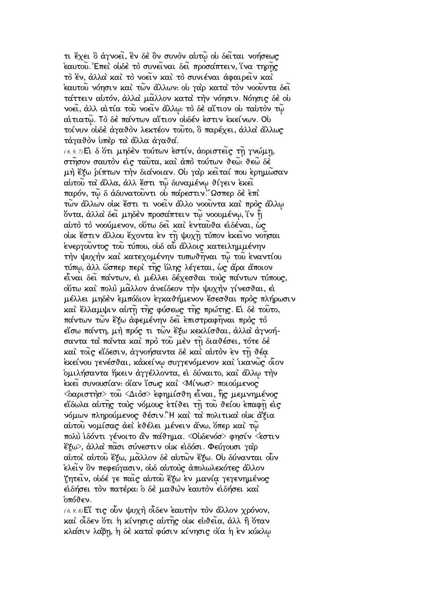τι έχει δ άγνοεί, εν δε όν συνον αυτώ ου δείται νοήσεως έαυτου. Επεί ουδέ το συνείναι δει προσάπτειν, ίνα τηρης τὸ ἕν, ἀλλα και τὸ νοεἶν και τὸ συνιέναι ἀφαιρεῖν και εαυτού νόησιν και των άλλων: ου γαρ κατα τον νοούντα δεί τάττειν αυτόν, άλλα μάλλον κατα την νόησιν. Νόησις δέ ου νοει, άλλ αιτία του νοειν άλλω: τὸ δὲ αίτιον ου ταυτὸν τω αιτιατώ. Τὸ δε παντων αίτιον ουδέν εστιν εκείνων. Ου τοίνυν ουδέ άγαθον λεκτέον τουτο, δ παρέχει, άλλα άλλως τάγαθον υπέρ τα άλλα άγαθα.

(6, 9, 7) Ει δ ότι μηδεν τούτων εστίν, άοριστείς τη γνώμη, στήσον σαυτόν είς ταυτα, και άπό τούτων θεω: θεω δέ μή έξω ρίπτων την διανοιαν. Ου γαρ κειταί που ερημώσαν αύτου τα άλλα, άλλ έστι τω δυναμένω θίγειν εκει παρόν, τω δ άδυνατούντι ου παρεστιν. Ωσπερ δε επι των άλλων ουκ έστι τι νοείν άλλο νοουντα και προς άλλω όντα, άλλα δεί μηδεν προσάπτειν τῷ νοουμένῳ, ἵν ἦ αύτὸ τὸ νοούμενον, οὕτω δει καὶ 'ενταυθα ειδέναι, ὡς ούκ έστιν άλλου έχοντα εν τη ψυχη τύπον εκείνο νοήσαι ένεργούντος του τύπου, ουδ αὖ άλλοις κατειλημμένην την ψυχην και κατεχομένην τυπωθηναι τω του εναντίου τύπω, άλλ ώσπερ περί της ύλης λέγεται, ως άρα άποιον είναι δει πάντων, ει μέλλει δέχεσθαι τούς πάντων τύπους, ούτω και πολυ μαλλον άνείδεον την ψυχην γίνεσθαι, ει μέλλει μηδέν εμπόδιον εγκαθήμενον έσεσθαι προς πλήρωσιν και έλλαμψιν αύτη της φύσεως της πρώτης. Ει δε τουτο, πάντων των έξω άφεμένην δει επιστραφηναι πρός το είσω παντη, μή πρός τι των έξω κεκλίσθαι, άλλα άγνοήσαντα τα πάντα και πρό του μέν τη διαθέσει, τότε δέ και τοις είδεσιν, άγνοήσαντα δε και αυτον εν τη θέα εκείνου γενέσθαι, κάκείνω συγγενόμενον και ικανώς οίον δμιλήσαντα ήκειν άγγέλλοντα, ει δύναιτο, και άλλω την εκει συνουσίαν: οΐαν Ίσως και <Μίνωσ> ποιούμενος < οαριστήσ> του < Διὸσ> εφημίσθη εἶναι, ῆς μεμνημένος είδωλα αυτής τους νόμους ετίθει τη του θείου επαφη είς νόμων πληρούμενος θέσιν. Η και τα πολιτικα ουκ άξια αύτου νομίσας άει εθέλει μένειν άνω, όπερ και τω πολὺ ιδόντι γένοιτο ἀν πάθημα. <Οὐδενόσ> φησίν <εστιν "έξω>, άλλα πάσι σύνεστιν ουκ ειδόσι. Φεύγουσι γαρ αύτοι αύτου έξω, μαλλον δε αυτών έξω. Ου δύνανται ούν ελειν δν πεφεύγασιν, ουδ αυτούς απολωλεκότες άλλον " ζητείν, ουδέ γε παις αυτου έξω έν μανία γεγενημένος ειδήσει τον πατέρα: ο δε μαθων εαυτον ειδήσει και  $\delta \pi \acute{\sigma} \theta \epsilon \nu$ .

 $(6, 9, 8)$  Εί τις ούν ψυχή οιδεν εαυτήν τον άλλον χρόνον, και δίδεν ότι η κίνησις αυτής ουκ ευθεία, άλλ ή όταν κλασιν λαβη, η δε κατα φύσιν κίνησις οΐα η εν κύκλω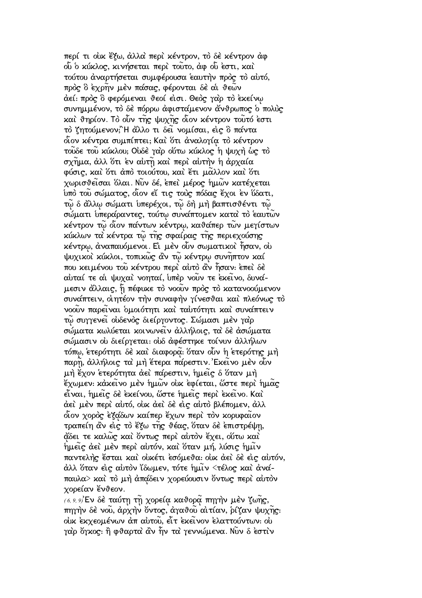περί τι ούκ έξω, άλλα περι κέντρον, το δε κέντρον άφ ού ο κύκλος, κινήσεται περι τουτο, άφ ου έστι, και τούτου άναρτήσεται συμφέρουσα εαυτήν πρός το αυτό, πρὸς δ εχρην μεν πασας, φέρονται δε αι θεων άεί: πρὸς ὃ φερόμεναι θεοί είσι. Θεὸς γαρ τὸ εκείνω συνημμένον, τὸ δε πόρρω ἀφισταμενον άνθρωπος ο πολύς και θηρίον. Το ούν της ψυχης οίον κέντρον τουτό έστι το ζητούμενον; Η άλλο τι δεί νομίσαι, είς δ πάντα δίον κέντρα συμπίπτει; Και ότι άναλογία το κέντρον τουδε του κύκλου; Ουδέ γαρ ούτω κύκλος η ψυχη ώς το σχημα, άλλ ότι εν αύτη και περι αυτήν η άρχαία φύσις, και ότι άπό τοιούτου, και έτι μαλλον και ότι γωρισθείσαι δλαι. Νύν δέ, επει μέρος ημών κατέχεται υπό του σώματος, οίον εί τις τους πόδας έχοι εν ύδατι, τω δ άλλω σώματι υπερέχοι, τω δη μη βαπτισθέντι τω σώματι υπεράραντες, τούτω συνάπτομεν κατα το εαυτών κέντρον τω οίον παντων κέντρω, καθαπερ των μεγίστων κύκλων τα κέντρα τω της σφαίρας της περιεχούσης κέντρω, άναπαυόμενοι. Ει μεν ούν σωματικοι ήσαν, ου ψυχικοί κύκλοι, τοπικώς άν τω κέντρω συνηπτον καί που κειμένου του κέντρου περι αυτό άν ήσαν: επει δε αύταί τε αι ψυχαι νοηταί, υπέρ νουν τε εκείνο, δυνάμεσιν άλλαις, η πέφυκε το νοουν προς το κατανοούμενον συνάπτειν, οιητέον την συναφήν γίνεσθαι και πλεόνως το νοουν παρείναι δμοιότητι και ταυτότητι και συνάπτειν τώ συγγενει ούδενος διείργοντος. Σώμασι μεν γαρ σώματα κωλύεται κοινωνείν άλλήλοις, τα δε άσώματα σώμασιν ου διείργεται: ουδ άφέστηκε τοίνυν άλλήλων τόπω, ετερότητι δε και διαφορα: όταν ούν η ετερότης μη παρη, άλλήλοις τα μη έτερα πάρεστιν. Εκείνο μεν ούν μή έχον ετερότητα άει πάρεστιν, ημείς δ όταν μή έχωμεν: κάκεινο μεν ημών ουκ εφίεται, ώστε περι ημας είναι, ημείς δε εκείνου, ώστε ημείς περι εκείνο. Και άει μεν περι αυτό, ουκ άει δε εις αυτο βλέπομεν, άλλ δίον χορός εξαδων καίπερ έχων περί τον κορυφαίον τραπείη άν εις το έξω της θέας, όταν δε επιστρέψη, άδει τε καλώς και όντως περι αυτον έχει, ούτω και ημείς άει μέν περι αυτόν, και όταν μή, λύσις ημίν παντελής έσται και ούκέτι εσόμεθα: ούκ άει δε είς αυτόν, άλλ δταν εις αυτον Ίδωμεν, τότε ημιν <τέλος και αναπαυλα> και το μη απάδειν χορεύουσιν όντως περι αυτον χορείαν ένθεον.

(6, 9, 9) Εν δε ταύτη τη χορεία καθορα πηγήν μεν ζωής, πηγήν δε νου, άρχην όντος, άγαθου αιτίαν, ρίζαν ψυχης: ούκ 'εκχεομένων άπ αύτου, είτ 'εκείνον 'ελαττούντων: ου γαρ όγκος: ή φθαρτα άν ήν τα γεννώμενα. Νύν δ έστιν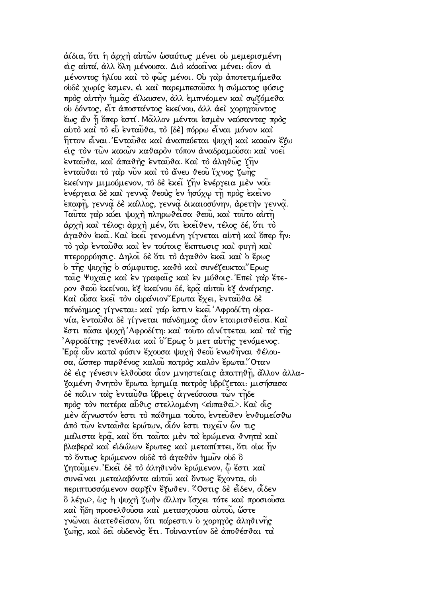άίδια, ότι η άρχη αυτών ώσαύτως μένει ου μεμερισμένη εις αυτά, άλλ δλη μένουσα. Διὸ κάκεῖνα μένει: οἶον ει μένοντος ηλίου και το φώς μένοι. Ου γαρ αποτετμήμεθα ούδε χωρίς εσμεν, ει και παρεμπεσούσα η σώματος φύσις πρός αυτήν ημάς είλκυσεν, άλλ εμπνέομεν και σωζόμεθα ού δόντος, είτ άποσταντος εκείνου, άλλ άει χορηγούντος έως άν ή όπερ έστί. Μάλλον μέντοι έσμεν νεύσαντες πρός αύτο και το εύ ενταυθα, το [δε] πόρρω είναι μόνον και ηττον είναι. Ενταύθα και αναπαύεται ψυχη και κακών έξω εις τον των κακών καθαρον τόπον αναδραμούσα: και νοεί ζενταῦθα, καὶ ἀπαθὴς ἐνταῦθα. Καὶ τὸ ἀληθῶς ζῆν ένταυθα: το γαρ νυν και το άνευ θεου ίχνος ζωης εκείνην μιμούμενον, το δε εκει ζην ενέργεια μεν νου: ένέργεια δὲ καὶ γεννῷ θεοὺς ἐν ἡσύχῳ τῇ πρὸς ἐκεἶνο 'επαφῆ, γεννῷ δὲ καλλος, γεννῷ δικαιοσύνην, ἀρετὴν γεννῷ. Ταύτα γαρ κύει ψυχή πληρωθείσα θεού, και τούτο αυτή άρχη και τέλος: άρχη μέν, ότι εκειθεν, τέλος δέ, ότι το άγαθον εκει. Και εκει γενομένη γίγνεται αυτή και όπερ ήν: τὸ γαρ ἐνταῦθα και 'εν τούτοις "έκπτωσις και φυγή και πτερορρύησις. Δηλοί δε ότι το άγαθον εκεί και ο έρως δ της ψυχης δ σύμφυτος, καθό και συνέζευκται Έρως ταις Ψυχαις και έν γραφαις και εν μύθοις. Επει γαρ έτερον θεού εκείνου, εξ εκείνου δέ, ερα αύτου εξ άναγκης. Και ούσα εκεί τον ουρανιον Ερωτα έχει, ενταυθα δε πάνδημος γίγνεται: και γάρ εστιν εκει Αφροδίτη ουρανία, ενταύθα δε γίγνεται πανδημος οίον εταιρισθείσα. Και έστι πάσα ψυχή Αφροδίτη: και τουτο αινίττεται και τα της 'Αφροδίτης γενέθλια καὶ ὃ Ερως ὁ μετ αὐτῆς γενόμενος. 'Eρα οὖν κατα φύσιν ἔχουσα ψυχὴ θεοῦ ενωθῆναι θέλουσα, ώσπερ παρθένος καλού πατρός καλόν έρωτα. Όταν δε εις γένεσιν ελθούσα οίον μνηστείαις άπατηθη, άλλον άλλαξαμένη θνητον έρωτα ερημία πατρος υβρίζεται: μισήσασα δε παλιν τας ενταύθα ύβρεις αγνεύσασα των τηδε πρὸς τὸν πατέρα αὖθις στελλομένη <εὐπαθεϊ>. Καὶ οἶς μέν άγνωστόν έστι το πάθημα τουτο, εντευθεν ενθυμείσθω άπό των ενταυθα ερώτων, οίον εστι τυχείν ών τις μαλιστα έρα, και ότι ταυτα μέν τα ερώμενα θνητα και βλαβερα και ειδώλων έρωτες και μεταπίπτει, ότι ουκ ήν το όντως ερώμενον ουδέ το άγαθον ημών ουδ δ "ζητουμεν. Εκεί δε το άληθινον ερώμενον, ω έστι και συνείναι μεταλαβόντα αύτου και όντως έχοντα, ου περιπτυσσόμενον σαρξιν έξωθεν. < Οστις δε είδεν, οιδεν δ λέγω>, ως η ψυχη ζωην άλλην ίσχει τότε και προσιουσα και ήδη προσελθούσα και μετασχούσα αυτου, ώστε γνώναι διατεθείσαν, ότι πάρεστιν ο χορηγός άληθινης ζωης, και δει ουδενος έτι. Τουναντίον δε άποθέσθαι τα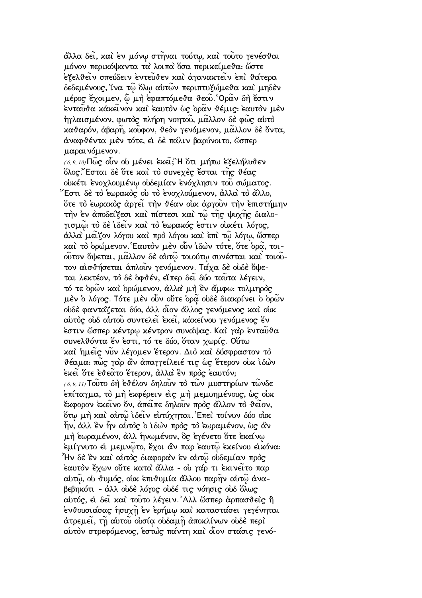άλλα δει, και έν μόνω στηναι τούτω, και τουτο γενέσθαι μόνον περικόψαντα τα λοιπα δσα περικείμεθα: ώστε εξελθείν σπεύδειν εντεύθεν και άγανακτείν επι θάτερα δεδεμένους, ίνα τω δλω αυτών περιπτυξώμεθα και μηδεν μέρος έχοιμεν, ὧ μη εφαπτόμεθα θεου. Όραν δη έστιν ένταυθα κάκεινον και εαυτον ως δράν θέμις: εαυτον μεν ηγλαισμένον, φωτός πλήρη νοητού, μαλλον δε φώς αυτό καθαρόν, άβαρη, κούφον, θεόν γενόμενον, μαλλον δε όντα, άναφθέντα μέν τότε, ει δέ παλιν βαρύνοιτο, ώσπερ μαραινόμενον.

 $(6, 9, 10)$ Πώς οὖν ου μένει εκειζ' Η ότι μήπω εξελήλυθεν δλος. Εσται δε ότε και το συνεχες έσται της θέας ούκέτι ενοχλουμένω ουδεμίαν ενόχλησιν του σώματος. "Εστι δὲ τὸ ἑωρακὸς οὐ τὸ ἐνοχλούμενον, ἀλλα τὸ ἄλλο, δτε το εωρακος άργει την θέαν ουκ άργουν την επιστήμην την έν άποδεί (εσι και πίστεσι και τω της ψυχης διαλογισμώ: τὸ δε ιδείν και τὸ εωρακός εστιν ουκέτι λόγος, άλλα μείζον λόγου και προ λόγου και επι τω λόγω, ώσπερ και το δρώμενον. Έαυτον μεν ούν ιδων τότε, ότε δρα, τοιούτον όψεται, μαλλον δε αυτώ τοιούτω συνέσται και τοιούτον αισθήσεται άπλουν γενόμενον. Ταχα δε ουδε όψεται λεκτέον, τὸ δε οφθέν, είπερ δει δύο ταυτα λέγειν, τό τε δρών καὶ δρώμενον, ἀλλα μὴ ἓν ἄμφω: τολμηρὸς μεν ο λόγος. Τότε μεν οὖν οὔτε ορα οὐδε διακρίνει ο ορῶν ούδε φαντάζεται δύο, άλλ οίον άλλος γενόμενος και ούκ αύτος ουδ αυτού συντελει εκει, κάκείνου γενόμενος έν έστιν ὥσπερ κέντρω κέντρον συνάψας. Και γαρ ενταυθα συνελθόντα έν έστι, τό τε δύο, όταν χωρίς. Ούτω και ημείς νύν λέγομεν έτερον. Διὸ και δύσφραστον τὸ θέαμα: πώς γαρ άν άπαγγείλειέ τις ώς έτερον ουκ ιδων έκει ότε εθεάτο έτερον, άλλα εν προς εαυτόν;  $(6, 9, 11)$  Τουτο δη εθέλον δηλούν το των μυστηρίων τωνδε έπίταγμα, τὸ μὴ ἐκφέρειν εις μὴ μεμυημένους, ὡς οὐκ έκφορον εκείνο όν, άπειπε δηλούν προς άλλον το θείον, δτω μή και αυτώ ιδείν ευτύχηται. Επει τοίνυν δύο ουκ ἦν, ἀλλ ἓν ἦν αὐτὸς ὁ ἰδων πρὸς τὸ Ἐωραμένον, ὡς ἀν μη εωραμένον, άλλ ηνωμένον, δς εγένετο ότε εκείνω έμίγνυτο ει μεμνώτο, έχοι άν παρ εαυτώ εκείνου εικόνα: ຳ Ην δὲ ἓν καὶ αὐτὸς διαφοραν ἐν αὑτῷ οὐδεμίαν πρὸς εαυτον έχων ούτε κατα άλλα - ου γαρ τι εκινειτο παρ αύτω, ου θυμός, ουκ επιθυμία άλλου παρήν αυτώ άναβεβηκότι - άλλ ουδε λόγος ουδέ τις νόησις ουδ όλως αύτός, ει δει και τουτο λέγειν. Αλλ ώσπερ άρπασθεις ή ένθουσιάσας ησυχη έν ερήμω και καταστάσει γεγένηται άτρεμει, τη αυτού ουσία ουδαμή αποκλίνων ουδέ περι αυτον στρεφόμενος, εστως παντη και οίον στασις γενό